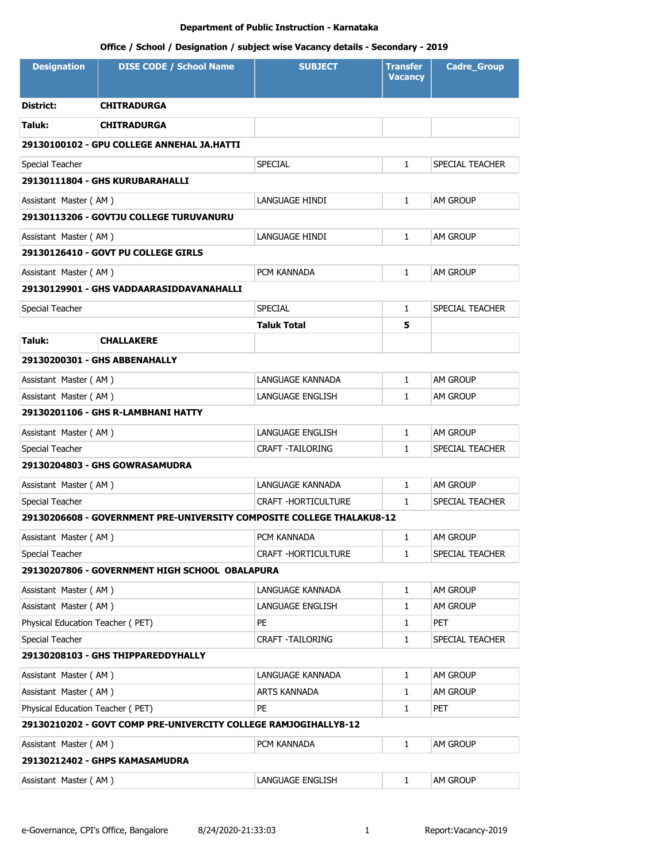| <b>Designation</b>               | <b>DISE CODE / School Name</b>                                        | <b>SUBJECT</b>             | <b>Transfer</b><br><b>Vacancy</b> | <b>Cadre_Group</b> |
|----------------------------------|-----------------------------------------------------------------------|----------------------------|-----------------------------------|--------------------|
| District:                        | <b>CHITRADURGA</b>                                                    |                            |                                   |                    |
| Taluk:                           | <b>CHITRADURGA</b>                                                    |                            |                                   |                    |
|                                  | 29130100102 - GPU COLLEGE ANNEHAL JA.HATTI                            |                            |                                   |                    |
| Special Teacher                  |                                                                       | SPECIAL                    | 1                                 | SPECIAL TEACHER    |
|                                  | 29130111804 - GHS KURUBARAHALLI                                       |                            |                                   |                    |
| Assistant Master (AM)            |                                                                       | LANGUAGE HINDI             | 1                                 | <b>AM GROUP</b>    |
|                                  | 29130113206 - GOVTJU COLLEGE TURUVANURU                               |                            |                                   |                    |
| Assistant Master (AM)            |                                                                       | LANGUAGE HINDI             | 1                                 | <b>AM GROUP</b>    |
|                                  | 29130126410 - GOVT PU COLLEGE GIRLS                                   |                            |                                   |                    |
| Assistant Master (AM)            |                                                                       | PCM KANNADA                | $\mathbf{1}$                      | <b>AM GROUP</b>    |
|                                  | 29130129901 - GHS VADDAARASIDDAVANAHALLI                              |                            |                                   |                    |
| Special Teacher                  |                                                                       | <b>SPECIAL</b>             | 1                                 | SPECIAL TEACHER    |
|                                  |                                                                       | Taluk Total                | 5                                 |                    |
| Taluk:                           | <b>CHALLAKERE</b>                                                     |                            |                                   |                    |
|                                  | 29130200301 - GHS ABBENAHALLY                                         |                            |                                   |                    |
| Assistant Master (AM)            |                                                                       | LANGUAGE KANNADA           | 1                                 | <b>AM GROUP</b>    |
| Assistant Master (AM)            |                                                                       | LANGUAGE ENGLISH           | 1                                 | am Group           |
|                                  | 29130201106 - GHS R-LAMBHANI HATTY                                    |                            |                                   |                    |
| Assistant Master (AM)            |                                                                       | LANGUAGE ENGLISH           | 1                                 | AM GROUP           |
| Special Teacher                  |                                                                       | CRAFT -TAILORING           | $\mathbf{1}$                      | SPECIAL TEACHER    |
|                                  | 29130204803 - GHS GOWRASAMUDRA                                        |                            |                                   |                    |
| Assistant Master (AM)            |                                                                       | LANGUAGE KANNADA           | 1                                 | AM GROUP           |
| Special Teacher                  |                                                                       | <b>CRAFT -HORTICULTURE</b> | $\mathbf{1}$                      | SPECIAL TEACHER    |
|                                  | 29130206608 - GOVERNMENT PRE-UNIVERSITY COMPOSITE COLLEGE THALAKU8-12 |                            |                                   |                    |
| Assistant Master (AM)            |                                                                       | PCM KANNADA                | 1                                 | <b>AM GROUP</b>    |
| Special Teacher                  |                                                                       | CRAFT - HORTICULTURE       | $\mathbf{1}$                      | SPECIAL TEACHER    |
|                                  | 29130207806 - GOVERNMENT HIGH SCHOOL OBALAPURA                        |                            |                                   |                    |
| Assistant Master (AM)            |                                                                       | LANGUAGE KANNADA           | 1                                 | AM GROUP           |
| Assistant Master (AM)            |                                                                       | LANGUAGE ENGLISH           | 1                                 | AM GROUP           |
| Physical Education Teacher (PET) |                                                                       | PE                         | 1                                 | <b>PET</b>         |
| Special Teacher                  |                                                                       | CRAFT -TAILORING           | 1                                 | SPECIAL TEACHER    |
|                                  | 29130208103 - GHS THIPPAREDDYHALLY                                    |                            |                                   |                    |
| Assistant Master (AM)            |                                                                       | LANGUAGE KANNADA           | 1                                 | AM GROUP           |
| Assistant Master (AM)            |                                                                       | ARTS KANNADA               | 1                                 | AM GROUP           |
| Physical Education Teacher (PET) |                                                                       | PE                         | 1                                 | <b>PET</b>         |
|                                  | 29130210202 - GOVT COMP PRE-UNIVERCITY COLLEGE RAMJOGIHALLY8-12       |                            |                                   |                    |
| Assistant Master (AM)            |                                                                       | PCM KANNADA                | 1                                 | am Group           |
|                                  | 29130212402 - GHPS KAMASAMUDRA                                        |                            |                                   |                    |
| Assistant Master (AM)            |                                                                       | LANGUAGE ENGLISH           | 1                                 | AM GROUP           |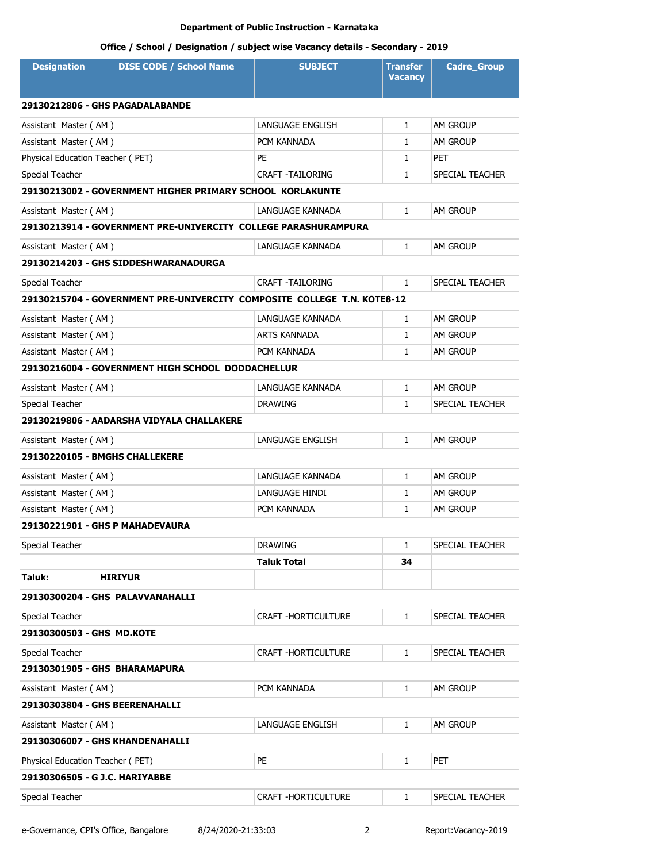| <b>Designation</b>                                           | <b>DISE CODE / School Name</b>                                          | <b>SUBJECT</b>          | <b>Transfer</b><br><b>Vacancy</b> | <b>Cadre Group</b> |
|--------------------------------------------------------------|-------------------------------------------------------------------------|-------------------------|-----------------------------------|--------------------|
|                                                              | 29130212806 - GHS PAGADALABANDE                                         |                         |                                   |                    |
| Assistant Master (AM)                                        |                                                                         | LANGUAGE ENGLISH        | $\mathbf{1}$                      | AM GROUP           |
| Assistant Master (AM)                                        |                                                                         | PCM KANNADA             | $\mathbf{1}$                      | AM GROUP           |
| Physical Education Teacher (PET)                             |                                                                         | PE                      | $\mathbf{1}$                      | <b>PET</b>         |
| Special Teacher                                              |                                                                         | <b>CRAFT -TAILORING</b> | $\mathbf{1}$                      | SPECIAL TEACHER    |
|                                                              | 29130213002 - GOVERNMENT HIGHER PRIMARY SCHOOL KORLAKUNTE               |                         |                                   |                    |
| Assistant Master (AM)                                        |                                                                         | LANGUAGE KANNADA        | $\mathbf{1}$                      | AM GROUP           |
|                                                              | 29130213914 - GOVERNMENT PRE-UNIVERCITY COLLEGE PARASHURAMPURA          |                         |                                   |                    |
| Assistant Master (AM)                                        |                                                                         | LANGUAGE KANNADA        | $\mathbf{1}$                      | <b>AM GROUP</b>    |
|                                                              | 29130214203 - GHS SIDDESHWARANADURGA                                    |                         |                                   |                    |
| Special Teacher                                              |                                                                         | CRAFT -TAILORING        | $\mathbf{1}$                      | SPECIAL TEACHER    |
|                                                              | 29130215704 - GOVERNMENT PRE-UNIVERCITY COMPOSITE COLLEGE T.N. KOTE8-12 |                         |                                   |                    |
| Assistant Master (AM)                                        |                                                                         | LANGUAGE KANNADA        | $\mathbf{1}$                      | <b>AM GROUP</b>    |
| Assistant Master (AM)                                        |                                                                         | <b>ARTS KANNADA</b>     | $\mathbf{1}$                      | <b>AM GROUP</b>    |
| Assistant Master (AM)                                        |                                                                         | PCM KANNADA             | $\mathbf{1}$                      | AM GROUP           |
|                                                              | 29130216004 - GOVERNMENT HIGH SCHOOL DODDACHELLUR                       |                         |                                   |                    |
| Assistant Master (AM)                                        |                                                                         | LANGUAGE KANNADA        | $\mathbf{1}$                      | <b>AM GROUP</b>    |
| Special Teacher                                              |                                                                         | <b>DRAWING</b>          | $\mathbf{1}$                      | SPECIAL TEACHER    |
|                                                              | 29130219806 - AADARSHA VIDYALA CHALLAKERE                               |                         |                                   |                    |
| Assistant Master (AM)                                        |                                                                         | LANGUAGE ENGLISH        | $\mathbf{1}$                      | <b>AM GROUP</b>    |
|                                                              | <b>29130220105 - BMGHS CHALLEKERE</b>                                   |                         |                                   |                    |
| Assistant Master (AM)                                        |                                                                         | LANGUAGE KANNADA        | $\mathbf{1}$                      | <b>AM GROUP</b>    |
| Assistant Master (AM)                                        |                                                                         | LANGUAGE HINDI          | $\mathbf{1}$                      | <b>AM GROUP</b>    |
| Assistant Master (AM)                                        |                                                                         | PCM KANNADA             | $\mathbf{1}$                      | <b>AM GROUP</b>    |
|                                                              | 29130221901 - GHS P MAHADEVAURA                                         |                         |                                   |                    |
| Special Teacher                                              |                                                                         | <b>DRAWING</b>          | $\mathbf{1}$                      | SPECIAL TEACHER    |
|                                                              |                                                                         | Taluk Total             | 34                                |                    |
| Taluk:                                                       | HIRIYUR                                                                 |                         |                                   |                    |
|                                                              | 29130300204 - GHS PALAVVANAHALLI                                        |                         |                                   |                    |
| Special Teacher                                              |                                                                         | CRAFT - HORTICULTURE    | $\mathbf{1}$                      | SPECIAL TEACHER    |
| 29130300503 - GHS MD.KOTE                                    |                                                                         |                         |                                   |                    |
| Special Teacher                                              |                                                                         | CRAFT -HORTICULTURE     | $\mathbf{1}$                      | SPECIAL TEACHER    |
| 29130301905 - GHS BHARAMAPURA                                |                                                                         |                         |                                   |                    |
| Assistant Master (AM)<br>PCM KANNADA<br><b>AM GROUP</b><br>1 |                                                                         |                         |                                   |                    |
|                                                              | 29130303804 - GHS BEERENAHALLI                                          |                         |                                   |                    |
| Assistant Master (AM)                                        |                                                                         | LANGUAGE ENGLISH        | 1                                 | AM GROUP           |
|                                                              | 29130306007 - GHS KHANDENAHALLI                                         |                         |                                   |                    |
| Physical Education Teacher (PET)                             |                                                                         | PE                      | $\mathbf{1}$                      | PET                |
| 29130306505 - G J.C. HARIYABBE                               |                                                                         |                         |                                   |                    |
| Special Teacher                                              |                                                                         | CRAFT -HORTICULTURE     | 1                                 | SPECIAL TEACHER    |
|                                                              |                                                                         |                         |                                   |                    |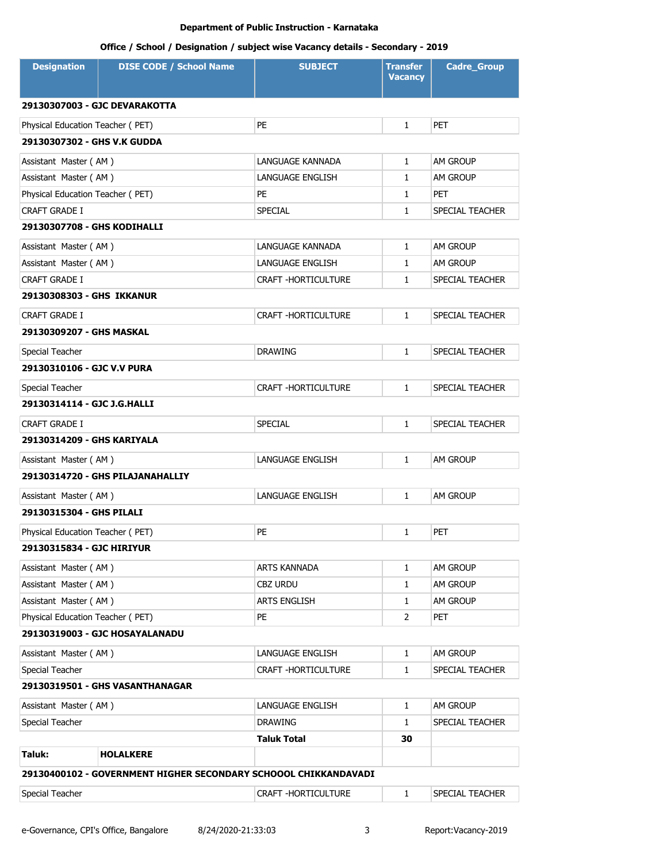| <b>Designation</b>               | <b>DISE CODE / School Name</b>                                  | <b>SUBJECT</b>             | <b>Transfer</b><br><b>Vacancy</b> | <b>Cadre_Group</b> |  |
|----------------------------------|-----------------------------------------------------------------|----------------------------|-----------------------------------|--------------------|--|
|                                  | 29130307003 - GJC DEVARAKOTTA                                   |                            |                                   |                    |  |
| Physical Education Teacher (PET) |                                                                 | <b>PE</b>                  | $\mathbf{1}$                      | PET                |  |
| 29130307302 - GHS V.K GUDDA      |                                                                 |                            |                                   |                    |  |
| Assistant Master (AM)            |                                                                 | LANGUAGE KANNADA           | $\mathbf{1}$                      | AM GROUP           |  |
| Assistant Master (AM)            |                                                                 | LANGUAGE ENGLISH           | $\mathbf{1}$                      | AM GROUP           |  |
| Physical Education Teacher (PET) |                                                                 | PE                         | $\mathbf{1}$                      | PET                |  |
| CRAFT GRADE I                    |                                                                 | <b>SPECIAL</b>             | $\mathbf{1}$                      | SPECIAL TEACHER    |  |
| 29130307708 - GHS KODIHALLI      |                                                                 |                            |                                   |                    |  |
| Assistant Master (AM)            |                                                                 | LANGUAGE KANNADA           | $\mathbf{1}$                      | am Group           |  |
| Assistant Master (AM)            |                                                                 | LANGUAGE ENGLISH           | $\mathbf{1}$                      | AM GROUP           |  |
| <b>CRAFT GRADE I</b>             |                                                                 | CRAFT - HORTICULTURE       | $\mathbf{1}$                      | SPECIAL TEACHER    |  |
| 29130308303 - GHS IKKANUR        |                                                                 |                            |                                   |                    |  |
| <b>CRAFT GRADE I</b>             |                                                                 | CRAFT - HORTICULTURE       | $\mathbf{1}$                      | SPECIAL TEACHER    |  |
| 29130309207 - GHS MASKAL         |                                                                 |                            |                                   |                    |  |
| Special Teacher                  |                                                                 | <b>DRAWING</b>             | $\mathbf{1}$                      | SPECIAL TEACHER    |  |
| 29130310106 - GJC V.V PURA       |                                                                 |                            |                                   |                    |  |
| Special Teacher                  |                                                                 | CRAFT -HORTICULTURE        | $\mathbf{1}$                      | SPECIAL TEACHER    |  |
| 29130314114 - GJC J.G.HALLI      |                                                                 |                            |                                   |                    |  |
| <b>CRAFT GRADE I</b>             |                                                                 | <b>SPECIAL</b>             | $\mathbf{1}$                      | SPECIAL TEACHER    |  |
| 29130314209 - GHS KARIYALA       |                                                                 |                            |                                   |                    |  |
| Assistant Master (AM)            |                                                                 | LANGUAGE ENGLISH           | $\mathbf{1}$                      | <b>AM GROUP</b>    |  |
|                                  | 29130314720 - GHS PILAJANAHALLIY                                |                            |                                   |                    |  |
| Assistant Master (AM)            |                                                                 | LANGUAGE ENGLISH           | $\mathbf{1}$                      | AM GROUP           |  |
| 29130315304 - GHS PILALI         |                                                                 |                            |                                   |                    |  |
| Physical Education Teacher (PET) |                                                                 | PE                         | 1                                 | PET                |  |
| 29130315834 - GJC HIRIYUR        |                                                                 |                            |                                   |                    |  |
| Assistant Master (AM)            |                                                                 | ARTS KANNADA               | $\mathbf{1}$                      | AM GROUP           |  |
| Assistant Master (AM)            |                                                                 | <b>CBZ URDU</b>            | $\mathbf{1}$                      | AM GROUP           |  |
| Assistant Master (AM)            |                                                                 | <b>ARTS ENGLISH</b>        | $\mathbf{1}$                      | AM GROUP           |  |
| Physical Education Teacher (PET) |                                                                 | <b>PE</b>                  | $\overline{2}$                    | PET                |  |
|                                  | 29130319003 - GJC HOSAYALANADU                                  |                            |                                   |                    |  |
| Assistant Master (AM)            |                                                                 | LANGUAGE ENGLISH           | $\mathbf{1}$                      | AM GROUP           |  |
| Special Teacher                  |                                                                 | <b>CRAFT -HORTICULTURE</b> | $\mathbf{1}$                      | SPECIAL TEACHER    |  |
|                                  | 29130319501 - GHS VASANTHANAGAR                                 |                            |                                   |                    |  |
| Assistant Master (AM)            |                                                                 | LANGUAGE ENGLISH           | $\mathbf{1}$                      | AM GROUP           |  |
| Special Teacher                  |                                                                 | <b>DRAWING</b>             | 1                                 | SPECIAL TEACHER    |  |
|                                  |                                                                 | Taluk Total                | 30                                |                    |  |
| Taluk:                           | <b>HOLALKERE</b>                                                |                            |                                   |                    |  |
|                                  | 29130400102 - GOVERNMENT HIGHER SECONDARY SCHOOOL CHIKKANDAVADI |                            |                                   |                    |  |
| Special Teacher                  |                                                                 | <b>CRAFT -HORTICULTURE</b> | $\mathbf{1}$                      | SPECIAL TEACHER    |  |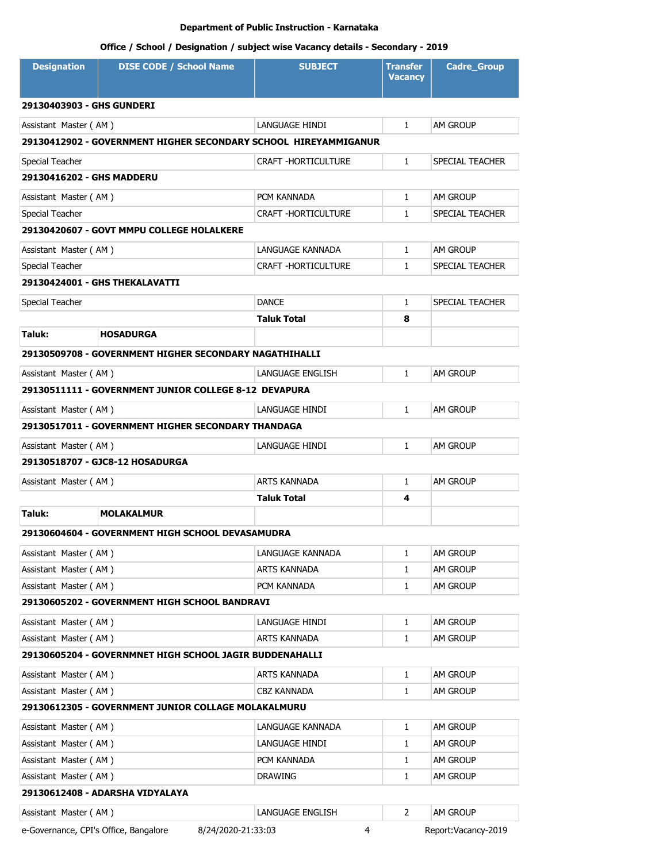| <b>Designation</b>                    | <b>DISE CODE / School Name</b>                                  | <b>SUBJECT</b>             | Transfer<br><b>Vacancy</b> | <b>Cadre Group</b>  |
|---------------------------------------|-----------------------------------------------------------------|----------------------------|----------------------------|---------------------|
| 29130403903 - GHS GUNDERI             |                                                                 |                            |                            |                     |
| Assistant Master (AM)                 |                                                                 | LANGUAGE HINDI             | $\mathbf{1}$               | AM GROUP            |
|                                       | 29130412902 - GOVERNMENT HIGHER SECONDARY SCHOOL HIREYAMMIGANUR |                            |                            |                     |
| Special Teacher                       |                                                                 | CRAFT - HORTICULTURE       | $\mathbf{1}$               | SPECIAL TEACHER     |
| 29130416202 - GHS MADDERU             |                                                                 |                            |                            |                     |
| Assistant Master (AM)                 |                                                                 | PCM KANNADA                | $\mathbf{1}$               | AM GROUP            |
| Special Teacher                       |                                                                 | <b>CRAFT -HORTICULTURE</b> | 1                          | SPECIAL TEACHER     |
|                                       | 29130420607 - GOVT MMPU COLLEGE HOLALKERE                       |                            |                            |                     |
| Assistant Master (AM)                 |                                                                 | LANGUAGE KANNADA           | $\mathbf{1}$               | <b>AM GROUP</b>     |
| Special Teacher                       |                                                                 | CRAFT -HORTICULTURE        | 1                          | SPECIAL TEACHER     |
|                                       | 29130424001 - GHS THEKALAVATTI                                  |                            |                            |                     |
| Special Teacher                       |                                                                 | <b>DANCE</b>               | $\mathbf{1}$               | SPECIAL TEACHER     |
|                                       |                                                                 | Taluk Total                | 8                          |                     |
| Taluk:                                | <b>HOSADURGA</b>                                                |                            |                            |                     |
|                                       | 29130509708 - GOVERNMENT HIGHER SECONDARY NAGATHIHALLI          |                            |                            |                     |
| Assistant Master (AM)                 |                                                                 | LANGUAGE ENGLISH           | $\mathbf{1}$               | am Group            |
|                                       | 29130511111 - GOVERNMENT JUNIOR COLLEGE 8-12 DEVAPURA           |                            |                            |                     |
| Assistant Master (AM)                 |                                                                 | LANGUAGE HINDI             | $\mathbf{1}$               | <b>AM GROUP</b>     |
|                                       | 29130517011 - GOVERNMENT HIGHER SECONDARY THANDAGA              |                            |                            |                     |
| Assistant Master (AM)                 |                                                                 | LANGUAGE HINDI             | $\mathbf{1}$               | AM GROUP            |
|                                       | 29130518707 - GJC8-12 HOSADURGA                                 |                            |                            |                     |
| Assistant Master (AM)                 |                                                                 | ARTS KANNADA               | 1                          | AM GROUP            |
|                                       |                                                                 | Taluk Total                | 4                          |                     |
| Taluk:                                | <b>MOLAKALMUR</b>                                               |                            |                            |                     |
|                                       | 29130604604 - GOVERNMENT HIGH SCHOOL DEVASAMUDRA                |                            |                            |                     |
| Assistant Master (AM)                 |                                                                 | LANGUAGE KANNADA           | 1                          | AM GROUP            |
| Assistant Master (AM)                 |                                                                 | ARTS KANNADA               | 1                          | AM GROUP            |
| Assistant Master (AM)                 |                                                                 | PCM KANNADA                | 1                          | am Group            |
|                                       | 29130605202 - GOVERNMENT HIGH SCHOOL BANDRAVI                   |                            |                            |                     |
| Assistant Master (AM)                 |                                                                 | LANGUAGE HINDI             | 1                          | AM GROUP            |
| Assistant Master (AM)                 |                                                                 | <b>ARTS KANNADA</b>        | 1                          | AM GROUP            |
|                                       | 29130605204 - GOVERNMNET HIGH SCHOOL JAGIR BUDDENAHALLI         |                            |                            |                     |
| Assistant Master (AM)                 |                                                                 | ARTS KANNADA               | 1                          | AM GROUP            |
| Assistant Master (AM)                 |                                                                 | CBZ KANNADA                | 1                          | AM GROUP            |
|                                       | 29130612305 - GOVERNMENT JUNIOR COLLAGE MOLAKALMURU             |                            |                            |                     |
| Assistant Master (AM)                 |                                                                 | LANGUAGE KANNADA           | 1                          | AM GROUP            |
| Assistant Master (AM)                 |                                                                 | LANGUAGE HINDI             | 1                          | AM GROUP            |
| Assistant Master (AM)                 |                                                                 | PCM KANNADA                | 1                          | AM GROUP            |
| Assistant Master (AM)                 |                                                                 | DRAWING                    | 1                          | AM GROUP            |
|                                       | 29130612408 - ADARSHA VIDYALAYA                                 |                            |                            |                     |
| Assistant Master (AM)                 |                                                                 | LANGUAGE ENGLISH           | 2                          | AM GROUP            |
| e-Governance, CPI's Office, Bangalore | 8/24/2020-21:33:03                                              | 4                          |                            | Report:Vacancy-2019 |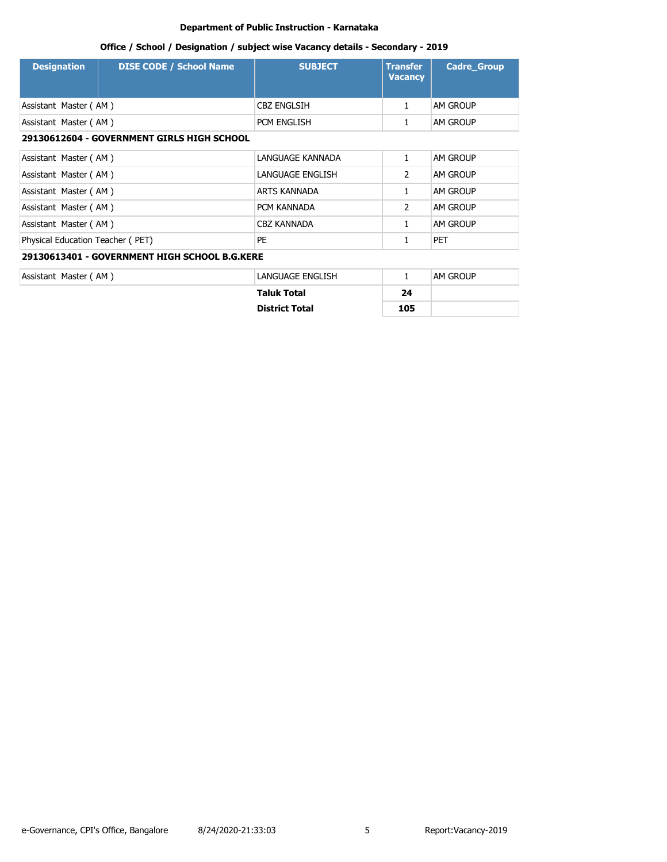| <b>Designation</b>                         | <b>DISE CODE / School Name</b>                | <b>SUBJECT</b>        | <b>Transfer</b><br><b>Vacancy</b> | <b>Cadre Group</b> |  |
|--------------------------------------------|-----------------------------------------------|-----------------------|-----------------------------------|--------------------|--|
| Assistant Master (AM)                      |                                               | <b>CBZ ENGLSIH</b>    | $\mathbf{1}$                      | AM GROUP           |  |
| Assistant Master (AM)                      |                                               | PCM ENGLISH           | 1                                 | AM GROUP           |  |
| 29130612604 - GOVERNMENT GIRLS HIGH SCHOOL |                                               |                       |                                   |                    |  |
| Assistant Master (AM)                      |                                               | LANGUAGE KANNADA      | 1                                 | AM GROUP           |  |
| Assistant Master (AM)                      |                                               | LANGUAGE ENGLISH      | $\overline{2}$                    | AM GROUP           |  |
| Assistant Master (AM)                      |                                               | ARTS KANNADA          | 1                                 | AM GROUP           |  |
| Assistant Master (AM)                      |                                               | PCM KANNADA           | $\overline{2}$                    | AM GROUP           |  |
| Assistant Master (AM)                      |                                               | <b>CBZ KANNADA</b>    | 1                                 | AM GROUP           |  |
| Physical Education Teacher (PET)           |                                               | PE                    | 1                                 | <b>PET</b>         |  |
|                                            | 29130613401 - GOVERNMENT HIGH SCHOOL B.G.KERE |                       |                                   |                    |  |
| Assistant Master (AM)                      |                                               | LANGUAGE ENGLISH      | $\mathbf{1}$                      | AM GROUP           |  |
|                                            |                                               | <b>Taluk Total</b>    | 24                                |                    |  |
|                                            |                                               | <b>District Total</b> | 105                               |                    |  |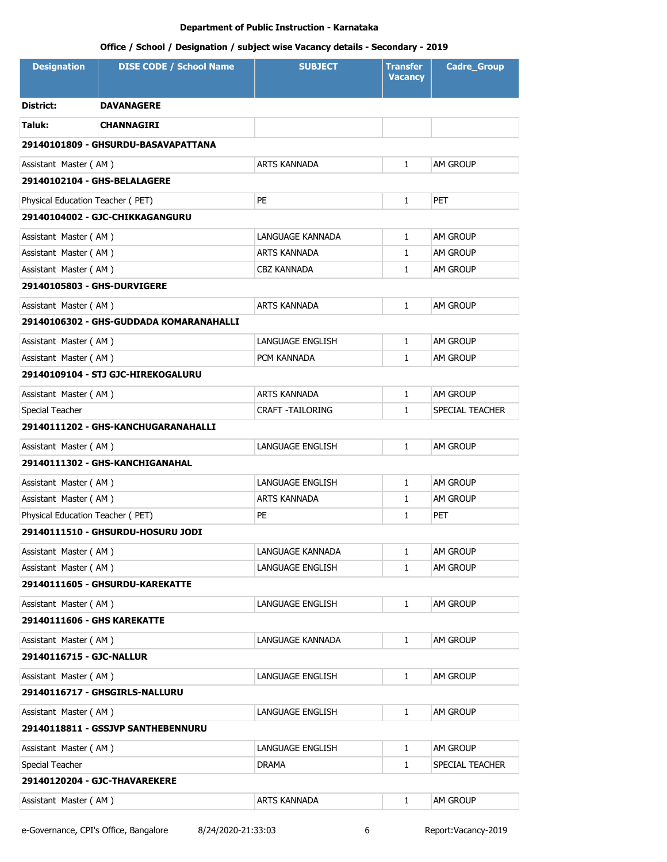# **Office / School / Designation / subject wise Vacancy details - Secondary - 2019**

| <b>Designation</b>                 | <b>DISE CODE / School Name</b>          | <b>SUBJECT</b>          | <b>Transfer</b><br><b>Vacancy</b> | <b>Cadre_Group</b> |
|------------------------------------|-----------------------------------------|-------------------------|-----------------------------------|--------------------|
| District:                          | <b>DAVANAGERE</b>                       |                         |                                   |                    |
| Taluk:                             | CHANNAGIRI                              |                         |                                   |                    |
|                                    | 29140101809 - GHSURDU-BASAVAPATTANA     |                         |                                   |                    |
| Assistant Master (AM)              |                                         | <b>ARTS KANNADA</b>     | $\mathbf{1}$                      | AM GROUP           |
| 29140102104 - GHS-BELALAGERE       |                                         |                         |                                   |                    |
| Physical Education Teacher (PET)   |                                         | PE.                     | $\mathbf{1}$                      | <b>PET</b>         |
|                                    | 29140104002 - GJC-CHIKKAGANGURU         |                         |                                   |                    |
| Assistant Master (AM)              |                                         | LANGUAGE KANNADA        | $\mathbf{1}$                      | AM GROUP           |
| Assistant Master (AM)              |                                         | ARTS KANNADA            | $\mathbf{1}$                      | AM GROUP           |
| Assistant Master (AM)              |                                         | CBZ KANNADA             | $\mathbf{1}$                      | AM GROUP           |
| <b>29140105803 - GHS-DURVIGERE</b> |                                         |                         |                                   |                    |
| Assistant Master (AM)              |                                         | ARTS KANNADA            | $\mathbf{1}$                      | AM GROUP           |
|                                    | 29140106302 - GHS-GUDDADA KOMARANAHALLI |                         |                                   |                    |
| Assistant Master (AM)              |                                         | <b>LANGUAGE ENGLISH</b> | $\mathbf{1}$                      | AM GROUP           |
| Assistant Master (AM)              |                                         | PCM KANNADA             | $\mathbf{1}$                      | am Group           |
|                                    | 29140109104 - STJ GJC-HIREKOGALURU      |                         |                                   |                    |
| Assistant Master (AM)              |                                         | <b>ARTS KANNADA</b>     | $\mathbf{1}$                      | AM GROUP           |
| Special Teacher                    |                                         | <b>CRAFT -TAILORING</b> | $\mathbf{1}$                      | SPECIAL TEACHER    |
|                                    | 29140111202 - GHS-KANCHUGARANAHALLI     |                         |                                   |                    |
| Assistant Master (AM)              |                                         | LANGUAGE ENGLISH        | $\mathbf{1}$                      | <b>AM GROUP</b>    |
|                                    | 29140111302 - GHS-KANCHIGANAHAL         |                         |                                   |                    |
| Assistant Master (AM)              |                                         | LANGUAGE ENGLISH        | $\mathbf{1}$                      | AM GROUP           |
| Assistant Master (AM)              |                                         | ARTS KANNADA            | 1                                 | <b>AM GROUP</b>    |
| Physical Education Teacher (PET)   |                                         | PE                      | $\mathbf{1}$                      | PET                |
|                                    | 29140111510 - GHSURDU-HOSURU JODI       |                         |                                   |                    |
| Assistant Master (AM)              |                                         | LANGUAGE KANNADA        | 1                                 | AM GROUP           |
| Assistant Master (AM)              |                                         | LANGUAGE ENGLISH        | 1                                 | AM GROUP           |
|                                    | 29140111605 - GHSURDU-KAREKATTE         |                         |                                   |                    |
| Assistant Master (AM)              |                                         | LANGUAGE ENGLISH        | $\mathbf{1}$                      | AM GROUP           |
| 29140111606 - GHS KAREKATTE        |                                         |                         |                                   |                    |
| Assistant Master (AM)              |                                         | LANGUAGE KANNADA        | $\mathbf{1}$                      | AM GROUP           |
| 29140116715 - GJC-NALLUR           |                                         |                         |                                   |                    |
| Assistant Master (AM)              |                                         | LANGUAGE ENGLISH        | 1                                 | am Group           |
|                                    | 29140116717 - GHSGIRLS-NALLURU          |                         |                                   |                    |
| Assistant Master (AM)              |                                         | LANGUAGE ENGLISH        | $\mathbf{1}$                      | AM GROUP           |
|                                    | 29140118811 - GSSJVP SANTHEBENNURU      |                         |                                   |                    |
| Assistant Master (AM)              |                                         | LANGUAGE ENGLISH        | 1                                 | AM GROUP           |
| Special Teacher                    |                                         | <b>DRAMA</b>            | $\mathbf{1}$                      | SPECIAL TEACHER    |
|                                    | 29140120204 - GJC-THAVAREKERE           |                         |                                   |                    |
| Assistant Master (AM)              |                                         | ARTS KANNADA            | 1                                 | AM GROUP           |

e-Governance, CPI's Office, Bangalore 8/24/2020-21:33:03 6 Report:Vacancy-2019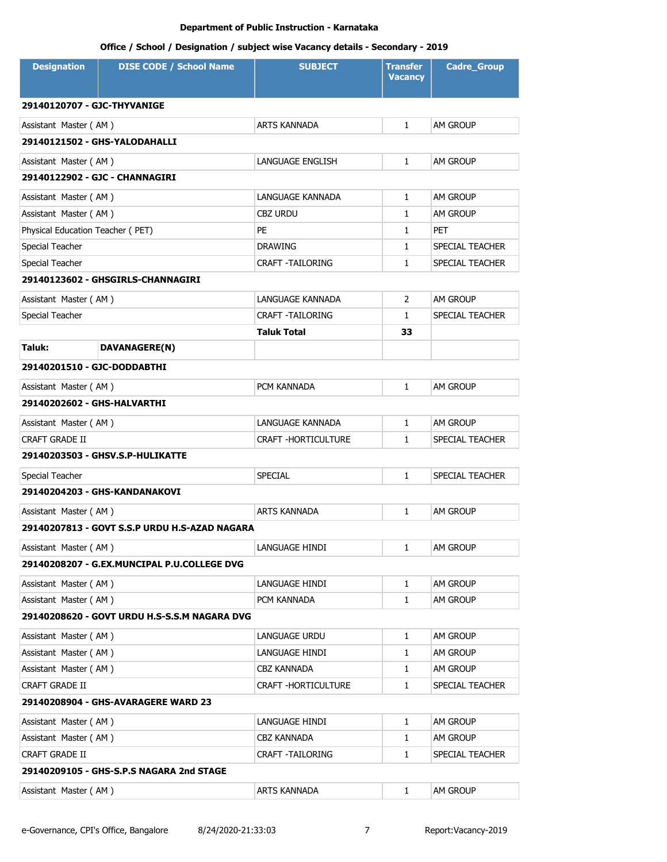| <b>Designation</b>               | <b>DISE CODE / School Name</b>                | <b>SUBJECT</b>          | <b>Transfer</b><br><b>Vacancy</b> | <b>Cadre_Group</b> |
|----------------------------------|-----------------------------------------------|-------------------------|-----------------------------------|--------------------|
| 29140120707 - GJC-THYVANIGE      |                                               |                         |                                   |                    |
| Assistant Master (AM)            |                                               | <b>ARTS KANNADA</b>     | $\mathbf{1}$                      | <b>AM GROUP</b>    |
|                                  | 29140121502 - GHS-YALODAHALLI                 |                         |                                   |                    |
| Assistant Master (AM)            |                                               | LANGUAGE ENGLISH        | $\mathbf{1}$                      | <b>AM GROUP</b>    |
|                                  | 29140122902 - GJC - CHANNAGIRI                |                         |                                   |                    |
| Assistant Master (AM)            |                                               | LANGUAGE KANNADA        | $\mathbf{1}$                      | <b>AM GROUP</b>    |
| Assistant Master (AM)            |                                               | <b>CBZ URDU</b>         | $\mathbf{1}$                      | AM GROUP           |
| Physical Education Teacher (PET) |                                               | <b>PE</b>               | $\mathbf{1}$                      | <b>PET</b>         |
| Special Teacher                  |                                               | <b>DRAWING</b>          | $\mathbf{1}$                      | SPECIAL TEACHER    |
| Special Teacher                  |                                               | <b>CRAFT -TAILORING</b> | $\mathbf{1}$                      | SPECIAL TEACHER    |
|                                  | 29140123602 - GHSGIRLS-CHANNAGIRI             |                         |                                   |                    |
| Assistant Master (AM)            |                                               | LANGUAGE KANNADA        | $\overline{2}$                    | AM GROUP           |
| Special Teacher                  |                                               | <b>CRAFT -TAILORING</b> | 1                                 | SPECIAL TEACHER    |
|                                  |                                               | <b>Taluk Total</b>      | 33                                |                    |
| Taluk:                           | DAVANAGERE(N)                                 |                         |                                   |                    |
| 29140201510 - GJC-DODDABTHI      |                                               |                         |                                   |                    |
| Assistant Master (AM)            |                                               | PCM KANNADA             | $\mathbf{1}$                      | <b>AM GROUP</b>    |
| 29140202602 - GHS-HALVARTHI      |                                               |                         |                                   |                    |
| Assistant Master (AM)            |                                               | LANGUAGE KANNADA        | $\mathbf{1}$                      | <b>AM GROUP</b>    |
| <b>CRAFT GRADE II</b>            |                                               | CRAFT - HORTICULTURE    | $\mathbf{1}$                      | SPECIAL TEACHER    |
|                                  | 29140203503 - GHSV.S.P-HULIKATTE              |                         |                                   |                    |
| Special Teacher                  |                                               | <b>SPECIAL</b>          | $\mathbf{1}$                      | SPECIAL TEACHER    |
|                                  | 29140204203 - GHS-KANDANAKOVI                 |                         |                                   |                    |
| Assistant Master (AM)            |                                               | <b>ARTS KANNADA</b>     | $\mathbf{1}$                      | <b>AM GROUP</b>    |
|                                  | 29140207813 - GOVT S.S.P URDU H.S-AZAD NAGARA |                         |                                   |                    |
| Assistant Master (AM)            |                                               | LANGUAGE HINDI          | 1                                 | AM GROUP           |
|                                  | 29140208207 - G.EX.MUNCIPAL P.U.COLLEGE DVG   |                         |                                   |                    |
| Assistant Master (AM)            |                                               | LANGUAGE HINDI          | $\mathbf{1}$                      | AM GROUP           |
| Assistant Master (AM)            |                                               | PCM KANNADA             | $\mathbf{1}$                      | AM GROUP           |
|                                  | 29140208620 - GOVT URDU H.S-S.S.M NAGARA DVG  |                         |                                   |                    |
| Assistant Master (AM)            |                                               | <b>LANGUAGE URDU</b>    | 1                                 | <b>AM GROUP</b>    |
| Assistant Master (AM)            |                                               | LANGUAGE HINDI          | $\mathbf{1}$                      | AM GROUP           |
| Assistant Master (AM)            |                                               | CBZ KANNADA             | 1                                 | AM GROUP           |
| CRAFT GRADE II                   |                                               | CRAFT -HORTICULTURE     | 1                                 | SPECIAL TEACHER    |
|                                  | 29140208904 - GHS-AVARAGERE WARD 23           |                         |                                   |                    |
| Assistant Master (AM)            |                                               | LANGUAGE HINDI          | 1                                 | AM GROUP           |
| Assistant Master (AM)            |                                               | <b>CBZ KANNADA</b>      | $\mathbf{1}$                      | AM GROUP           |
| CRAFT GRADE II                   |                                               | CRAFT -TAILORING        | 1                                 | SPECIAL TEACHER    |
|                                  | 29140209105 - GHS-S.P.S NAGARA 2nd STAGE      |                         |                                   |                    |
| Assistant Master (AM)            |                                               | ARTS KANNADA            | $\mathbf{1}$                      | AM GROUP           |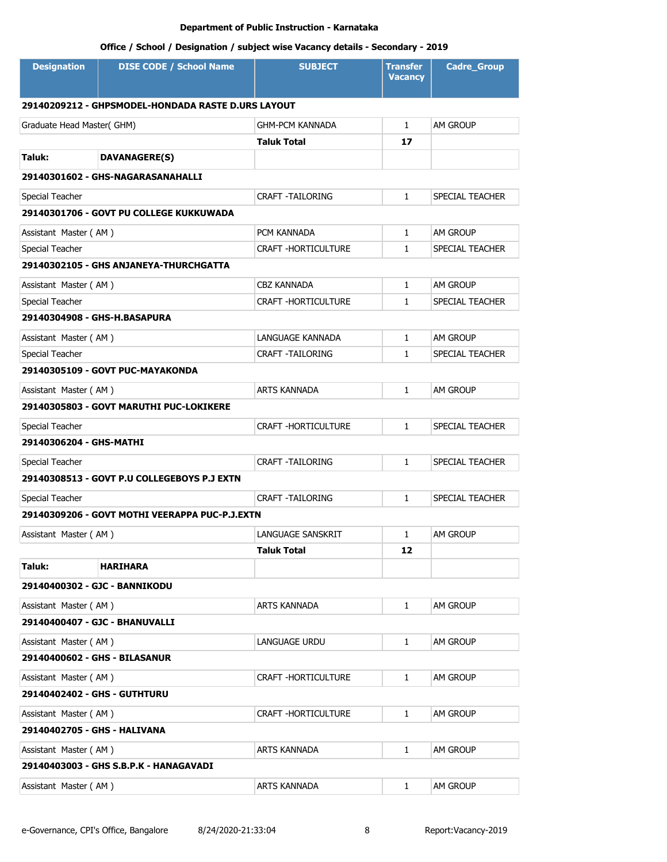| 29140209212 - GHPSMODEL-HONDADA RASTE D.URS LAYOUT<br>$\mathbf{1}$<br>AM GROUP<br>Graduate Head Master(GHM)<br><b>GHM-PCM KANNADA</b><br><b>Taluk Total</b><br>17<br>Taluk:<br><b>DAVANAGERE(S)</b><br>29140301602 - GHS-NAGARASANAHALLI<br><b>CRAFT -TAILORING</b><br>$\mathbf{1}$<br>SPECIAL TEACHER<br>Special Teacher<br>29140301706 - GOVT PU COLLEGE KUKKUWADA<br>PCM KANNADA<br>AM GROUP<br>Assistant Master (AM)<br>$\mathbf{1}$<br>Special Teacher<br><b>CRAFT -HORTICULTURE</b><br>SPECIAL TEACHER<br>$\mathbf{1}$<br>29140302105 - GHS ANJANEYA-THURCHGATTA<br><b>CBZ KANNADA</b><br>AM GROUP<br>Assistant Master (AM)<br>$\mathbf{1}$<br>CRAFT - HORTICULTURE<br>Special Teacher<br>$\mathbf{1}$<br>SPECIAL TEACHER<br>29140304908 - GHS-H.BASAPURA<br>Assistant Master (AM)<br>LANGUAGE KANNADA<br>$\mathbf{1}$<br><b>AM GROUP</b><br>Special Teacher<br>CRAFT -TAILORING<br>$\mathbf{1}$<br>SPECIAL TEACHER<br>29140305109 - GOVT PUC-MAYAKONDA<br>Assistant Master (AM)<br>ARTS KANNADA<br>$\mathbf{1}$<br><b>AM GROUP</b><br>29140305803 - GOVT MARUTHI PUC-LOKIKERE<br>CRAFT - HORTICULTURE<br>SPECIAL TEACHER<br>Special Teacher<br>$\mathbf{1}$<br>29140306204 - GHS-MATHI<br><b>CRAFT -TAILORING</b><br>Special Teacher<br>$\mathbf{1}$<br>SPECIAL TEACHER<br>29140308513 - GOVT P.U COLLEGEBOYS P.J EXTN<br><b>CRAFT -TAILORING</b><br>$\mathbf{1}$<br>SPECIAL TEACHER<br>Special Teacher<br>29140309206 - GOVT MOTHI VEERAPPA PUC-P.J.EXTN<br>Assistant Master (AM)<br>LANGUAGE SANSKRIT<br>1<br><b>AM GROUP</b><br><b>Taluk Total</b><br>12<br>Taluk:<br><b>HARIHARA</b><br>29140400302 - GJC - BANNIKODU<br>Assistant Master (AM)<br>ARTS KANNADA<br>AM GROUP<br>1<br>29140400407 - GJC - BHANUVALLI<br>Assistant Master (AM)<br>LANGUAGE URDU<br>$\mathbf{1}$<br>AM GROUP<br>29140400602 - GHS - BILASANUR<br>Assistant Master (AM)<br>CRAFT -HORTICULTURE<br>AM GROUP<br>1<br>29140402402 - GHS - GUTHTURU<br>Assistant Master (AM)<br>CRAFT -HORTICULTURE<br>AM GROUP<br>1<br>29140402705 - GHS - HALIVANA<br>Assistant Master (AM)<br>ARTS KANNADA<br>AM GROUP<br>1<br>29140403003 - GHS S.B.P.K - HANAGAVADI<br>Assistant Master (AM) | <b>Designation</b> | <b>DISE CODE / School Name</b> | <b>SUBJECT</b> | <b>Transfer</b><br><b>Vacancy</b> | <b>Cadre_Group</b> |
|--------------------------------------------------------------------------------------------------------------------------------------------------------------------------------------------------------------------------------------------------------------------------------------------------------------------------------------------------------------------------------------------------------------------------------------------------------------------------------------------------------------------------------------------------------------------------------------------------------------------------------------------------------------------------------------------------------------------------------------------------------------------------------------------------------------------------------------------------------------------------------------------------------------------------------------------------------------------------------------------------------------------------------------------------------------------------------------------------------------------------------------------------------------------------------------------------------------------------------------------------------------------------------------------------------------------------------------------------------------------------------------------------------------------------------------------------------------------------------------------------------------------------------------------------------------------------------------------------------------------------------------------------------------------------------------------------------------------------------------------------------------------------------------------------------------------------------------------------------------------------------------------------------------------------------------------------------------------------------------------------------------------------------------------------------------------------------------------------------------------------------------------------------------------|--------------------|--------------------------------|----------------|-----------------------------------|--------------------|
|                                                                                                                                                                                                                                                                                                                                                                                                                                                                                                                                                                                                                                                                                                                                                                                                                                                                                                                                                                                                                                                                                                                                                                                                                                                                                                                                                                                                                                                                                                                                                                                                                                                                                                                                                                                                                                                                                                                                                                                                                                                                                                                                                                    |                    |                                |                |                                   |                    |
|                                                                                                                                                                                                                                                                                                                                                                                                                                                                                                                                                                                                                                                                                                                                                                                                                                                                                                                                                                                                                                                                                                                                                                                                                                                                                                                                                                                                                                                                                                                                                                                                                                                                                                                                                                                                                                                                                                                                                                                                                                                                                                                                                                    |                    |                                |                |                                   |                    |
|                                                                                                                                                                                                                                                                                                                                                                                                                                                                                                                                                                                                                                                                                                                                                                                                                                                                                                                                                                                                                                                                                                                                                                                                                                                                                                                                                                                                                                                                                                                                                                                                                                                                                                                                                                                                                                                                                                                                                                                                                                                                                                                                                                    |                    |                                |                |                                   |                    |
|                                                                                                                                                                                                                                                                                                                                                                                                                                                                                                                                                                                                                                                                                                                                                                                                                                                                                                                                                                                                                                                                                                                                                                                                                                                                                                                                                                                                                                                                                                                                                                                                                                                                                                                                                                                                                                                                                                                                                                                                                                                                                                                                                                    |                    |                                |                |                                   |                    |
|                                                                                                                                                                                                                                                                                                                                                                                                                                                                                                                                                                                                                                                                                                                                                                                                                                                                                                                                                                                                                                                                                                                                                                                                                                                                                                                                                                                                                                                                                                                                                                                                                                                                                                                                                                                                                                                                                                                                                                                                                                                                                                                                                                    |                    |                                |                |                                   |                    |
|                                                                                                                                                                                                                                                                                                                                                                                                                                                                                                                                                                                                                                                                                                                                                                                                                                                                                                                                                                                                                                                                                                                                                                                                                                                                                                                                                                                                                                                                                                                                                                                                                                                                                                                                                                                                                                                                                                                                                                                                                                                                                                                                                                    |                    |                                |                |                                   |                    |
|                                                                                                                                                                                                                                                                                                                                                                                                                                                                                                                                                                                                                                                                                                                                                                                                                                                                                                                                                                                                                                                                                                                                                                                                                                                                                                                                                                                                                                                                                                                                                                                                                                                                                                                                                                                                                                                                                                                                                                                                                                                                                                                                                                    |                    |                                |                |                                   |                    |
|                                                                                                                                                                                                                                                                                                                                                                                                                                                                                                                                                                                                                                                                                                                                                                                                                                                                                                                                                                                                                                                                                                                                                                                                                                                                                                                                                                                                                                                                                                                                                                                                                                                                                                                                                                                                                                                                                                                                                                                                                                                                                                                                                                    |                    |                                |                |                                   |                    |
|                                                                                                                                                                                                                                                                                                                                                                                                                                                                                                                                                                                                                                                                                                                                                                                                                                                                                                                                                                                                                                                                                                                                                                                                                                                                                                                                                                                                                                                                                                                                                                                                                                                                                                                                                                                                                                                                                                                                                                                                                                                                                                                                                                    |                    |                                |                |                                   |                    |
|                                                                                                                                                                                                                                                                                                                                                                                                                                                                                                                                                                                                                                                                                                                                                                                                                                                                                                                                                                                                                                                                                                                                                                                                                                                                                                                                                                                                                                                                                                                                                                                                                                                                                                                                                                                                                                                                                                                                                                                                                                                                                                                                                                    |                    |                                |                |                                   |                    |
|                                                                                                                                                                                                                                                                                                                                                                                                                                                                                                                                                                                                                                                                                                                                                                                                                                                                                                                                                                                                                                                                                                                                                                                                                                                                                                                                                                                                                                                                                                                                                                                                                                                                                                                                                                                                                                                                                                                                                                                                                                                                                                                                                                    |                    |                                |                |                                   |                    |
|                                                                                                                                                                                                                                                                                                                                                                                                                                                                                                                                                                                                                                                                                                                                                                                                                                                                                                                                                                                                                                                                                                                                                                                                                                                                                                                                                                                                                                                                                                                                                                                                                                                                                                                                                                                                                                                                                                                                                                                                                                                                                                                                                                    |                    |                                |                |                                   |                    |
|                                                                                                                                                                                                                                                                                                                                                                                                                                                                                                                                                                                                                                                                                                                                                                                                                                                                                                                                                                                                                                                                                                                                                                                                                                                                                                                                                                                                                                                                                                                                                                                                                                                                                                                                                                                                                                                                                                                                                                                                                                                                                                                                                                    |                    |                                |                |                                   |                    |
|                                                                                                                                                                                                                                                                                                                                                                                                                                                                                                                                                                                                                                                                                                                                                                                                                                                                                                                                                                                                                                                                                                                                                                                                                                                                                                                                                                                                                                                                                                                                                                                                                                                                                                                                                                                                                                                                                                                                                                                                                                                                                                                                                                    |                    |                                |                |                                   |                    |
|                                                                                                                                                                                                                                                                                                                                                                                                                                                                                                                                                                                                                                                                                                                                                                                                                                                                                                                                                                                                                                                                                                                                                                                                                                                                                                                                                                                                                                                                                                                                                                                                                                                                                                                                                                                                                                                                                                                                                                                                                                                                                                                                                                    |                    |                                |                |                                   |                    |
|                                                                                                                                                                                                                                                                                                                                                                                                                                                                                                                                                                                                                                                                                                                                                                                                                                                                                                                                                                                                                                                                                                                                                                                                                                                                                                                                                                                                                                                                                                                                                                                                                                                                                                                                                                                                                                                                                                                                                                                                                                                                                                                                                                    |                    |                                |                |                                   |                    |
|                                                                                                                                                                                                                                                                                                                                                                                                                                                                                                                                                                                                                                                                                                                                                                                                                                                                                                                                                                                                                                                                                                                                                                                                                                                                                                                                                                                                                                                                                                                                                                                                                                                                                                                                                                                                                                                                                                                                                                                                                                                                                                                                                                    |                    |                                |                |                                   |                    |
|                                                                                                                                                                                                                                                                                                                                                                                                                                                                                                                                                                                                                                                                                                                                                                                                                                                                                                                                                                                                                                                                                                                                                                                                                                                                                                                                                                                                                                                                                                                                                                                                                                                                                                                                                                                                                                                                                                                                                                                                                                                                                                                                                                    |                    |                                |                |                                   |                    |
|                                                                                                                                                                                                                                                                                                                                                                                                                                                                                                                                                                                                                                                                                                                                                                                                                                                                                                                                                                                                                                                                                                                                                                                                                                                                                                                                                                                                                                                                                                                                                                                                                                                                                                                                                                                                                                                                                                                                                                                                                                                                                                                                                                    |                    |                                |                |                                   |                    |
|                                                                                                                                                                                                                                                                                                                                                                                                                                                                                                                                                                                                                                                                                                                                                                                                                                                                                                                                                                                                                                                                                                                                                                                                                                                                                                                                                                                                                                                                                                                                                                                                                                                                                                                                                                                                                                                                                                                                                                                                                                                                                                                                                                    |                    |                                |                |                                   |                    |
|                                                                                                                                                                                                                                                                                                                                                                                                                                                                                                                                                                                                                                                                                                                                                                                                                                                                                                                                                                                                                                                                                                                                                                                                                                                                                                                                                                                                                                                                                                                                                                                                                                                                                                                                                                                                                                                                                                                                                                                                                                                                                                                                                                    |                    |                                |                |                                   |                    |
|                                                                                                                                                                                                                                                                                                                                                                                                                                                                                                                                                                                                                                                                                                                                                                                                                                                                                                                                                                                                                                                                                                                                                                                                                                                                                                                                                                                                                                                                                                                                                                                                                                                                                                                                                                                                                                                                                                                                                                                                                                                                                                                                                                    |                    |                                |                |                                   |                    |
|                                                                                                                                                                                                                                                                                                                                                                                                                                                                                                                                                                                                                                                                                                                                                                                                                                                                                                                                                                                                                                                                                                                                                                                                                                                                                                                                                                                                                                                                                                                                                                                                                                                                                                                                                                                                                                                                                                                                                                                                                                                                                                                                                                    |                    |                                |                |                                   |                    |
|                                                                                                                                                                                                                                                                                                                                                                                                                                                                                                                                                                                                                                                                                                                                                                                                                                                                                                                                                                                                                                                                                                                                                                                                                                                                                                                                                                                                                                                                                                                                                                                                                                                                                                                                                                                                                                                                                                                                                                                                                                                                                                                                                                    |                    |                                |                |                                   |                    |
|                                                                                                                                                                                                                                                                                                                                                                                                                                                                                                                                                                                                                                                                                                                                                                                                                                                                                                                                                                                                                                                                                                                                                                                                                                                                                                                                                                                                                                                                                                                                                                                                                                                                                                                                                                                                                                                                                                                                                                                                                                                                                                                                                                    |                    |                                |                |                                   |                    |
|                                                                                                                                                                                                                                                                                                                                                                                                                                                                                                                                                                                                                                                                                                                                                                                                                                                                                                                                                                                                                                                                                                                                                                                                                                                                                                                                                                                                                                                                                                                                                                                                                                                                                                                                                                                                                                                                                                                                                                                                                                                                                                                                                                    |                    |                                |                |                                   |                    |
|                                                                                                                                                                                                                                                                                                                                                                                                                                                                                                                                                                                                                                                                                                                                                                                                                                                                                                                                                                                                                                                                                                                                                                                                                                                                                                                                                                                                                                                                                                                                                                                                                                                                                                                                                                                                                                                                                                                                                                                                                                                                                                                                                                    |                    |                                |                |                                   |                    |
|                                                                                                                                                                                                                                                                                                                                                                                                                                                                                                                                                                                                                                                                                                                                                                                                                                                                                                                                                                                                                                                                                                                                                                                                                                                                                                                                                                                                                                                                                                                                                                                                                                                                                                                                                                                                                                                                                                                                                                                                                                                                                                                                                                    |                    |                                |                |                                   |                    |
|                                                                                                                                                                                                                                                                                                                                                                                                                                                                                                                                                                                                                                                                                                                                                                                                                                                                                                                                                                                                                                                                                                                                                                                                                                                                                                                                                                                                                                                                                                                                                                                                                                                                                                                                                                                                                                                                                                                                                                                                                                                                                                                                                                    |                    |                                |                |                                   |                    |
|                                                                                                                                                                                                                                                                                                                                                                                                                                                                                                                                                                                                                                                                                                                                                                                                                                                                                                                                                                                                                                                                                                                                                                                                                                                                                                                                                                                                                                                                                                                                                                                                                                                                                                                                                                                                                                                                                                                                                                                                                                                                                                                                                                    |                    |                                |                |                                   |                    |
|                                                                                                                                                                                                                                                                                                                                                                                                                                                                                                                                                                                                                                                                                                                                                                                                                                                                                                                                                                                                                                                                                                                                                                                                                                                                                                                                                                                                                                                                                                                                                                                                                                                                                                                                                                                                                                                                                                                                                                                                                                                                                                                                                                    |                    |                                |                |                                   |                    |
|                                                                                                                                                                                                                                                                                                                                                                                                                                                                                                                                                                                                                                                                                                                                                                                                                                                                                                                                                                                                                                                                                                                                                                                                                                                                                                                                                                                                                                                                                                                                                                                                                                                                                                                                                                                                                                                                                                                                                                                                                                                                                                                                                                    |                    |                                |                |                                   |                    |
|                                                                                                                                                                                                                                                                                                                                                                                                                                                                                                                                                                                                                                                                                                                                                                                                                                                                                                                                                                                                                                                                                                                                                                                                                                                                                                                                                                                                                                                                                                                                                                                                                                                                                                                                                                                                                                                                                                                                                                                                                                                                                                                                                                    |                    |                                |                |                                   |                    |
|                                                                                                                                                                                                                                                                                                                                                                                                                                                                                                                                                                                                                                                                                                                                                                                                                                                                                                                                                                                                                                                                                                                                                                                                                                                                                                                                                                                                                                                                                                                                                                                                                                                                                                                                                                                                                                                                                                                                                                                                                                                                                                                                                                    |                    |                                |                |                                   |                    |
|                                                                                                                                                                                                                                                                                                                                                                                                                                                                                                                                                                                                                                                                                                                                                                                                                                                                                                                                                                                                                                                                                                                                                                                                                                                                                                                                                                                                                                                                                                                                                                                                                                                                                                                                                                                                                                                                                                                                                                                                                                                                                                                                                                    |                    |                                |                |                                   |                    |
|                                                                                                                                                                                                                                                                                                                                                                                                                                                                                                                                                                                                                                                                                                                                                                                                                                                                                                                                                                                                                                                                                                                                                                                                                                                                                                                                                                                                                                                                                                                                                                                                                                                                                                                                                                                                                                                                                                                                                                                                                                                                                                                                                                    |                    |                                |                |                                   |                    |
|                                                                                                                                                                                                                                                                                                                                                                                                                                                                                                                                                                                                                                                                                                                                                                                                                                                                                                                                                                                                                                                                                                                                                                                                                                                                                                                                                                                                                                                                                                                                                                                                                                                                                                                                                                                                                                                                                                                                                                                                                                                                                                                                                                    |                    |                                |                |                                   |                    |
|                                                                                                                                                                                                                                                                                                                                                                                                                                                                                                                                                                                                                                                                                                                                                                                                                                                                                                                                                                                                                                                                                                                                                                                                                                                                                                                                                                                                                                                                                                                                                                                                                                                                                                                                                                                                                                                                                                                                                                                                                                                                                                                                                                    |                    |                                |                |                                   |                    |
|                                                                                                                                                                                                                                                                                                                                                                                                                                                                                                                                                                                                                                                                                                                                                                                                                                                                                                                                                                                                                                                                                                                                                                                                                                                                                                                                                                                                                                                                                                                                                                                                                                                                                                                                                                                                                                                                                                                                                                                                                                                                                                                                                                    |                    |                                | ARTS KANNADA   | 1                                 | AM GROUP           |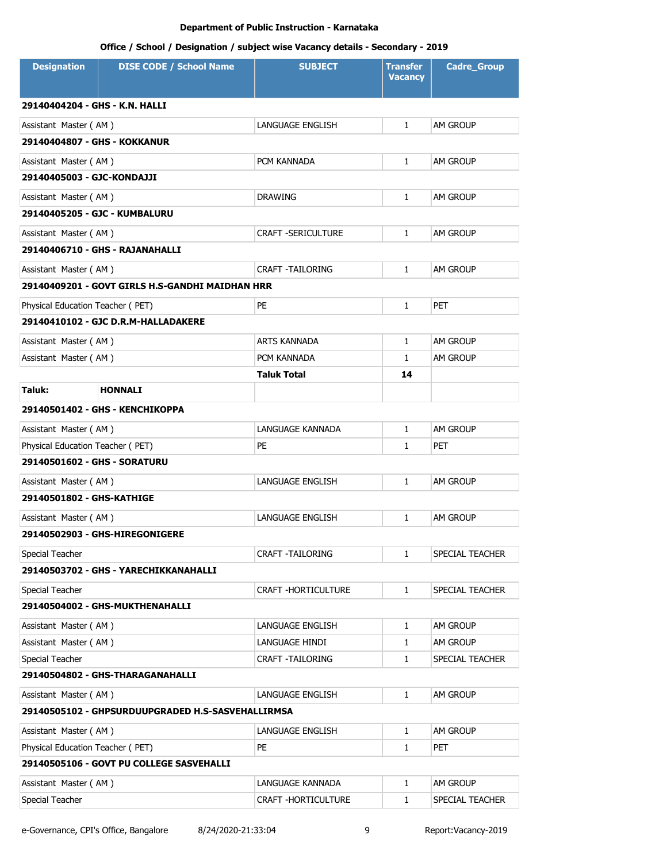# **Office / School / Designation / subject wise Vacancy details - Secondary - 2019**

| <b>Designation</b>               | <b>DISE CODE / School Name</b>                    | <b>SUBJECT</b>             | <b>Transfer</b><br><b>Vacancy</b> | <b>Cadre_Group</b> |
|----------------------------------|---------------------------------------------------|----------------------------|-----------------------------------|--------------------|
| 29140404204 - GHS - K.N. HALLI   |                                                   |                            |                                   |                    |
| Assistant Master (AM)            |                                                   | LANGUAGE ENGLISH           | $\mathbf{1}$                      | <b>AM GROUP</b>    |
| 29140404807 - GHS - KOKKANUR     |                                                   |                            |                                   |                    |
| Assistant Master (AM)            |                                                   | PCM KANNADA                | $\mathbf{1}$                      | <b>AM GROUP</b>    |
| 29140405003 - GJC-KONDAJJI       |                                                   |                            |                                   |                    |
| Assistant Master (AM)            |                                                   | <b>DRAWING</b>             | $\mathbf{1}$                      | AM GROUP           |
| 29140405205 - GJC - KUMBALURU    |                                                   |                            |                                   |                    |
| Assistant Master (AM)            |                                                   | <b>CRAFT -SERICULTURE</b>  | $\mathbf{1}$                      | <b>AM GROUP</b>    |
|                                  | 29140406710 - GHS - RAJANAHALLI                   |                            |                                   |                    |
| Assistant Master (AM)            |                                                   | <b>CRAFT -TAILORING</b>    | $\mathbf{1}$                      | AM GROUP           |
|                                  | 29140409201 - GOVT GIRLS H.S-GANDHI MAIDHAN HRR   |                            |                                   |                    |
| Physical Education Teacher (PET) |                                                   | PE                         | $\mathbf{1}$                      | <b>PET</b>         |
|                                  | 29140410102 - GJC D.R.M-HALLADAKERE               |                            |                                   |                    |
| Assistant Master (AM)            |                                                   | <b>ARTS KANNADA</b>        | $\mathbf{1}$                      | <b>AM GROUP</b>    |
| Assistant Master (AM)            |                                                   | PCM KANNADA                | $\mathbf{1}$                      | am Group           |
|                                  |                                                   | <b>Taluk Total</b>         | 14                                |                    |
| Taluk:                           | <b>HONNALI</b>                                    |                            |                                   |                    |
|                                  | 29140501402 - GHS - KENCHIKOPPA                   |                            |                                   |                    |
| Assistant Master (AM)            |                                                   | LANGUAGE KANNADA           | $\mathbf{1}$                      | <b>AM GROUP</b>    |
| Physical Education Teacher (PET) |                                                   | PE                         | $\mathbf{1}$                      | <b>PET</b>         |
| 29140501602 - GHS - SORATURU     |                                                   |                            |                                   |                    |
| Assistant Master (AM)            |                                                   | LANGUAGE ENGLISH           | $\mathbf{1}$                      | <b>AM GROUP</b>    |
| 29140501802 - GHS-KATHIGE        |                                                   |                            |                                   |                    |
| Assistant Master (AM)            |                                                   | LANGUAGE ENGLISH           | 1                                 | AM GROUP           |
|                                  | 29140502903 - GHS-HIREGONIGERE                    |                            |                                   |                    |
| Special Teacher                  |                                                   | <b>CRAFT -TAILORING</b>    | 1                                 | SPECIAL TEACHER    |
|                                  | 29140503702 - GHS - YARECHIKKANAHALLI             |                            |                                   |                    |
| Special Teacher                  |                                                   | <b>CRAFT -HORTICULTURE</b> | $\mathbf{1}$                      | SPECIAL TEACHER    |
|                                  | 29140504002 - GHS-MUKTHENAHALLI                   |                            |                                   |                    |
| Assistant Master (AM)            |                                                   | LANGUAGE ENGLISH           | 1                                 | AM GROUP           |
| Assistant Master (AM)            |                                                   | LANGUAGE HINDI             | $\mathbf{1}$                      | AM GROUP           |
| Special Teacher                  |                                                   | CRAFT -TAILORING           | 1                                 | SPECIAL TEACHER    |
|                                  | 29140504802 - GHS-THARAGANAHALLI                  |                            |                                   |                    |
| Assistant Master (AM)            |                                                   | LANGUAGE ENGLISH           | $\mathbf{1}$                      | AM GROUP           |
|                                  | 29140505102 - GHPSURDUUPGRADED H.S-SASVEHALLIRMSA |                            |                                   |                    |
| Assistant Master (AM)            |                                                   | LANGUAGE ENGLISH           | 1                                 | AM GROUP           |
| Physical Education Teacher (PET) |                                                   | PE                         | 1                                 | <b>PET</b>         |
|                                  | 29140505106 - GOVT PU COLLEGE SASVEHALLI          |                            |                                   |                    |
| Assistant Master (AM)            |                                                   | LANGUAGE KANNADA           | 1                                 | AM GROUP           |
| Special Teacher                  |                                                   | CRAFT - HORTICULTURE       | 1                                 | SPECIAL TEACHER    |

e-Governance, CPI's Office, Bangalore 8/24/2020-21:33:04 9 Report:Vacancy-2019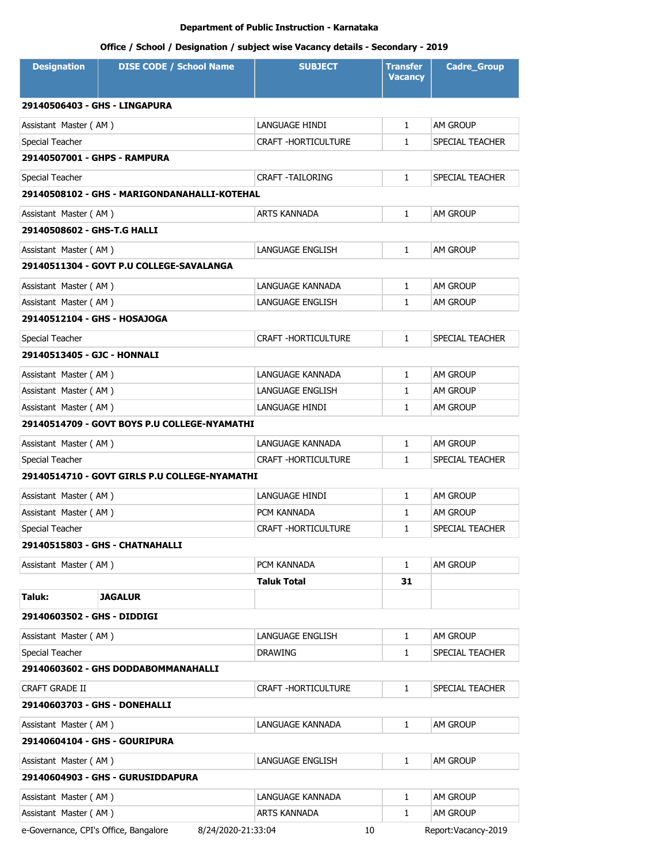| <b>Designation</b>                    | <b>DISE CODE / School Name</b>                | <b>SUBJECT</b>             | Transfer<br><b>Vacancy</b> | <b>Cadre_Group</b>  |
|---------------------------------------|-----------------------------------------------|----------------------------|----------------------------|---------------------|
| 29140506403 - GHS - LINGAPURA         |                                               |                            |                            |                     |
| Assistant Master (AM)                 |                                               | LANGUAGE HINDI             | $\mathbf{1}$               | <b>AM GROUP</b>     |
| Special Teacher                       |                                               | <b>CRAFT -HORTICULTURE</b> | $\mathbf{1}$               | SPECIAL TEACHER     |
| 29140507001 - GHPS - RAMPURA          |                                               |                            |                            |                     |
| Special Teacher                       |                                               | <b>CRAFT -TAILORING</b>    | $\mathbf{1}$               | SPECIAL TEACHER     |
|                                       | 29140508102 - GHS - MARIGONDANAHALLI-KOTEHAL  |                            |                            |                     |
| Assistant Master (AM)                 |                                               | <b>ARTS KANNADA</b>        | $\mathbf{1}$               | <b>AM GROUP</b>     |
| 29140508602 - GHS-T.G HALLI           |                                               |                            |                            |                     |
| Assistant Master (AM)                 |                                               | LANGUAGE ENGLISH           | $\mathbf{1}$               | AM GROUP            |
|                                       | 29140511304 - GOVT P.U COLLEGE-SAVALANGA      |                            |                            |                     |
| Assistant Master (AM)                 |                                               | LANGUAGE KANNADA           | 1                          | <b>AM GROUP</b>     |
| Assistant Master (AM)                 |                                               | LANGUAGE ENGLISH           | 1                          | <b>AM GROUP</b>     |
| 29140512104 - GHS - HOSAJOGA          |                                               |                            |                            |                     |
| Special Teacher                       |                                               | CRAFT - HORTICULTURE       | $\mathbf{1}$               | SPECIAL TEACHER     |
| 29140513405 - GJC - HONNALI           |                                               |                            |                            |                     |
| Assistant Master (AM)                 |                                               | LANGUAGE KANNADA           | $\mathbf{1}$               | <b>AM GROUP</b>     |
| Assistant Master (AM)                 |                                               | LANGUAGE ENGLISH           | 1                          | <b>AM GROUP</b>     |
| Assistant Master (AM)                 |                                               | LANGUAGE HINDI             | 1                          | <b>AM GROUP</b>     |
|                                       | 29140514709 - GOVT BOYS P.U COLLEGE-NYAMATHI  |                            |                            |                     |
| Assistant Master (AM)                 |                                               | LANGUAGE KANNADA           | $\mathbf{1}$               | AM GROUP            |
| Special Teacher                       |                                               | CRAFT - HORTICULTURE       | $\mathbf{1}$               | SPECIAL TEACHER     |
|                                       | 29140514710 - GOVT GIRLS P.U COLLEGE-NYAMATHI |                            |                            |                     |
| Assistant Master (AM)                 |                                               | LANGUAGE HINDI             | 1                          | AM GROUP            |
| Assistant Master (AM)                 |                                               | PCM KANNADA                | 1                          | <b>AM GROUP</b>     |
| Special Teacher                       |                                               | CRAFT - HORTICULTURE       | $\mathbf{1}$               | SPECIAL TEACHER     |
|                                       | 29140515803 - GHS - CHATNAHALLI               |                            |                            |                     |
| Assistant Master (AM)                 |                                               | PCM KANNADA                | 1                          | <b>AM GROUP</b>     |
|                                       |                                               | <b>Taluk Total</b>         | 31                         |                     |
| Taluk:                                | <b>JAGALUR</b>                                |                            |                            |                     |
| 29140603502 - GHS - DIDDIGI           |                                               |                            |                            |                     |
| Assistant Master (AM)                 |                                               | LANGUAGE ENGLISH           | 1                          | AM GROUP            |
| Special Teacher                       |                                               | <b>DRAWING</b>             | 1                          | SPECIAL TEACHER     |
|                                       | 29140603602 - GHS DODDABOMMANAHALLI           |                            |                            |                     |
| <b>CRAFT GRADE II</b>                 |                                               | CRAFT -HORTICULTURE        | 1                          | SPECIAL TEACHER     |
| 29140603703 - GHS - DONEHALLI         |                                               |                            |                            |                     |
| Assistant Master (AM)                 |                                               | LANGUAGE KANNADA           | $\mathbf{1}$               | AM GROUP            |
| 29140604104 - GHS - GOURIPURA         |                                               |                            |                            |                     |
| Assistant Master (AM)                 |                                               | LANGUAGE ENGLISH           | 1                          | AM GROUP            |
|                                       | 29140604903 - GHS - GURUSIDDAPURA             |                            |                            |                     |
| Assistant Master (AM)                 |                                               | LANGUAGE KANNADA           | 1                          | AM GROUP            |
| Assistant Master (AM)                 |                                               | ARTS KANNADA               | 1                          | <b>AM GROUP</b>     |
| e-Governance, CPI's Office, Bangalore | 8/24/2020-21:33:04                            | 10                         |                            | Report:Vacancy-2019 |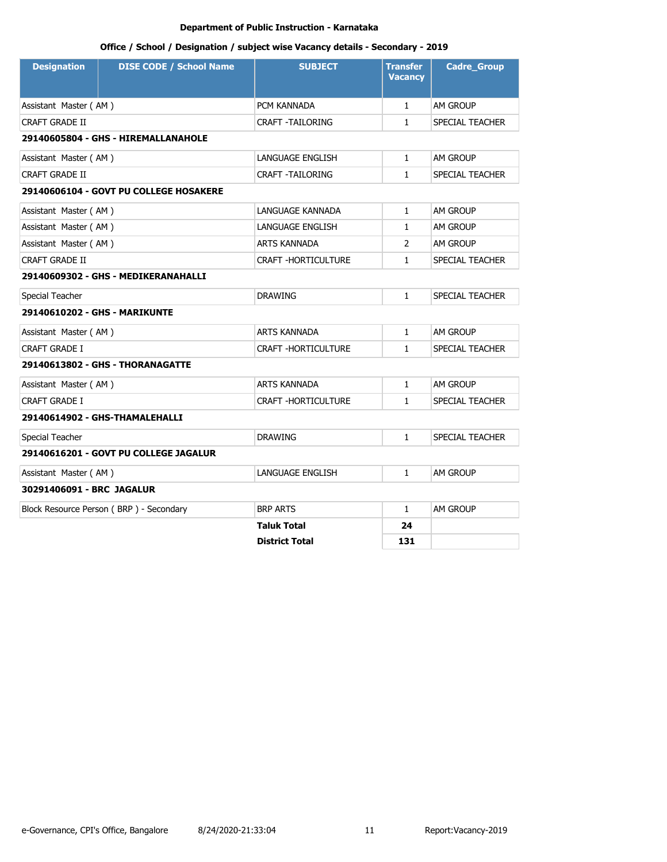| <b>Designation</b>            | <b>DISE CODE / School Name</b>          | <b>SUBJECT</b>             | <b>Transfer</b><br><b>Vacancy</b> | <b>Cadre_Group</b> |
|-------------------------------|-----------------------------------------|----------------------------|-----------------------------------|--------------------|
| Assistant Master (AM)         |                                         | PCM KANNADA                | $\mathbf{1}$                      | <b>AM GROUP</b>    |
| <b>CRAFT GRADE II</b>         |                                         | <b>CRAFT -TAILORING</b>    | $\mathbf{1}$                      | SPECIAL TEACHER    |
|                               | 29140605804 - GHS - HIREMALLANAHOLE     |                            |                                   |                    |
| Assistant Master (AM)         |                                         | LANGUAGE ENGLISH           | $\mathbf{1}$                      | AM GROUP           |
| <b>CRAFT GRADE II</b>         |                                         | CRAFT -TAILORING           | $\mathbf{1}$                      | SPECIAL TEACHER    |
|                               | 29140606104 - GOVT PU COLLEGE HOSAKERE  |                            |                                   |                    |
| Assistant Master (AM)         |                                         | LANGUAGE KANNADA           | $\mathbf{1}$                      | <b>AM GROUP</b>    |
| Assistant Master (AM)         |                                         | LANGUAGE ENGLISH           | $\mathbf{1}$                      | AM GROUP           |
| Assistant Master (AM)         |                                         | <b>ARTS KANNADA</b>        | 2                                 | AM GROUP           |
| <b>CRAFT GRADE II</b>         |                                         | <b>CRAFT -HORTICULTURE</b> | $\mathbf{1}$                      | SPECIAL TEACHER    |
|                               | 29140609302 - GHS - MEDIKERANAHALLI     |                            |                                   |                    |
| Special Teacher               |                                         | <b>DRAWING</b>             | $\mathbf{1}$                      | SPECIAL TEACHER    |
| 29140610202 - GHS - MARIKUNTE |                                         |                            |                                   |                    |
| Assistant Master (AM)         |                                         | ARTS KANNADA               | $\mathbf{1}$                      | AM GROUP           |
| CRAFT GRADE I                 |                                         | CRAFT -HORTICULTURE        | $\mathbf{1}$                      | SPECIAL TEACHER    |
|                               | 29140613802 - GHS - THORANAGATTE        |                            |                                   |                    |
| Assistant Master (AM)         |                                         | <b>ARTS KANNADA</b>        | $\mathbf{1}$                      | AM GROUP           |
| <b>CRAFT GRADE I</b>          |                                         | <b>CRAFT -HORTICULTURE</b> | $\mathbf{1}$                      | SPECIAL TEACHER    |
|                               | 29140614902 - GHS-THAMALEHALLI          |                            |                                   |                    |
| Special Teacher               |                                         | <b>DRAWING</b>             | $\mathbf{1}$                      | SPECIAL TEACHER    |
|                               | 29140616201 - GOVT PU COLLEGE JAGALUR   |                            |                                   |                    |
| Assistant Master (AM)         |                                         | <b>LANGUAGE ENGLISH</b>    | $\mathbf{1}$                      | AM GROUP           |
| 30291406091 - BRC JAGALUR     |                                         |                            |                                   |                    |
|                               | Block Resource Person (BRP) - Secondary | <b>BRP ARTS</b>            | $\mathbf{1}$                      | AM GROUP           |
|                               |                                         | <b>Taluk Total</b>         | 24                                |                    |
|                               |                                         | <b>District Total</b>      | 131                               |                    |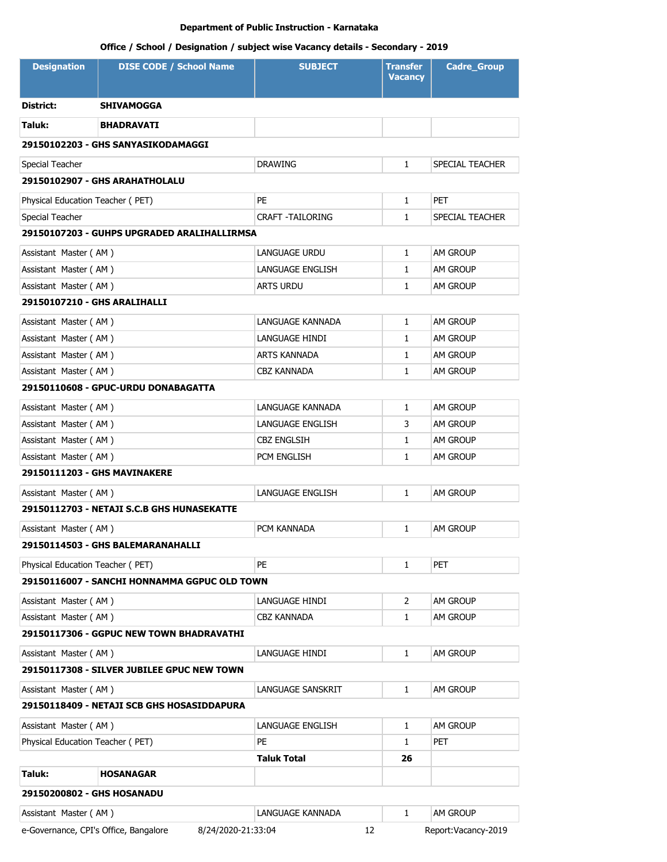| <b>Designation</b>                                          | <b>DISE CODE / School Name</b>               | <b>SUBJECT</b>                     | <b>Transfer</b><br><b>Vacancy</b> | <b>Cadre_Group</b>                 |  |
|-------------------------------------------------------------|----------------------------------------------|------------------------------------|-----------------------------------|------------------------------------|--|
| District:                                                   | <b>SHIVAMOGGA</b>                            |                                    |                                   |                                    |  |
| Taluk:                                                      | <b>BHADRAVATI</b>                            |                                    |                                   |                                    |  |
|                                                             | 29150102203 - GHS SANYASIKODAMAGGI           |                                    |                                   |                                    |  |
| Special Teacher                                             |                                              | <b>DRAWING</b>                     | $\mathbf{1}$                      | SPECIAL TEACHER                    |  |
|                                                             | 29150102907 - GHS ARAHATHOLALU               |                                    |                                   |                                    |  |
| Physical Education Teacher (PET)                            |                                              | PE                                 | $\mathbf{1}$                      | <b>PET</b>                         |  |
| Special Teacher                                             |                                              | <b>CRAFT - TAILORING</b>           | $\mathbf{1}$                      | SPECIAL TEACHER                    |  |
|                                                             | 29150107203 - GUHPS UPGRADED ARALIHALLIRMSA  |                                    |                                   |                                    |  |
|                                                             |                                              |                                    | 1                                 | <b>AM GROUP</b>                    |  |
| Assistant Master (AM)<br>Assistant Master (AM)              |                                              | LANGUAGE URDU<br>LANGUAGE ENGLISH  | 1                                 | am Group                           |  |
| Assistant Master (AM)                                       |                                              | <b>ARTS URDU</b>                   | 1                                 | <b>AM GROUP</b>                    |  |
| 29150107210 - GHS ARALIHALLI                                |                                              |                                    |                                   |                                    |  |
|                                                             |                                              |                                    |                                   |                                    |  |
| Assistant Master (AM)                                       |                                              | LANGUAGE KANNADA<br>LANGUAGE HINDI | $\mathbf{1}$<br>$\mathbf{1}$      | AM GROUP                           |  |
| Assistant Master (AM)<br>Assistant Master (AM)              |                                              | ARTS KANNADA                       | 1                                 | <b>AM GROUP</b><br>AM GROUP        |  |
| Assistant Master (AM)                                       |                                              | CBZ KANNADA                        | 1                                 | AM GROUP                           |  |
|                                                             | 29150110608 - GPUC-URDU DONABAGATTA          |                                    |                                   |                                    |  |
|                                                             |                                              | LANGUAGE KANNADA                   |                                   |                                    |  |
| Assistant Master (AM)                                       |                                              | LANGUAGE ENGLISH                   | $\mathbf{1}$<br>3                 | <b>AM GROUP</b><br><b>AM GROUP</b> |  |
| Assistant Master (AM)<br>Assistant Master (AM)              |                                              | <b>CBZ ENGLSIH</b>                 | $\mathbf{1}$                      | <b>AM GROUP</b>                    |  |
| Assistant Master (AM)                                       |                                              | PCM ENGLISH                        | $\mathbf{1}$                      | am Group                           |  |
| 29150111203 - GHS MAVINAKERE                                |                                              |                                    |                                   |                                    |  |
|                                                             |                                              |                                    |                                   |                                    |  |
| Assistant Master (AM)                                       |                                              | <b>LANGUAGE ENGLISH</b>            | $\mathbf{1}$                      | am Group                           |  |
|                                                             | 29150112703 - NETAJI S.C.B GHS HUNASEKATTE   |                                    |                                   |                                    |  |
| Assistant Master (AM)                                       |                                              | PCM KANNADA                        | $\mathbf{1}$                      | <b>AM GROUP</b>                    |  |
|                                                             | 29150114503 - GHS BALEMARANAHALLI            |                                    |                                   |                                    |  |
| Physical Education Teacher (PET)                            |                                              | <b>PE</b>                          | $\mathbf{1}$                      | <b>PET</b>                         |  |
|                                                             | 29150116007 - SANCHI HONNAMMA GGPUC OLD TOWN |                                    |                                   |                                    |  |
| Assistant Master (AM)                                       |                                              | LANGUAGE HINDI                     | 2                                 | AM GROUP                           |  |
| Assistant Master (AM)                                       |                                              | <b>CBZ KANNADA</b>                 | 1                                 | <b>AM GROUP</b>                    |  |
|                                                             | 29150117306 - GGPUC NEW TOWN BHADRAVATHI     |                                    |                                   |                                    |  |
| Assistant Master (AM)                                       |                                              | LANGUAGE HINDI                     | $\mathbf{1}$                      | AM GROUP                           |  |
|                                                             | 29150117308 - SILVER JUBILEE GPUC NEW TOWN   |                                    |                                   |                                    |  |
| Assistant Master (AM)                                       |                                              | LANGUAGE SANSKRIT                  | $\mathbf{1}$                      | am Group                           |  |
|                                                             | 29150118409 - NETAJI SCB GHS HOSASIDDAPURA   |                                    |                                   |                                    |  |
| Assistant Master (AM)                                       |                                              | LANGUAGE ENGLISH                   | 1                                 | AM GROUP                           |  |
| Physical Education Teacher (PET)                            |                                              | PE                                 | 1                                 | <b>PET</b>                         |  |
|                                                             |                                              | Taluk Total                        | 26                                |                                    |  |
| Taluk:                                                      | <b>HOSANAGAR</b>                             |                                    |                                   |                                    |  |
| 29150200802 - GHS HOSANADU                                  |                                              |                                    |                                   |                                    |  |
| Assistant Master (AM)                                       |                                              | LANGUAGE KANNADA                   | $\mathbf{1}$                      | am Group                           |  |
| e-Governance, CPI's Office, Bangalore<br>8/24/2020-21:33:04 |                                              | 12                                 |                                   | Report:Vacancy-2019                |  |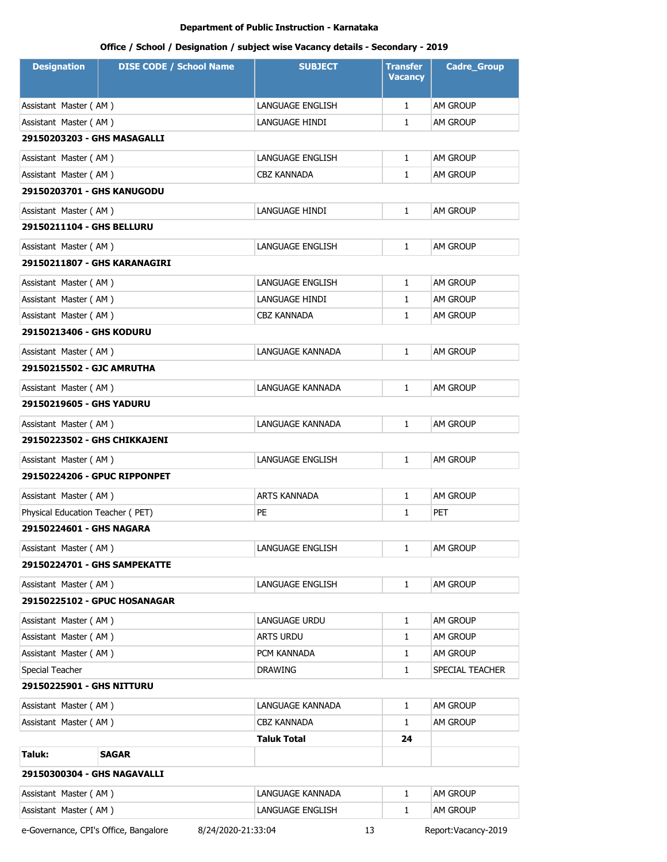| <b>Designation</b>                                                                       | <b>DISE CODE / School Name</b>      | <b>SUBJECT</b>      | <b>Transfer</b><br><b>Vacancy</b> | <b>Cadre_Group</b> |  |
|------------------------------------------------------------------------------------------|-------------------------------------|---------------------|-----------------------------------|--------------------|--|
| Assistant Master (AM)                                                                    |                                     | LANGUAGE ENGLISH    | $\mathbf{1}$                      | AM GROUP           |  |
| Assistant Master (AM)                                                                    |                                     | LANGUAGE HINDI      | $\mathbf{1}$                      | am Group           |  |
| 29150203203 - GHS MASAGALLI                                                              |                                     |                     |                                   |                    |  |
| Assistant Master (AM)                                                                    |                                     | LANGUAGE ENGLISH    | $\mathbf{1}$                      | AM GROUP           |  |
| Assistant Master (AM)                                                                    |                                     | CBZ KANNADA         | $\mathbf{1}$                      | AM GROUP           |  |
| 29150203701 - GHS KANUGODU                                                               |                                     |                     |                                   |                    |  |
| Assistant Master (AM)                                                                    |                                     | LANGUAGE HINDI      | $\mathbf{1}$                      | AM GROUP           |  |
| 29150211104 - GHS BELLURU                                                                |                                     |                     |                                   |                    |  |
| Assistant Master (AM)                                                                    |                                     | LANGUAGE ENGLISH    | $\mathbf{1}$                      | AM GROUP           |  |
| 29150211807 - GHS KARANAGIRI                                                             |                                     |                     |                                   |                    |  |
| Assistant Master (AM)                                                                    |                                     | LANGUAGE ENGLISH    | $\mathbf{1}$                      | AM GROUP           |  |
| Assistant Master (AM)                                                                    |                                     | LANGUAGE HINDI      | $\mathbf{1}$                      | AM GROUP           |  |
| Assistant Master (AM)                                                                    |                                     | <b>CBZ KANNADA</b>  | $\mathbf{1}$                      | AM GROUP           |  |
| 29150213406 - GHS KODURU                                                                 |                                     |                     |                                   |                    |  |
| Assistant Master (AM)                                                                    |                                     | LANGUAGE KANNADA    | $\mathbf{1}$                      | AM GROUP           |  |
| 29150215502 - GJC AMRUTHA                                                                |                                     |                     |                                   |                    |  |
| Assistant Master (AM)                                                                    |                                     | LANGUAGE KANNADA    | $\mathbf{1}$                      | AM GROUP           |  |
| 29150219605 - GHS YADURU                                                                 |                                     |                     |                                   |                    |  |
| Assistant Master (AM)                                                                    |                                     | LANGUAGE KANNADA    | $\mathbf{1}$                      | AM GROUP           |  |
| 29150223502 - GHS CHIKKAJENI                                                             |                                     |                     |                                   |                    |  |
| Assistant Master (AM)                                                                    |                                     | LANGUAGE ENGLISH    | $\mathbf{1}$                      | AM GROUP           |  |
| 29150224206 - GPUC RIPPONPET                                                             |                                     |                     |                                   |                    |  |
| Assistant Master (AM)                                                                    |                                     | <b>ARTS KANNADA</b> | 1                                 | AM GROUP           |  |
| Physical Education Teacher (PET)                                                         |                                     | PE                  | $\mathbf{1}$                      | PET                |  |
| 29150224601 - GHS NAGARA                                                                 |                                     |                     |                                   |                    |  |
| Assistant Master (AM)                                                                    |                                     | LANGUAGE ENGLISH    | 1                                 | AM GROUP           |  |
| 29150224701 - GHS SAMPEKATTE                                                             |                                     |                     |                                   |                    |  |
| Assistant Master (AM)                                                                    |                                     | LANGUAGE ENGLISH    | $\mathbf{1}$                      | am Group           |  |
|                                                                                          | <b>29150225102 - GPUC HOSANAGAR</b> |                     |                                   |                    |  |
| Assistant Master (AM)                                                                    |                                     | LANGUAGE URDU       | $\mathbf{1}$                      | AM GROUP           |  |
| Assistant Master (AM)                                                                    |                                     | <b>ARTS URDU</b>    | $\mathbf{1}$                      | AM GROUP           |  |
| Assistant Master (AM)                                                                    |                                     | PCM KANNADA         | 1                                 | AM GROUP           |  |
| Special Teacher                                                                          |                                     | <b>DRAWING</b>      | $\mathbf{1}$                      | SPECIAL TEACHER    |  |
| 29150225901 - GHS NITTURU                                                                |                                     |                     |                                   |                    |  |
| Assistant Master (AM)                                                                    |                                     | LANGUAGE KANNADA    | $\mathbf{1}$                      | AM GROUP           |  |
| Assistant Master (AM)                                                                    |                                     | <b>CBZ KANNADA</b>  | $\mathbf{1}$                      | AM GROUP           |  |
|                                                                                          |                                     | <b>Taluk Total</b>  | 24                                |                    |  |
| Taluk:                                                                                   | SAGAR                               |                     |                                   |                    |  |
| 29150300304 - GHS NAGAVALLI                                                              |                                     |                     |                                   |                    |  |
| Assistant Master (AM)                                                                    |                                     | LANGUAGE KANNADA    | $\mathbf{1}$                      | AM GROUP           |  |
| Assistant Master (AM)                                                                    |                                     | LANGUAGE ENGLISH    | 1                                 | AM GROUP           |  |
| e-Governance, CPI's Office, Bangalore<br>8/24/2020-21:33:04<br>13<br>Report:Vacancy-2019 |                                     |                     |                                   |                    |  |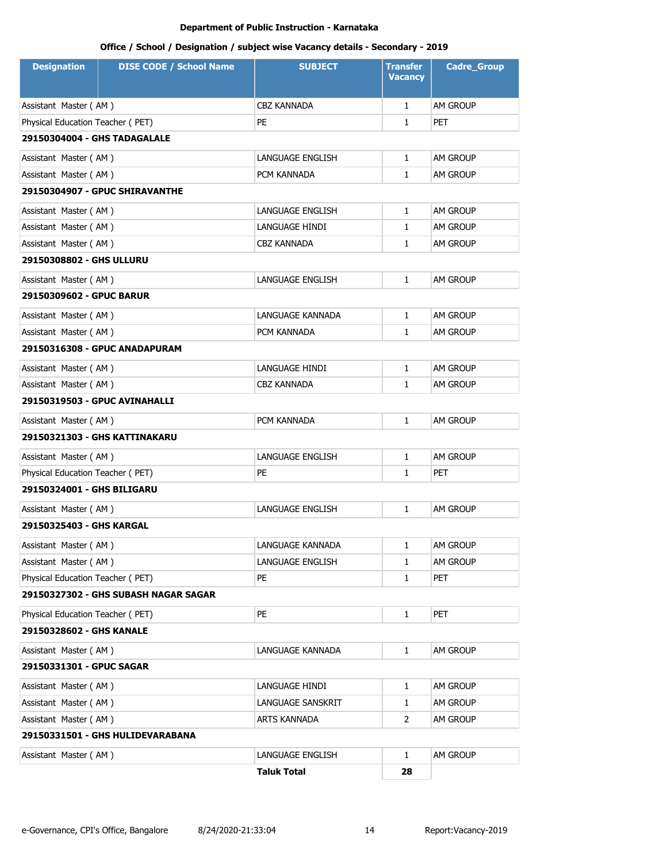| <b>Designation</b>               | <b>DISE CODE / School Name</b>       | <b>SUBJECT</b>     | Transfer<br><b>Vacancy</b> | <b>Cadre_Group</b> |  |  |
|----------------------------------|--------------------------------------|--------------------|----------------------------|--------------------|--|--|
| Assistant Master (AM)            |                                      | CBZ KANNADA        | $\mathbf{1}$               | AM GROUP           |  |  |
| Physical Education Teacher (PET) |                                      | PE                 | $\mathbf{1}$               | <b>PET</b>         |  |  |
| 29150304004 - GHS TADAGALALE     |                                      |                    |                            |                    |  |  |
| Assistant Master (AM)            |                                      | LANGUAGE ENGLISH   | $\mathbf{1}$               | AM GROUP           |  |  |
| Assistant Master (AM)            |                                      | PCM KANNADA        | 1                          | <b>AM GROUP</b>    |  |  |
|                                  | 29150304907 - GPUC SHIRAVANTHE       |                    |                            |                    |  |  |
| Assistant Master (AM)            |                                      | LANGUAGE ENGLISH   | $\mathbf{1}$               | AM GROUP           |  |  |
| Assistant Master (AM)            |                                      | LANGUAGE HINDI     | $\mathbf{1}$               | <b>AM GROUP</b>    |  |  |
| Assistant Master (AM)            |                                      | CBZ KANNADA        | 1                          | <b>AM GROUP</b>    |  |  |
| 29150308802 - GHS ULLURU         |                                      |                    |                            |                    |  |  |
| Assistant Master (AM)            |                                      | LANGUAGE ENGLISH   | $\mathbf{1}$               | <b>AM GROUP</b>    |  |  |
| 29150309602 - GPUC BARUR         |                                      |                    |                            |                    |  |  |
| Assistant Master (AM)            |                                      | LANGUAGE KANNADA   | $\mathbf{1}$               | AM GROUP           |  |  |
| Assistant Master (AM)            |                                      | PCM KANNADA        | $\mathbf{1}$               | <b>AM GROUP</b>    |  |  |
|                                  | 29150316308 - GPUC ANADAPURAM        |                    |                            |                    |  |  |
| Assistant Master (AM)            |                                      | LANGUAGE HINDI     | $\mathbf{1}$               | AM GROUP           |  |  |
| Assistant Master (AM)            |                                      | CBZ KANNADA        | 1                          | <b>AM GROUP</b>    |  |  |
| 29150319503 - GPUC AVINAHALLI    |                                      |                    |                            |                    |  |  |
| Assistant Master (AM)            |                                      | PCM KANNADA        | $\mathbf{1}$               | AM GROUP           |  |  |
|                                  | 29150321303 - GHS KATTINAKARU        |                    |                            |                    |  |  |
| Assistant Master (AM)            |                                      | LANGUAGE ENGLISH   | 1                          | AM GROUP           |  |  |
| Physical Education Teacher (PET) |                                      | PE                 | 1                          | <b>PET</b>         |  |  |
| 29150324001 - GHS BILIGARU       |                                      |                    |                            |                    |  |  |
| Assistant Master (AM)            |                                      | LANGUAGE ENGLISH   | 1                          | AM GROUP           |  |  |
| 29150325403 - GHS KARGAL         |                                      |                    |                            |                    |  |  |
| Assistant Master (AM)            |                                      | LANGUAGE KANNADA   | 1                          | AM GROUP           |  |  |
| Assistant Master (AM)            |                                      | LANGUAGE ENGLISH   | 1                          | AM GROUP           |  |  |
| Physical Education Teacher (PET) |                                      | PE                 | 1                          | <b>PET</b>         |  |  |
|                                  | 29150327302 - GHS SUBASH NAGAR SAGAR |                    |                            |                    |  |  |
| Physical Education Teacher (PET) |                                      | PE                 | $\mathbf{1}$               | <b>PET</b>         |  |  |
| 29150328602 - GHS KANALE         |                                      |                    |                            |                    |  |  |
| Assistant Master (AM)            |                                      | LANGUAGE KANNADA   | $\mathbf{1}$               | AM GROUP           |  |  |
| 29150331301 - GPUC SAGAR         |                                      |                    |                            |                    |  |  |
| Assistant Master (AM)            |                                      | LANGUAGE HINDI     | 1                          | AM GROUP           |  |  |
| Assistant Master (AM)            |                                      | LANGUAGE SANSKRIT  | 1                          | AM GROUP           |  |  |
| Assistant Master (AM)            |                                      | ARTS KANNADA       | 2                          | AM GROUP           |  |  |
|                                  | 29150331501 - GHS HULIDEVARABANA     |                    |                            |                    |  |  |
| Assistant Master (AM)            |                                      | LANGUAGE ENGLISH   | $\mathbf{1}$               | AM GROUP           |  |  |
|                                  |                                      | <b>Taluk Total</b> | 28                         |                    |  |  |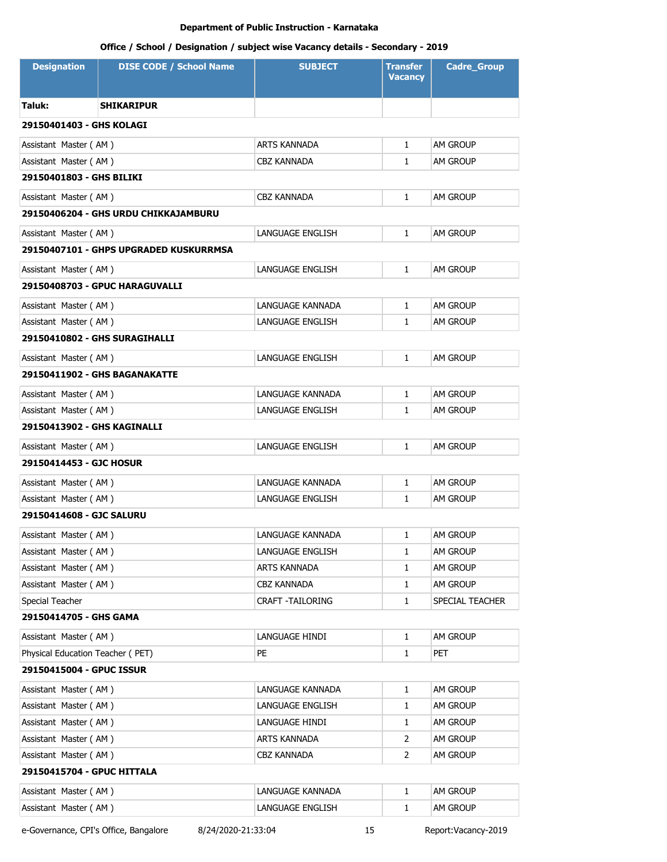# **Office / School / Designation / subject wise Vacancy details - Secondary - 2019**

| <b>Designation</b>               | <b>DISE CODE / School Name</b>         | <b>SUBJECT</b>      | <b>Transfer</b><br><b>Vacancy</b> | <b>Cadre_Group</b> |
|----------------------------------|----------------------------------------|---------------------|-----------------------------------|--------------------|
| Taluk:                           | <b>SHIKARIPUR</b>                      |                     |                                   |                    |
| 29150401403 - GHS KOLAGI         |                                        |                     |                                   |                    |
| Assistant Master (AM)            |                                        | <b>ARTS KANNADA</b> | 1                                 | AM GROUP           |
| Assistant Master (AM)            |                                        | CBZ KANNADA         | $\mathbf{1}$                      | <b>AM GROUP</b>    |
| 29150401803 - GHS BILIKI         |                                        |                     |                                   |                    |
| Assistant Master (AM)            |                                        | CBZ KANNADA         | $\mathbf{1}$                      | AM GROUP           |
|                                  | 29150406204 - GHS URDU CHIKKAJAMBURU   |                     |                                   |                    |
| Assistant Master (AM)            |                                        | LANGUAGE ENGLISH    | $\mathbf{1}$                      | <b>AM GROUP</b>    |
|                                  | 29150407101 - GHPS UPGRADED KUSKURRMSA |                     |                                   |                    |
| Assistant Master (AM)            |                                        | LANGUAGE ENGLISH    | $\mathbf{1}$                      | AM GROUP           |
|                                  | 29150408703 - GPUC HARAGUVALLI         |                     |                                   |                    |
| Assistant Master (AM)            |                                        | LANGUAGE KANNADA    | $\mathbf{1}$                      | <b>AM GROUP</b>    |
| Assistant Master (AM)            |                                        | LANGUAGE ENGLISH    | 1                                 | am Group           |
| 29150410802 - GHS SURAGIHALLI    |                                        |                     |                                   |                    |
| Assistant Master (AM)            |                                        | LANGUAGE ENGLISH    | $\mathbf{1}$                      | <b>AM GROUP</b>    |
|                                  | 29150411902 - GHS BAGANAKATTE          |                     |                                   |                    |
| Assistant Master (AM)            |                                        | LANGUAGE KANNADA    | $\mathbf{1}$                      | AM GROUP           |
| Assistant Master (AM)            |                                        | LANGUAGE ENGLISH    | 1                                 | <b>AM GROUP</b>    |
| 29150413902 - GHS KAGINALLI      |                                        |                     |                                   |                    |
| Assistant Master (AM)            |                                        | LANGUAGE ENGLISH    | $\mathbf{1}$                      | AM GROUP           |
| 29150414453 - GJC HOSUR          |                                        |                     |                                   |                    |
| Assistant Master (AM)            |                                        | LANGUAGE KANNADA    | $\mathbf{1}$                      | <b>AM GROUP</b>    |
| Assistant Master (AM)            |                                        | LANGUAGE ENGLISH    | $\mathbf{1}$                      | am Group           |
| 29150414608 - GJC SALURU         |                                        |                     |                                   |                    |
| Assistant Master (AM)            |                                        | LANGUAGE KANNADA    | 1                                 | <b>AM GROUP</b>    |
| Assistant Master (AM)            |                                        | LANGUAGE ENGLISH    | 1                                 | AM GROUP           |
| Assistant Master (AM)            |                                        | ARTS KANNADA        | 1                                 | AM GROUP           |
| Assistant Master (AM)            |                                        | CBZ KANNADA         | $\mathbf{1}$                      | AM GROUP           |
| Special Teacher                  |                                        | CRAFT - TAILORING   | $\mathbf{1}$                      | SPECIAL TEACHER    |
| 29150414705 - GHS GAMA           |                                        |                     |                                   |                    |
| Assistant Master (AM)            |                                        | LANGUAGE HINDI      | $\mathbf{1}$                      | AM GROUP           |
| Physical Education Teacher (PET) |                                        | PE                  | 1                                 | PET                |
| 29150415004 - GPUC ISSUR         |                                        |                     |                                   |                    |
| Assistant Master (AM)            |                                        | LANGUAGE KANNADA    | $\mathbf{1}$                      | AM GROUP           |
| Assistant Master (AM)            |                                        | LANGUAGE ENGLISH    | 1                                 | AM GROUP           |
| Assistant Master (AM)            |                                        | LANGUAGE HINDI      | 1                                 | AM GROUP           |
| Assistant Master (AM)            |                                        | ARTS KANNADA        | 2                                 | am Group           |
| Assistant Master (AM)            |                                        | CBZ KANNADA         | 2                                 | AM GROUP           |
| 29150415704 - GPUC HITTALA       |                                        |                     |                                   |                    |
| Assistant Master (AM)            |                                        | LANGUAGE KANNADA    | 1                                 | AM GROUP           |
| Assistant Master (AM)            |                                        | LANGUAGE ENGLISH    | 1                                 | AM GROUP           |

e-Governance, CPI's Office, Bangalore 8/24/2020-21:33:04 15 Report:Vacancy-2019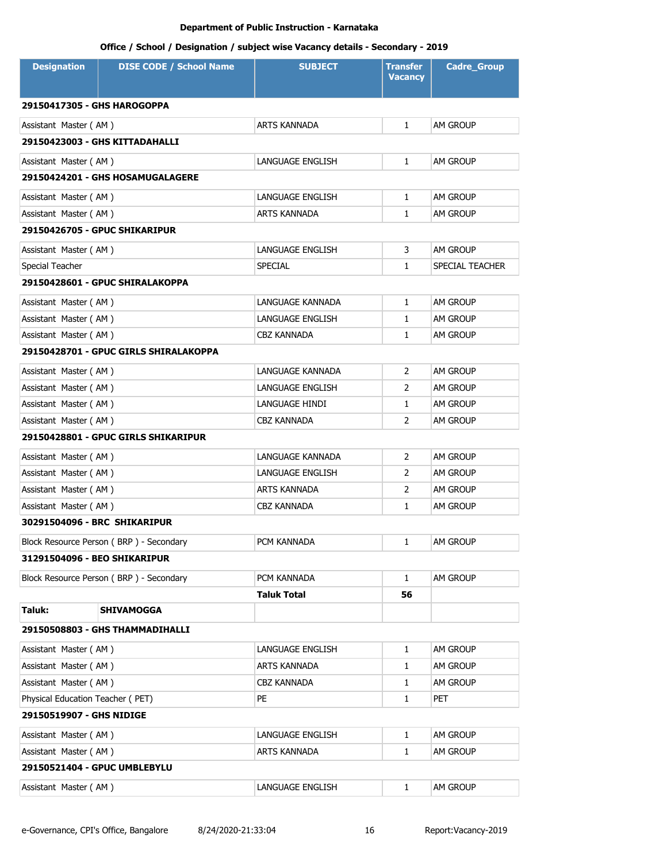| <b>Designation</b>               | <b>DISE CODE / School Name</b>          | <b>SUBJECT</b>      | Transfer<br><b>Vacancy</b> | <b>Cadre_Group</b> |
|----------------------------------|-----------------------------------------|---------------------|----------------------------|--------------------|
| 29150417305 - GHS HAROGOPPA      |                                         |                     |                            |                    |
| Assistant Master (AM)            |                                         | <b>ARTS KANNADA</b> | $\mathbf{1}$               | <b>AM GROUP</b>    |
|                                  | 29150423003 - GHS KITTADAHALLI          |                     |                            |                    |
| Assistant Master (AM)            |                                         | LANGUAGE ENGLISH    | $\mathbf{1}$               | <b>AM GROUP</b>    |
|                                  | 29150424201 - GHS HOSAMUGALAGERE        |                     |                            |                    |
| Assistant Master (AM)            |                                         | LANGUAGE ENGLISH    | $\mathbf{1}$               | <b>AM GROUP</b>    |
| Assistant Master (AM)            |                                         | ARTS KANNADA        | 1                          | AM GROUP           |
|                                  | <b>29150426705 - GPUC SHIKARIPUR</b>    |                     |                            |                    |
| Assistant Master (AM)            |                                         | LANGUAGE ENGLISH    | 3                          | AM GROUP           |
| Special Teacher                  |                                         | <b>SPECIAL</b>      | 1                          | SPECIAL TEACHER    |
|                                  | 29150428601 - GPUC SHIRALAKOPPA         |                     |                            |                    |
| Assistant Master (AM)            |                                         | LANGUAGE KANNADA    | $\mathbf{1}$               | <b>AM GROUP</b>    |
| Assistant Master (AM)            |                                         | LANGUAGE ENGLISH    | $\mathbf{1}$               | <b>AM GROUP</b>    |
| Assistant Master (AM)            |                                         | CBZ KANNADA         | $\mathbf{1}$               | <b>AM GROUP</b>    |
|                                  | 29150428701 - GPUC GIRLS SHIRALAKOPPA   |                     |                            |                    |
| Assistant Master (AM)            |                                         | LANGUAGE KANNADA    | 2                          | <b>AM GROUP</b>    |
| Assistant Master (AM)            |                                         | LANGUAGE ENGLISH    | 2                          | <b>AM GROUP</b>    |
| Assistant Master (AM)            |                                         | LANGUAGE HINDI      | 1                          | <b>AM GROUP</b>    |
| Assistant Master (AM)            |                                         | CBZ KANNADA         | 2                          | <b>AM GROUP</b>    |
|                                  | 29150428801 - GPUC GIRLS SHIKARIPUR     |                     |                            |                    |
| Assistant Master (AM)            |                                         | LANGUAGE KANNADA    | 2                          | <b>AM GROUP</b>    |
| Assistant Master (AM)            |                                         | LANGUAGE ENGLISH    | 2                          | <b>AM GROUP</b>    |
| Assistant Master (AM)            |                                         | ARTS KANNADA        | 2                          | <b>AM GROUP</b>    |
| Assistant Master (AM)            |                                         | CBZ KANNADA         | 1                          | <b>AM GROUP</b>    |
| 30291504096 - BRC SHIKARIPUR     |                                         |                     |                            |                    |
|                                  | Block Resource Person (BRP) - Secondary | PCM KANNADA         | $\mathbf{1}$               | AM GROUP           |
| 31291504096 - BEO SHIKARIPUR     |                                         |                     |                            |                    |
|                                  | Block Resource Person (BRP) - Secondary | PCM KANNADA         | $\mathbf{1}$               | AM GROUP           |
|                                  |                                         | <b>Taluk Total</b>  | 56                         |                    |
| Taluk:                           | <b>SHIVAMOGGA</b>                       |                     |                            |                    |
|                                  | 29150508803 - GHS THAMMADIHALLI         |                     |                            |                    |
| Assistant Master (AM)            |                                         | LANGUAGE ENGLISH    | $\mathbf{1}$               | AM GROUP           |
| Assistant Master (AM)            |                                         | ARTS KANNADA        | $\mathbf{1}$               | AM GROUP           |
| Assistant Master (AM)            |                                         | CBZ KANNADA         | $\mathbf{1}$               | AM GROUP           |
| Physical Education Teacher (PET) |                                         | PE                  | $\mathbf{1}$               | <b>PET</b>         |
| 29150519907 - GHS NIDIGE         |                                         |                     |                            |                    |
| Assistant Master (AM)            |                                         | LANGUAGE ENGLISH    | $\mathbf{1}$               | AM GROUP           |
| Assistant Master (AM)            |                                         | ARTS KANNADA        | $\mathbf{1}$               | AM GROUP           |
| 29150521404 - GPUC UMBLEBYLU     |                                         |                     |                            |                    |
| Assistant Master (AM)            |                                         | LANGUAGE ENGLISH    | $\mathbf{1}$               | AM GROUP           |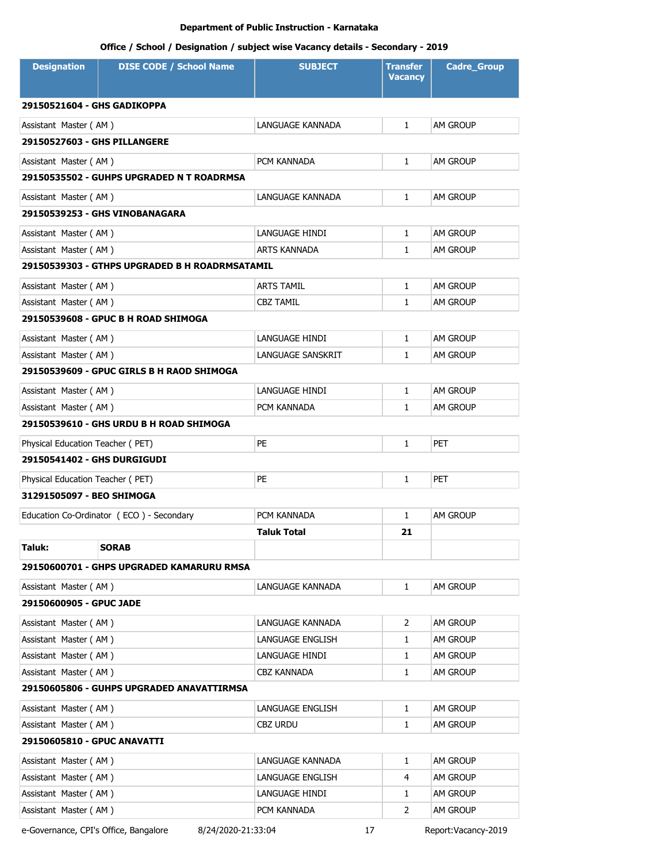# **Office / School / Designation / subject wise Vacancy details - Secondary - 2019**

| <b>Designation</b>                 | <b>DISE CODE / School Name</b>                 | <b>SUBJECT</b>      | <b>Transfer</b><br><b>Vacancy</b> | <b>Cadre_Group</b> |
|------------------------------------|------------------------------------------------|---------------------|-----------------------------------|--------------------|
| 29150521604 - GHS GADIKOPPA        |                                                |                     |                                   |                    |
| Assistant Master (AM)              |                                                | LANGUAGE KANNADA    | $\mathbf{1}$                      | AM GROUP           |
| 29150527603 - GHS PILLANGERE       |                                                |                     |                                   |                    |
| Assistant Master (AM)              |                                                | PCM KANNADA         | $\mathbf{1}$                      | am Group           |
|                                    | 29150535502 - GUHPS UPGRADED N T ROADRMSA      |                     |                                   |                    |
| Assistant Master (AM)              |                                                | LANGUAGE KANNADA    | $\mathbf{1}$                      | AM GROUP           |
|                                    | 29150539253 - GHS VINOBANAGARA                 |                     |                                   |                    |
| Assistant Master (AM)              |                                                | LANGUAGE HINDI      | $\mathbf{1}$                      | AM GROUP           |
| Assistant Master (AM)              |                                                | <b>ARTS KANNADA</b> | $\mathbf{1}$                      | AM GROUP           |
|                                    | 29150539303 - GTHPS UPGRADED B H ROADRMSATAMIL |                     |                                   |                    |
| Assistant Master (AM)              |                                                | <b>ARTS TAMIL</b>   | $\mathbf{1}$                      | AM GROUP           |
| Assistant Master (AM)              |                                                | CBZ TAMIL           | $\mathbf{1}$                      | AM GROUP           |
|                                    | 29150539608 - GPUC B H ROAD SHIMOGA            |                     |                                   |                    |
| Assistant Master (AM)              |                                                | LANGUAGE HINDI      | $\mathbf{1}$                      | am Group           |
| Assistant Master (AM)              |                                                | LANGUAGE SANSKRIT   | $\mathbf{1}$                      | am Group           |
|                                    | 29150539609 - GPUC GIRLS B H RAOD SHIMOGA      |                     |                                   |                    |
| Assistant Master (AM)              |                                                | LANGUAGE HINDI      | $\mathbf{1}$                      | am Group           |
| Assistant Master (AM)              |                                                | PCM KANNADA         | $\mathbf{1}$                      | am Group           |
|                                    | 29150539610 - GHS URDU B H ROAD SHIMOGA        |                     |                                   |                    |
| Physical Education Teacher (PET)   |                                                | <b>PE</b>           | 1                                 | PET                |
| <b>29150541402 - GHS DURGIGUDI</b> |                                                |                     |                                   |                    |
| Physical Education Teacher (PET)   |                                                | <b>PE</b>           | $\mathbf{1}$                      | PET                |
| 31291505097 - BEO SHIMOGA          |                                                |                     |                                   |                    |
|                                    | Education Co-Ordinator (ECO) - Secondary       | PCM KANNADA         | $\mathbf{1}$                      | AM GROUP           |
|                                    |                                                | <b>Taluk Total</b>  | 21                                |                    |
| Taluk:                             | <b>SORAB</b>                                   |                     |                                   |                    |
|                                    | 29150600701 - GHPS UPGRADED KAMARURU RMSA      |                     |                                   |                    |
| Assistant Master (AM)              |                                                | LANGUAGE KANNADA    | $\mathbf{1}$                      | AM GROUP           |
| 29150600905 - GPUC JADE            |                                                |                     |                                   |                    |
| Assistant Master (AM)              |                                                | LANGUAGE KANNADA    | 2                                 | AM GROUP           |
| Assistant Master (AM)              |                                                | LANGUAGE ENGLISH    | 1                                 | AM GROUP           |
| Assistant Master (AM)              |                                                | LANGUAGE HINDI      | 1                                 | AM GROUP           |
| Assistant Master (AM)              |                                                | CBZ KANNADA         | 1                                 | AM GROUP           |
|                                    | 29150605806 - GUHPS UPGRADED ANAVATTIRMSA      |                     |                                   |                    |
| Assistant Master (AM)              |                                                | LANGUAGE ENGLISH    | $\mathbf{1}$                      | AM GROUP           |
| Assistant Master (AM)              |                                                | CBZ URDU            | 1                                 | am Group           |
| 29150605810 - GPUC ANAVATTI        |                                                |                     |                                   |                    |
| Assistant Master (AM)              |                                                | LANGUAGE KANNADA    | 1                                 | AM GROUP           |
| Assistant Master (AM)              |                                                | LANGUAGE ENGLISH    | 4                                 | AM GROUP           |
| Assistant Master (AM)              |                                                | LANGUAGE HINDI      | 1                                 | AM GROUP           |
| Assistant Master (AM)              |                                                | PCM KANNADA         | 2                                 | AM GROUP           |

e-Governance, CPI's Office, Bangalore 8/24/2020-21:33:04 17 Report:Vacancy-2019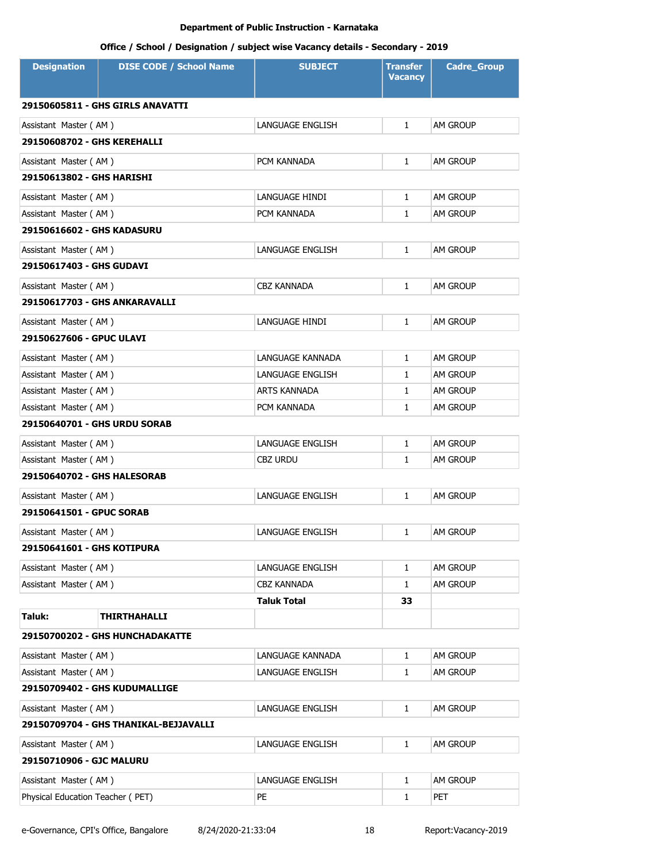| <b>Designation</b>               | <b>DISE CODE / School Name</b>        | <b>SUBJECT</b>          | <b>Transfer</b><br><b>Vacancy</b> | <b>Cadre_Group</b> |
|----------------------------------|---------------------------------------|-------------------------|-----------------------------------|--------------------|
|                                  | 29150605811 - GHS GIRLS ANAVATTI      |                         |                                   |                    |
| Assistant Master (AM)            |                                       | LANGUAGE ENGLISH        | $\mathbf{1}$                      | <b>AM GROUP</b>    |
| 29150608702 - GHS KEREHALLI      |                                       |                         |                                   |                    |
| Assistant Master (AM)            |                                       | PCM KANNADA             | $\mathbf{1}$                      | <b>AM GROUP</b>    |
| 29150613802 - GHS HARISHI        |                                       |                         |                                   |                    |
| Assistant Master (AM)            |                                       | LANGUAGE HINDI          | $\mathbf{1}$                      | AM GROUP           |
| Assistant Master (AM)            |                                       | PCM KANNADA             | $\mathbf{1}$                      | <b>AM GROUP</b>    |
| 29150616602 - GHS KADASURU       |                                       |                         |                                   |                    |
| Assistant Master (AM)            |                                       | <b>LANGUAGE ENGLISH</b> | $\mathbf{1}$                      | <b>AM GROUP</b>    |
| 29150617403 - GHS GUDAVI         |                                       |                         |                                   |                    |
| Assistant Master (AM)            |                                       | <b>CBZ KANNADA</b>      | $\mathbf{1}$                      | AM GROUP           |
| 29150617703 - GHS ANKARAVALLI    |                                       |                         |                                   |                    |
| Assistant Master (AM)            |                                       | LANGUAGE HINDI          | $\mathbf{1}$                      | AM GROUP           |
| 29150627606 - GPUC ULAVI         |                                       |                         |                                   |                    |
| Assistant Master (AM)            |                                       | LANGUAGE KANNADA        | $\mathbf{1}$                      | AM GROUP           |
| Assistant Master (AM)            |                                       | LANGUAGE ENGLISH        | $\mathbf{1}$                      | <b>AM GROUP</b>    |
| Assistant Master (AM)            |                                       | ARTS KANNADA            | 1                                 | <b>AM GROUP</b>    |
| Assistant Master (AM)            |                                       | PCM KANNADA             | $\mathbf{1}$                      | <b>AM GROUP</b>    |
| 29150640701 - GHS URDU SORAB     |                                       |                         |                                   |                    |
| Assistant Master (AM)            |                                       | LANGUAGE ENGLISH        | 1                                 | AM GROUP           |
| Assistant Master (AM)            |                                       | <b>CBZ URDU</b>         | $\mathbf{1}$                      | <b>AM GROUP</b>    |
| 29150640702 - GHS HALESORAB      |                                       |                         |                                   |                    |
| Assistant Master (AM)            |                                       | LANGUAGE ENGLISH        | $\mathbf{1}$                      | AM GROUP           |
| 29150641501 - GPUC SORAB         |                                       |                         |                                   |                    |
| Assistant Master (AM)            |                                       | LANGUAGE ENGLISH        | $\mathbf{1}$                      | <b>AM GROUP</b>    |
| 29150641601 - GHS KOTIPURA       |                                       |                         |                                   |                    |
| Assistant Master (AM)            |                                       | LANGUAGE ENGLISH        | 1                                 | AM GROUP           |
| Assistant Master (AM)            |                                       | <b>CBZ KANNADA</b>      | $\mathbf{1}$                      | AM GROUP           |
|                                  |                                       | <b>Taluk Total</b>      | 33                                |                    |
| Taluk:                           | <b>THIRTHAHALLI</b>                   |                         |                                   |                    |
|                                  | 29150700202 - GHS HUNCHADAKATTE       |                         |                                   |                    |
| Assistant Master (AM)            |                                       | LANGUAGE KANNADA        | $\mathbf{1}$                      | AM GROUP           |
| Assistant Master (AM)            |                                       | LANGUAGE ENGLISH        | 1                                 | AM GROUP           |
|                                  | 29150709402 - GHS KUDUMALLIGE         |                         |                                   |                    |
| Assistant Master (AM)            |                                       | LANGUAGE ENGLISH        | $\mathbf{1}$                      | AM GROUP           |
|                                  | 29150709704 - GHS THANIKAL-BEJJAVALLI |                         |                                   |                    |
| Assistant Master (AM)            |                                       | LANGUAGE ENGLISH        | $\mathbf{1}$                      | AM GROUP           |
| 29150710906 - GJC MALURU         |                                       |                         |                                   |                    |
| Assistant Master (AM)            |                                       | LANGUAGE ENGLISH        | $\mathbf{1}$                      | AM GROUP           |
| Physical Education Teacher (PET) |                                       | PE                      | $\mathbf{1}$                      | <b>PET</b>         |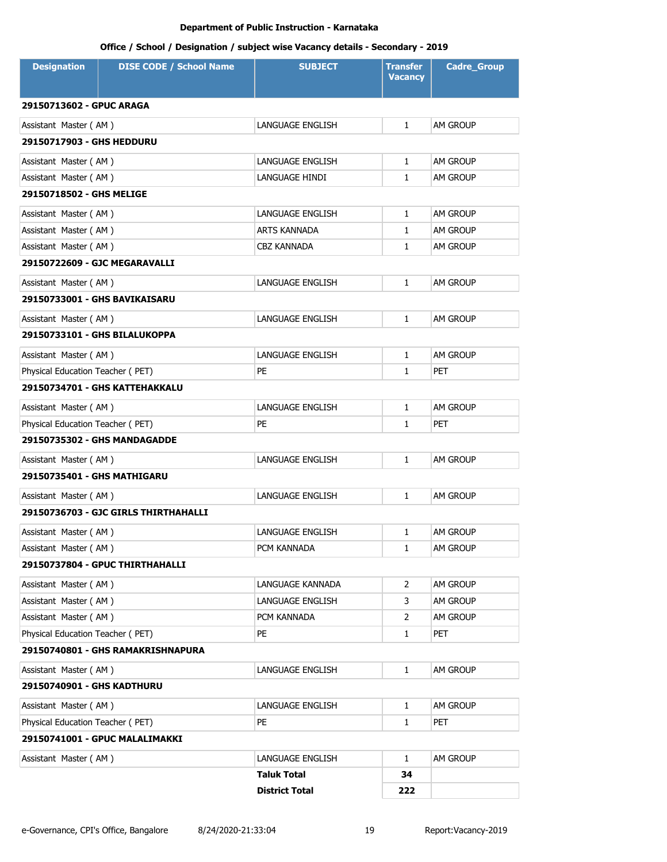| <b>Designation</b>               | <b>DISE CODE / School Name</b>       | <b>SUBJECT</b>          | <b>Transfer</b><br><b>Vacancy</b> | <b>Cadre Group</b> |
|----------------------------------|--------------------------------------|-------------------------|-----------------------------------|--------------------|
| 29150713602 - GPUC ARAGA         |                                      |                         |                                   |                    |
| Assistant Master (AM)            |                                      | LANGUAGE ENGLISH        | $\mathbf{1}$                      | <b>AM GROUP</b>    |
| <b>29150717903 - GHS HEDDURU</b> |                                      |                         |                                   |                    |
| Assistant Master (AM)            |                                      | LANGUAGE ENGLISH        | $\mathbf{1}$                      | AM GROUP           |
| Assistant Master (AM)            |                                      | LANGUAGE HINDI          | $\mathbf{1}$                      | <b>AM GROUP</b>    |
| 29150718502 - GHS MELIGE         |                                      |                         |                                   |                    |
| Assistant Master (AM)            |                                      | LANGUAGE ENGLISH        | $\mathbf{1}$                      | AM GROUP           |
| Assistant Master (AM)            |                                      | <b>ARTS KANNADA</b>     | $\mathbf{1}$                      | <b>AM GROUP</b>    |
| Assistant Master (AM)            |                                      | <b>CBZ KANNADA</b>      | $\mathbf{1}$                      | AM GROUP           |
| 29150722609 - GJC MEGARAVALLI    |                                      |                         |                                   |                    |
| Assistant Master (AM)            |                                      | LANGUAGE ENGLISH        | $\mathbf{1}$                      | <b>AM GROUP</b>    |
| 29150733001 - GHS BAVIKAISARU    |                                      |                         |                                   |                    |
| Assistant Master (AM)            |                                      | LANGUAGE ENGLISH        | $\mathbf{1}$                      | AM GROUP           |
| 29150733101 - GHS BILALUKOPPA    |                                      |                         |                                   |                    |
| Assistant Master (AM)            |                                      | <b>LANGUAGE ENGLISH</b> | $\mathbf{1}$                      | <b>AM GROUP</b>    |
| Physical Education Teacher (PET) |                                      | PE                      | $\mathbf{1}$                      | <b>PET</b>         |
|                                  | 29150734701 - GHS KATTEHAKKALU       |                         |                                   |                    |
| Assistant Master (AM)            |                                      | <b>LANGUAGE ENGLISH</b> | $\mathbf{1}$                      | <b>AM GROUP</b>    |
| Physical Education Teacher (PET) |                                      | <b>PE</b>               | $\mathbf{1}$                      | <b>PET</b>         |
|                                  | <b>29150735302 - GHS MANDAGADDE</b>  |                         |                                   |                    |
| Assistant Master (AM)            |                                      | <b>LANGUAGE ENGLISH</b> | $\mathbf{1}$                      | <b>AM GROUP</b>    |
| 29150735401 - GHS MATHIGARU      |                                      |                         |                                   |                    |
| Assistant Master (AM)            |                                      | <b>LANGUAGE ENGLISH</b> | $\mathbf{1}$                      | AM GROUP           |
|                                  | 29150736703 - GJC GIRLS THIRTHAHALLI |                         |                                   |                    |
| Assistant Master (AM)            |                                      | LANGUAGE ENGLISH        | 1                                 | AM GROUP           |
| Assistant Master (AM)            |                                      | PCM KANNADA             | 1                                 | AM GROUP           |
|                                  | 29150737804 - GPUC THIRTHAHALLI      |                         |                                   |                    |
| Assistant Master (AM)            |                                      | LANGUAGE KANNADA        | 2                                 | AM GROUP           |
| Assistant Master (AM)            |                                      | LANGUAGE ENGLISH        | 3                                 | AM GROUP           |
| Assistant Master (AM)            |                                      | PCM KANNADA             | 2                                 | AM GROUP           |
| Physical Education Teacher (PET) |                                      | PE                      | $\mathbf{1}$                      | PET                |
|                                  | 29150740801 - GHS RAMAKRISHNAPURA    |                         |                                   |                    |
| Assistant Master (AM)            |                                      | LANGUAGE ENGLISH        | $\mathbf{1}$                      | AM GROUP           |
| 29150740901 - GHS KADTHURU       |                                      |                         |                                   |                    |
| Assistant Master (AM)            |                                      | LANGUAGE ENGLISH        | $\mathbf{1}$                      | AM GROUP           |
| Physical Education Teacher (PET) |                                      | PE                      | 1                                 | PET                |
|                                  | 29150741001 - GPUC MALALIMAKKI       |                         |                                   |                    |
| Assistant Master (AM)            |                                      | LANGUAGE ENGLISH        | $\mathbf{1}$                      | AM GROUP           |
|                                  |                                      | <b>Taluk Total</b>      | 34                                |                    |
|                                  |                                      | <b>District Total</b>   | 222                               |                    |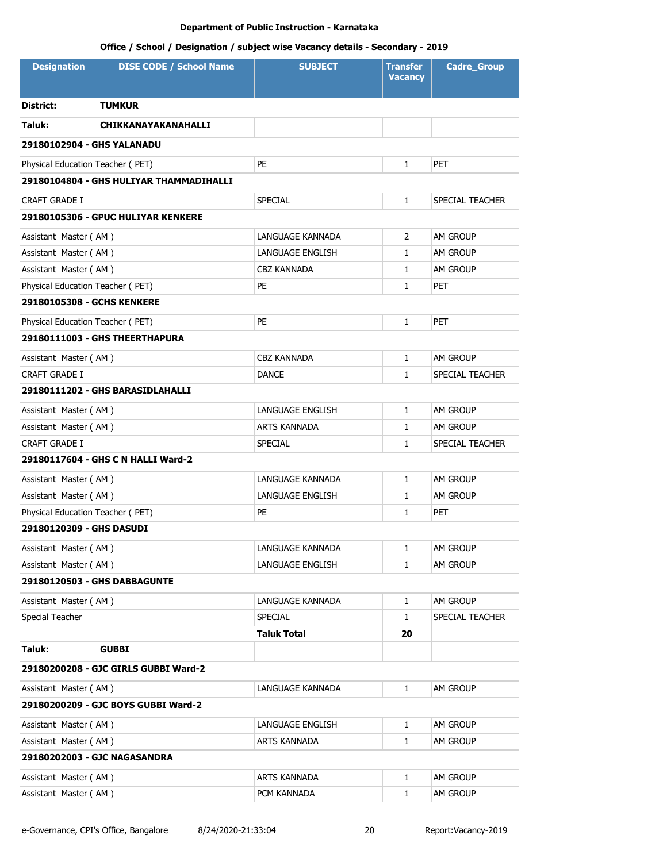| <b>Designation</b>               | <b>DISE CODE / School Name</b>          | <b>SUBJECT</b>      | <b>Transfer</b><br><b>Vacancy</b> | <b>Cadre_Group</b> |  |  |
|----------------------------------|-----------------------------------------|---------------------|-----------------------------------|--------------------|--|--|
| District:                        | <b>TUMKUR</b>                           |                     |                                   |                    |  |  |
| Taluk:                           | <b>CHIKKANAYAKANAHALLI</b>              |                     |                                   |                    |  |  |
| 29180102904 - GHS YALANADU       |                                         |                     |                                   |                    |  |  |
| Physical Education Teacher (PET) |                                         | PE                  | $\mathbf{1}$                      | <b>PET</b>         |  |  |
|                                  | 29180104804 - GHS HULIYAR THAMMADIHALLI |                     |                                   |                    |  |  |
| <b>CRAFT GRADE I</b>             |                                         | <b>SPECIAL</b>      | 1                                 | SPECIAL TEACHER    |  |  |
|                                  | 29180105306 - GPUC HULIYAR KENKERE      |                     |                                   |                    |  |  |
| Assistant Master (AM)            |                                         | LANGUAGE KANNADA    | $\overline{2}$                    | AM GROUP           |  |  |
| Assistant Master (AM)            |                                         | LANGUAGE ENGLISH    | 1                                 | AM GROUP           |  |  |
| Assistant Master (AM)            |                                         | <b>CBZ KANNADA</b>  | 1                                 | AM GROUP           |  |  |
| Physical Education Teacher (PET) |                                         | PE                  | 1                                 | <b>PET</b>         |  |  |
| 29180105308 - GCHS KENKERE       |                                         |                     |                                   |                    |  |  |
| Physical Education Teacher (PET) |                                         | <b>PE</b>           | 1                                 | <b>PET</b>         |  |  |
|                                  | 29180111003 - GHS THEERTHAPURA          |                     |                                   |                    |  |  |
| Assistant Master (AM)            |                                         | <b>CBZ KANNADA</b>  | $\mathbf{1}$                      | AM GROUP           |  |  |
| <b>CRAFT GRADE I</b>             |                                         | <b>DANCE</b>        | $\mathbf{1}$                      | SPECIAL TEACHER    |  |  |
|                                  | 29180111202 - GHS BARASIDLAHALLI        |                     |                                   |                    |  |  |
| Assistant Master (AM)            |                                         | LANGUAGE ENGLISH    | $\mathbf{1}$                      | AM GROUP           |  |  |
| Assistant Master (AM)            |                                         | <b>ARTS KANNADA</b> | 1                                 | AM GROUP           |  |  |
| <b>CRAFT GRADE I</b>             |                                         | <b>SPECIAL</b>      | $\mathbf{1}$                      | SPECIAL TEACHER    |  |  |
|                                  | 29180117604 - GHS C N HALLI Ward-2      |                     |                                   |                    |  |  |
| Assistant Master (AM)            |                                         | LANGUAGE KANNADA    | $\mathbf{1}$                      | AM GROUP           |  |  |
| Assistant Master (AM)            |                                         | LANGUAGE ENGLISH    | $\mathbf{1}$                      | AM GROUP           |  |  |
| Physical Education Teacher (PET) |                                         | PE                  | 1                                 | <b>PET</b>         |  |  |
| 29180120309 - GHS DASUDI         |                                         |                     |                                   |                    |  |  |
| Assistant Master (AM)            |                                         | LANGUAGE KANNADA    | 1                                 | am Group           |  |  |
| Assistant Master (AM)            |                                         | LANGUAGE ENGLISH    | 1                                 | am Group           |  |  |
| 29180120503 - GHS DABBAGUNTE     |                                         |                     |                                   |                    |  |  |
| Assistant Master (AM)            |                                         | LANGUAGE KANNADA    | 1                                 | AM GROUP           |  |  |
| Special Teacher                  |                                         | <b>SPECIAL</b>      | $\mathbf{1}$                      | SPECIAL TEACHER    |  |  |
|                                  |                                         | Taluk Total         | 20                                |                    |  |  |
| Taluk:                           | <b>GUBBI</b>                            |                     |                                   |                    |  |  |
|                                  | 29180200208 - GJC GIRLS GUBBI Ward-2    |                     |                                   |                    |  |  |
| Assistant Master (AM)            |                                         | LANGUAGE KANNADA    | 1                                 | AM GROUP           |  |  |
|                                  | 29180200209 - GJC BOYS GUBBI Ward-2     |                     |                                   |                    |  |  |
| Assistant Master (AM)            |                                         | LANGUAGE ENGLISH    | 1                                 | AM GROUP           |  |  |
| Assistant Master (AM)            |                                         | ARTS KANNADA        | $\mathbf{1}$                      | am Group           |  |  |
| 29180202003 - GJC NAGASANDRA     |                                         |                     |                                   |                    |  |  |
| Assistant Master (AM)            |                                         | ARTS KANNADA        | 1                                 | AM GROUP           |  |  |
| Assistant Master (AM)            |                                         | PCM KANNADA         | 1                                 | AM GROUP           |  |  |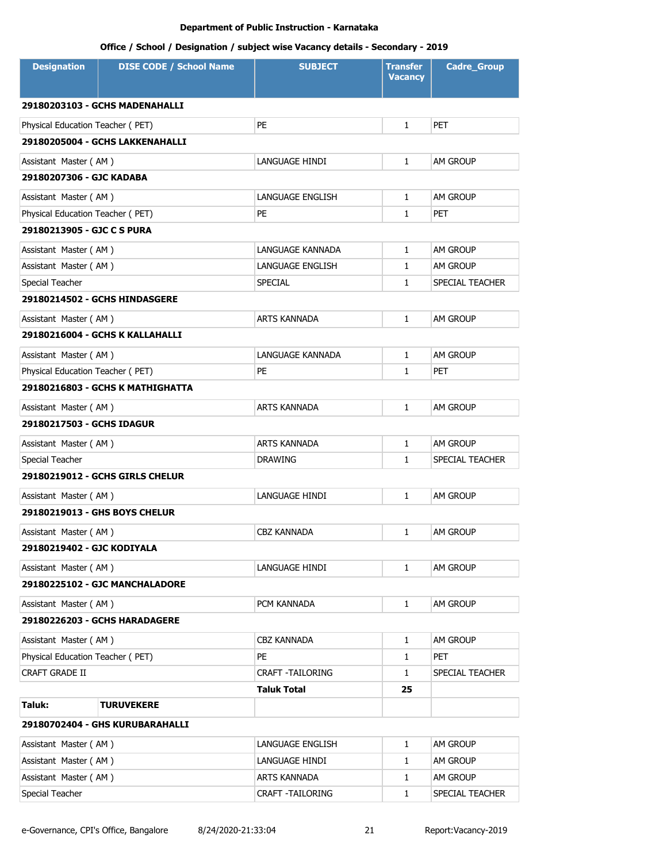| <b>DISE CODE / School Name</b><br><b>Designation</b> | <b>SUBJECT</b>          | <b>Transfer</b><br><b>Vacancy</b> | <b>Cadre_Group</b> |  |  |
|------------------------------------------------------|-------------------------|-----------------------------------|--------------------|--|--|
| 29180203103 - GCHS MADENAHALLI                       |                         |                                   |                    |  |  |
| PE<br>Physical Education Teacher (PET)               |                         | $\mathbf{1}$                      | <b>PET</b>         |  |  |
| 29180205004 - GCHS LAKKENAHALLI                      |                         |                                   |                    |  |  |
| Assistant Master (AM)                                | LANGUAGE HINDI          | $\mathbf{1}$                      | <b>AM GROUP</b>    |  |  |
| 29180207306 - GJC KADABA                             |                         |                                   |                    |  |  |
| Assistant Master (AM)                                | LANGUAGE ENGLISH        | 1                                 | <b>AM GROUP</b>    |  |  |
| Physical Education Teacher (PET)<br>PE               |                         | 1                                 | <b>PET</b>         |  |  |
| 29180213905 - GJC C S PURA                           |                         |                                   |                    |  |  |
| Assistant Master (AM)                                | LANGUAGE KANNADA        | 1                                 | AM GROUP           |  |  |
| Assistant Master (AM)                                | LANGUAGE ENGLISH        | 1                                 | AM GROUP           |  |  |
| Special Teacher                                      | <b>SPECIAL</b>          | 1                                 | SPECIAL TEACHER    |  |  |
| 29180214502 - GCHS HINDASGERE                        |                         |                                   |                    |  |  |
| Assistant Master (AM)                                | <b>ARTS KANNADA</b>     | $\mathbf{1}$                      | AM GROUP           |  |  |
| 29180216004 - GCHS K KALLAHALLI                      |                         |                                   |                    |  |  |
| Assistant Master (AM)                                | LANGUAGE KANNADA        | $\mathbf{1}$                      | <b>AM GROUP</b>    |  |  |
| Physical Education Teacher (PET)<br>PE               |                         | $\mathbf{1}$                      | <b>PET</b>         |  |  |
| 29180216803 - GCHS K MATHIGHATTA                     |                         |                                   |                    |  |  |
| Assistant Master (AM)                                | <b>ARTS KANNADA</b>     | 1                                 | <b>AM GROUP</b>    |  |  |
| 29180217503 - GCHS IDAGUR                            |                         |                                   |                    |  |  |
| Assistant Master (AM)                                | ARTS KANNADA            | $\mathbf{1}$                      | AM GROUP           |  |  |
| Special Teacher                                      | <b>DRAWING</b>          | 1                                 | SPECIAL TEACHER    |  |  |
| 29180219012 - GCHS GIRLS CHELUR                      |                         |                                   |                    |  |  |
| Assistant Master (AM)                                | LANGUAGE HINDI          | $\mathbf{1}$                      | AM GROUP           |  |  |
| 29180219013 - GHS BOYS CHELUR                        |                         |                                   |                    |  |  |
| Assistant Master (AM)                                | <b>CBZ KANNADA</b>      | 1                                 | AM GROUP           |  |  |
| 29180219402 - GJC KODIYALA                           |                         |                                   |                    |  |  |
| Assistant Master (AM)                                | LANGUAGE HINDI          | 1                                 | AM GROUP           |  |  |
| 29180225102 - GJC MANCHALADORE                       |                         |                                   |                    |  |  |
| Assistant Master (AM)                                | PCM KANNADA             | $\mathbf{1}$                      | AM GROUP           |  |  |
| 29180226203 - GCHS HARADAGERE                        |                         |                                   |                    |  |  |
| Assistant Master (AM)                                | CBZ KANNADA             | $\mathbf{1}$                      | AM GROUP           |  |  |
| Physical Education Teacher (PET)<br>PE               |                         | 1                                 | <b>PET</b>         |  |  |
| CRAFT GRADE II                                       | <b>CRAFT -TAILORING</b> | $\mathbf{1}$                      | SPECIAL TEACHER    |  |  |
|                                                      | Taluk Total             | 25                                |                    |  |  |
| Taluk:<br><b>TURUVEKERE</b>                          |                         |                                   |                    |  |  |
| 29180702404 - GHS KURUBARAHALLI                      |                         |                                   |                    |  |  |
| Assistant Master (AM)                                | LANGUAGE ENGLISH        | $\mathbf{1}$                      | AM GROUP           |  |  |
| Assistant Master (AM)                                | LANGUAGE HINDI          | 1                                 | AM GROUP           |  |  |
| Assistant Master (AM)                                | ARTS KANNADA            | 1                                 | AM GROUP           |  |  |
| Special Teacher                                      | CRAFT - TAILORING       | 1                                 | SPECIAL TEACHER    |  |  |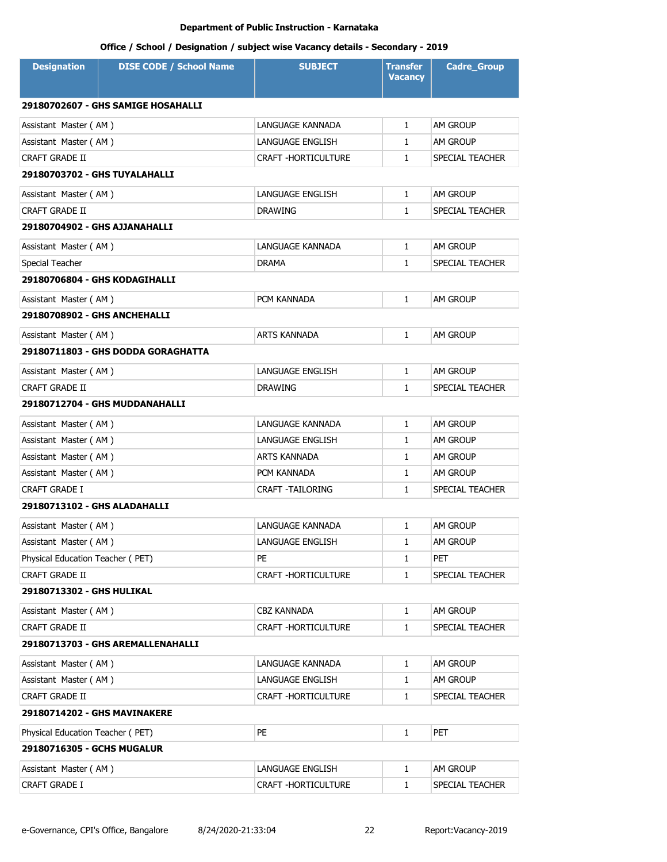| <b>Designation</b>               | <b>DISE CODE / School Name</b>     | <b>SUBJECT</b>             | <b>Transfer</b><br><b>Vacancy</b> | <b>Cadre_Group</b> |
|----------------------------------|------------------------------------|----------------------------|-----------------------------------|--------------------|
|                                  | 29180702607 - GHS SAMIGE HOSAHALLI |                            |                                   |                    |
| Assistant Master (AM)            |                                    | LANGUAGE KANNADA           | $\mathbf{1}$                      | <b>AM GROUP</b>    |
| Assistant Master (AM)            |                                    | LANGUAGE ENGLISH           | $\mathbf{1}$                      | <b>AM GROUP</b>    |
| CRAFT GRADE II                   |                                    | CRAFT -HORTICULTURE        | $\mathbf{1}$                      | SPECIAL TEACHER    |
| 29180703702 - GHS TUYALAHALLI    |                                    |                            |                                   |                    |
| Assistant Master (AM)            |                                    | LANGUAGE ENGLISH           | $\mathbf{1}$                      | <b>AM GROUP</b>    |
| CRAFT GRADE II                   |                                    | <b>DRAWING</b>             | $\mathbf{1}$                      | SPECIAL TEACHER    |
| 29180704902 - GHS AJJANAHALLI    |                                    |                            |                                   |                    |
| Assistant Master (AM)            |                                    | LANGUAGE KANNADA           | $\mathbf{1}$                      | <b>AM GROUP</b>    |
| Special Teacher                  |                                    | <b>DRAMA</b>               | $\mathbf{1}$                      | SPECIAL TEACHER    |
| 29180706804 - GHS KODAGIHALLI    |                                    |                            |                                   |                    |
| Assistant Master (AM)            |                                    | PCM KANNADA                | $\mathbf{1}$                      | AM GROUP           |
| 29180708902 - GHS ANCHEHALLI     |                                    |                            |                                   |                    |
| Assistant Master (AM)            |                                    | ARTS KANNADA               | $\mathbf{1}$                      | AM GROUP           |
|                                  | 29180711803 - GHS DODDA GORAGHATTA |                            |                                   |                    |
| Assistant Master (AM)            |                                    | <b>LANGUAGE ENGLISH</b>    | $\mathbf{1}$                      | AM GROUP           |
| CRAFT GRADE II                   |                                    | <b>DRAWING</b>             | $\mathbf{1}$                      | SPECIAL TEACHER    |
|                                  | 29180712704 - GHS MUDDANAHALLI     |                            |                                   |                    |
| Assistant Master (AM)            |                                    | LANGUAGE KANNADA           | $\mathbf{1}$                      | AM GROUP           |
| Assistant Master (AM)            |                                    | LANGUAGE ENGLISH           | $\mathbf{1}$                      | <b>AM GROUP</b>    |
| Assistant Master (AM)            |                                    | ARTS KANNADA               | 1                                 | am Group           |
| Assistant Master (AM)            |                                    | PCM KANNADA                | $\mathbf{1}$                      | AM GROUP           |
| CRAFT GRADE I                    |                                    | <b>CRAFT -TAILORING</b>    | 1                                 | SPECIAL TEACHER    |
| 29180713102 - GHS ALADAHALLI     |                                    |                            |                                   |                    |
| Assistant Master (AM)            |                                    | LANGUAGE KANNADA           | $\mathbf{1}$                      | <b>AM GROUP</b>    |
| Assistant Master (AM)            |                                    | LANGUAGE ENGLISH           | 1                                 | AM GROUP           |
| Physical Education Teacher (PET) |                                    | PE                         | $\mathbf{1}$                      | <b>PET</b>         |
| CRAFT GRADE II                   |                                    | <b>CRAFT -HORTICULTURE</b> | 1                                 | SPECIAL TEACHER    |
| 29180713302 - GHS HULIKAL        |                                    |                            |                                   |                    |
| Assistant Master (AM)            |                                    | CBZ KANNADA                | $\mathbf{1}$                      | AM GROUP           |
| CRAFT GRADE II                   |                                    | <b>CRAFT -HORTICULTURE</b> | 1                                 | SPECIAL TEACHER    |
|                                  | 29180713703 - GHS AREMALLENAHALLI  |                            |                                   |                    |
| Assistant Master (AM)            |                                    | LANGUAGE KANNADA           | $\mathbf{1}$                      | AM GROUP           |
| Assistant Master (AM)            |                                    | LANGUAGE ENGLISH           | $\mathbf{1}$                      | AM GROUP           |
| CRAFT GRADE II                   |                                    | CRAFT -HORTICULTURE        | 1                                 | SPECIAL TEACHER    |
| 29180714202 - GHS MAVINAKERE     |                                    |                            |                                   |                    |
| Physical Education Teacher (PET) |                                    | PE                         | $\mathbf{1}$                      | <b>PET</b>         |
| 29180716305 - GCHS MUGALUR       |                                    |                            |                                   |                    |
| Assistant Master (AM)            |                                    | LANGUAGE ENGLISH           | 1                                 | AM GROUP           |
| CRAFT GRADE I                    |                                    | CRAFT - HORTICULTURE       | 1                                 | SPECIAL TEACHER    |
|                                  |                                    |                            |                                   |                    |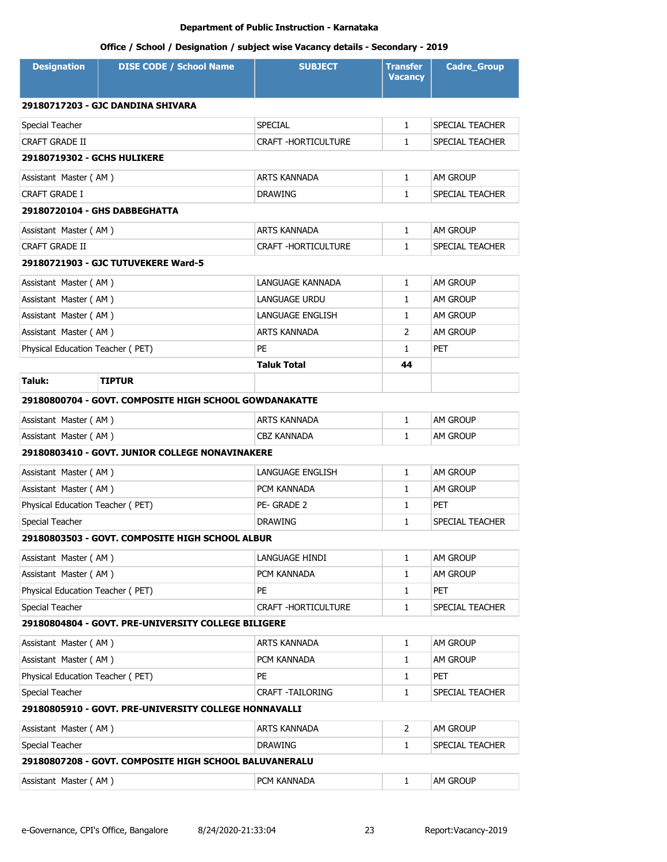| <b>Designation</b>               | <b>DISE CODE / School Name</b>                         | <b>SUBJECT</b>             | <b>Transfer</b><br><b>Vacancy</b> | <b>Cadre_Group</b> |
|----------------------------------|--------------------------------------------------------|----------------------------|-----------------------------------|--------------------|
|                                  | 29180717203 - GJC DANDINA SHIVARA                      |                            |                                   |                    |
| Special Teacher                  |                                                        | <b>SPECIAL</b>             | $\mathbf{1}$                      | SPECIAL TEACHER    |
| CRAFT GRADE II                   |                                                        | CRAFT - HORTICULTURE       | 1                                 | SPECIAL TEACHER    |
| 29180719302 - GCHS HULIKERE      |                                                        |                            |                                   |                    |
| Assistant Master (AM)            |                                                        | <b>ARTS KANNADA</b>        | $\mathbf{1}$                      | AM GROUP           |
| CRAFT GRADE I                    |                                                        | <b>DRAWING</b>             | 1                                 | SPECIAL TEACHER    |
|                                  | 29180720104 - GHS DABBEGHATTA                          |                            |                                   |                    |
| Assistant Master (AM)            |                                                        | <b>ARTS KANNADA</b>        | $\mathbf{1}$                      | AM GROUP           |
| CRAFT GRADE II                   |                                                        | <b>CRAFT -HORTICULTURE</b> | 1                                 | SPECIAL TEACHER    |
|                                  | 29180721903 - GJC TUTUVEKERE Ward-5                    |                            |                                   |                    |
| Assistant Master (AM)            |                                                        | LANGUAGE KANNADA           | $\mathbf{1}$                      | AM GROUP           |
| Assistant Master (AM)            |                                                        | LANGUAGE URDU              | $\mathbf{1}$                      | AM GROUP           |
| Assistant Master (AM)            |                                                        | <b>LANGUAGE ENGLISH</b>    | $\mathbf{1}$                      | AM GROUP           |
| Assistant Master (AM)            |                                                        | ARTS KANNADA               | 2                                 | AM GROUP           |
| Physical Education Teacher (PET) |                                                        | PE                         | $\mathbf{1}$                      | PET                |
|                                  |                                                        | <b>Taluk Total</b>         | 44                                |                    |
| Taluk:                           | <b>TIPTUR</b>                                          |                            |                                   |                    |
|                                  | 29180800704 - GOVT. COMPOSITE HIGH SCHOOL GOWDANAKATTE |                            |                                   |                    |
| Assistant Master (AM)            |                                                        | ARTS KANNADA               | $\mathbf{1}$                      | AM GROUP           |
| Assistant Master (AM)            |                                                        | <b>CBZ KANNADA</b>         | $\mathbf{1}$                      | am Group           |
|                                  | 29180803410 - GOVT, JUNIOR COLLEGE NONAVINAKERE        |                            |                                   |                    |
| Assistant Master (AM)            |                                                        | LANGUAGE ENGLISH           | $\mathbf{1}$                      | AM GROUP           |
| Assistant Master (AM)            |                                                        | PCM KANNADA                | $\mathbf{1}$                      | AM GROUP           |
| Physical Education Teacher (PET) |                                                        | PE-GRADE 2                 | $\mathbf{1}$                      | PET                |
| Special Teacher                  |                                                        | <b>DRAWING</b>             | $\mathbf{1}$                      | SPECIAL TEACHER    |
|                                  | 29180803503 - GOVT, COMPOSITE HIGH SCHOOL ALBUR        |                            |                                   |                    |
| Assistant Master (AM)            |                                                        | LANGUAGE HINDI             | $\mathbf{1}$                      | AM GROUP           |
| Assistant Master (AM)            |                                                        | PCM KANNADA                | 1                                 | am Group           |
| Physical Education Teacher (PET) |                                                        | PE                         | $\mathbf{1}$                      | PET                |
| Special Teacher                  |                                                        | CRAFT - HORTICULTURE       | $\mathbf{1}$                      | SPECIAL TEACHER    |
|                                  | 29180804804 - GOVT. PRE-UNIVERSITY COLLEGE BILIGERE    |                            |                                   |                    |
| Assistant Master (AM)            |                                                        | ARTS KANNADA               | $\mathbf{1}$                      | am Group           |
| Assistant Master (AM)            |                                                        | PCM KANNADA                | 1                                 | am Group           |
| Physical Education Teacher (PET) |                                                        | PE                         | $\mathbf{1}$                      | PET                |
| Special Teacher                  |                                                        | CRAFT -TAILORING           | $\mathbf{1}$                      | SPECIAL TEACHER    |
|                                  | 29180805910 - GOVT. PRE-UNIVERSITY COLLEGE HONNAVALLI  |                            |                                   |                    |
| Assistant Master (AM)            |                                                        | ARTS KANNADA               | $\overline{2}$                    | AM GROUP           |
| Special Teacher                  |                                                        | <b>DRAWING</b>             | $\mathbf{1}$                      | SPECIAL TEACHER    |
|                                  | 29180807208 - GOVT. COMPOSITE HIGH SCHOOL BALUVANERALU |                            |                                   |                    |
| Assistant Master (AM)            |                                                        | PCM KANNADA                | $\mathbf{1}$                      | AM GROUP           |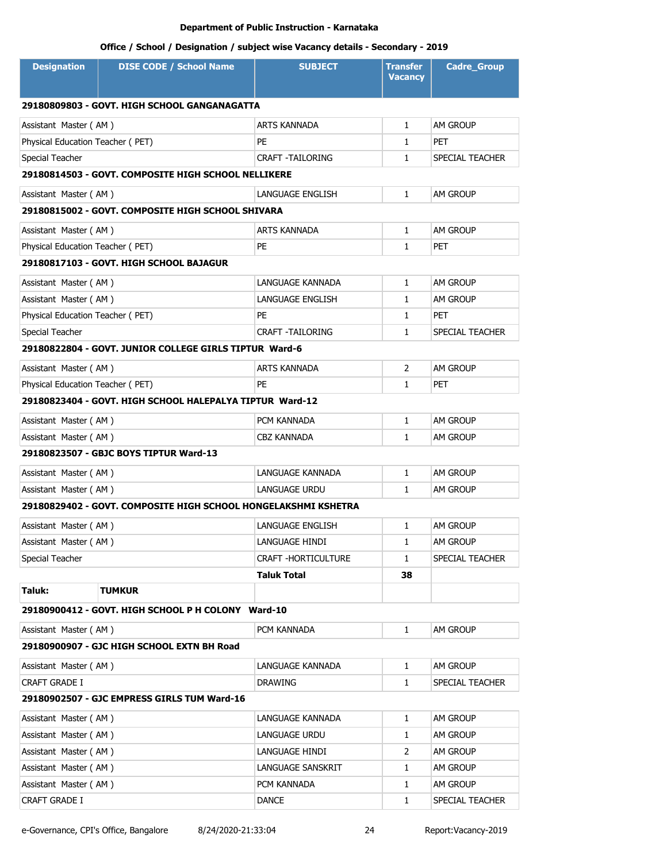| <b>Designation</b>               | <b>DISE CODE / School Name</b>                                 | <b>SUBJECT</b>          | <b>Transfer</b><br><b>Vacancy</b> | <b>Cadre_Group</b> |  |  |
|----------------------------------|----------------------------------------------------------------|-------------------------|-----------------------------------|--------------------|--|--|
|                                  | 29180809803 - GOVT. HIGH SCHOOL GANGANAGATTA                   |                         |                                   |                    |  |  |
| Assistant Master (AM)            |                                                                | <b>ARTS KANNADA</b>     | $\mathbf{1}$                      | AM GROUP           |  |  |
| Physical Education Teacher (PET) |                                                                | PE                      | 1                                 | <b>PET</b>         |  |  |
| Special Teacher                  |                                                                | <b>CRAFT -TAILORING</b> | $\mathbf{1}$                      | SPECIAL TEACHER    |  |  |
|                                  | 29180814503 - GOVT. COMPOSITE HIGH SCHOOL NELLIKERE            |                         |                                   |                    |  |  |
| Assistant Master (AM)            |                                                                | LANGUAGE ENGLISH        | $\mathbf{1}$                      | <b>AM GROUP</b>    |  |  |
|                                  | 29180815002 - GOVT, COMPOSITE HIGH SCHOOL SHIVARA              |                         |                                   |                    |  |  |
| Assistant Master (AM)            |                                                                | <b>ARTS KANNADA</b>     | $\mathbf{1}$                      | AM GROUP           |  |  |
| Physical Education Teacher (PET) |                                                                | PE                      | 1                                 | <b>PET</b>         |  |  |
|                                  | 29180817103 - GOVT. HIGH SCHOOL BAJAGUR                        |                         |                                   |                    |  |  |
| Assistant Master (AM)            |                                                                | LANGUAGE KANNADA        | $\mathbf{1}$                      | AM GROUP           |  |  |
| Assistant Master (AM)            |                                                                | LANGUAGE ENGLISH        | 1                                 | AM GROUP           |  |  |
| Physical Education Teacher (PET) |                                                                | PE                      | $\mathbf{1}$                      | <b>PET</b>         |  |  |
| Special Teacher                  |                                                                | <b>CRAFT -TAILORING</b> | $\mathbf{1}$                      | SPECIAL TEACHER    |  |  |
|                                  | 29180822804 - GOVT. JUNIOR COLLEGE GIRLS TIPTUR Ward-6         |                         |                                   |                    |  |  |
| Assistant Master (AM)            |                                                                | <b>ARTS KANNADA</b>     | $\overline{2}$                    | <b>AM GROUP</b>    |  |  |
| Physical Education Teacher (PET) |                                                                | PE                      | $\mathbf{1}$                      | <b>PET</b>         |  |  |
|                                  | 29180823404 - GOVT. HIGH SCHOOL HALEPALYA TIPTUR Ward-12       |                         |                                   |                    |  |  |
| Assistant Master (AM)            |                                                                | PCM KANNADA             | 1                                 | <b>AM GROUP</b>    |  |  |
| Assistant Master (AM)            |                                                                | <b>CBZ KANNADA</b>      | $\mathbf{1}$                      | <b>AM GROUP</b>    |  |  |
|                                  | 29180823507 - GBJC BOYS TIPTUR Ward-13                         |                         |                                   |                    |  |  |
| Assistant Master (AM)            |                                                                | LANGUAGE KANNADA        | $\mathbf{1}$                      | <b>AM GROUP</b>    |  |  |
| Assistant Master (AM)            |                                                                | LANGUAGE URDU           | $\mathbf{1}$                      | <b>AM GROUP</b>    |  |  |
|                                  | 29180829402 - GOVT. COMPOSITE HIGH SCHOOL HONGELAKSHMI KSHETRA |                         |                                   |                    |  |  |
| Assistant Master (AM)            |                                                                | LANGUAGE ENGLISH        | 1                                 | <b>AM GROUP</b>    |  |  |
| Assistant Master (AM)            |                                                                | LANGUAGE HINDI          | 1                                 | <b>AM GROUP</b>    |  |  |
| Special Teacher                  |                                                                | CRAFT -HORTICULTURE     | 1                                 | SPECIAL TEACHER    |  |  |
|                                  |                                                                | <b>Taluk Total</b>      | 38                                |                    |  |  |
| Taluk:                           | <b>TUMKUR</b>                                                  |                         |                                   |                    |  |  |
|                                  | 29180900412 - GOVT. HIGH SCHOOL P H COLONY Ward-10             |                         |                                   |                    |  |  |
| Assistant Master (AM)            |                                                                | PCM KANNADA             | 1                                 | AM GROUP           |  |  |
|                                  | 29180900907 - GJC HIGH SCHOOL EXTN BH Road                     |                         |                                   |                    |  |  |
| Assistant Master (AM)            |                                                                | LANGUAGE KANNADA        | 1                                 | AM GROUP           |  |  |
| CRAFT GRADE I                    |                                                                | <b>DRAWING</b>          | 1                                 | SPECIAL TEACHER    |  |  |
|                                  | 29180902507 - GJC EMPRESS GIRLS TUM Ward-16                    |                         |                                   |                    |  |  |
| Assistant Master (AM)            |                                                                | LANGUAGE KANNADA        | $\mathbf{1}$                      | AM GROUP           |  |  |
| Assistant Master (AM)            |                                                                | LANGUAGE URDU           | 1                                 | AM GROUP           |  |  |
| Assistant Master (AM)            |                                                                | LANGUAGE HINDI          | 2                                 | AM GROUP           |  |  |
| Assistant Master (AM)            |                                                                | LANGUAGE SANSKRIT       | 1                                 | AM GROUP           |  |  |
| Assistant Master (AM)            |                                                                | PCM KANNADA             | $\mathbf{1}$                      | AM GROUP           |  |  |
| CRAFT GRADE I                    |                                                                | DANCE                   | 1                                 | SPECIAL TEACHER    |  |  |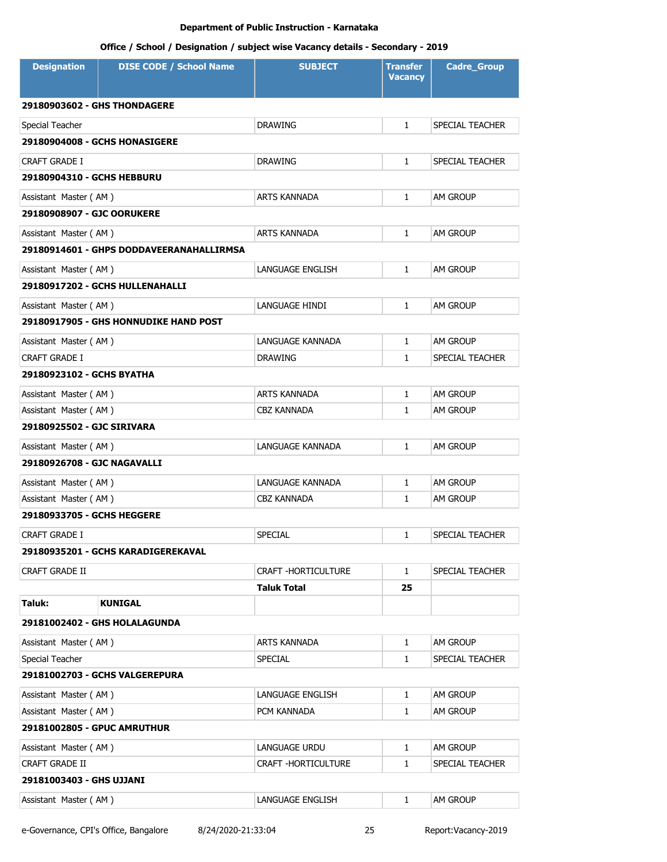| <b>Designation</b>                  | <b>DISE CODE / School Name</b>               | <b>SUBJECT</b>       | <b>Transfer</b><br><b>Vacancy</b> | Cadre_Group     |  |
|-------------------------------------|----------------------------------------------|----------------------|-----------------------------------|-----------------|--|
| <b>29180903602 - GHS THONDAGERE</b> |                                              |                      |                                   |                 |  |
| Special Teacher                     |                                              | <b>DRAWING</b>       | $\mathbf{1}$                      | SPECIAL TEACHER |  |
|                                     | <b>29180904008 - GCHS HONASIGERE</b>         |                      |                                   |                 |  |
| CRAFT GRADE I                       |                                              | <b>DRAWING</b>       | $\mathbf{1}$                      | SPECIAL TEACHER |  |
| 29180904310 - GCHS HEBBURU          |                                              |                      |                                   |                 |  |
| Assistant Master (AM)               |                                              | <b>ARTS KANNADA</b>  | $\mathbf{1}$                      | AM GROUP        |  |
| 29180908907 - GJC OORUKERE          |                                              |                      |                                   |                 |  |
| Assistant Master (AM)               |                                              | <b>ARTS KANNADA</b>  | $\mathbf{1}$                      | <b>AM GROUP</b> |  |
|                                     | 29180914601 - GHPS DODDAVEERANAHALLIRMSA     |                      |                                   |                 |  |
| Assistant Master (AM)               |                                              | LANGUAGE ENGLISH     | $\mathbf{1}$                      | <b>AM GROUP</b> |  |
|                                     | 29180917202 - GCHS HULLENAHALLI              |                      |                                   |                 |  |
| Assistant Master (AM)               |                                              | LANGUAGE HINDI       | $\mathbf{1}$                      | <b>AM GROUP</b> |  |
|                                     | <b>29180917905 - GHS HONNUDIKE HAND POST</b> |                      |                                   |                 |  |
| Assistant Master (AM)               |                                              | LANGUAGE KANNADA     | $\mathbf{1}$                      | AM GROUP        |  |
| <b>CRAFT GRADE I</b>                |                                              | <b>DRAWING</b>       | 1                                 | SPECIAL TEACHER |  |
| 29180923102 - GCHS BYATHA           |                                              |                      |                                   |                 |  |
| Assistant Master (AM)               |                                              | ARTS KANNADA         | $\mathbf{1}$                      | AM GROUP        |  |
| Assistant Master (AM)               |                                              | <b>CBZ KANNADA</b>   | $\mathbf{1}$                      | am Group        |  |
| 29180925502 - GJC SIRIVARA          |                                              |                      |                                   |                 |  |
| Assistant Master (AM)               |                                              | LANGUAGE KANNADA     | $\mathbf{1}$                      | <b>AM GROUP</b> |  |
| 29180926708 - GJC NAGAVALLI         |                                              |                      |                                   |                 |  |
| Assistant Master (AM)               |                                              | LANGUAGE KANNADA     | $\mathbf{1}$                      | AM GROUP        |  |
| Assistant Master (AM)               |                                              | CBZ KANNADA          | $\mathbf{1}$                      | am Group        |  |
| 29180933705 - GCHS HEGGERE          |                                              |                      |                                   |                 |  |
| CRAFT GRADE I                       |                                              | SPECIAL              | 1                                 | SPECIAL TEACHER |  |
|                                     | 29180935201 - GCHS KARADIGEREKAVAL           |                      |                                   |                 |  |
| CRAFT GRADE II                      |                                              | CRAFT - HORTICULTURE | $\mathbf{1}$                      | SPECIAL TEACHER |  |
|                                     |                                              | Taluk Total          | 25                                |                 |  |
| Taluk:                              | <b>KUNIGAL</b>                               |                      |                                   |                 |  |
|                                     | 29181002402 - GHS HOLALAGUNDA                |                      |                                   |                 |  |
| Assistant Master (AM)               |                                              | ARTS KANNADA         | $\mathbf{1}$                      | AM GROUP        |  |
| Special Teacher                     |                                              | SPECIAL              | $\mathbf{1}$                      | SPECIAL TEACHER |  |
| 29181002703 - GCHS VALGEREPURA      |                                              |                      |                                   |                 |  |
| Assistant Master (AM)               |                                              | LANGUAGE ENGLISH     | $\mathbf{1}$                      | AM GROUP        |  |
| Assistant Master (AM)               |                                              | PCM KANNADA          | 1                                 | AM GROUP        |  |
| 29181002805 - GPUC AMRUTHUR         |                                              |                      |                                   |                 |  |
| Assistant Master (AM)               |                                              | LANGUAGE URDU        | $\mathbf{1}$                      | AM GROUP        |  |
| CRAFT GRADE II                      |                                              | CRAFT - HORTICULTURE | 1                                 | SPECIAL TEACHER |  |
| 29181003403 - GHS UJJANI            |                                              |                      |                                   |                 |  |
| Assistant Master (AM)               |                                              | LANGUAGE ENGLISH     | $\mathbf{1}$                      | AM GROUP        |  |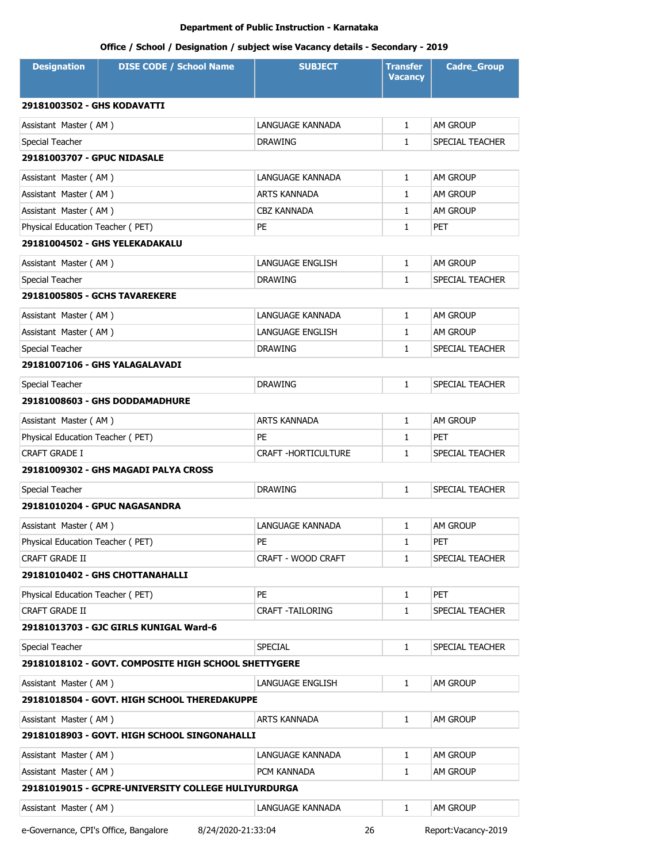| <b>Designation</b>                    | <b>DISE CODE / School Name</b>                       | <b>SUBJECT</b>             | <b>Transfer</b><br><b>Vacancy</b> | <b>Cadre_Group</b>  |  |
|---------------------------------------|------------------------------------------------------|----------------------------|-----------------------------------|---------------------|--|
| 29181003502 - GHS KODAVATTI           |                                                      |                            |                                   |                     |  |
| Assistant Master (AM)                 |                                                      | LANGUAGE KANNADA           | $\mathbf{1}$                      | <b>AM GROUP</b>     |  |
| Special Teacher                       |                                                      | <b>DRAWING</b>             | $\mathbf{1}$                      | SPECIAL TEACHER     |  |
| <b>29181003707 - GPUC NIDASALE</b>    |                                                      |                            |                                   |                     |  |
| Assistant Master (AM)                 |                                                      | LANGUAGE KANNADA           | $\mathbf{1}$                      | AM GROUP            |  |
| Assistant Master (AM)                 |                                                      | ARTS KANNADA               | $\mathbf{1}$                      | <b>AM GROUP</b>     |  |
| Assistant Master (AM)                 |                                                      | <b>CBZ KANNADA</b>         | 1                                 | AM GROUP            |  |
| Physical Education Teacher (PET)      |                                                      | PE                         | 1                                 | <b>PET</b>          |  |
|                                       | 29181004502 - GHS YELEKADAKALU                       |                            |                                   |                     |  |
| Assistant Master (AM)                 |                                                      | LANGUAGE ENGLISH           | $\mathbf{1}$                      | AM GROUP            |  |
| Special Teacher                       |                                                      | <b>DRAWING</b>             | 1                                 | SPECIAL TEACHER     |  |
| <b>29181005805 - GCHS TAVAREKERE</b>  |                                                      |                            |                                   |                     |  |
| Assistant Master (AM)                 |                                                      | LANGUAGE KANNADA           | $\mathbf{1}$                      | <b>AM GROUP</b>     |  |
| Assistant Master (AM)                 |                                                      | LANGUAGE ENGLISH           | 1                                 | AM GROUP            |  |
| Special Teacher                       |                                                      | <b>DRAWING</b>             | $\mathbf{1}$                      | SPECIAL TEACHER     |  |
|                                       | 29181007106 - GHS YALAGALAVADI                       |                            |                                   |                     |  |
| Special Teacher                       |                                                      | <b>DRAWING</b>             | $\mathbf{1}$                      | SPECIAL TEACHER     |  |
|                                       | 29181008603 - GHS DODDAMADHURE                       |                            |                                   |                     |  |
| Assistant Master (AM)                 |                                                      | ARTS KANNADA               | $\mathbf{1}$                      | AM GROUP            |  |
| Physical Education Teacher (PET)      |                                                      | PE                         | 1                                 | <b>PET</b>          |  |
| <b>CRAFT GRADE I</b>                  |                                                      | <b>CRAFT -HORTICULTURE</b> | $\mathbf{1}$                      | SPECIAL TEACHER     |  |
|                                       | 29181009302 - GHS MAGADI PALYA CROSS                 |                            |                                   |                     |  |
| Special Teacher                       |                                                      | <b>DRAWING</b>             | $\mathbf{1}$                      | SPECIAL TEACHER     |  |
|                                       | 29181010204 - GPUC NAGASANDRA                        |                            |                                   |                     |  |
| Assistant Master (AM)                 |                                                      | LANGUAGE KANNADA           | $\mathbf{1}$                      | AM GROUP            |  |
| Physical Education Teacher (PET)      |                                                      | PE                         | 1                                 | PET                 |  |
| CRAFT GRADE II                        |                                                      | CRAFT - WOOD CRAFT         | $\mathbf{1}$                      | SPECIAL TEACHER     |  |
|                                       | 29181010402 - GHS CHOTTANAHALLI                      |                            |                                   |                     |  |
| Physical Education Teacher (PET)      |                                                      | <b>PE</b>                  | $\mathbf{1}$                      | <b>PET</b>          |  |
| <b>CRAFT GRADE II</b>                 |                                                      | <b>CRAFT -TAILORING</b>    | $\mathbf{1}$                      | SPECIAL TEACHER     |  |
|                                       | 29181013703 - GJC GIRLS KUNIGAL Ward-6               |                            |                                   |                     |  |
| Special Teacher                       |                                                      | SPECIAL                    | $\mathbf{1}$                      | SPECIAL TEACHER     |  |
|                                       | 29181018102 - GOVT, COMPOSITE HIGH SCHOOL SHETTYGERE |                            |                                   |                     |  |
| Assistant Master (AM)                 |                                                      | LANGUAGE ENGLISH           | $\mathbf{1}$                      | AM GROUP            |  |
|                                       | 29181018504 - GOVT. HIGH SCHOOL THEREDAKUPPE         |                            |                                   |                     |  |
| Assistant Master (AM)                 |                                                      | ARTS KANNADA               | $\mathbf{1}$                      | <b>AM GROUP</b>     |  |
|                                       | 29181018903 - GOVT. HIGH SCHOOL SINGONAHALLI         |                            |                                   |                     |  |
| Assistant Master (AM)                 |                                                      | LANGUAGE KANNADA           | $\mathbf{1}$                      | <b>AM GROUP</b>     |  |
| Assistant Master (AM)                 |                                                      | PCM KANNADA                | $\mathbf{1}$                      | AM GROUP            |  |
|                                       | 29181019015 - GCPRE-UNIVERSITY COLLEGE HULIYURDURGA  |                            |                                   |                     |  |
| Assistant Master (AM)                 |                                                      | LANGUAGE KANNADA           | $\mathbf{1}$                      | <b>AM GROUP</b>     |  |
| e-Governance, CPI's Office, Bangalore | 8/24/2020-21:33:04                                   | 26                         |                                   | Report:Vacancy-2019 |  |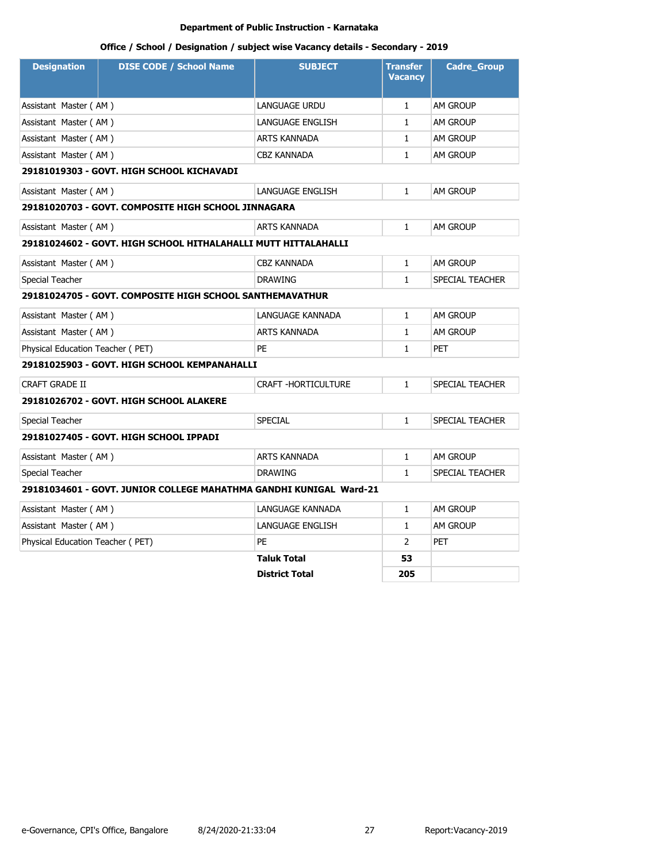| <b>Designation</b>               | <b>DISE CODE / School Name</b>                                     | <b>SUBJECT</b>          | <b>Transfer</b><br><b>Vacancy</b> | <b>Cadre_Group</b> |
|----------------------------------|--------------------------------------------------------------------|-------------------------|-----------------------------------|--------------------|
| Assistant Master (AM)            |                                                                    | LANGUAGE URDU           | $\mathbf{1}$                      | AM GROUP           |
| Assistant Master (AM)            |                                                                    | <b>LANGUAGE ENGLISH</b> | $\mathbf{1}$                      | <b>AM GROUP</b>    |
| Assistant Master (AM)            |                                                                    | <b>ARTS KANNADA</b>     | $\mathbf{1}$                      | AM GROUP           |
| Assistant Master (AM)            |                                                                    | <b>CBZ KANNADA</b>      | $\mathbf{1}$                      | <b>AM GROUP</b>    |
|                                  | 29181019303 - GOVT. HIGH SCHOOL KICHAVADI                          |                         |                                   |                    |
| Assistant Master (AM)            |                                                                    | <b>LANGUAGE ENGLISH</b> | $\mathbf{1}$                      | AM GROUP           |
|                                  | 29181020703 - GOVT. COMPOSITE HIGH SCHOOL JINNAGARA                |                         |                                   |                    |
| Assistant Master (AM)            |                                                                    | <b>ARTS KANNADA</b>     | $\mathbf{1}$                      | <b>AM GROUP</b>    |
|                                  | 29181024602 - GOVT. HIGH SCHOOL HITHALAHALLI MUTT HITTALAHALLI     |                         |                                   |                    |
| Assistant Master (AM)            |                                                                    | <b>CBZ KANNADA</b>      | $\mathbf{1}$                      | AM GROUP           |
| Special Teacher                  |                                                                    | <b>DRAWING</b>          | $\mathbf{1}$                      | SPECIAL TEACHER    |
|                                  | 29181024705 - GOVT. COMPOSITE HIGH SCHOOL SANTHEMAVATHUR           |                         |                                   |                    |
| Assistant Master (AM)            |                                                                    | LANGUAGE KANNADA        | $\mathbf{1}$                      | <b>AM GROUP</b>    |
| Assistant Master (AM)            |                                                                    | <b>ARTS KANNADA</b>     | $\mathbf{1}$                      | AM GROUP           |
| Physical Education Teacher (PET) |                                                                    | PE                      | $\mathbf{1}$                      | <b>PET</b>         |
|                                  | 29181025903 - GOVT. HIGH SCHOOL KEMPANAHALLI                       |                         |                                   |                    |
| <b>CRAFT GRADE II</b>            |                                                                    | CRAFT - HORTICULTURE    | $\mathbf{1}$                      | SPECIAL TEACHER    |
|                                  | 29181026702 - GOVT. HIGH SCHOOL ALAKERE                            |                         |                                   |                    |
| Special Teacher                  |                                                                    | <b>SPECIAL</b>          | $\mathbf{1}$                      | SPECIAL TEACHER    |
|                                  | 29181027405 - GOVT. HIGH SCHOOL IPPADI                             |                         |                                   |                    |
| Assistant Master (AM)            |                                                                    | <b>ARTS KANNADA</b>     | $\mathbf{1}$                      | AM GROUP           |
| Special Teacher                  |                                                                    | <b>DRAWING</b>          | $\mathbf{1}$                      | SPECIAL TEACHER    |
|                                  | 29181034601 - GOVT. JUNIOR COLLEGE MAHATHMA GANDHI KUNIGAL Ward-21 |                         |                                   |                    |
| Assistant Master (AM)            |                                                                    | LANGUAGE KANNADA        | $\mathbf{1}$                      | <b>AM GROUP</b>    |
| Assistant Master (AM)            |                                                                    | LANGUAGE ENGLISH        | $\mathbf{1}$                      | AM GROUP           |
| Physical Education Teacher (PET) |                                                                    | PE                      | $\overline{2}$                    | <b>PET</b>         |
|                                  |                                                                    | <b>Taluk Total</b>      | 53                                |                    |
|                                  |                                                                    | <b>District Total</b>   | 205                               |                    |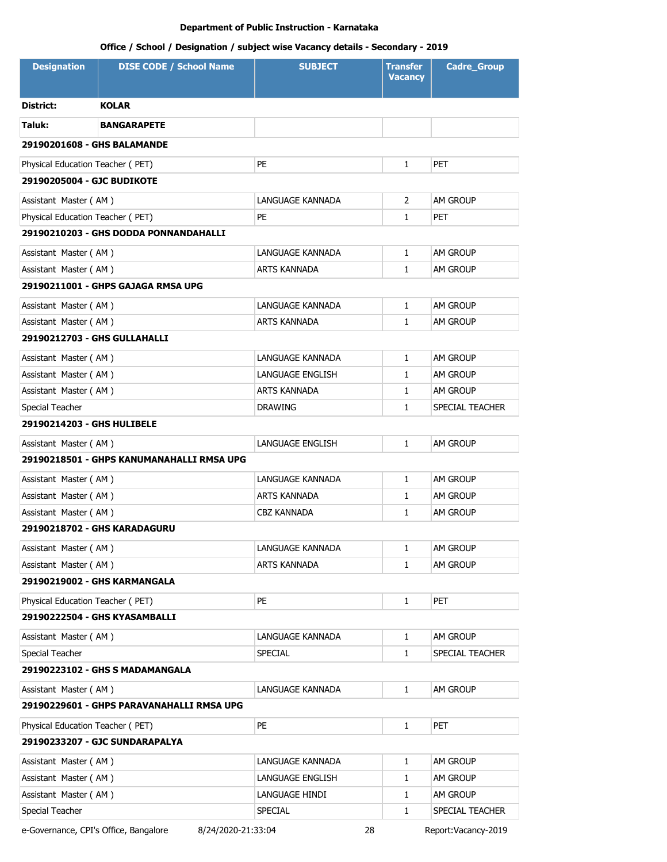# **Office / School / Designation / subject wise Vacancy details - Secondary - 2019**

| <b>Designation</b>               | <b>DISE CODE / School Name</b>            | <b>SUBJECT</b>     | <b>Transfer</b><br><b>Vacancy</b> | <b>Cadre_Group</b> |
|----------------------------------|-------------------------------------------|--------------------|-----------------------------------|--------------------|
| District:                        | <b>KOLAR</b>                              |                    |                                   |                    |
| Taluk:                           | <b>BANGARAPETE</b>                        |                    |                                   |                    |
| 29190201608 - GHS BALAMANDE      |                                           |                    |                                   |                    |
| Physical Education Teacher (PET) |                                           | PE                 | $\mathbf{1}$                      | <b>PET</b>         |
| 29190205004 - GJC BUDIKOTE       |                                           |                    |                                   |                    |
| Assistant Master (AM)            |                                           | LANGUAGE KANNADA   | $\overline{2}$                    | <b>AM GROUP</b>    |
| Physical Education Teacher (PET) |                                           | PE                 | 1                                 | <b>PET</b>         |
|                                  | 29190210203 - GHS DODDA PONNANDAHALLI     |                    |                                   |                    |
| Assistant Master (AM)            |                                           | LANGUAGE KANNADA   | 1                                 | <b>AM GROUP</b>    |
| Assistant Master (AM)            |                                           | ARTS KANNADA       | 1                                 | <b>AM GROUP</b>    |
|                                  | 29190211001 - GHPS GAJAGA RMSA UPG        |                    |                                   |                    |
| Assistant Master (AM)            |                                           | LANGUAGE KANNADA   | $\mathbf{1}$                      | AM GROUP           |
| Assistant Master (AM)            |                                           | ARTS KANNADA       | 1                                 | AM GROUP           |
| 29190212703 - GHS GULLAHALLI     |                                           |                    |                                   |                    |
| Assistant Master (AM)            |                                           | LANGUAGE KANNADA   | $\mathbf{1}$                      | <b>AM GROUP</b>    |
| Assistant Master (AM)            |                                           | LANGUAGE ENGLISH   | $\mathbf{1}$                      | <b>AM GROUP</b>    |
| Assistant Master (AM)            |                                           | ARTS KANNADA       | 1                                 | <b>AM GROUP</b>    |
| Special Teacher                  |                                           | <b>DRAWING</b>     | $\mathbf{1}$                      | SPECIAL TEACHER    |
| 29190214203 - GHS HULIBELE       |                                           |                    |                                   |                    |
| Assistant Master (AM)            |                                           | LANGUAGE ENGLISH   | $\mathbf{1}$                      | AM GROUP           |
|                                  | 29190218501 - GHPS KANUMANAHALLI RMSA UPG |                    |                                   |                    |
| Assistant Master (AM)            |                                           | LANGUAGE KANNADA   | $\mathbf{1}$                      | AM GROUP           |
| Assistant Master (AM)            |                                           | ARTS KANNADA       | $\mathbf{1}$                      | <b>AM GROUP</b>    |
| Assistant Master (AM)            |                                           | <b>CBZ KANNADA</b> | $\mathbf{1}$                      | AM GROUP           |
| 29190218702 - GHS KARADAGURU     |                                           |                    |                                   |                    |
| Assistant Master (AM)            |                                           | LANGUAGE KANNADA   | 1                                 | AM GROUP           |
| Assistant Master (AM)            |                                           | ARTS KANNADA       | 1                                 | <b>AM GROUP</b>    |
| 29190219002 - GHS KARMANGALA     |                                           |                    |                                   |                    |
| Physical Education Teacher (PET) |                                           | <b>PE</b>          | $\mathbf{1}$                      | <b>PET</b>         |
| 29190222504 - GHS KYASAMBALLI    |                                           |                    |                                   |                    |
| Assistant Master (AM)            |                                           | LANGUAGE KANNADA   | 1                                 | AM GROUP           |
| Special Teacher                  |                                           | <b>SPECIAL</b>     | 1                                 | SPECIAL TEACHER    |
|                                  | 29190223102 - GHS S MADAMANGALA           |                    |                                   |                    |
| Assistant Master (AM)            |                                           | LANGUAGE KANNADA   | $\mathbf{1}$                      | <b>AM GROUP</b>    |
|                                  | 29190229601 - GHPS PARAVANAHALLI RMSA UPG |                    |                                   |                    |
| Physical Education Teacher (PET) |                                           | PE.                | $\mathbf{1}$                      | <b>PET</b>         |
|                                  | 29190233207 - GJC SUNDARAPALYA            |                    |                                   |                    |
| Assistant Master (AM)            |                                           | LANGUAGE KANNADA   | $\mathbf{1}$                      | AM GROUP           |
| Assistant Master (AM)            |                                           | LANGUAGE ENGLISH   | 1                                 | AM GROUP           |
| Assistant Master (AM)            |                                           | LANGUAGE HINDI     | 1                                 | AM GROUP           |
| Special Teacher                  |                                           | <b>SPECIAL</b>     | 1                                 | SPECIAL TEACHER    |

e-Governance, CPI's Office, Bangalore 8/24/2020-21:33:04 28 Report:Vacancy-2019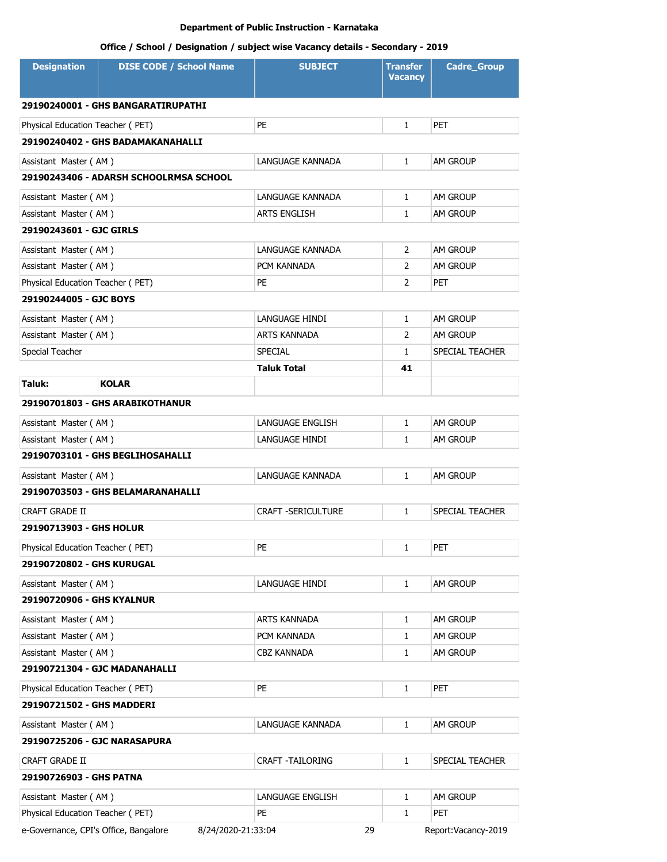| <b>Designation</b>                                            | <b>DISE CODE / School Name</b>         | <b>SUBJECT</b>            | <b>Transfer</b><br><b>Vacancy</b> | <b>Cadre_Group</b>   |
|---------------------------------------------------------------|----------------------------------------|---------------------------|-----------------------------------|----------------------|
|                                                               | 29190240001 - GHS BANGARATIRUPATHI     |                           |                                   |                      |
| Physical Education Teacher (PET)                              |                                        | PE                        | $\mathbf{1}$                      | <b>PET</b>           |
|                                                               | 29190240402 - GHS BADAMAKANAHALLI      |                           |                                   |                      |
|                                                               |                                        |                           |                                   |                      |
| Assistant Master (AM)                                         |                                        | LANGUAGE KANNADA          | 1                                 | <b>AM GROUP</b>      |
|                                                               | 29190243406 - ADARSH SCHOOLRMSA SCHOOL |                           |                                   |                      |
| Assistant Master (AM)                                         |                                        | LANGUAGE KANNADA          | $\mathbf{1}$                      | AM GROUP             |
| Assistant Master (AM)                                         |                                        | ARTS ENGLISH              | 1                                 | <b>AM GROUP</b>      |
| 29190243601 - GJC GIRLS                                       |                                        |                           |                                   |                      |
| Assistant Master (AM)                                         |                                        | LANGUAGE KANNADA          | $\overline{2}$                    | AM GROUP             |
| Assistant Master (AM)                                         |                                        | PCM KANNADA               | 2                                 | <b>AM GROUP</b>      |
| Physical Education Teacher (PET)                              |                                        | PE                        | 2                                 | <b>PET</b>           |
| 29190244005 - GJC BOYS                                        |                                        |                           |                                   |                      |
| Assistant Master (AM)                                         |                                        | LANGUAGE HINDI            | $\mathbf{1}$                      | AM GROUP             |
| Assistant Master (AM)                                         |                                        | ARTS KANNADA              | $\overline{2}$                    | AM GROUP             |
| Special Teacher                                               |                                        | SPECIAL                   | $\mathbf{1}$                      | SPECIAL TEACHER      |
|                                                               |                                        | <b>Taluk Total</b>        | 41                                |                      |
| Taluk:                                                        | <b>KOLAR</b>                           |                           |                                   |                      |
|                                                               | 29190701803 - GHS ARABIKOTHANUR        |                           |                                   |                      |
| Assistant Master (AM)                                         |                                        | LANGUAGE ENGLISH          | $\mathbf{1}$                      | <b>AM GROUP</b>      |
| Assistant Master (AM)                                         |                                        | LANGUAGE HINDI            | $\mathbf{1}$                      | <b>AM GROUP</b>      |
|                                                               | 29190703101 - GHS BEGLIHOSAHALLI       |                           |                                   |                      |
| Assistant Master (AM)                                         |                                        | LANGUAGE KANNADA          | $\mathbf{1}$                      | <b>AM GROUP</b>      |
|                                                               | 29190703503 - GHS BELAMARANAHALLI      |                           |                                   |                      |
| <b>CRAFT GRADE II</b>                                         |                                        | <b>CRAFT -SERICULTURE</b> | $\mathbf{1}$                      | SPECIAL TEACHER      |
| 29190713903 - GHS HOLUR                                       |                                        |                           |                                   |                      |
| Physical Education Teacher (PET)                              |                                        | PE                        | 1                                 | PET                  |
| 29190720802 - GHS KURUGAL                                     |                                        |                           |                                   |                      |
| Assistant Master (AM)                                         |                                        | LANGUAGE HINDI            | 1                                 | AM GROUP             |
| 29190720906 - GHS KYALNUR                                     |                                        |                           |                                   |                      |
|                                                               |                                        | ARTS KANNADA              | 1                                 |                      |
| Assistant Master (AM)                                         |                                        | PCM KANNADA               |                                   | AM GROUP<br>AM GROUP |
| Assistant Master (AM)<br>Assistant Master (AM)                |                                        | CBZ KANNADA               | 1<br>1                            | AM GROUP             |
| 29190721304 - GJC MADANAHALLI                                 |                                        |                           |                                   |                      |
|                                                               |                                        | PE                        |                                   | PET                  |
| Physical Education Teacher (PET)<br>29190721502 - GHS MADDERI |                                        |                           | 1                                 |                      |
| Assistant Master (AM)                                         |                                        | LANGUAGE KANNADA          | 1                                 | AM GROUP             |
| 29190725206 - GJC NARASAPURA                                  |                                        |                           |                                   |                      |
| <b>CRAFT GRADE II</b>                                         |                                        | CRAFT -TAILORING          | 1                                 | SPECIAL TEACHER      |
| 29190726903 - GHS PATNA                                       |                                        |                           |                                   |                      |
| Assistant Master (AM)                                         |                                        | LANGUAGE ENGLISH          | 1                                 | <b>AM GROUP</b>      |
| Physical Education Teacher (PET)                              |                                        | PE                        | 1                                 | <b>PET</b>           |
| e-Governance, CPI's Office, Bangalore                         | 8/24/2020-21:33:04                     | 29                        |                                   | Report:Vacancy-2019  |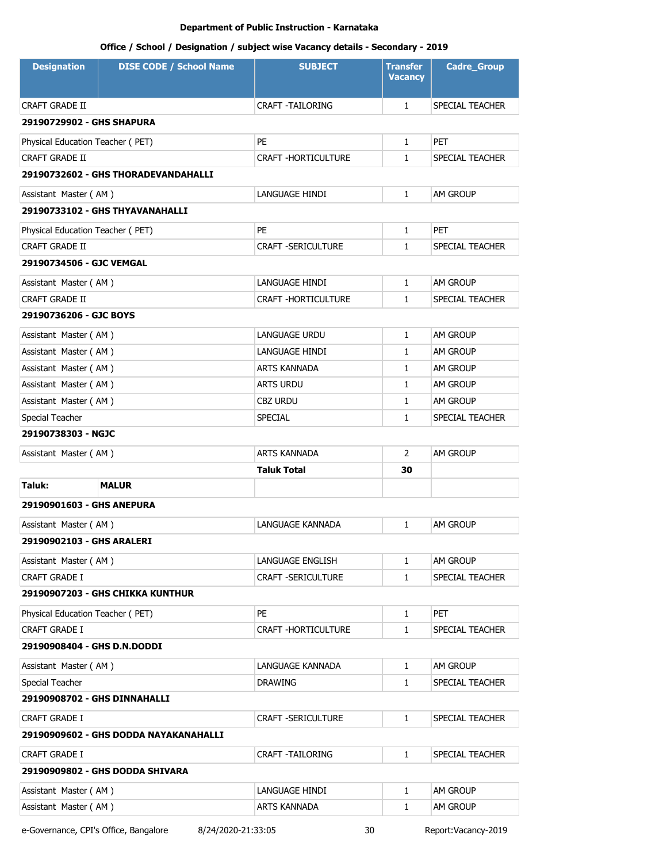# **Office / School / Designation / subject wise Vacancy details - Secondary - 2019**

| <b>Designation</b>               | <b>DISE CODE / School Name</b>        | <b>SUBJECT</b>             | <b>Transfer</b><br><b>Vacancy</b> | <b>Cadre_Group</b> |  |
|----------------------------------|---------------------------------------|----------------------------|-----------------------------------|--------------------|--|
| CRAFT GRADE II                   |                                       | <b>CRAFT -TAILORING</b>    | $\mathbf{1}$                      | SPECIAL TEACHER    |  |
| 29190729902 - GHS SHAPURA        |                                       |                            |                                   |                    |  |
| Physical Education Teacher (PET) |                                       | PE                         | $\mathbf{1}$                      | PET                |  |
| <b>CRAFT GRADE II</b>            |                                       | <b>CRAFT -HORTICULTURE</b> | $\mathbf{1}$                      | SPECIAL TEACHER    |  |
|                                  | 29190732602 - GHS THORADEVANDAHALLI   |                            |                                   |                    |  |
| Assistant Master (AM)            |                                       | LANGUAGE HINDI             | $\mathbf{1}$                      | AM GROUP           |  |
|                                  | 29190733102 - GHS THYAVANAHALLI       |                            |                                   |                    |  |
| Physical Education Teacher (PET) |                                       | PE                         | $\mathbf{1}$                      | <b>PET</b>         |  |
| CRAFT GRADE II                   |                                       | <b>CRAFT -SERICULTURE</b>  | $\mathbf{1}$                      | SPECIAL TEACHER    |  |
| 29190734506 - GJC VEMGAL         |                                       |                            |                                   |                    |  |
| Assistant Master (AM)            |                                       | LANGUAGE HINDI             | $\mathbf{1}$                      | AM GROUP           |  |
| CRAFT GRADE II                   |                                       | <b>CRAFT -HORTICULTURE</b> | $\mathbf{1}$                      | SPECIAL TEACHER    |  |
| 29190736206 - GJC BOYS           |                                       |                            |                                   |                    |  |
| Assistant Master (AM)            |                                       | <b>LANGUAGE URDU</b>       | $\mathbf{1}$                      | AM GROUP           |  |
| Assistant Master (AM)            |                                       | LANGUAGE HINDI             | $\mathbf{1}$                      | <b>AM GROUP</b>    |  |
| Assistant Master (AM)            |                                       | <b>ARTS KANNADA</b>        | $\mathbf{1}$                      | AM GROUP           |  |
| Assistant Master (AM)            |                                       | <b>ARTS URDU</b>           | $\mathbf{1}$                      | <b>AM GROUP</b>    |  |
| Assistant Master (AM)            |                                       | <b>CBZ URDU</b>            | $\mathbf{1}$                      | am Group           |  |
| Special Teacher                  |                                       | <b>SPECIAL</b>             | $\mathbf{1}$                      | SPECIAL TEACHER    |  |
| 29190738303 - NGJC               |                                       |                            |                                   |                    |  |
| Assistant Master (AM)            |                                       | <b>ARTS KANNADA</b>        | $\overline{2}$                    | AM GROUP           |  |
|                                  |                                       | <b>Taluk Total</b>         | 30                                |                    |  |
| Taluk:                           | <b>MALUR</b>                          |                            |                                   |                    |  |
| 29190901603 - GHS ANEPURA        |                                       |                            |                                   |                    |  |
| Assistant Master (AM)            |                                       | LANGUAGE KANNADA           | $\mathbf{1}$                      | AM GROUP           |  |
| 29190902103 - GHS ARALERI        |                                       |                            |                                   |                    |  |
| Assistant Master (AM)            |                                       | LANGUAGE ENGLISH           | 1                                 | AM GROUP           |  |
| CRAFT GRADE I                    |                                       | <b>CRAFT -SERICULTURE</b>  | $\mathbf{1}$                      | SPECIAL TEACHER    |  |
|                                  | 29190907203 - GHS CHIKKA KUNTHUR      |                            |                                   |                    |  |
| Physical Education Teacher (PET) |                                       | PE                         | $\mathbf{1}$                      | PET                |  |
| CRAFT GRADE I                    |                                       | CRAFT - HORTICULTURE       | $\mathbf{1}$                      | SPECIAL TEACHER    |  |
| 29190908404 - GHS D.N.DODDI      |                                       |                            |                                   |                    |  |
| Assistant Master (AM)            |                                       | LANGUAGE KANNADA           | $\mathbf{1}$                      | AM GROUP           |  |
| Special Teacher                  |                                       | <b>DRAWING</b>             | $\mathbf{1}$                      | SPECIAL TEACHER    |  |
| 29190908702 - GHS DINNAHALLI     |                                       |                            |                                   |                    |  |
| CRAFT GRADE I                    |                                       | CRAFT -SERICULTURE         | 1                                 | SPECIAL TEACHER    |  |
|                                  | 29190909602 - GHS DODDA NAYAKANAHALLI |                            |                                   |                    |  |
| CRAFT GRADE I                    |                                       | CRAFT -TAILORING           | $\mathbf{1}$                      | SPECIAL TEACHER    |  |
|                                  | 29190909802 - GHS DODDA SHIVARA       |                            |                                   |                    |  |
| Assistant Master (AM)            |                                       | LANGUAGE HINDI             | 1                                 | AM GROUP           |  |
| Assistant Master (AM)            |                                       | ARTS KANNADA               | $\mathbf{1}$                      | AM GROUP           |  |

e-Governance, CPI's Office, Bangalore 8/24/2020-21:33:05 30 Report:Vacancy-2019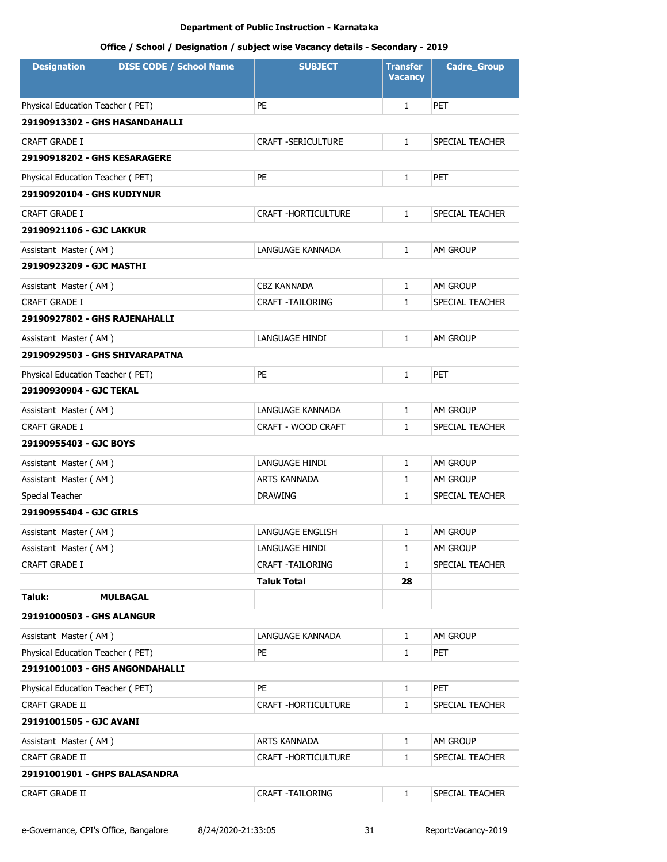| <b>Designation</b>               | <b>DISE CODE / School Name</b> | <b>SUBJECT</b>            | <b>Transfer</b><br><b>Vacancy</b> | <b>Cadre_Group</b> |
|----------------------------------|--------------------------------|---------------------------|-----------------------------------|--------------------|
| Physical Education Teacher (PET) |                                | PE                        | $\mathbf{1}$                      | <b>PET</b>         |
|                                  | 29190913302 - GHS HASANDAHALLI |                           |                                   |                    |
| <b>CRAFT GRADE I</b>             |                                | <b>CRAFT -SERICULTURE</b> | $\mathbf{1}$                      | SPECIAL TEACHER    |
| 29190918202 - GHS KESARAGERE     |                                |                           |                                   |                    |
| Physical Education Teacher (PET) |                                | PE                        | $\mathbf{1}$                      | <b>PET</b>         |
| 29190920104 - GHS KUDIYNUR       |                                |                           |                                   |                    |
| CRAFT GRADE I                    |                                | CRAFT - HORTICULTURE      | $\mathbf{1}$                      | SPECIAL TEACHER    |
| 29190921106 - GJC LAKKUR         |                                |                           |                                   |                    |
| Assistant Master (AM)            |                                | LANGUAGE KANNADA          | $\mathbf{1}$                      | AM GROUP           |
| 29190923209 - GJC MASTHI         |                                |                           |                                   |                    |
| Assistant Master (AM)            |                                | <b>CBZ KANNADA</b>        | $\mathbf{1}$                      | <b>AM GROUP</b>    |
| <b>CRAFT GRADE I</b>             |                                | <b>CRAFT -TAILORING</b>   | $\mathbf{1}$                      | SPECIAL TEACHER    |
| 29190927802 - GHS RAJENAHALLI    |                                |                           |                                   |                    |
| Assistant Master (AM)            |                                | LANGUAGE HINDI            | $\mathbf{1}$                      | <b>AM GROUP</b>    |
|                                  | 29190929503 - GHS SHIVARAPATNA |                           |                                   |                    |
| Physical Education Teacher (PET) |                                | <b>PE</b>                 | $\mathbf{1}$                      | <b>PET</b>         |
| 29190930904 - GJC TEKAL          |                                |                           |                                   |                    |
| Assistant Master (AM)            |                                | LANGUAGE KANNADA          | $\mathbf{1}$                      | AM GROUP           |
| <b>CRAFT GRADE I</b>             |                                | CRAFT - WOOD CRAFT        | $\mathbf{1}$                      | SPECIAL TEACHER    |
| 29190955403 - GJC BOYS           |                                |                           |                                   |                    |
| Assistant Master (AM)            |                                | LANGUAGE HINDI            | $\mathbf{1}$                      | AM GROUP           |
| Assistant Master (AM)            |                                | ARTS KANNADA              | $\mathbf{1}$                      | <b>AM GROUP</b>    |
| Special Teacher                  |                                | <b>DRAWING</b>            | 1                                 | SPECIAL TEACHER    |
| 29190955404 - GJC GIRLS          |                                |                           |                                   |                    |
| Assistant Master (AM)            |                                | LANGUAGE ENGLISH          | $\mathbf{1}$                      | am Group           |
| Assistant Master (AM)            |                                | LANGUAGE HINDI            | 1                                 | am Group           |
| CRAFT GRADE I                    |                                | <b>CRAFT -TAILORING</b>   | $\mathbf{1}$                      | SPECIAL TEACHER    |
|                                  |                                | Taluk Total               | 28                                |                    |
| Taluk:                           | MULBAGAL                       |                           |                                   |                    |
| 29191000503 - GHS ALANGUR        |                                |                           |                                   |                    |
| Assistant Master (AM)            |                                | LANGUAGE KANNADA          | $\mathbf{1}$                      | AM GROUP           |
| Physical Education Teacher (PET) |                                | PE                        | 1                                 | <b>PET</b>         |
|                                  | 29191001003 - GHS ANGONDAHALLI |                           |                                   |                    |
| Physical Education Teacher (PET) |                                | PE                        | $\mathbf{1}$                      | <b>PET</b>         |
| CRAFT GRADE II                   |                                | CRAFT - HORTICULTURE      | 1                                 | SPECIAL TEACHER    |
| 29191001505 - GJC AVANI          |                                |                           |                                   |                    |
| Assistant Master (AM)            |                                | ARTS KANNADA              | $\mathbf{1}$                      | AM GROUP           |
| CRAFT GRADE II                   |                                | CRAFT - HORTICULTURE      | 1                                 | SPECIAL TEACHER    |
|                                  | 29191001901 - GHPS BALASANDRA  |                           |                                   |                    |
| CRAFT GRADE II                   |                                | CRAFT - TAILORING         | $\mathbf{1}$                      | SPECIAL TEACHER    |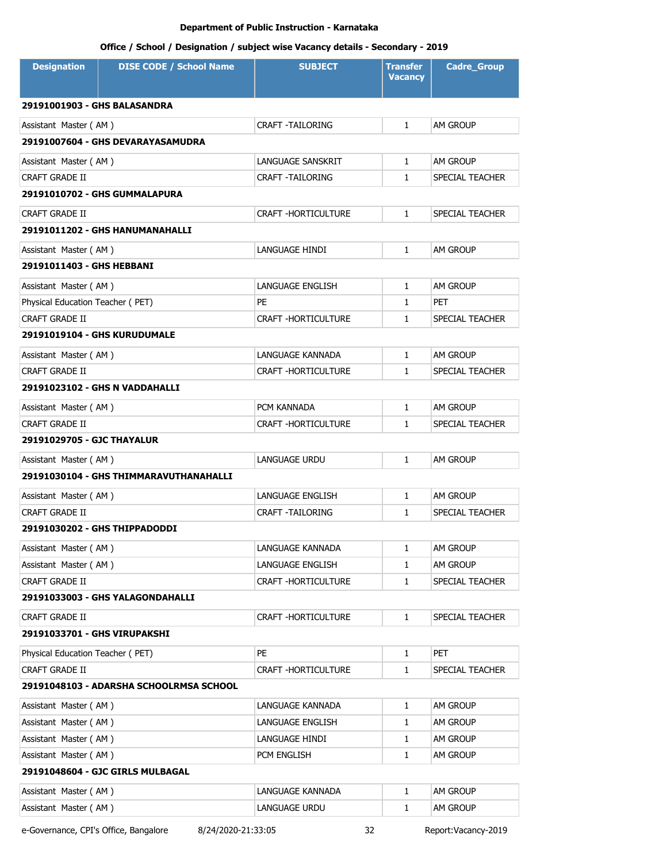# **Office / School / Designation / subject wise Vacancy details - Secondary - 2019**

| <b>Designation</b>                  | <b>DISE CODE / School Name</b>          | <b>SUBJECT</b>             | Transfer<br><b>Vacancy</b> | <b>Cadre_Group</b> |  |  |
|-------------------------------------|-----------------------------------------|----------------------------|----------------------------|--------------------|--|--|
| 29191001903 - GHS BALASANDRA        |                                         |                            |                            |                    |  |  |
| Assistant Master (AM)               |                                         | <b>CRAFT -TAILORING</b>    | $\mathbf{1}$               | AM GROUP           |  |  |
|                                     | 29191007604 - GHS DEVARAYASAMUDRA       |                            |                            |                    |  |  |
| Assistant Master (AM)               |                                         | LANGUAGE SANSKRIT          | $\mathbf{1}$               | AM GROUP           |  |  |
| <b>CRAFT GRADE II</b>               |                                         | <b>CRAFT -TAILORING</b>    | $\mathbf{1}$               | SPECIAL TEACHER    |  |  |
|                                     | 29191010702 - GHS GUMMALAPURA           |                            |                            |                    |  |  |
| <b>CRAFT GRADE II</b>               |                                         | <b>CRAFT -HORTICULTURE</b> | $\mathbf{1}$               | SPECIAL TEACHER    |  |  |
|                                     | 29191011202 - GHS HANUMANAHALLI         |                            |                            |                    |  |  |
| Assistant Master (AM)               |                                         | LANGUAGE HINDI             | $\mathbf{1}$               | AM GROUP           |  |  |
| 29191011403 - GHS HEBBANI           |                                         |                            |                            |                    |  |  |
| Assistant Master (AM)               |                                         | LANGUAGE ENGLISH           | 1                          | AM GROUP           |  |  |
| Physical Education Teacher (PET)    |                                         | PE                         | $\mathbf{1}$               | PET                |  |  |
| <b>CRAFT GRADE II</b>               |                                         | <b>CRAFT -HORTICULTURE</b> | $\mathbf{1}$               | SPECIAL TEACHER    |  |  |
| <b>29191019104 - GHS KURUDUMALE</b> |                                         |                            |                            |                    |  |  |
| Assistant Master (AM)               |                                         | LANGUAGE KANNADA           | $\mathbf{1}$               | AM GROUP           |  |  |
| CRAFT GRADE II                      |                                         | <b>CRAFT -HORTICULTURE</b> | $\mathbf{1}$               | SPECIAL TEACHER    |  |  |
|                                     | 29191023102 - GHS N VADDAHALLI          |                            |                            |                    |  |  |
| Assistant Master (AM)               |                                         | PCM KANNADA                | $\mathbf{1}$               | AM GROUP           |  |  |
| CRAFT GRADE II                      |                                         | <b>CRAFT -HORTICULTURE</b> | $\mathbf{1}$               | SPECIAL TEACHER    |  |  |
| 29191029705 - GJC THAYALUR          |                                         |                            |                            |                    |  |  |
| Assistant Master (AM)               |                                         | <b>LANGUAGE URDU</b>       | $\mathbf{1}$               | am Group           |  |  |
|                                     | 29191030104 - GHS THIMMARAVUTHANAHALLI  |                            |                            |                    |  |  |
| Assistant Master (AM)               |                                         | LANGUAGE ENGLISH           | $\mathbf{1}$               | am Group           |  |  |
| CRAFT GRADE II                      |                                         | <b>CRAFT -TAILORING</b>    | $\mathbf{1}$               | SPECIAL TEACHER    |  |  |
|                                     | 29191030202 - GHS THIPPADODDI           |                            |                            |                    |  |  |
| Assistant Master (AM)               |                                         | LANGUAGE KANNADA           | 1                          | AM GROUP           |  |  |
| Assistant Master (AM)               |                                         | LANGUAGE ENGLISH           | 1                          | AM GROUP           |  |  |
| <b>CRAFT GRADE II</b>               |                                         | CRAFT - HORTICULTURE       | 1                          | SPECIAL TEACHER    |  |  |
|                                     | 29191033003 - GHS YALAGONDAHALLI        |                            |                            |                    |  |  |
| CRAFT GRADE II                      |                                         | CRAFT -HORTICULTURE        | $\mathbf{1}$               | SPECIAL TEACHER    |  |  |
| 29191033701 - GHS VIRUPAKSHI        |                                         |                            |                            |                    |  |  |
| Physical Education Teacher (PET)    |                                         | PE.                        | $\mathbf{1}$               | <b>PET</b>         |  |  |
| <b>CRAFT GRADE II</b>               |                                         | <b>CRAFT -HORTICULTURE</b> | $\mathbf{1}$               | SPECIAL TEACHER    |  |  |
|                                     | 29191048103 - ADARSHA SCHOOLRMSA SCHOOL |                            |                            |                    |  |  |
| Assistant Master (AM)               |                                         | LANGUAGE KANNADA           | $\mathbf{1}$               | am Group           |  |  |
| Assistant Master (AM)               |                                         | LANGUAGE ENGLISH           | 1                          | AM GROUP           |  |  |
| Assistant Master (AM)               |                                         | LANGUAGE HINDI             | 1                          | AM GROUP           |  |  |
| Assistant Master (AM)               |                                         | PCM ENGLISH                | 1                          | AM GROUP           |  |  |
|                                     | 29191048604 - GJC GIRLS MULBAGAL        |                            |                            |                    |  |  |
| Assistant Master (AM)               |                                         | LANGUAGE KANNADA           | $\mathbf{1}$               | AM GROUP           |  |  |
| Assistant Master (AM)               |                                         | LANGUAGE URDU              | 1                          | AM GROUP           |  |  |

e-Governance, CPI's Office, Bangalore 8/24/2020-21:33:05 32 Report:Vacancy-2019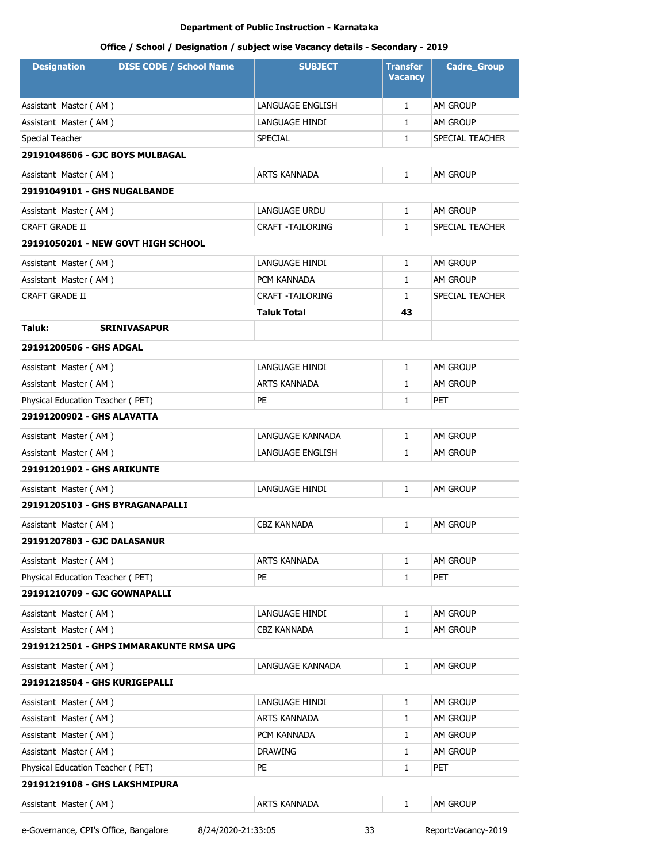# **Office / School / Designation / subject wise Vacancy details - Secondary - 2019**

| <b>Designation</b>                | <b>DISE CODE / School Name</b>          | <b>SUBJECT</b>     | <b>Transfer</b><br><b>Vacancy</b> | <b>Cadre_Group</b> |
|-----------------------------------|-----------------------------------------|--------------------|-----------------------------------|--------------------|
| Assistant Master (AM)             |                                         | LANGUAGE ENGLISH   | $\mathbf{1}$                      | AM GROUP           |
| Assistant Master (AM)             |                                         | LANGUAGE HINDI     | 1                                 | <b>AM GROUP</b>    |
| Special Teacher                   |                                         | SPECIAL            | 1                                 | SPECIAL TEACHER    |
|                                   | 29191048606 - GJC BOYS MULBAGAL         |                    |                                   |                    |
| Assistant Master (AM)             |                                         | ARTS KANNADA       | $\mathbf{1}$                      | AM GROUP           |
|                                   | 29191049101 - GHS NUGALBANDE            |                    |                                   |                    |
| Assistant Master (AM)             |                                         | LANGUAGE URDU      | $\mathbf{1}$                      | AM GROUP           |
| <b>CRAFT GRADE II</b>             |                                         | CRAFT -TAILORING   | 1                                 | SPECIAL TEACHER    |
|                                   | 29191050201 - NEW GOVT HIGH SCHOOL      |                    |                                   |                    |
| Assistant Master (AM)             |                                         | LANGUAGE HINDI     | $\mathbf{1}$                      | AM GROUP           |
| Assistant Master (AM)             |                                         | PCM KANNADA        | 1                                 | am Group           |
| CRAFT GRADE II                    |                                         | CRAFT - TAILORING  | 1                                 | SPECIAL TEACHER    |
|                                   |                                         | Taluk Total        | 43                                |                    |
| Taluk:                            | <b>SRINIVASAPUR</b>                     |                    |                                   |                    |
| 29191200506 - GHS ADGAL           |                                         |                    |                                   |                    |
| Assistant Master (AM)             |                                         | LANGUAGE HINDI     | $\mathbf{1}$                      | AM GROUP           |
| Assistant Master (AM)             |                                         | ARTS KANNADA       | 1                                 | AM GROUP           |
| Physical Education Teacher (PET)  |                                         | PE                 | 1                                 | <b>PET</b>         |
| 29191200902 - GHS ALAVATTA        |                                         |                    |                                   |                    |
| Assistant Master (AM)             |                                         | LANGUAGE KANNADA   | 1                                 | AM GROUP           |
| Assistant Master (AM)             |                                         | LANGUAGE ENGLISH   | $\mathbf{1}$                      | AM GROUP           |
| <b>29191201902 - GHS ARIKUNTE</b> |                                         |                    |                                   |                    |
| Assistant Master (AM)             |                                         | LANGUAGE HINDI     | $\mathbf{1}$                      | am Group           |
|                                   | 29191205103 - GHS BYRAGANAPALLI         |                    |                                   |                    |
| Assistant Master (AM)             |                                         | <b>CBZ KANNADA</b> | $\mathbf{1}$                      | AM GROUP           |
| 29191207803 - GJC DALASANUR       |                                         |                    |                                   |                    |
| Assistant Master (AM)             |                                         | ARTS KANNADA       | 1                                 | am Group           |
| Physical Education Teacher (PET)  |                                         | PE                 | $\mathbf{1}$                      | <b>PET</b>         |
| 29191210709 - GJC GOWNAPALLI      |                                         |                    |                                   |                    |
| Assistant Master (AM)             |                                         | LANGUAGE HINDI     | $\mathbf{1}$                      | AM GROUP           |
| Assistant Master (AM)             |                                         | <b>CBZ KANNADA</b> | $\mathbf{1}$                      | AM GROUP           |
|                                   | 29191212501 - GHPS IMMARAKUNTE RMSA UPG |                    |                                   |                    |
| Assistant Master (AM)             |                                         | LANGUAGE KANNADA   | $\mathbf{1}$                      | AM GROUP           |
|                                   | 29191218504 - GHS KURIGEPALLI           |                    |                                   |                    |
| Assistant Master (AM)             |                                         | LANGUAGE HINDI     | 1                                 | AM GROUP           |
| Assistant Master (AM)             |                                         | ARTS KANNADA       | 1                                 | AM GROUP           |
| Assistant Master (AM)             |                                         | PCM KANNADA        | 1                                 | AM GROUP           |
| Assistant Master (AM)             |                                         | DRAWING            | 1                                 | AM GROUP           |
| Physical Education Teacher (PET)  |                                         | PE                 | 1                                 | PET                |
|                                   | 29191219108 - GHS LAKSHMIPURA           |                    |                                   |                    |
| Assistant Master (AM)             |                                         | ARTS KANNADA       | 1                                 | AM GROUP           |

e-Governance, CPI's Office, Bangalore 8/24/2020-21:33:05 33 Report:Vacancy-2019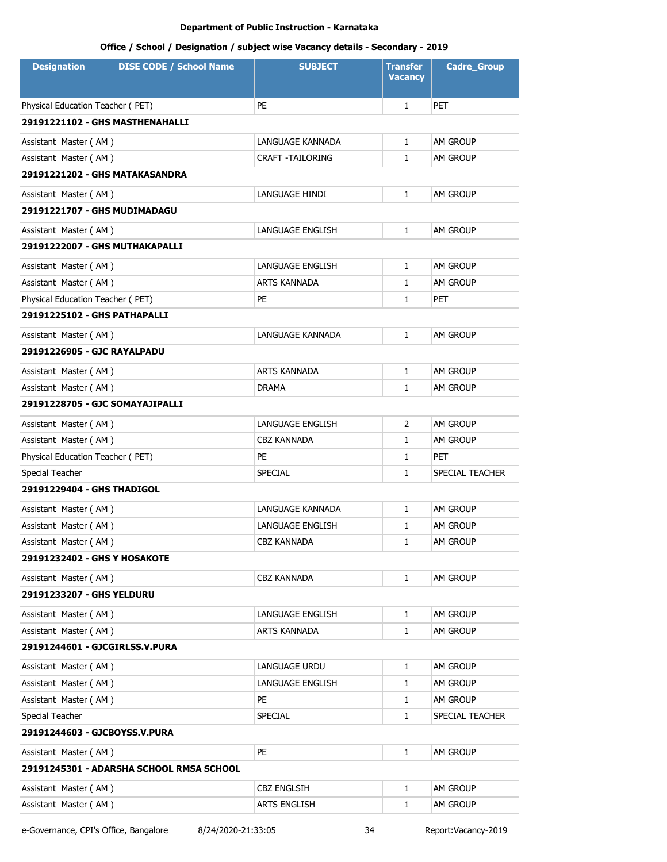# **Office / School / Designation / subject wise Vacancy details - Secondary - 2019**

| <b>Designation</b>                | <b>DISE CODE / School Name</b>           | <b>SUBJECT</b>          | <b>Transfer</b><br>Vacancy | <b>Cadre_Group</b> |
|-----------------------------------|------------------------------------------|-------------------------|----------------------------|--------------------|
| Physical Education Teacher (PET)  |                                          | PE                      | $\mathbf{1}$               | <b>PET</b>         |
|                                   | 29191221102 - GHS MASTHENAHALLI          |                         |                            |                    |
| Assistant Master (AM)             |                                          | LANGUAGE KANNADA        | $\mathbf{1}$               | AM GROUP           |
| Assistant Master (AM)             |                                          | CRAFT -TAILORING        | $\mathbf{1}$               | AM GROUP           |
|                                   | 29191221202 - GHS MATAKASANDRA           |                         |                            |                    |
| Assistant Master (AM)             |                                          | LANGUAGE HINDI          | $\mathbf{1}$               | AM GROUP           |
| 29191221707 - GHS MUDIMADAGU      |                                          |                         |                            |                    |
| Assistant Master (AM)             |                                          | <b>LANGUAGE ENGLISH</b> | $\mathbf{1}$               | AM GROUP           |
|                                   | 29191222007 - GHS MUTHAKAPALLI           |                         |                            |                    |
| Assistant Master (AM)             |                                          | <b>LANGUAGE ENGLISH</b> | 1                          | AM GROUP           |
| Assistant Master (AM)             |                                          | ARTS KANNADA            | 1                          | AM GROUP           |
| Physical Education Teacher (PET)  |                                          | PE                      | 1                          | PET                |
| 29191225102 - GHS PATHAPALLI      |                                          |                         |                            |                    |
| Assistant Master (AM)             |                                          | LANGUAGE KANNADA        | $\mathbf{1}$               | AM GROUP           |
| 29191226905 - GJC RAYALPADU       |                                          |                         |                            |                    |
| Assistant Master (AM)             |                                          | ARTS KANNADA            | 1                          | AM GROUP           |
| Assistant Master (AM)             |                                          | <b>DRAMA</b>            | $\mathbf{1}$               | AM GROUP           |
|                                   | 29191228705 - GJC SOMAYAJIPALLI          |                         |                            |                    |
| Assistant Master (AM)             |                                          | LANGUAGE ENGLISH        | 2                          | AM GROUP           |
| Assistant Master (AM)             |                                          | CBZ KANNADA             | 1                          | <b>AM GROUP</b>    |
| Physical Education Teacher (PET)  |                                          | PE                      | 1                          | PET                |
| Special Teacher                   |                                          | <b>SPECIAL</b>          | 1                          | SPECIAL TEACHER    |
| <b>29191229404 - GHS THADIGOL</b> |                                          |                         |                            |                    |
| Assistant Master (AM)             |                                          | LANGUAGE KANNADA        | 1                          | AM GROUP           |
| Assistant Master (AM)             |                                          | LANGUAGE ENGLISH        | 1                          | AM GROUP           |
| Assistant Master (AM)             |                                          | CBZ KANNADA             | 1                          | AM GROUP           |
| 29191232402 - GHS Y HOSAKOTE      |                                          |                         |                            |                    |
| Assistant Master (AM)             |                                          | <b>CBZ KANNADA</b>      | $\mathbf{1}$               | AM GROUP           |
| 29191233207 - GHS YELDURU         |                                          |                         |                            |                    |
| Assistant Master (AM)             |                                          | LANGUAGE ENGLISH        | $\mathbf{1}$               | AM GROUP           |
| Assistant Master (AM)             |                                          | ARTS KANNADA            | 1                          | AM GROUP           |
|                                   | 29191244601 - GJCGIRLSS.V.PURA           |                         |                            |                    |
| Assistant Master (AM)             |                                          | LANGUAGE URDU           | $\mathbf{1}$               | AM GROUP           |
| Assistant Master (AM)             |                                          | LANGUAGE ENGLISH        | 1                          | AM GROUP           |
| Assistant Master (AM)             |                                          | PE                      | 1                          | AM GROUP           |
| Special Teacher                   |                                          | SPECIAL                 | $\mathbf{1}$               | SPECIAL TEACHER    |
| 29191244603 - GJCBOYSS.V.PURA     |                                          |                         |                            |                    |
| Assistant Master (AM)             |                                          | PE                      | $\mathbf{1}$               | AM GROUP           |
|                                   | 29191245301 - ADARSHA SCHOOL RMSA SCHOOL |                         |                            |                    |
| Assistant Master (AM)             |                                          | <b>CBZ ENGLSIH</b>      | $\mathbf{1}$               | AM GROUP           |
| Assistant Master (AM)             |                                          | <b>ARTS ENGLISH</b>     | 1                          | AM GROUP           |

e-Governance, CPI's Office, Bangalore 8/24/2020-21:33:05 34 Report:Vacancy-2019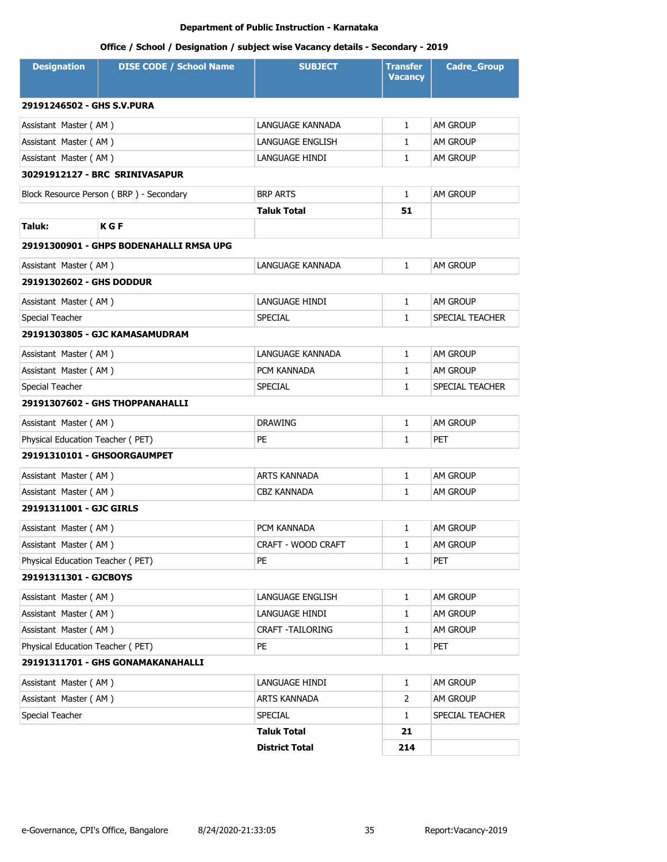| <b>Designation</b>               | <b>DISE CODE / School Name</b>          | <b>SUBJECT</b>          | <b>Transfer</b><br><b>Vacancy</b> | <b>Cadre_Group</b> |  |  |
|----------------------------------|-----------------------------------------|-------------------------|-----------------------------------|--------------------|--|--|
| 29191246502 - GHS S.V.PURA       |                                         |                         |                                   |                    |  |  |
| Assistant Master (AM)            |                                         | LANGUAGE KANNADA        | $\mathbf{1}$                      | AM GROUP           |  |  |
| Assistant Master (AM)            |                                         | LANGUAGE ENGLISH        | $\mathbf{1}$                      | AM GROUP           |  |  |
| Assistant Master (AM)            |                                         | LANGUAGE HINDI          | $\mathbf{1}$                      | AM GROUP           |  |  |
|                                  | 30291912127 - BRC SRINIVASAPUR          |                         |                                   |                    |  |  |
|                                  | Block Resource Person (BRP) - Secondary | <b>BRP ARTS</b>         | $\mathbf{1}$                      | AM GROUP           |  |  |
|                                  |                                         | Taluk Total             | 51                                |                    |  |  |
| Taluk:                           | <b>KGF</b>                              |                         |                                   |                    |  |  |
|                                  | 29191300901 - GHPS BODENAHALLI RMSA UPG |                         |                                   |                    |  |  |
| Assistant Master (AM)            |                                         | LANGUAGE KANNADA        | $\mathbf{1}$                      | AM GROUP           |  |  |
| 29191302602 - GHS DODDUR         |                                         |                         |                                   |                    |  |  |
| Assistant Master (AM)            |                                         | LANGUAGE HINDI          | $\mathbf{1}$                      | AM GROUP           |  |  |
| Special Teacher                  |                                         | <b>SPECIAL</b>          | $\mathbf{1}$                      | SPECIAL TEACHER    |  |  |
|                                  | 29191303805 - GJC KAMASAMUDRAM          |                         |                                   |                    |  |  |
| Assistant Master (AM)            |                                         | LANGUAGE KANNADA        | $\mathbf{1}$                      | AM GROUP           |  |  |
| Assistant Master (AM)            |                                         | PCM KANNADA             | $\mathbf{1}$                      | AM GROUP           |  |  |
| Special Teacher                  |                                         | <b>SPECIAL</b>          | $\mathbf{1}$                      | SPECIAL TEACHER    |  |  |
|                                  | 29191307602 - GHS THOPPANAHALLI         |                         |                                   |                    |  |  |
| Assistant Master (AM)            |                                         | <b>DRAWING</b>          | $\mathbf{1}$                      | AM GROUP           |  |  |
| Physical Education Teacher (PET) |                                         | <b>PE</b>               | $\mathbf{1}$                      | PET                |  |  |
| 29191310101 - GHSOORGAUMPET      |                                         |                         |                                   |                    |  |  |
| Assistant Master (AM)            |                                         | <b>ARTS KANNADA</b>     | $\mathbf{1}$                      | AM GROUP           |  |  |
| Assistant Master (AM)            |                                         | <b>CBZ KANNADA</b>      | $\mathbf{1}$                      | <b>AM GROUP</b>    |  |  |
| 29191311001 - GJC GIRLS          |                                         |                         |                                   |                    |  |  |
| Assistant Master (AM)            |                                         | PCM KANNADA             | $\mathbf{1}$                      | <b>AM GROUP</b>    |  |  |
| Assistant Master (AM)            |                                         | CRAFT - WOOD CRAFT      | 1                                 | AM GROUP           |  |  |
| Physical Education Teacher (PET) |                                         | PE                      | $\mathbf{1}$                      | PET                |  |  |
| 29191311301 - GJCBOYS            |                                         |                         |                                   |                    |  |  |
| Assistant Master (AM)            |                                         | LANGUAGE ENGLISH        | $\mathbf{1}$                      | AM GROUP           |  |  |
| Assistant Master (AM)            |                                         | LANGUAGE HINDI          | $\mathbf{1}$                      | AM GROUP           |  |  |
| Assistant Master (AM)            |                                         | <b>CRAFT -TAILORING</b> | $\mathbf{1}$                      | AM GROUP           |  |  |
| Physical Education Teacher (PET) |                                         | PE                      | $\mathbf{1}$                      | PET                |  |  |
|                                  | 29191311701 - GHS GONAMAKANAHALLI       |                         |                                   |                    |  |  |
| Assistant Master (AM)            |                                         | LANGUAGE HINDI          | $\mathbf{1}$                      | AM GROUP           |  |  |
| Assistant Master (AM)            |                                         | ARTS KANNADA            | 2                                 | AM GROUP           |  |  |
| Special Teacher                  |                                         | <b>SPECIAL</b>          | $\mathbf{1}$                      | SPECIAL TEACHER    |  |  |
|                                  |                                         | <b>Taluk Total</b>      | 21                                |                    |  |  |
|                                  |                                         | <b>District Total</b>   | 214                               |                    |  |  |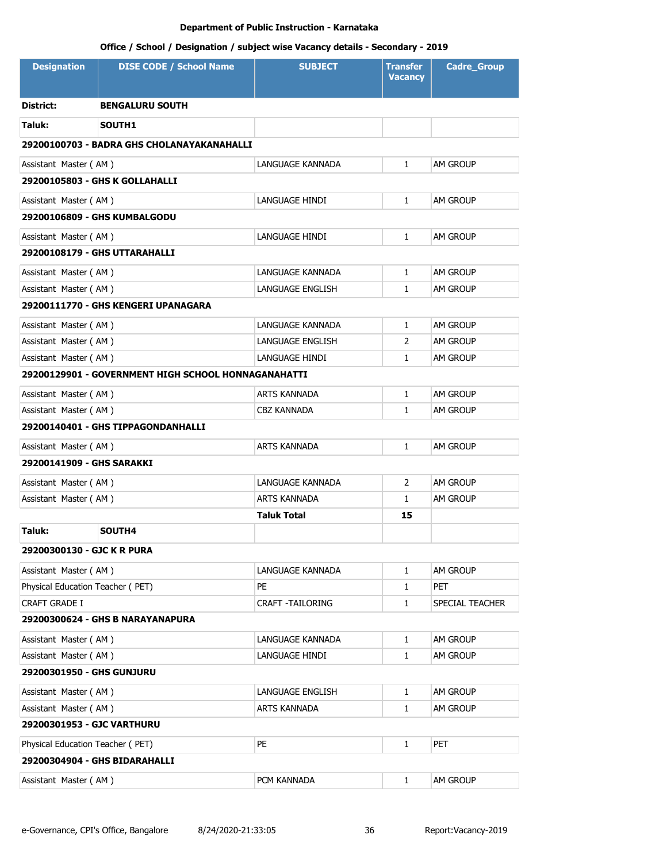| <b>Designation</b>               | <b>DISE CODE / School Name</b>                      | <b>SUBJECT</b>          | <b>Transfer</b><br><b>Vacancy</b> | <b>Cadre_Group</b> |  |  |
|----------------------------------|-----------------------------------------------------|-------------------------|-----------------------------------|--------------------|--|--|
| <b>District:</b>                 | <b>BENGALURU SOUTH</b>                              |                         |                                   |                    |  |  |
| Taluk:                           | SOUTH1                                              |                         |                                   |                    |  |  |
|                                  | 29200100703 - BADRA GHS CHOLANAYAKANAHALLI          |                         |                                   |                    |  |  |
| Assistant Master (AM)            |                                                     | LANGUAGE KANNADA        | $\mathbf{1}$                      | AM GROUP           |  |  |
|                                  | 29200105803 - GHS K GOLLAHALLI                      |                         |                                   |                    |  |  |
| Assistant Master (AM)            |                                                     | LANGUAGE HINDI          | $\mathbf{1}$                      | am Group           |  |  |
|                                  | 29200106809 - GHS KUMBALGODU                        |                         |                                   |                    |  |  |
| Assistant Master (AM)            |                                                     | LANGUAGE HINDI          | $\mathbf{1}$                      | AM GROUP           |  |  |
|                                  | 29200108179 - GHS UTTARAHALLI                       |                         |                                   |                    |  |  |
| Assistant Master (AM)            |                                                     | LANGUAGE KANNADA        | $\mathbf{1}$                      | AM GROUP           |  |  |
| Assistant Master (AM)            |                                                     | <b>LANGUAGE ENGLISH</b> | $\mathbf{1}$                      | am Group           |  |  |
|                                  | 29200111770 - GHS KENGERI UPANAGARA                 |                         |                                   |                    |  |  |
| Assistant Master (AM)            |                                                     | LANGUAGE KANNADA        | $\mathbf{1}$                      | AM GROUP           |  |  |
| Assistant Master (AM)            |                                                     | LANGUAGE ENGLISH        | $\overline{2}$                    | AM GROUP           |  |  |
| Assistant Master (AM)            |                                                     | LANGUAGE HINDI          | $\mathbf{1}$                      | am Group           |  |  |
|                                  | 29200129901 - GOVERNMENT HIGH SCHOOL HONNAGANAHATTI |                         |                                   |                    |  |  |
| Assistant Master (AM)            |                                                     | ARTS KANNADA            | $\mathbf{1}$                      | AM GROUP           |  |  |
| Assistant Master (AM)            |                                                     | CBZ KANNADA             | 1                                 | am Group           |  |  |
|                                  | 29200140401 - GHS TIPPAGONDANHALLI                  |                         |                                   |                    |  |  |
| Assistant Master (AM)            |                                                     | ARTS KANNADA            | $\mathbf{1}$                      | AM GROUP           |  |  |
| 29200141909 - GHS SARAKKI        |                                                     |                         |                                   |                    |  |  |
| Assistant Master (AM)            |                                                     | LANGUAGE KANNADA        | 2                                 | am Group           |  |  |
| Assistant Master (AM)            |                                                     | <b>ARTS KANNADA</b>     | $\mathbf{1}$                      | am Group           |  |  |
|                                  |                                                     | Taluk Total             | 15                                |                    |  |  |
| Taluk:                           | SOUTH4                                              |                         |                                   |                    |  |  |
| 29200300130 - GJC K R PURA       |                                                     |                         |                                   |                    |  |  |
| Assistant Master (AM)            |                                                     | LANGUAGE KANNADA        | $\mathbf{1}$                      | AM GROUP           |  |  |
| Physical Education Teacher (PET) |                                                     | PE                      | 1                                 | PET                |  |  |
| CRAFT GRADE I                    |                                                     | <b>CRAFT -TAILORING</b> | 1                                 | SPECIAL TEACHER    |  |  |
|                                  | 29200300624 - GHS B NARAYANAPURA                    |                         |                                   |                    |  |  |
| Assistant Master (AM)            |                                                     | LANGUAGE KANNADA        | 1                                 | AM GROUP           |  |  |
| Assistant Master (AM)            |                                                     | LANGUAGE HINDI          | $\mathbf{1}$                      | am Group           |  |  |
| <b>29200301950 - GHS GUNJURU</b> |                                                     |                         |                                   |                    |  |  |
| Assistant Master (AM)            |                                                     | LANGUAGE ENGLISH        | 1                                 | am Group           |  |  |
| Assistant Master (AM)            |                                                     | ARTS KANNADA            | $\mathbf{1}$                      | am Group           |  |  |
| 29200301953 - GJC VARTHURU       |                                                     |                         |                                   |                    |  |  |
| Physical Education Teacher (PET) |                                                     | PE.                     | $\mathbf{1}$                      | PET                |  |  |
|                                  | 29200304904 - GHS BIDARAHALLI                       |                         |                                   |                    |  |  |
| Assistant Master (AM)            |                                                     | PCM KANNADA             | 1                                 | AM GROUP           |  |  |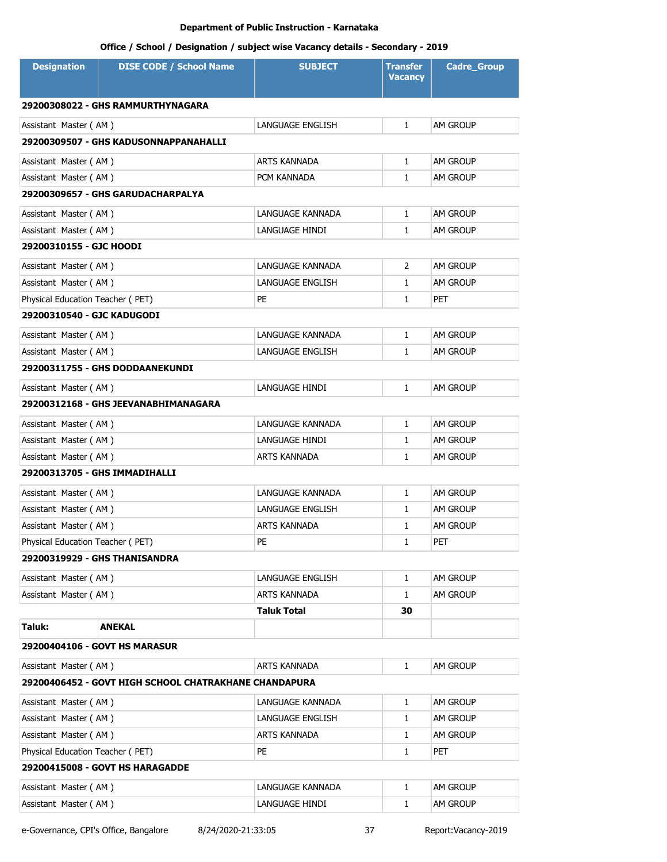# **Office / School / Designation / subject wise Vacancy details - Secondary - 2019**

| <b>Designation</b>               | <b>DISE CODE / School Name</b>                        | <b>SUBJECT</b>          | <b>Transfer</b><br><b>Vacancy</b> | <b>Cadre_Group</b> |
|----------------------------------|-------------------------------------------------------|-------------------------|-----------------------------------|--------------------|
|                                  | 29200308022 - GHS RAMMURTHYNAGARA                     |                         |                                   |                    |
| Assistant Master (AM)            |                                                       | <b>LANGUAGE ENGLISH</b> | $\mathbf{1}$                      | AM GROUP           |
|                                  | 29200309507 - GHS KADUSONNAPPANAHALLI                 |                         |                                   |                    |
| Assistant Master (AM)            |                                                       | <b>ARTS KANNADA</b>     | $\mathbf{1}$                      | AM GROUP           |
| Assistant Master (AM)            |                                                       | PCM KANNADA             | $\mathbf{1}$                      | am Group           |
|                                  | 29200309657 - GHS GARUDACHARPALYA                     |                         |                                   |                    |
| Assistant Master (AM)            |                                                       | LANGUAGE KANNADA        | $\mathbf{1}$                      | AM GROUP           |
| Assistant Master (AM)            |                                                       | LANGUAGE HINDI          | $\mathbf{1}$                      | AM GROUP           |
| 29200310155 - GJC HOODI          |                                                       |                         |                                   |                    |
| Assistant Master (AM)            |                                                       | LANGUAGE KANNADA        | 2                                 | AM GROUP           |
| Assistant Master (AM)            |                                                       | LANGUAGE ENGLISH        | $\mathbf{1}$                      | AM GROUP           |
| Physical Education Teacher (PET) |                                                       | PE                      | 1                                 | PET                |
| 29200310540 - GJC KADUGODI       |                                                       |                         |                                   |                    |
| Assistant Master (AM)            |                                                       | LANGUAGE KANNADA        | $\mathbf{1}$                      | AM GROUP           |
| Assistant Master (AM)            |                                                       | LANGUAGE ENGLISH        | $\mathbf{1}$                      | am Group           |
|                                  | 29200311755 - GHS DODDAANEKUNDI                       |                         |                                   |                    |
| Assistant Master (AM)            |                                                       | LANGUAGE HINDI          | $\mathbf{1}$                      | am Group           |
|                                  | 29200312168 - GHS JEEVANABHIMANAGARA                  |                         |                                   |                    |
| Assistant Master (AM)            |                                                       | LANGUAGE KANNADA        | $\mathbf{1}$                      | am Group           |
| Assistant Master (AM)            |                                                       | LANGUAGE HINDI          | $\mathbf{1}$                      | am Group           |
| Assistant Master (AM)            |                                                       | ARTS KANNADA            | $\mathbf{1}$                      | am Group           |
|                                  | 29200313705 - GHS IMMADIHALLI                         |                         |                                   |                    |
| Assistant Master (AM)            |                                                       | LANGUAGE KANNADA        | $\mathbf{1}$                      | AM GROUP           |
| Assistant Master (AM)            |                                                       | LANGUAGE ENGLISH        | 1                                 | am Group           |
| Assistant Master (AM)            |                                                       | <b>ARTS KANNADA</b>     | $\mathbf{1}$                      | AM GROUP           |
| Physical Education Teacher (PET) |                                                       | PE                      | 1                                 | PET                |
|                                  | 29200319929 - GHS THANISANDRA                         |                         |                                   |                    |
| Assistant Master (AM)            |                                                       | LANGUAGE ENGLISH        | $\mathbf{1}$                      | AM GROUP           |
| Assistant Master (AM)            |                                                       | ARTS KANNADA            | $\mathbf{1}$                      | AM GROUP           |
|                                  |                                                       | <b>Taluk Total</b>      | 30                                |                    |
| Taluk:                           | <b>ANEKAL</b>                                         |                         |                                   |                    |
|                                  | 29200404106 - GOVT HS MARASUR                         |                         |                                   |                    |
| Assistant Master (AM)            |                                                       | ARTS KANNADA            | $\mathbf{1}$                      | am Group           |
|                                  | 29200406452 - GOVT HIGH SCHOOL CHATRAKHANE CHANDAPURA |                         |                                   |                    |
| Assistant Master (AM)            |                                                       | LANGUAGE KANNADA        | $\mathbf{1}$                      | AM GROUP           |
| Assistant Master (AM)            |                                                       | LANGUAGE ENGLISH        | 1                                 | AM GROUP           |
| Assistant Master (AM)            |                                                       | ARTS KANNADA            | 1                                 | AM GROUP           |
| Physical Education Teacher (PET) |                                                       | PE                      | 1                                 | PET                |
|                                  | 29200415008 - GOVT HS HARAGADDE                       |                         |                                   |                    |
| Assistant Master (AM)            |                                                       | LANGUAGE KANNADA        | 1                                 | AM GROUP           |
| Assistant Master (AM)            |                                                       | LANGUAGE HINDI          | 1                                 | AM GROUP           |

e-Governance, CPI's Office, Bangalore 8/24/2020-21:33:05 37 Report:Vacancy-2019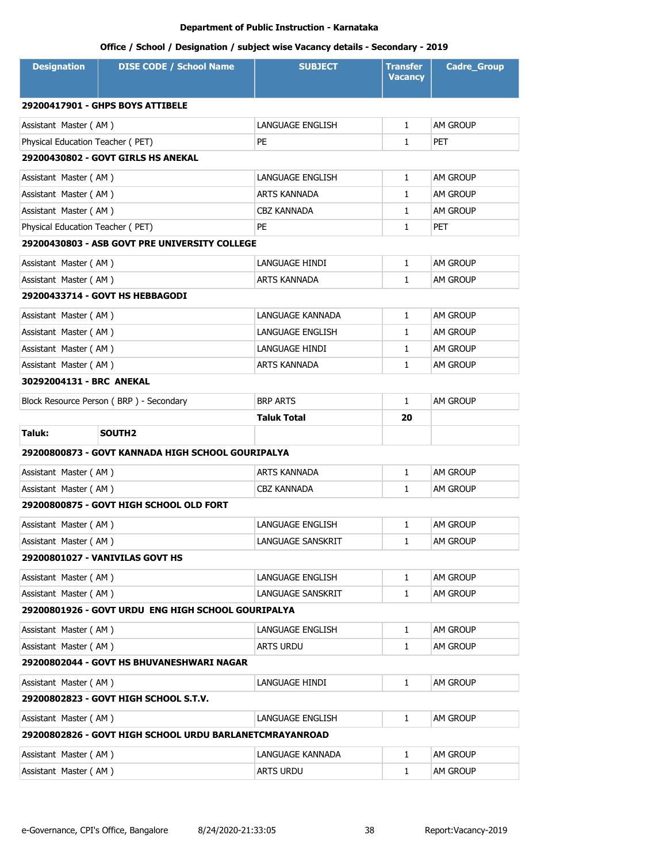| <b>Designation</b>               | <b>DISE CODE / School Name</b>                          | <b>SUBJECT</b>      | <b>Transfer</b><br><b>Vacancy</b> | <b>Cadre_Group</b> |
|----------------------------------|---------------------------------------------------------|---------------------|-----------------------------------|--------------------|
|                                  | 29200417901 - GHPS BOYS ATTIBELE                        |                     |                                   |                    |
| Assistant Master (AM)            |                                                         | LANGUAGE ENGLISH    | $\mathbf{1}$                      | AM GROUP           |
| Physical Education Teacher (PET) |                                                         | PE.                 | $\mathbf{1}$                      | <b>PET</b>         |
|                                  | 29200430802 - GOVT GIRLS HS ANEKAL                      |                     |                                   |                    |
| Assistant Master (AM)            |                                                         | LANGUAGE ENGLISH    | $\mathbf{1}$                      | AM GROUP           |
| Assistant Master (AM)            |                                                         | <b>ARTS KANNADA</b> | $\mathbf{1}$                      | <b>AM GROUP</b>    |
| Assistant Master (AM)            |                                                         | <b>CBZ KANNADA</b>  | $\mathbf{1}$                      | AM GROUP           |
| Physical Education Teacher (PET) |                                                         | <b>PE</b>           | $\mathbf{1}$                      | PET                |
|                                  | 29200430803 - ASB GOVT PRE UNIVERSITY COLLEGE           |                     |                                   |                    |
| Assistant Master (AM)            |                                                         | LANGUAGE HINDI      | $\mathbf{1}$                      | AM GROUP           |
| Assistant Master (AM)            |                                                         | ARTS KANNADA        | $\mathbf{1}$                      | AM GROUP           |
|                                  | 29200433714 - GOVT HS HEBBAGODI                         |                     |                                   |                    |
| Assistant Master (AM)            |                                                         | LANGUAGE KANNADA    | $\mathbf{1}$                      | AM GROUP           |
| Assistant Master (AM)            |                                                         | LANGUAGE ENGLISH    | $\mathbf{1}$                      | <b>AM GROUP</b>    |
| Assistant Master (AM)            |                                                         | LANGUAGE HINDI      | $\mathbf{1}$                      | AM GROUP           |
| Assistant Master (AM)            |                                                         | <b>ARTS KANNADA</b> | $\mathbf{1}$                      | <b>AM GROUP</b>    |
| 30292004131 - BRC ANEKAL         |                                                         |                     |                                   |                    |
|                                  | Block Resource Person (BRP) - Secondary                 | <b>BRP ARTS</b>     | $\mathbf{1}$                      | AM GROUP           |
|                                  |                                                         | <b>Taluk Total</b>  | 20                                |                    |
| Taluk:                           | SOUTH <sub>2</sub>                                      |                     |                                   |                    |
|                                  | 29200800873 - GOVT KANNADA HIGH SCHOOL GOURIPALYA       |                     |                                   |                    |
| Assistant Master (AM)            |                                                         | ARTS KANNADA        | $\mathbf{1}$                      | AM GROUP           |
| Assistant Master (AM)            |                                                         | CBZ KANNADA         | 1                                 | <b>AM GROUP</b>    |
|                                  | 29200800875 - GOVT HIGH SCHOOL OLD FORT                 |                     |                                   |                    |
| Assistant Master (AM)            |                                                         | LANGUAGE ENGLISH    | $\mathbf{1}$                      | AM GROUP           |
| Assistant Master (AM)            |                                                         | LANGUAGE SANSKRIT   | 1                                 | <b>AM GROUP</b>    |
|                                  | 29200801027 - VANIVILAS GOVT HS                         |                     |                                   |                    |
| Assistant Master (AM)            |                                                         | LANGUAGE ENGLISH    | $\mathbf{1}$                      | AM GROUP           |
| Assistant Master (AM)            |                                                         | LANGUAGE SANSKRIT   | 1                                 | AM GROUP           |
|                                  | 29200801926 - GOVT URDU ENG HIGH SCHOOL GOURIPALYA      |                     |                                   |                    |
| Assistant Master (AM)            |                                                         | LANGUAGE ENGLISH    | $\mathbf{1}$                      | AM GROUP           |
| Assistant Master (AM)            |                                                         | <b>ARTS URDU</b>    | 1                                 | AM GROUP           |
|                                  | 29200802044 - GOVT HS BHUVANESHWARI NAGAR               |                     |                                   |                    |
| Assistant Master (AM)            |                                                         | LANGUAGE HINDI      | $\mathbf{1}$                      | AM GROUP           |
|                                  | 29200802823 - GOVT HIGH SCHOOL S.T.V.                   |                     |                                   |                    |
| Assistant Master (AM)            |                                                         | LANGUAGE ENGLISH    | $\mathbf{1}$                      | am Group           |
|                                  | 29200802826 - GOVT HIGH SCHOOL URDU BARLANETCMRAYANROAD |                     |                                   |                    |
| Assistant Master (AM)            |                                                         | LANGUAGE KANNADA    | $\mathbf{1}$                      | AM GROUP           |
| Assistant Master (AM)            |                                                         | <b>ARTS URDU</b>    | 1                                 | AM GROUP           |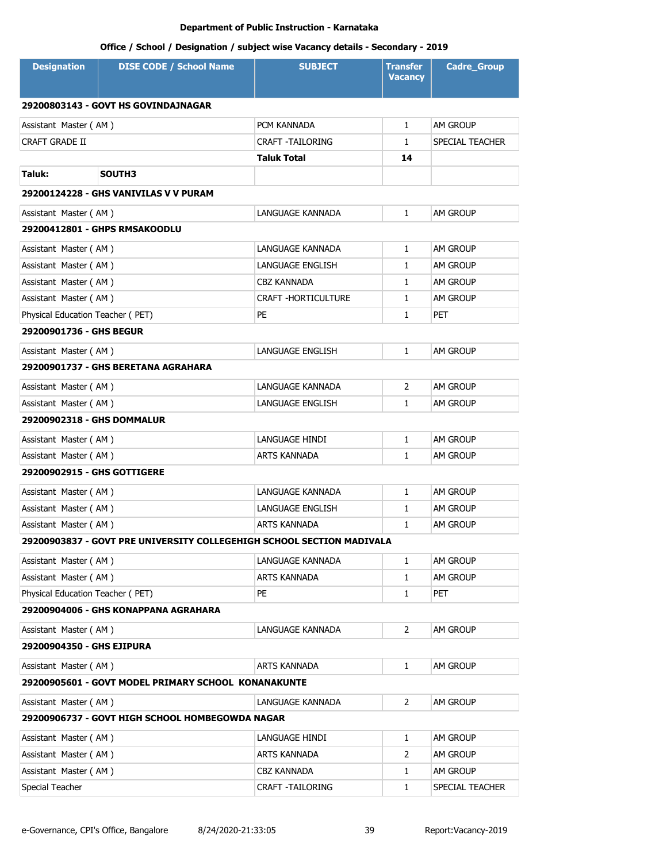| <b>Designation</b>                  | <b>DISE CODE / School Name</b>                                        | <b>SUBJECT</b>             | <b>Transfer</b><br><b>Vacancy</b> | <b>Cadre_Group</b> |  |
|-------------------------------------|-----------------------------------------------------------------------|----------------------------|-----------------------------------|--------------------|--|
| 29200803143 - GOVT HS GOVINDAJNAGAR |                                                                       |                            |                                   |                    |  |
| Assistant Master (AM)               |                                                                       | PCM KANNADA                | $\mathbf{1}$                      | AM GROUP           |  |
| <b>CRAFT GRADE II</b>               |                                                                       | <b>CRAFT -TAILORING</b>    | $\mathbf{1}$                      | SPECIAL TEACHER    |  |
|                                     |                                                                       | <b>Taluk Total</b>         | 14                                |                    |  |
| Taluk:                              | SOUTH3                                                                |                            |                                   |                    |  |
|                                     | 29200124228 - GHS VANIVILAS V V PURAM                                 |                            |                                   |                    |  |
| Assistant Master (AM)               |                                                                       | LANGUAGE KANNADA           | $\mathbf{1}$                      | <b>AM GROUP</b>    |  |
|                                     | 29200412801 - GHPS RMSAKOODLU                                         |                            |                                   |                    |  |
| Assistant Master (AM)               |                                                                       | LANGUAGE KANNADA           | $\mathbf{1}$                      | AM GROUP           |  |
| Assistant Master (AM)               |                                                                       | LANGUAGE ENGLISH           | $\mathbf{1}$                      | <b>AM GROUP</b>    |  |
| Assistant Master (AM)               |                                                                       | CBZ KANNADA                | $\mathbf{1}$                      | am Group           |  |
| Assistant Master (AM)               |                                                                       | <b>CRAFT -HORTICULTURE</b> | $\mathbf{1}$                      | <b>AM GROUP</b>    |  |
| Physical Education Teacher (PET)    |                                                                       | PE                         | $\mathbf{1}$                      | PET                |  |
| 29200901736 - GHS BEGUR             |                                                                       |                            |                                   |                    |  |
| Assistant Master (AM)               |                                                                       | LANGUAGE ENGLISH           | $\mathbf{1}$                      | AM GROUP           |  |
|                                     | 29200901737 - GHS BERETANA AGRAHARA                                   |                            |                                   |                    |  |
| Assistant Master (AM)               |                                                                       | LANGUAGE KANNADA           | $\overline{2}$                    | AM GROUP           |  |
| Assistant Master (AM)               |                                                                       | LANGUAGE ENGLISH           | $\mathbf{1}$                      | <b>AM GROUP</b>    |  |
| 29200902318 - GHS DOMMALUR          |                                                                       |                            |                                   |                    |  |
| Assistant Master (AM)               |                                                                       | LANGUAGE HINDI             | $\mathbf{1}$                      | AM GROUP           |  |
| Assistant Master (AM)               |                                                                       | ARTS KANNADA               | $\mathbf{1}$                      | <b>AM GROUP</b>    |  |
| 29200902915 - GHS GOTTIGERE         |                                                                       |                            |                                   |                    |  |
| Assistant Master (AM)               |                                                                       | LANGUAGE KANNADA           | $\mathbf{1}$                      | AM GROUP           |  |
| Assistant Master (AM)               |                                                                       | LANGUAGE ENGLISH           | 1                                 | AM GROUP           |  |
| Assistant Master (AM)               |                                                                       | <b>ARTS KANNADA</b>        | $\mathbf{1}$                      | AM GROUP           |  |
|                                     | 29200903837 - GOVT PRE UNIVERSITY COLLEGEHIGH SCHOOL SECTION MADIVALA |                            |                                   |                    |  |
| Assistant Master (AM)               |                                                                       | LANGUAGE KANNADA           | 1                                 | AM GROUP           |  |
| Assistant Master (AM)               |                                                                       | ARTS KANNADA               | $\mathbf{1}$                      | AM GROUP           |  |
| Physical Education Teacher (PET)    |                                                                       | PE                         | $\mathbf{1}$                      | <b>PET</b>         |  |
|                                     | 29200904006 - GHS KONAPPANA AGRAHARA                                  |                            |                                   |                    |  |
| Assistant Master (AM)               |                                                                       | LANGUAGE KANNADA           | $\overline{2}$                    | AM GROUP           |  |
| 29200904350 - GHS EJIPURA           |                                                                       |                            |                                   |                    |  |
| Assistant Master (AM)               |                                                                       | ARTS KANNADA               | $\mathbf{1}$                      | AM GROUP           |  |
|                                     | 29200905601 - GOVT MODEL PRIMARY SCHOOL KONANAKUNTE                   |                            |                                   |                    |  |
| Assistant Master (AM)               |                                                                       | LANGUAGE KANNADA           | 2                                 | AM GROUP           |  |
|                                     | 29200906737 - GOVT HIGH SCHOOL HOMBEGOWDA NAGAR                       |                            |                                   |                    |  |
| Assistant Master (AM)               |                                                                       | LANGUAGE HINDI             | 1                                 | AM GROUP           |  |
| Assistant Master (AM)               |                                                                       | ARTS KANNADA               | 2                                 | AM GROUP           |  |
| Assistant Master (AM)               |                                                                       | <b>CBZ KANNADA</b>         | $\mathbf{1}$                      | AM GROUP           |  |
| Special Teacher                     |                                                                       | CRAFT - TAILORING          | $\mathbf{1}$                      | SPECIAL TEACHER    |  |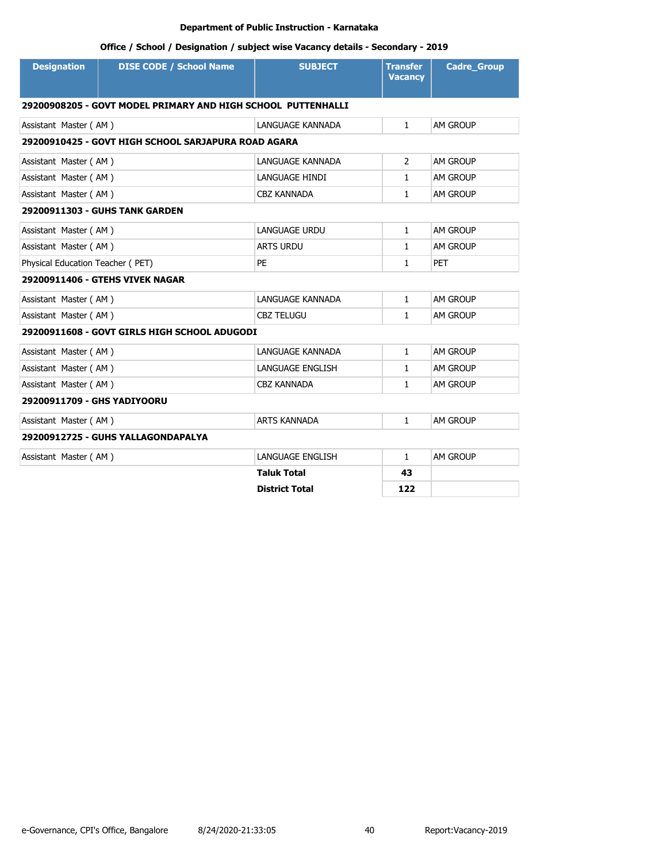| <b>Designation</b>                                           | <b>DISE CODE / School Name</b>                      | <b>SUBJECT</b>        | <b>Transfer</b><br><b>Vacancy</b> | <b>Cadre_Group</b> |  |
|--------------------------------------------------------------|-----------------------------------------------------|-----------------------|-----------------------------------|--------------------|--|
| 29200908205 - GOVT MODEL PRIMARY AND HIGH SCHOOL PUTTENHALLI |                                                     |                       |                                   |                    |  |
| Assistant Master (AM)                                        |                                                     | LANGUAGE KANNADA      | $\mathbf{1}$                      | AM GROUP           |  |
|                                                              | 29200910425 - GOVT HIGH SCHOOL SARJAPURA ROAD AGARA |                       |                                   |                    |  |
| Assistant Master (AM)                                        |                                                     | LANGUAGE KANNADA      | $\overline{2}$                    | AM GROUP           |  |
| Assistant Master (AM)                                        |                                                     | LANGUAGE HINDI        | $\mathbf{1}$                      | AM GROUP           |  |
| Assistant Master (AM)                                        |                                                     | <b>CBZ KANNADA</b>    | $\mathbf{1}$                      | AM GROUP           |  |
|                                                              | 29200911303 - GUHS TANK GARDEN                      |                       |                                   |                    |  |
| Assistant Master (AM)                                        |                                                     | <b>LANGUAGE URDU</b>  | $\mathbf{1}$                      | AM GROUP           |  |
| Assistant Master (AM)                                        |                                                     | <b>ARTS URDU</b>      | $\mathbf{1}$                      | AM GROUP           |  |
| Physical Education Teacher (PET)                             |                                                     | PE                    | $\mathbf{1}$                      | <b>PET</b>         |  |
|                                                              | 29200911406 - GTEHS VIVEK NAGAR                     |                       |                                   |                    |  |
| Assistant Master (AM)                                        |                                                     | LANGUAGE KANNADA      | $\mathbf{1}$                      | AM GROUP           |  |
| Assistant Master (AM)                                        |                                                     | <b>CBZ TELUGU</b>     | $\mathbf{1}$                      | AM GROUP           |  |
|                                                              | 29200911608 - GOVT GIRLS HIGH SCHOOL ADUGODI        |                       |                                   |                    |  |
| Assistant Master (AM)                                        |                                                     | LANGUAGE KANNADA      | $\mathbf{1}$                      | AM GROUP           |  |
| Assistant Master (AM)                                        |                                                     | LANGUAGE ENGLISH      | $\mathbf{1}$                      | AM GROUP           |  |
| Assistant Master (AM)                                        |                                                     | <b>CBZ KANNADA</b>    | $\mathbf{1}$                      | AM GROUP           |  |
| 29200911709 - GHS YADIYOORU                                  |                                                     |                       |                                   |                    |  |
| Assistant Master (AM)                                        |                                                     | <b>ARTS KANNADA</b>   | $\mathbf{1}$                      | AM GROUP           |  |
|                                                              | 29200912725 - GUHS YALLAGONDAPALYA                  |                       |                                   |                    |  |
| Assistant Master (AM)                                        |                                                     | LANGUAGE ENGLISH      | $\mathbf{1}$                      | AM GROUP           |  |
|                                                              |                                                     | <b>Taluk Total</b>    | 43                                |                    |  |
|                                                              |                                                     | <b>District Total</b> | 122                               |                    |  |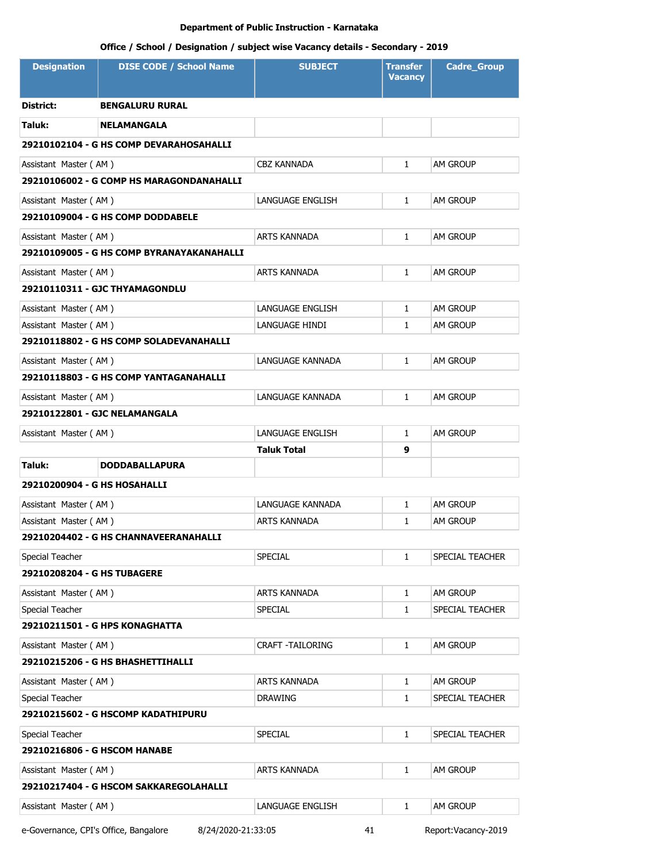# **Office / School / Designation / subject wise Vacancy details - Secondary - 2019**

| <b>Designation</b>                       | <b>DISE CODE / School Name</b>            | <b>SUBJECT</b>                 | <b>Transfer</b><br><b>Vacancy</b> | <b>Cadre_Group</b>          |  |  |
|------------------------------------------|-------------------------------------------|--------------------------------|-----------------------------------|-----------------------------|--|--|
| District:                                | <b>BENGALURU RURAL</b>                    |                                |                                   |                             |  |  |
| Taluk:                                   | <b>NELAMANGALA</b>                        |                                |                                   |                             |  |  |
|                                          | 29210102104 - G HS COMP DEVARAHOSAHALLI   |                                |                                   |                             |  |  |
| Assistant Master (AM)                    |                                           | <b>CBZ KANNADA</b>             | $\mathbf{1}$                      | AM GROUP                    |  |  |
|                                          | 29210106002 - G COMP HS MARAGONDANAHALLI  |                                |                                   |                             |  |  |
| Assistant Master (AM)                    |                                           | LANGUAGE ENGLISH               | $\mathbf{1}$                      | AM GROUP                    |  |  |
|                                          | 29210109004 - G HS COMP DODDABELE         |                                |                                   |                             |  |  |
| Assistant Master (AM)                    |                                           | ARTS KANNADA                   | $\mathbf{1}$                      | AM GROUP                    |  |  |
|                                          | 29210109005 - G HS COMP BYRANAYAKANAHALLI |                                |                                   |                             |  |  |
| Assistant Master (AM)                    |                                           | <b>ARTS KANNADA</b>            | $\mathbf{1}$                      | AM GROUP                    |  |  |
|                                          | 29210110311 - GJC THYAMAGONDLU            |                                |                                   |                             |  |  |
| Assistant Master (AM)                    |                                           | LANGUAGE ENGLISH               | $\mathbf{1}$                      | AM GROUP                    |  |  |
| Assistant Master (AM)                    |                                           | LANGUAGE HINDI                 | $\mathbf{1}$                      | am Group                    |  |  |
|                                          | 29210118802 - G HS COMP SOLADEVANAHALLI   |                                |                                   |                             |  |  |
| Assistant Master (AM)                    |                                           | LANGUAGE KANNADA               | $\mathbf{1}$                      | AM GROUP                    |  |  |
|                                          | 29210118803 - G HS COMP YANTAGANAHALLI    |                                |                                   |                             |  |  |
| Assistant Master (AM)                    |                                           | LANGUAGE KANNADA               | $\mathbf{1}$                      | am Group                    |  |  |
|                                          | 29210122801 - GJC NELAMANGALA             |                                |                                   |                             |  |  |
| Assistant Master (AM)                    |                                           | LANGUAGE ENGLISH               | $\mathbf{1}$                      | AM GROUP                    |  |  |
|                                          |                                           | Taluk Total                    | 9                                 |                             |  |  |
| Taluk:                                   | <b>DODDABALLAPURA</b>                     |                                |                                   |                             |  |  |
| 29210200904 - G HS HOSAHALLI             |                                           |                                |                                   |                             |  |  |
| Assistant Master (AM)                    |                                           | LANGUAGE KANNADA               | $\mathbf{1}$                      | AM GROUP                    |  |  |
| Assistant Master (AM)                    |                                           | ARTS KANNADA                   | $\mathbf{1}$                      | AM GROUP                    |  |  |
|                                          | 29210204402 - G HS CHANNAVEERANAHALLI     |                                |                                   |                             |  |  |
| Special Teacher                          |                                           | SPECIAL                        | $\mathbf{1}$                      | SPECIAL TEACHER             |  |  |
| 29210208204 - G HS TUBAGERE              |                                           |                                |                                   |                             |  |  |
| Assistant Master (AM)                    |                                           | ARTS KANNADA                   | $\mathbf{1}$                      | AM GROUP                    |  |  |
| Special Teacher                          |                                           | SPECIAL                        | $\mathbf{1}$                      | SPECIAL TEACHER             |  |  |
|                                          | 29210211501 - G HPS KONAGHATTA            |                                |                                   |                             |  |  |
| Assistant Master (AM)                    | 29210215206 - G HS BHASHETTIHALLI         | CRAFT -TAILORING               | 1                                 | AM GROUP                    |  |  |
|                                          |                                           |                                |                                   |                             |  |  |
| Assistant Master (AM)<br>Special Teacher |                                           | ARTS KANNADA<br><b>DRAWING</b> | $\mathbf{1}$<br>1                 | AM GROUP<br>SPECIAL TEACHER |  |  |
|                                          | 29210215602 - G HSCOMP KADATHIPURU        |                                |                                   |                             |  |  |
| Special Teacher                          |                                           | SPECIAL                        | $\mathbf{1}$                      | SPECIAL TEACHER             |  |  |
| 29210216806 - G HSCOM HANABE             |                                           |                                |                                   |                             |  |  |
| Assistant Master (AM)                    |                                           | ARTS KANNADA                   | 1                                 | am Group                    |  |  |
|                                          | 29210217404 - G HSCOM SAKKAREGOLAHALLI    |                                |                                   |                             |  |  |
|                                          |                                           |                                | $\mathbf{1}$                      |                             |  |  |
| Assistant Master (AM)                    |                                           | LANGUAGE ENGLISH               |                                   | am Group                    |  |  |

e-Governance, CPI's Office, Bangalore 8/24/2020-21:33:05 41 Report:Vacancy-2019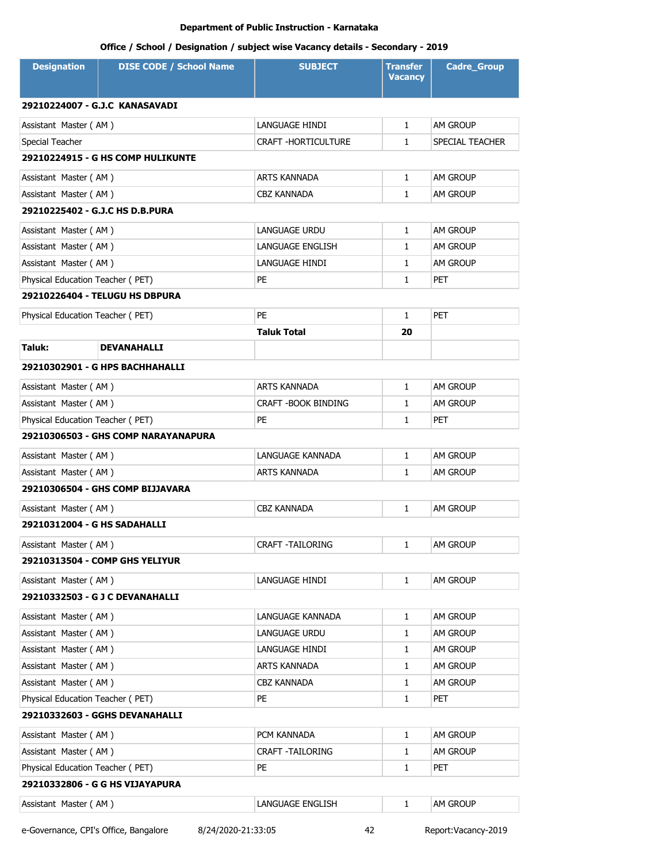# **Office / School / Designation / subject wise Vacancy details - Secondary - 2019**

| <b>Designation</b>               | <b>DISE CODE / School Name</b>           | <b>SUBJECT</b>             | Transfer<br><b>Vacancy</b> | <b>Cadre Group</b> |
|----------------------------------|------------------------------------------|----------------------------|----------------------------|--------------------|
| 29210224007 - G.J.C KANASAVADI   |                                          |                            |                            |                    |
| Assistant Master (AM)            |                                          | LANGUAGE HINDI             | $\mathbf{1}$               | AM GROUP           |
| Special Teacher                  |                                          | <b>CRAFT -HORTICULTURE</b> | $\mathbf{1}$               | SPECIAL TEACHER    |
|                                  | <b>29210224915 - G HS COMP HULIKUNTE</b> |                            |                            |                    |
| Assistant Master (AM)            |                                          | ARTS KANNADA               | $\mathbf{1}$               | AM GROUP           |
| Assistant Master (AM)            |                                          | CBZ KANNADA                | $\mathbf{1}$               | <b>AM GROUP</b>    |
| 29210225402 - G.J.C HS D.B.PURA  |                                          |                            |                            |                    |
| Assistant Master (AM)            |                                          | LANGUAGE URDU              | $\mathbf{1}$               | <b>AM GROUP</b>    |
| Assistant Master (AM)            |                                          | LANGUAGE ENGLISH           | 1                          | AM GROUP           |
| Assistant Master (AM)            |                                          | LANGUAGE HINDI             | $\mathbf{1}$               | AM GROUP           |
| Physical Education Teacher (PET) |                                          | PE                         | 1                          | <b>PET</b>         |
|                                  | 29210226404 - TELUGU HS DBPURA           |                            |                            |                    |
| Physical Education Teacher (PET) |                                          | <b>PE</b>                  | $\mathbf{1}$               | <b>PET</b>         |
|                                  |                                          | <b>Taluk Total</b>         | 20                         |                    |
| Taluk:                           | <b>DEVANAHALLI</b>                       |                            |                            |                    |
|                                  | 29210302901 - G HPS BACHHAHALLI          |                            |                            |                    |
| Assistant Master (AM)            |                                          | ARTS KANNADA               | $\mathbf{1}$               | AM GROUP           |
| Assistant Master (AM)            |                                          | CRAFT - BOOK BINDING       | 1                          | AM GROUP           |
| Physical Education Teacher (PET) |                                          | PE                         | $\mathbf{1}$               | <b>PET</b>         |
|                                  | 29210306503 - GHS COMP NARAYANAPURA      |                            |                            |                    |
| Assistant Master (AM)            |                                          | LANGUAGE KANNADA           | $\mathbf{1}$               | AM GROUP           |
| Assistant Master (AM)            |                                          | ARTS KANNADA               | $\mathbf{1}$               | <b>AM GROUP</b>    |
|                                  | 29210306504 - GHS COMP BIJJAVARA         |                            |                            |                    |
| Assistant Master (AM)            |                                          | <b>CBZ KANNADA</b>         | $\mathbf{1}$               | AM GROUP           |
| 29210312004 - G HS SADAHALLI     |                                          |                            |                            |                    |
| Assistant Master (AM)            |                                          | CRAFT - TAILORING          | $\mathbf{1}$               | AM GROUP           |
|                                  | 29210313504 - COMP GHS YELIYUR           |                            |                            |                    |
| Assistant Master (AM)            |                                          | LANGUAGE HINDI             | $\mathbf{1}$               | AM GROUP           |
|                                  | 29210332503 - G J C DEVANAHALLI          |                            |                            |                    |
| Assistant Master (AM)            |                                          | LANGUAGE KANNADA           | $\mathbf{1}$               | AM GROUP           |
| Assistant Master (AM)            |                                          | LANGUAGE URDU              | 1                          | AM GROUP           |
| Assistant Master (AM)            |                                          | LANGUAGE HINDI             | $\mathbf{1}$               | AM GROUP           |
| Assistant Master (AM)            |                                          | ARTS KANNADA               | $\mathbf{1}$               | AM GROUP           |
| Assistant Master (AM)            |                                          | <b>CBZ KANNADA</b>         | $\mathbf{1}$               | AM GROUP           |
| Physical Education Teacher (PET) |                                          | PE                         | $\mathbf{1}$               | <b>PET</b>         |
|                                  | 29210332603 - GGHS DEVANAHALLI           |                            |                            |                    |
| Assistant Master (AM)            |                                          | PCM KANNADA                | $\mathbf{1}$               | AM GROUP           |
| Assistant Master (AM)            |                                          | <b>CRAFT -TAILORING</b>    | $\mathbf{1}$               | AM GROUP           |
| Physical Education Teacher (PET) |                                          | PE                         | $\mathbf{1}$               | <b>PET</b>         |
|                                  | 29210332806 - G G HS VIJAYAPURA          |                            |                            |                    |
| Assistant Master (AM)            |                                          | LANGUAGE ENGLISH           | $\mathbf{1}$               | AM GROUP           |

e-Governance, CPI's Office, Bangalore 8/24/2020-21:33:05 42 Report:Vacancy-2019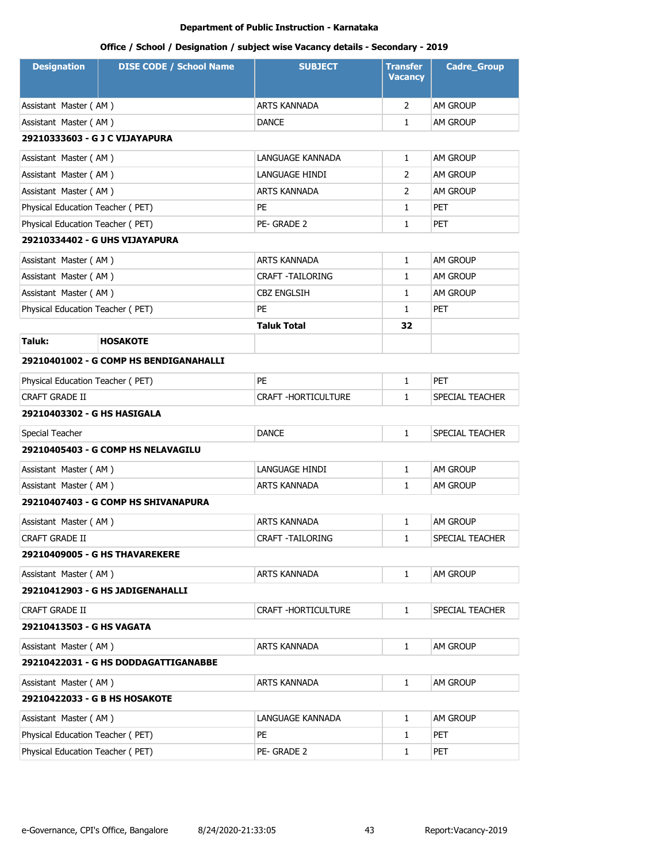| <b>Designation</b>               | <b>DISE CODE / School Name</b>         | <b>SUBJECT</b>             | <b>Transfer</b><br><b>Vacancy</b> | <b>Cadre_Group</b> |
|----------------------------------|----------------------------------------|----------------------------|-----------------------------------|--------------------|
| Assistant Master (AM)            |                                        | <b>ARTS KANNADA</b>        | $\overline{2}$                    | AM GROUP           |
| Assistant Master (AM)            |                                        | <b>DANCE</b>               | 1                                 | am Group           |
| 29210333603 - G J C VIJAYAPURA   |                                        |                            |                                   |                    |
| Assistant Master (AM)            |                                        | LANGUAGE KANNADA           | 1                                 | AM GROUP           |
| Assistant Master (AM)            |                                        | LANGUAGE HINDI             | 2                                 | <b>AM GROUP</b>    |
| Assistant Master (AM)            |                                        | ARTS KANNADA               | 2                                 | <b>AM GROUP</b>    |
| Physical Education Teacher (PET) |                                        | <b>PE</b>                  | 1                                 | <b>PET</b>         |
| Physical Education Teacher (PET) |                                        | PE-GRADE 2                 | 1                                 | <b>PET</b>         |
|                                  | 29210334402 - G UHS VIJAYAPURA         |                            |                                   |                    |
| Assistant Master (AM)            |                                        | ARTS KANNADA               | 1                                 | <b>AM GROUP</b>    |
| Assistant Master (AM)            |                                        | <b>CRAFT -TAILORING</b>    | 1                                 | <b>AM GROUP</b>    |
| Assistant Master (AM)            |                                        | <b>CBZ ENGLSIH</b>         | 1                                 | AM GROUP           |
| Physical Education Teacher (PET) |                                        | PE                         | $\mathbf{1}$                      | <b>PET</b>         |
|                                  |                                        | <b>Taluk Total</b>         | 32                                |                    |
| Taluk:                           | <b>HOSAKOTE</b>                        |                            |                                   |                    |
|                                  | 29210401002 - G COMP HS BENDIGANAHALLI |                            |                                   |                    |
| Physical Education Teacher (PET) |                                        | PE                         | 1                                 | <b>PET</b>         |
| <b>CRAFT GRADE II</b>            |                                        | <b>CRAFT -HORTICULTURE</b> | 1                                 | SPECIAL TEACHER    |
| 29210403302 - G HS HASIGALA      |                                        |                            |                                   |                    |
| Special Teacher                  |                                        | <b>DANCE</b>               | $\mathbf{1}$                      | SPECIAL TEACHER    |
|                                  | 29210405403 - G COMP HS NELAVAGILU     |                            |                                   |                    |
| Assistant Master (AM)            |                                        | LANGUAGE HINDI             | 1                                 | <b>AM GROUP</b>    |
| Assistant Master (AM)            |                                        | <b>ARTS KANNADA</b>        | $\mathbf{1}$                      | <b>AM GROUP</b>    |
|                                  | 29210407403 - G COMP HS SHIVANAPURA    |                            |                                   |                    |
| Assistant Master (AM)            |                                        | <b>ARTS KANNADA</b>        | $\mathbf{1}$                      | <b>AM GROUP</b>    |
| <b>CRAFT GRADE II</b>            |                                        | <b>CRAFT -TAILORING</b>    | 1                                 | SPECIAL TEACHER    |
|                                  | 29210409005 - G HS THAVAREKERE         |                            |                                   |                    |
| Assistant Master (AM)            |                                        | ARTS KANNADA               | $\mathbf{1}$                      | AM GROUP           |
|                                  | 29210412903 - G HS JADIGENAHALLI       |                            |                                   |                    |
| <b>CRAFT GRADE II</b>            |                                        | CRAFT - HORTICULTURE       | 1                                 | SPECIAL TEACHER    |
| 29210413503 - G HS VAGATA        |                                        |                            |                                   |                    |
| Assistant Master (AM)            |                                        | ARTS KANNADA               | 1                                 | AM GROUP           |
|                                  | 29210422031 - G HS DODDAGATTIGANABBE   |                            |                                   |                    |
| Assistant Master (AM)            |                                        | ARTS KANNADA               | 1                                 | AM GROUP           |
| 29210422033 - G B HS HOSAKOTE    |                                        |                            |                                   |                    |
| Assistant Master (AM)            |                                        | LANGUAGE KANNADA           | 1                                 | AM GROUP           |
| Physical Education Teacher (PET) |                                        | PE                         | 1                                 | PET                |
| Physical Education Teacher (PET) |                                        | PE-GRADE 2                 | 1                                 | <b>PET</b>         |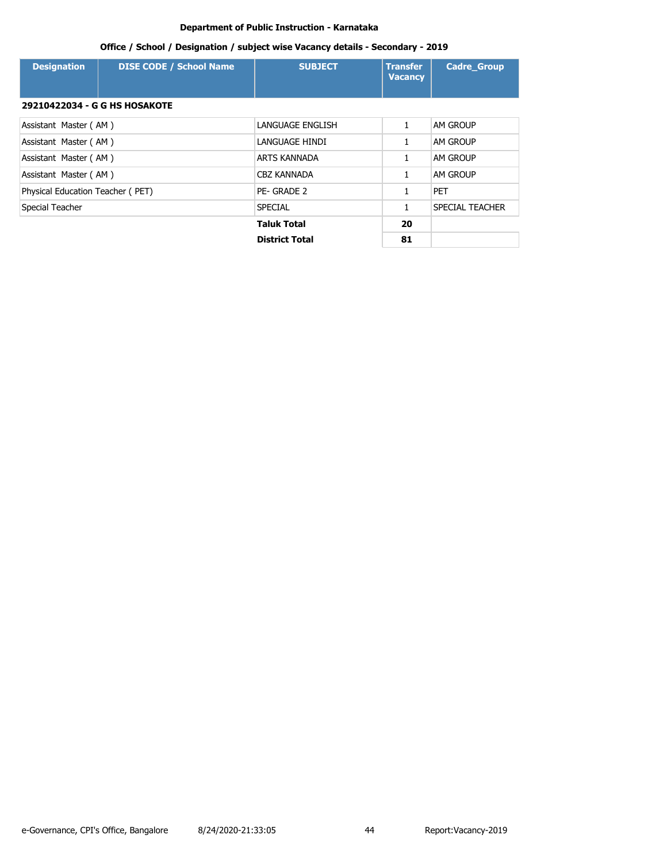| <b>Designation</b>                   | <b>DISE CODE / School Name</b> | <b>SUBJECT</b>        | <b>Transfer</b><br><b>Vacancy</b> | <b>Cadre Group</b> |
|--------------------------------------|--------------------------------|-----------------------|-----------------------------------|--------------------|
| <b>29210422034 - G G HS HOSAKOTE</b> |                                |                       |                                   |                    |
| Assistant Master (AM)                |                                | LANGUAGE ENGLISH      | 1                                 | <b>AM GROUP</b>    |
| Assistant Master (AM)                |                                | LANGUAGE HINDI        |                                   | <b>AM GROUP</b>    |
| Assistant Master (AM)                |                                | ARTS KANNADA          |                                   | <b>AM GROUP</b>    |
| Assistant Master (AM)                |                                | <b>CBZ KANNADA</b>    | 1                                 | <b>AM GROUP</b>    |
| Physical Education Teacher (PET)     |                                | PE- GRADE 2           |                                   | <b>PET</b>         |
| Special Teacher                      |                                | <b>SPECIAL</b>        | 1                                 | SPECIAL TEACHER    |
|                                      |                                | <b>Taluk Total</b>    | 20                                |                    |
|                                      |                                | <b>District Total</b> | 81                                |                    |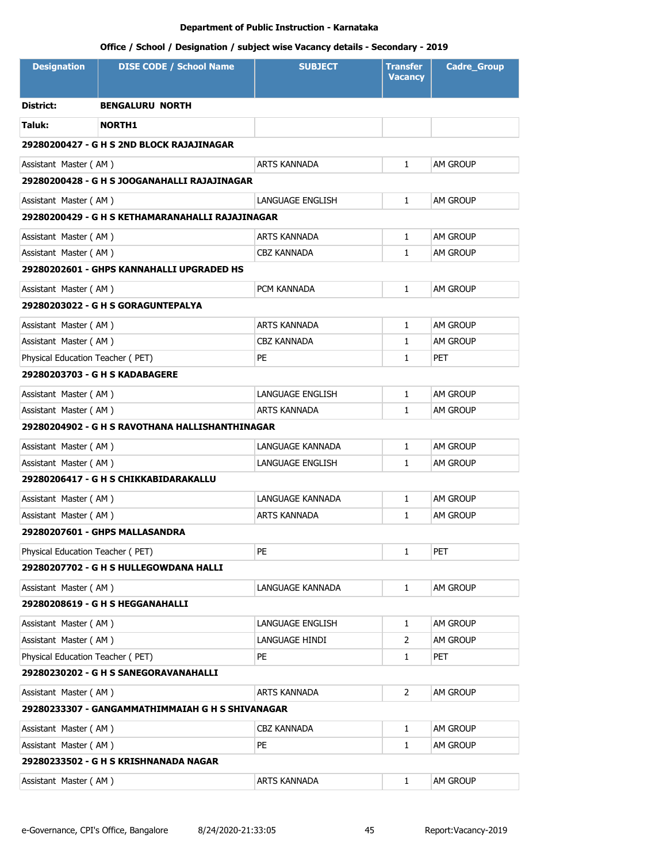| <b>Designation</b>                        | <b>DISE CODE / School Name</b>                   | <b>SUBJECT</b>      | Transfer<br><b>Vacancy</b> | <b>Cadre Group</b> |  |
|-------------------------------------------|--------------------------------------------------|---------------------|----------------------------|--------------------|--|
| District:                                 | <b>BENGALURU NORTH</b>                           |                     |                            |                    |  |
| Taluk:                                    | <b>NORTH1</b>                                    |                     |                            |                    |  |
| 29280200427 - G H S 2ND BLOCK RAJAJINAGAR |                                                  |                     |                            |                    |  |
| Assistant Master (AM)                     |                                                  | <b>ARTS KANNADA</b> | $\mathbf{1}$               | <b>AM GROUP</b>    |  |
|                                           | 29280200428 - G H S JOOGANAHALLI RAJAJINAGAR     |                     |                            |                    |  |
| Assistant Master (AM)                     |                                                  | LANGUAGE ENGLISH    | 1                          | <b>AM GROUP</b>    |  |
|                                           | 29280200429 - G H S KETHAMARANAHALLI RAJAJINAGAR |                     |                            |                    |  |
| Assistant Master (AM)                     |                                                  | <b>ARTS KANNADA</b> | 1                          | AM GROUP           |  |
| Assistant Master (AM)                     |                                                  | CBZ KANNADA         | 1                          | AM GROUP           |  |
|                                           | 29280202601 - GHPS KANNAHALLI UPGRADED HS        |                     |                            |                    |  |
| Assistant Master (AM)                     |                                                  | PCM KANNADA         | $\mathbf{1}$               | <b>AM GROUP</b>    |  |
|                                           | 29280203022 - G H S GORAGUNTEPALYA               |                     |                            |                    |  |
| Assistant Master (AM)                     |                                                  | ARTS KANNADA        | 1                          | AM GROUP           |  |
| Assistant Master (AM)                     |                                                  | CBZ KANNADA         | 1                          | <b>AM GROUP</b>    |  |
| Physical Education Teacher (PET)          |                                                  | PE                  | 1                          | <b>PET</b>         |  |
|                                           | 29280203703 - G H S KADABAGERE                   |                     |                            |                    |  |
| Assistant Master (AM)                     |                                                  | LANGUAGE ENGLISH    | $\mathbf{1}$               | <b>AM GROUP</b>    |  |
| Assistant Master (AM)                     |                                                  | ARTS KANNADA        | 1                          | AM GROUP           |  |
|                                           | 29280204902 - G H S RAVOTHANA HALLISHANTHINAGAR  |                     |                            |                    |  |
| Assistant Master (AM)                     |                                                  | LANGUAGE KANNADA    | $\mathbf{1}$               | <b>AM GROUP</b>    |  |
| Assistant Master (AM)                     |                                                  | LANGUAGE ENGLISH    | $\mathbf{1}$               | AM GROUP           |  |
|                                           | 29280206417 - G H S CHIKKABIDARAKALLU            |                     |                            |                    |  |
| Assistant Master (AM)                     |                                                  | LANGUAGE KANNADA    | 1                          | <b>AM GROUP</b>    |  |
| Assistant Master (AM)                     |                                                  | ARTS KANNADA        | $\mathbf{1}$               | <b>AM GROUP</b>    |  |
|                                           | 29280207601 - GHPS MALLASANDRA                   |                     |                            |                    |  |
| Physical Education Teacher (PET)          |                                                  | PE                  | 1                          | PET                |  |
|                                           | 29280207702 - G H S HULLEGOWDANA HALLI           |                     |                            |                    |  |
| Assistant Master (AM)                     |                                                  | LANGUAGE KANNADA    | 1                          | AM GROUP           |  |
|                                           | 29280208619 - G H S HEGGANAHALLI                 |                     |                            |                    |  |
| Assistant Master (AM)                     |                                                  | LANGUAGE ENGLISH    | $\mathbf{1}$               | AM GROUP           |  |
| Assistant Master (AM)                     |                                                  | LANGUAGE HINDI      | 2                          | AM GROUP           |  |
| Physical Education Teacher (PET)          |                                                  | PE                  | 1                          | <b>PET</b>         |  |
|                                           | 29280230202 - G H S SANEGORAVANAHALLI            |                     |                            |                    |  |
| Assistant Master (AM)                     |                                                  | ARTS KANNADA        | $\overline{2}$             | AM GROUP           |  |
|                                           | 29280233307 - GANGAMMATHIMMAIAH G H S SHIVANAGAR |                     |                            |                    |  |
| Assistant Master (AM)                     |                                                  | CBZ KANNADA         | $\mathbf{1}$               | AM GROUP           |  |
| Assistant Master (AM)                     |                                                  | PE                  | $\mathbf{1}$               | AM GROUP           |  |
|                                           | 29280233502 - G H S KRISHNANADA NAGAR            |                     |                            |                    |  |
| Assistant Master (AM)                     |                                                  | ARTS KANNADA        | 1                          | AM GROUP           |  |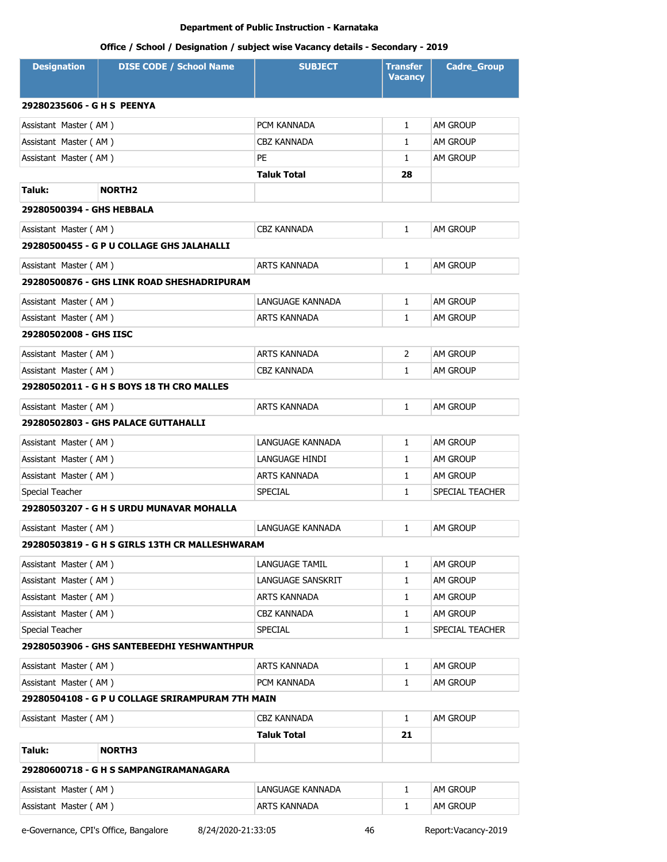# **Office / School / Designation / subject wise Vacancy details - Secondary - 2019**

| <b>Designation</b>         | <b>DISE CODE / School Name</b>                   | <b>SUBJECT</b>     | <b>Transfer</b><br><b>Vacancy</b> | <b>Cadre Group</b> |  |
|----------------------------|--------------------------------------------------|--------------------|-----------------------------------|--------------------|--|
| 29280235606 - G H S PEENYA |                                                  |                    |                                   |                    |  |
| Assistant Master (AM)      |                                                  | PCM KANNADA        | $\mathbf{1}$                      | <b>AM GROUP</b>    |  |
| Assistant Master (AM)      |                                                  | CBZ KANNADA        | 1                                 | AM GROUP           |  |
| Assistant Master (AM)      |                                                  | PE                 | 1                                 | <b>AM GROUP</b>    |  |
|                            |                                                  | Taluk Total        | 28                                |                    |  |
| Taluk:                     | <b>NORTH2</b>                                    |                    |                                   |                    |  |
| 29280500394 - GHS HEBBALA  |                                                  |                    |                                   |                    |  |
| Assistant Master (AM)      |                                                  | CBZ KANNADA        | 1                                 | <b>AM GROUP</b>    |  |
|                            | 29280500455 - G P U COLLAGE GHS JALAHALLI        |                    |                                   |                    |  |
| Assistant Master (AM)      |                                                  | ARTS KANNADA       | 1                                 | <b>AM GROUP</b>    |  |
|                            | 29280500876 - GHS LINK ROAD SHESHADRIPURAM       |                    |                                   |                    |  |
| Assistant Master (AM)      |                                                  | LANGUAGE KANNADA   | 1                                 | <b>AM GROUP</b>    |  |
| Assistant Master (AM)      |                                                  | ARTS KANNADA       | $\mathbf{1}$                      | AM GROUP           |  |
| 29280502008 - GHS IISC     |                                                  |                    |                                   |                    |  |
| Assistant Master (AM)      |                                                  | ARTS KANNADA       | $\overline{2}$                    | <b>AM GROUP</b>    |  |
| Assistant Master (AM)      |                                                  | CBZ KANNADA        | $\mathbf{1}$                      | AM GROUP           |  |
|                            | 29280502011 - G H S BOYS 18 TH CRO MALLES        |                    |                                   |                    |  |
| Assistant Master (AM)      |                                                  | ARTS KANNADA       | $\mathbf{1}$                      | <b>AM GROUP</b>    |  |
|                            | 29280502803 - GHS PALACE GUTTAHALLI              |                    |                                   |                    |  |
| Assistant Master (AM)      |                                                  | LANGUAGE KANNADA   | $\mathbf{1}$                      | AM GROUP           |  |
| Assistant Master (AM)      |                                                  | LANGUAGE HINDI     | $\mathbf{1}$                      | <b>AM GROUP</b>    |  |
| Assistant Master (AM)      |                                                  | ARTS KANNADA       | 1                                 | <b>AM GROUP</b>    |  |
| Special Teacher            |                                                  | SPECIAL            | $\mathbf{1}$                      | SPECIAL TEACHER    |  |
|                            | 29280503207 - G H S URDU MUNAVAR MOHALLA         |                    |                                   |                    |  |
| Assistant Master (AM)      |                                                  | LANGUAGE KANNADA   | 1                                 | <b>AM GROUP</b>    |  |
|                            | 29280503819 - G H S GIRLS 13TH CR MALLESHWARAM   |                    |                                   |                    |  |
| Assistant Master (AM)      |                                                  | LANGUAGE TAMIL     | 1                                 | <b>AM GROUP</b>    |  |
| Assistant Master (AM)      |                                                  | LANGUAGE SANSKRIT  | 1                                 | AM GROUP           |  |
| Assistant Master (AM)      |                                                  | ARTS KANNADA       | 1                                 | AM GROUP           |  |
| Assistant Master (AM)      |                                                  | <b>CBZ KANNADA</b> | 1                                 | AM GROUP           |  |
| Special Teacher            |                                                  | SPECIAL            | 1                                 | SPECIAL TEACHER    |  |
|                            | 29280503906 - GHS SANTEBEEDHI YESHWANTHPUR       |                    |                                   |                    |  |
| Assistant Master (AM)      |                                                  | ARTS KANNADA       | 1                                 | AM GROUP           |  |
| Assistant Master (AM)      |                                                  | PCM KANNADA        | 1                                 | AM GROUP           |  |
|                            | 29280504108 - G P U COLLAGE SRIRAMPURAM 7TH MAIN |                    |                                   |                    |  |
| Assistant Master (AM)      |                                                  | <b>CBZ KANNADA</b> | $\mathbf{1}$                      | AM GROUP           |  |
|                            |                                                  | <b>Taluk Total</b> | 21                                |                    |  |
| Taluk:                     | <b>NORTH3</b>                                    |                    |                                   |                    |  |
|                            | 29280600718 - G H S SAMPANGIRAMANAGARA           |                    |                                   |                    |  |
| Assistant Master (AM)      |                                                  | LANGUAGE KANNADA   | 1                                 | AM GROUP           |  |
| Assistant Master (AM)      |                                                  | ARTS KANNADA       | 1                                 | AM GROUP           |  |

e-Governance, CPI's Office, Bangalore 8/24/2020-21:33:05 46 Report:Vacancy-2019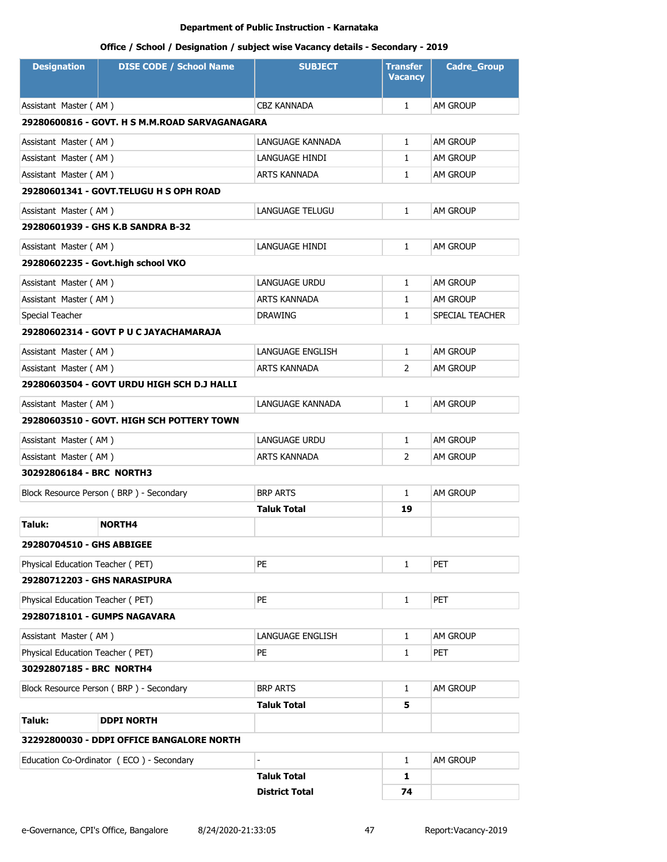| <b>Designation</b>                         | <b>DISE CODE / School Name</b>                 | <b>SUBJECT</b>         | <b>Transfer</b><br><b>Vacancy</b> | <b>Cadre_Group</b> |  |
|--------------------------------------------|------------------------------------------------|------------------------|-----------------------------------|--------------------|--|
| Assistant Master (AM)                      |                                                | CBZ KANNADA            | $\mathbf{1}$                      | <b>AM GROUP</b>    |  |
|                                            | 29280600816 - GOVT. H S M.M.ROAD SARVAGANAGARA |                        |                                   |                    |  |
| Assistant Master (AM)                      |                                                | LANGUAGE KANNADA       | $\mathbf{1}$                      | AM GROUP           |  |
| Assistant Master (AM)                      |                                                | LANGUAGE HINDI         | $\mathbf{1}$                      | AM GROUP           |  |
| Assistant Master (AM)                      |                                                | ARTS KANNADA           | $\mathbf{1}$                      | AM GROUP           |  |
|                                            | 29280601341 - GOVT.TELUGU H S OPH ROAD         |                        |                                   |                    |  |
| Assistant Master (AM)                      |                                                | <b>LANGUAGE TELUGU</b> | $\mathbf{1}$                      | AM GROUP           |  |
|                                            | 29280601939 - GHS K.B SANDRA B-32              |                        |                                   |                    |  |
| Assistant Master (AM)                      |                                                | LANGUAGE HINDI         | $\mathbf{1}$                      | AM GROUP           |  |
|                                            | 29280602235 - Govt.high school VKO             |                        |                                   |                    |  |
| Assistant Master (AM)                      |                                                | <b>LANGUAGE URDU</b>   | $\mathbf{1}$                      | AM GROUP           |  |
| Assistant Master (AM)                      |                                                | <b>ARTS KANNADA</b>    | 1                                 | AM GROUP           |  |
| Special Teacher                            |                                                | <b>DRAWING</b>         | $\mathbf{1}$                      | SPECIAL TEACHER    |  |
|                                            | 29280602314 - GOVT P U C JAYACHAMARAJA         |                        |                                   |                    |  |
| Assistant Master (AM)                      |                                                | LANGUAGE ENGLISH       | $\mathbf{1}$                      | AM GROUP           |  |
| Assistant Master (AM)                      |                                                | ARTS KANNADA           | 2                                 | AM GROUP           |  |
| 29280603504 - GOVT URDU HIGH SCH D.J HALLI |                                                |                        |                                   |                    |  |
| Assistant Master (AM)                      |                                                | LANGUAGE KANNADA       | $\mathbf{1}$                      | AM GROUP           |  |
|                                            | 29280603510 - GOVT. HIGH SCH POTTERY TOWN      |                        |                                   |                    |  |
| Assistant Master (AM)                      |                                                | LANGUAGE URDU          | $\mathbf{1}$                      | AM GROUP           |  |
| Assistant Master (AM)                      |                                                | ARTS KANNADA           | 2                                 | AM GROUP           |  |
| 30292806184 - BRC NORTH3                   |                                                |                        |                                   |                    |  |
|                                            | Block Resource Person (BRP) - Secondary        | <b>BRP ARTS</b>        | $\mathbf{1}$                      | <b>AM GROUP</b>    |  |
|                                            |                                                | Taluk Total            | 19                                |                    |  |
| Taluk:                                     | <b>NORTH4</b>                                  |                        |                                   |                    |  |
| 29280704510 - GHS ABBIGEE                  |                                                |                        |                                   |                    |  |
| Physical Education Teacher (PET)           |                                                | <b>PE</b>              | $\mathbf{1}$                      | <b>PET</b>         |  |
| 29280712203 - GHS NARASIPURA               |                                                |                        |                                   |                    |  |
| Physical Education Teacher (PET)           |                                                | PE                     | $\mathbf{1}$                      | <b>PET</b>         |  |
|                                            | 29280718101 - GUMPS NAGAVARA                   |                        |                                   |                    |  |
| Assistant Master (AM)                      |                                                | LANGUAGE ENGLISH       | $\mathbf{1}$                      | AM GROUP           |  |
| Physical Education Teacher (PET)           |                                                | PE                     | $\mathbf{1}$                      | <b>PET</b>         |  |
| 30292807185 - BRC NORTH4                   |                                                |                        |                                   |                    |  |
|                                            | Block Resource Person (BRP) - Secondary        | <b>BRP ARTS</b>        | $\mathbf{1}$                      | AM GROUP           |  |
|                                            |                                                | <b>Taluk Total</b>     | 5                                 |                    |  |
| Taluk:                                     | <b>DDPI NORTH</b>                              |                        |                                   |                    |  |
|                                            | 32292800030 - DDPI OFFICE BANGALORE NORTH      |                        |                                   |                    |  |
|                                            | Education Co-Ordinator (ECO) - Secondary       |                        | $\mathbf{1}$                      | AM GROUP           |  |
|                                            |                                                | <b>Taluk Total</b>     | 1                                 |                    |  |
|                                            |                                                | <b>District Total</b>  | 74                                |                    |  |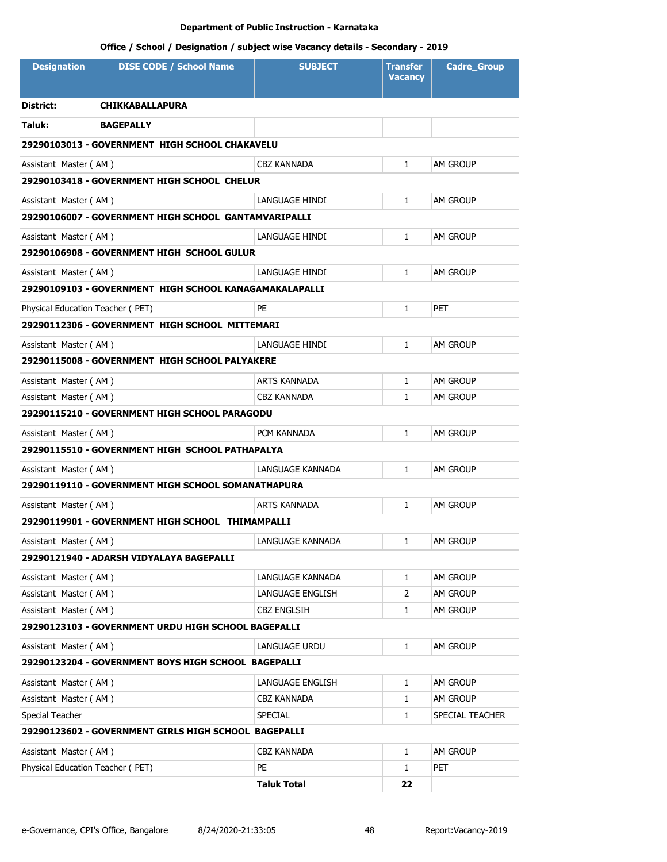| <b>Designation</b>               | <b>DISE CODE / School Name</b>                         | <b>SUBJECT</b>     | <b>Transfer</b><br><b>Vacancy</b> | <b>Cadre_Group</b> |  |
|----------------------------------|--------------------------------------------------------|--------------------|-----------------------------------|--------------------|--|
| <b>District:</b>                 | <b>CHIKKABALLAPURA</b>                                 |                    |                                   |                    |  |
| Taluk:                           | <b>BAGEPALLY</b>                                       |                    |                                   |                    |  |
|                                  | 29290103013 - GOVERNMENT HIGH SCHOOL CHAKAVELU         |                    |                                   |                    |  |
| Assistant Master (AM)            |                                                        | CBZ KANNADA        | $\mathbf{1}$                      | <b>AM GROUP</b>    |  |
|                                  | 29290103418 - GOVERNMENT HIGH SCHOOL CHELUR            |                    |                                   |                    |  |
| Assistant Master (AM)            |                                                        | LANGUAGE HINDI     | $\mathbf{1}$                      | AM GROUP           |  |
|                                  | 29290106007 - GOVERNMENT HIGH SCHOOL GANTAMVARIPALLI   |                    |                                   |                    |  |
| Assistant Master (AM)            |                                                        | LANGUAGE HINDI     | $\mathbf{1}$                      | <b>AM GROUP</b>    |  |
|                                  | 29290106908 - GOVERNMENT HIGH SCHOOL GULUR             |                    |                                   |                    |  |
| Assistant Master (AM)            |                                                        | LANGUAGE HINDI     | $\mathbf{1}$                      | <b>AM GROUP</b>    |  |
|                                  | 29290109103 - GOVERNMENT HIGH SCHOOL KANAGAMAKALAPALLI |                    |                                   |                    |  |
| Physical Education Teacher (PET) |                                                        | PE                 | $\mathbf{1}$                      | <b>PET</b>         |  |
|                                  | 29290112306 - GOVERNMENT HIGH SCHOOL MITTEMARI         |                    |                                   |                    |  |
| Assistant Master (AM)            |                                                        | LANGUAGE HINDI     | $\mathbf{1}$                      | <b>AM GROUP</b>    |  |
|                                  | 29290115008 - GOVERNMENT HIGH SCHOOL PALYAKERE         |                    |                                   |                    |  |
| Assistant Master (AM)            |                                                        | ARTS KANNADA       | $\mathbf{1}$                      | <b>AM GROUP</b>    |  |
| Assistant Master (AM)            |                                                        | CBZ KANNADA        | 1                                 | AM GROUP           |  |
|                                  | 29290115210 - GOVERNMENT HIGH SCHOOL PARAGODU          |                    |                                   |                    |  |
| Assistant Master (AM)            |                                                        | PCM KANNADA        | $\mathbf{1}$                      | AM GROUP           |  |
|                                  | 29290115510 - GOVERNMENT HIGH SCHOOL PATHAPALYA        |                    |                                   |                    |  |
| Assistant Master (AM)            |                                                        | LANGUAGE KANNADA   | 1                                 | am Group           |  |
|                                  | 29290119110 - GOVERNMENT HIGH SCHOOL SOMANATHAPURA     |                    |                                   |                    |  |
| Assistant Master (AM)            |                                                        | ARTS KANNADA       | $\mathbf{1}$                      | <b>AM GROUP</b>    |  |
|                                  | 29290119901 - GOVERNMENT HIGH SCHOOL THIMAMPALLI       |                    |                                   |                    |  |
| Assistant Master (AM)            |                                                        | LANGUAGE KANNADA   | 1                                 | <b>AM GROUP</b>    |  |
|                                  | 29290121940 - ADARSH VIDYALAYA BAGEPALLI               |                    |                                   |                    |  |
| Assistant Master (AM)            |                                                        | LANGUAGE KANNADA   | $\mathbf{1}$                      | AM GROUP           |  |
| Assistant Master (AM)            |                                                        | LANGUAGE ENGLISH   | 2                                 | am Group           |  |
| Assistant Master (AM)            |                                                        | CBZ ENGLSIH        | $\mathbf{1}$                      | am Group           |  |
|                                  | 29290123103 - GOVERNMENT URDU HIGH SCHOOL BAGEPALLI    |                    |                                   |                    |  |
| Assistant Master (AM)            |                                                        | LANGUAGE URDU      | $\mathbf{1}$                      | am Group           |  |
|                                  | 29290123204 - GOVERNMENT BOYS HIGH SCHOOL BAGEPALLI    |                    |                                   |                    |  |
| Assistant Master (AM)            |                                                        | LANGUAGE ENGLISH   | $\mathbf{1}$                      | AM GROUP           |  |
| Assistant Master (AM)            |                                                        | <b>CBZ KANNADA</b> | $\mathbf{1}$                      | AM GROUP           |  |
| Special Teacher                  |                                                        | SPECIAL            | $\mathbf{1}$                      | SPECIAL TEACHER    |  |
|                                  | 29290123602 - GOVERNMENT GIRLS HIGH SCHOOL BAGEPALLI   |                    |                                   |                    |  |
| Assistant Master (AM)            |                                                        | CBZ KANNADA        | $\mathbf{1}$                      | AM GROUP           |  |
| Physical Education Teacher (PET) |                                                        | PE                 | $\mathbf{1}$                      | PET                |  |
|                                  |                                                        | <b>Taluk Total</b> | 22                                |                    |  |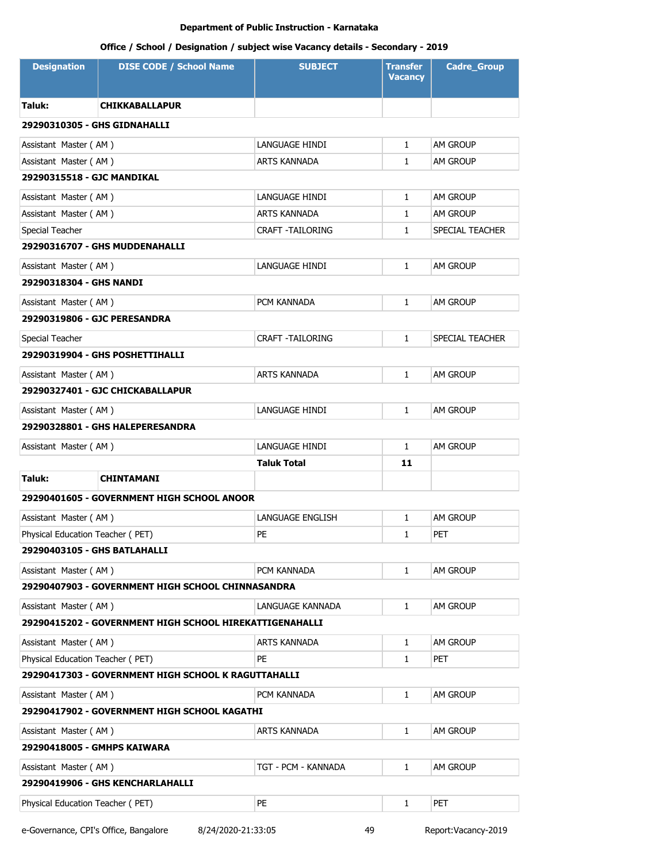# **Office / School / Designation / subject wise Vacancy details - Secondary - 2019**

| <b>Designation</b>               | <b>DISE CODE / School Name</b>                          | <b>SUBJECT</b>          | <b>Transfer</b><br><b>Vacancy</b> | <b>Cadre_Group</b>     |  |
|----------------------------------|---------------------------------------------------------|-------------------------|-----------------------------------|------------------------|--|
| Taluk:                           | <b>CHIKKABALLAPUR</b>                                   |                         |                                   |                        |  |
| 29290310305 - GHS GIDNAHALLI     |                                                         |                         |                                   |                        |  |
| Assistant Master (AM)            |                                                         | LANGUAGE HINDI          | $\mathbf{1}$                      | AM GROUP               |  |
| Assistant Master (AM)            |                                                         | ARTS KANNADA            | $\mathbf{1}$                      | <b>AM GROUP</b>        |  |
| 29290315518 - GJC MANDIKAL       |                                                         |                         |                                   |                        |  |
| Assistant Master (AM)            |                                                         | LANGUAGE HINDI          | $\mathbf{1}$                      | AM GROUP               |  |
| Assistant Master (AM)            |                                                         | ARTS KANNADA            | 1                                 | AM GROUP               |  |
| Special Teacher                  |                                                         | <b>CRAFT -TAILORING</b> | $\mathbf{1}$                      | SPECIAL TEACHER        |  |
|                                  | 29290316707 - GHS MUDDENAHALLI                          |                         |                                   |                        |  |
| Assistant Master (AM)            |                                                         | LANGUAGE HINDI          | $\mathbf{1}$                      | <b>AM GROUP</b>        |  |
| 29290318304 - GHS NANDI          |                                                         |                         |                                   |                        |  |
| Assistant Master (AM)            |                                                         | PCM KANNADA             | $\mathbf{1}$                      | AM GROUP               |  |
| 29290319806 - GJC PERESANDRA     |                                                         |                         |                                   |                        |  |
| Special Teacher                  |                                                         | <b>CRAFT -TAILORING</b> | $\mathbf{1}$                      | <b>SPECIAL TEACHER</b> |  |
|                                  | 29290319904 - GHS POSHETTIHALLI                         |                         |                                   |                        |  |
| Assistant Master (AM)            |                                                         | <b>ARTS KANNADA</b>     | $\mathbf{1}$                      | AM GROUP               |  |
| 29290327401 - GJC CHICKABALLAPUR |                                                         |                         |                                   |                        |  |
| Assistant Master (AM)            |                                                         | LANGUAGE HINDI          | $\mathbf{1}$                      | <b>AM GROUP</b>        |  |
|                                  | 29290328801 - GHS HALEPERESANDRA                        |                         |                                   |                        |  |
| Assistant Master (AM)            |                                                         | LANGUAGE HINDI          | $\mathbf{1}$                      | AM GROUP               |  |
|                                  |                                                         | <b>Taluk Total</b>      | 11                                |                        |  |
| Taluk:                           | <b>CHINTAMANI</b>                                       |                         |                                   |                        |  |
|                                  | 29290401605 - GOVERNMENT HIGH SCHOOL ANOOR              |                         |                                   |                        |  |
| Assistant Master (AM)            |                                                         | LANGUAGE ENGLISH        | $\mathbf{1}$                      | AM GROUP               |  |
| Physical Education Teacher (PET) |                                                         | PE                      | 1                                 | <b>PET</b>             |  |
| 29290403105 - GHS BATLAHALLI     |                                                         |                         |                                   |                        |  |
| Assistant Master (AM)            |                                                         | PCM KANNADA             | $\mathbf{1}$                      | AM GROUP               |  |
|                                  | 29290407903 - GOVERNMENT HIGH SCHOOL CHINNASANDRA       |                         |                                   |                        |  |
| Assistant Master (AM)            |                                                         | LANGUAGE KANNADA        | $\mathbf{1}$                      | AM GROUP               |  |
|                                  | 29290415202 - GOVERNMENT HIGH SCHOOL HIREKATTIGENAHALLI |                         |                                   |                        |  |
| Assistant Master (AM)            |                                                         | ARTS KANNADA            | $\mathbf{1}$                      | AM GROUP               |  |
| Physical Education Teacher (PET) |                                                         | <b>PE</b>               | $\mathbf{1}$                      | PET                    |  |
|                                  | 29290417303 - GOVERNMENT HIGH SCHOOL K RAGUTTAHALLI     |                         |                                   |                        |  |
| Assistant Master (AM)            |                                                         | PCM KANNADA             | $\mathbf{1}$                      | AM GROUP               |  |
|                                  | 29290417902 - GOVERNMENT HIGH SCHOOL KAGATHI            |                         |                                   |                        |  |
| Assistant Master (AM)            |                                                         | ARTS KANNADA            | 1                                 | AM GROUP               |  |
| 29290418005 - GMHPS KAIWARA      |                                                         |                         |                                   |                        |  |
| Assistant Master (AM)            |                                                         | TGT - PCM - KANNADA     | $\mathbf{1}$                      | AM GROUP               |  |
|                                  | 29290419906 - GHS KENCHARLAHALLI                        |                         |                                   |                        |  |
| Physical Education Teacher (PET) |                                                         | PE                      | 1                                 | <b>PET</b>             |  |
|                                  |                                                         |                         |                                   |                        |  |

e-Governance, CPI's Office, Bangalore 8/24/2020-21:33:05 49 Report:Vacancy-2019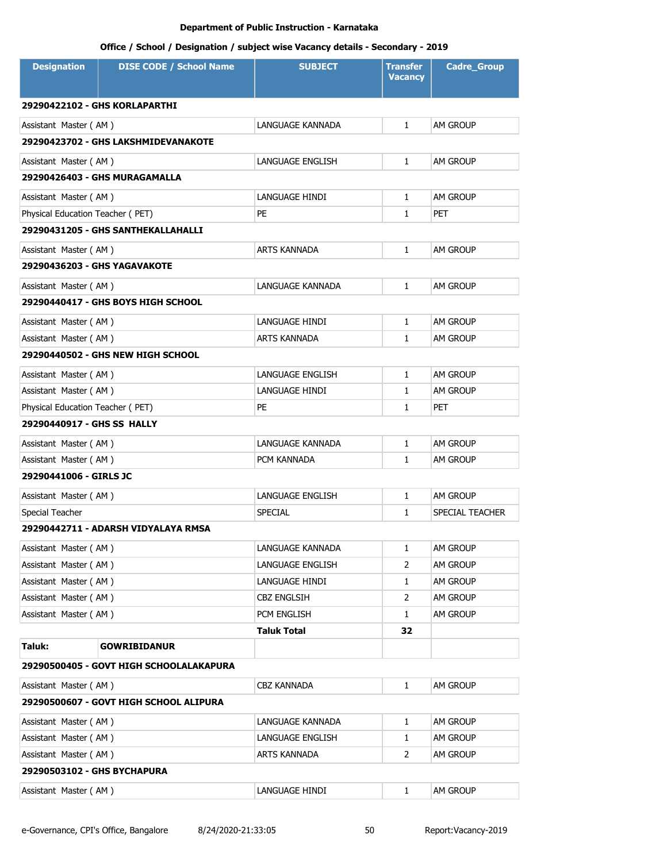| <b>Designation</b>               | <b>DISE CODE / School Name</b>            | <b>SUBJECT</b>     | <b>Transfer</b><br><b>Vacancy</b> | <b>Cadre_Group</b> |
|----------------------------------|-------------------------------------------|--------------------|-----------------------------------|--------------------|
|                                  | 29290422102 - GHS KORLAPARTHI             |                    |                                   |                    |
| Assistant Master (AM)            |                                           | LANGUAGE KANNADA   | $\mathbf{1}$                      | AM GROUP           |
|                                  | 29290423702 - GHS LAKSHMIDEVANAKOTE       |                    |                                   |                    |
| Assistant Master (AM)            |                                           | LANGUAGE ENGLISH   | $\mathbf{1}$                      | AM GROUP           |
|                                  | 29290426403 - GHS MURAGAMALLA             |                    |                                   |                    |
| Assistant Master (AM)            |                                           | LANGUAGE HINDI     | $\mathbf{1}$                      | AM GROUP           |
| Physical Education Teacher (PET) |                                           | PE                 | $\mathbf{1}$                      | <b>PET</b>         |
|                                  | 29290431205 - GHS SANTHEKALLAHALLI        |                    |                                   |                    |
| Assistant Master (AM)            |                                           | ARTS KANNADA       | $\mathbf{1}$                      | AM GROUP           |
| 29290436203 - GHS YAGAVAKOTE     |                                           |                    |                                   |                    |
| Assistant Master (AM)            |                                           | LANGUAGE KANNADA   | $\mathbf{1}$                      | AM GROUP           |
|                                  | <b>29290440417 - GHS BOYS HIGH SCHOOL</b> |                    |                                   |                    |
| Assistant Master (AM)            |                                           | LANGUAGE HINDI     | $\mathbf{1}$                      | AM GROUP           |
| Assistant Master (AM)            |                                           | ARTS KANNADA       | $\mathbf{1}$                      | AM GROUP           |
|                                  | 29290440502 - GHS NEW HIGH SCHOOL         |                    |                                   |                    |
| Assistant Master (AM)            |                                           | LANGUAGE ENGLISH   | $\mathbf{1}$                      | AM GROUP           |
| Assistant Master (AM)            |                                           | LANGUAGE HINDI     | 1                                 | am Group           |
| Physical Education Teacher (PET) |                                           | PE                 | $\mathbf{1}$                      | PET                |
| 29290440917 - GHS SS HALLY       |                                           |                    |                                   |                    |
| Assistant Master (AM)            |                                           | LANGUAGE KANNADA   | 1                                 | am Group           |
| Assistant Master (AM)            |                                           | PCM KANNADA        | $\mathbf{1}$                      | am Group           |
| 29290441006 - GIRLS JC           |                                           |                    |                                   |                    |
| Assistant Master (AM)            |                                           | LANGUAGE ENGLISH   | $\mathbf{1}$                      | am Group           |
| Special Teacher                  |                                           | <b>SPECIAL</b>     | $\mathbf{1}$                      | SPECIAL TEACHER    |
|                                  | 29290442711 - ADARSH VIDYALAYA RMSA       |                    |                                   |                    |
| Assistant Master (AM)            |                                           | LANGUAGE KANNADA   | 1                                 | AM GROUP           |
| Assistant Master (AM)            |                                           | LANGUAGE ENGLISH   | 2                                 | AM GROUP           |
| Assistant Master (AM)            |                                           | LANGUAGE HINDI     | 1                                 | AM GROUP           |
| Assistant Master (AM)            |                                           | <b>CBZ ENGLSIH</b> | 2                                 | AM GROUP           |
| Assistant Master (AM)            |                                           | PCM ENGLISH        | $\mathbf{1}$                      | AM GROUP           |
|                                  |                                           | <b>Taluk Total</b> | 32                                |                    |
| Taluk:                           | <b>GOWRIBIDANUR</b>                       |                    |                                   |                    |
|                                  | 29290500405 - GOVT HIGH SCHOOLALAKAPURA   |                    |                                   |                    |
| Assistant Master (AM)            |                                           | CBZ KANNADA        | 1                                 | am Group           |
|                                  | 29290500607 - GOVT HIGH SCHOOL ALIPURA    |                    |                                   |                    |
| Assistant Master (AM)            |                                           | LANGUAGE KANNADA   | $\mathbf{1}$                      | AM GROUP           |
| Assistant Master (AM)            |                                           | LANGUAGE ENGLISH   | 1                                 | AM GROUP           |
| Assistant Master (AM)            |                                           | ARTS KANNADA       | 2                                 | AM GROUP           |
| 29290503102 - GHS BYCHAPURA      |                                           |                    |                                   |                    |
| Assistant Master (AM)            |                                           | LANGUAGE HINDI     | $\mathbf{1}$                      | AM GROUP           |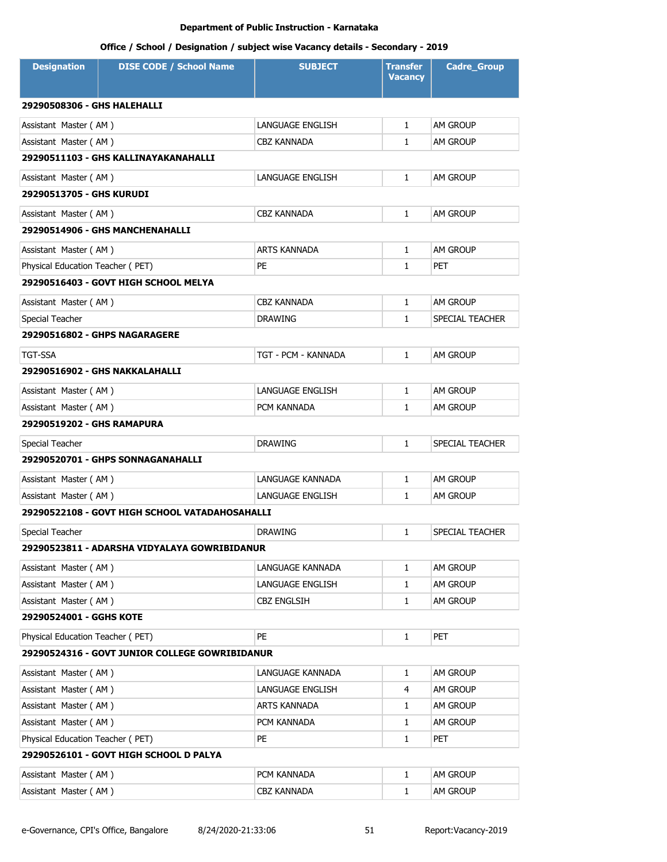| <b>Designation</b>               | <b>DISE CODE / School Name</b>                 | <b>SUBJECT</b>      | <b>Transfer</b><br><b>Vacancy</b> | <b>Cadre_Group</b>     |  |  |
|----------------------------------|------------------------------------------------|---------------------|-----------------------------------|------------------------|--|--|
| 29290508306 - GHS HALEHALLI      |                                                |                     |                                   |                        |  |  |
| Assistant Master (AM)            |                                                | LANGUAGE ENGLISH    | $\mathbf{1}$                      | <b>AM GROUP</b>        |  |  |
| Assistant Master (AM)            |                                                | <b>CBZ KANNADA</b>  | $\mathbf{1}$                      | <b>AM GROUP</b>        |  |  |
|                                  | 29290511103 - GHS KALLINAYAKANAHALLI           |                     |                                   |                        |  |  |
| Assistant Master (AM)            |                                                | LANGUAGE ENGLISH    | $\mathbf{1}$                      | AM GROUP               |  |  |
| 29290513705 - GHS KURUDI         |                                                |                     |                                   |                        |  |  |
| Assistant Master (AM)            |                                                | <b>CBZ KANNADA</b>  | $\mathbf{1}$                      | <b>AM GROUP</b>        |  |  |
|                                  | 29290514906 - GHS MANCHENAHALLI                |                     |                                   |                        |  |  |
| Assistant Master (AM)            |                                                | ARTS KANNADA        | $\mathbf{1}$                      | AM GROUP               |  |  |
| Physical Education Teacher (PET) |                                                | PE                  | $\mathbf{1}$                      | <b>PET</b>             |  |  |
|                                  | 29290516403 - GOVT HIGH SCHOOL MELYA           |                     |                                   |                        |  |  |
| Assistant Master (AM)            |                                                | <b>CBZ KANNADA</b>  | $\mathbf{1}$                      | AM GROUP               |  |  |
| Special Teacher                  |                                                | <b>DRAWING</b>      | 1                                 | SPECIAL TEACHER        |  |  |
|                                  | 29290516802 - GHPS NAGARAGERE                  |                     |                                   |                        |  |  |
| <b>TGT-SSA</b>                   |                                                | TGT - PCM - KANNADA | $\mathbf{1}$                      | AM GROUP               |  |  |
|                                  | 29290516902 - GHS NAKKALAHALLI                 |                     |                                   |                        |  |  |
| Assistant Master (AM)            |                                                | LANGUAGE ENGLISH    | $\mathbf{1}$                      | AM GROUP               |  |  |
| Assistant Master (AM)            |                                                | PCM KANNADA         | $\mathbf{1}$                      | AM GROUP               |  |  |
| 29290519202 - GHS RAMAPURA       |                                                |                     |                                   |                        |  |  |
| Special Teacher                  |                                                | <b>DRAWING</b>      | 1                                 | SPECIAL TEACHER        |  |  |
|                                  | 29290520701 - GHPS SONNAGANAHALLI              |                     |                                   |                        |  |  |
| Assistant Master (AM)            |                                                | LANGUAGE KANNADA    | $\mathbf{1}$                      | AM GROUP               |  |  |
| Assistant Master (AM)            |                                                | LANGUAGE ENGLISH    | $\mathbf{1}$                      | <b>AM GROUP</b>        |  |  |
|                                  | 29290522108 - GOVT HIGH SCHOOL VATADAHOSAHALLI |                     |                                   |                        |  |  |
| Special Teacher                  |                                                | <b>DRAWING</b>      | 1                                 | <b>SPECIAL TEACHER</b> |  |  |
|                                  | 29290523811 - ADARSHA VIDYALAYA GOWRIBIDANUR   |                     |                                   |                        |  |  |
| Assistant Master (AM)            |                                                | LANGUAGE KANNADA    | $\mathbf{1}$                      | AM GROUP               |  |  |
| Assistant Master (AM)            |                                                | LANGUAGE ENGLISH    | 1                                 | AM GROUP               |  |  |
| Assistant Master (AM)            |                                                | <b>CBZ ENGLSIH</b>  | 1                                 | AM GROUP               |  |  |
| 29290524001 - GGHS KOTE          |                                                |                     |                                   |                        |  |  |
| Physical Education Teacher (PET) |                                                | PE                  | $\mathbf{1}$                      | PET                    |  |  |
|                                  | 29290524316 - GOVT JUNIOR COLLEGE GOWRIBIDANUR |                     |                                   |                        |  |  |
| Assistant Master (AM)            |                                                | LANGUAGE KANNADA    | 1                                 | AM GROUP               |  |  |
| Assistant Master (AM)            |                                                | LANGUAGE ENGLISH    | 4                                 | AM GROUP               |  |  |
| Assistant Master (AM)            |                                                | ARTS KANNADA        | 1                                 | AM GROUP               |  |  |
| Assistant Master (AM)            |                                                | PCM KANNADA         | 1                                 | <b>AM GROUP</b>        |  |  |
| Physical Education Teacher (PET) |                                                | PE                  | $\mathbf{1}$                      | <b>PET</b>             |  |  |
|                                  | 29290526101 - GOVT HIGH SCHOOL D PALYA         |                     |                                   |                        |  |  |
| Assistant Master (AM)            |                                                | PCM KANNADA         | 1                                 | AM GROUP               |  |  |
| Assistant Master (AM)            |                                                | <b>CBZ KANNADA</b>  | 1                                 | AM GROUP               |  |  |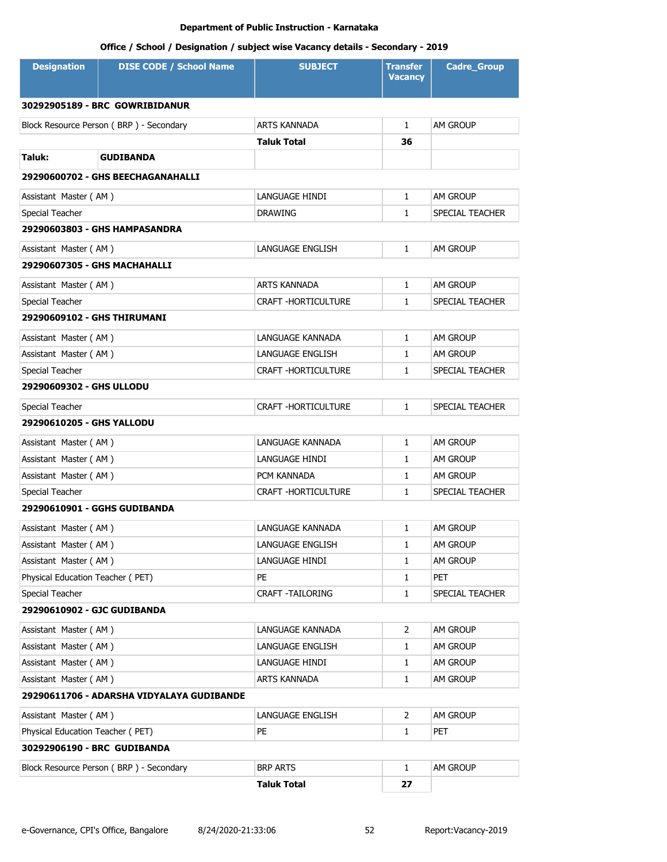| <b>Designation</b>                | <b>DISE CODE / School Name</b>            | <b>SUBJECT</b>             | Transfer<br><b>Vacancy</b> | <b>Cadre Group</b> |  |  |
|-----------------------------------|-------------------------------------------|----------------------------|----------------------------|--------------------|--|--|
|                                   | 30292905189 - BRC GOWRIBIDANUR            |                            |                            |                    |  |  |
|                                   | Block Resource Person (BRP) - Secondary   | <b>ARTS KANNADA</b>        | $\mathbf{1}$               | <b>AM GROUP</b>    |  |  |
|                                   |                                           | <b>Taluk Total</b>         | 36                         |                    |  |  |
| Taluk:                            | <b>GUDIBANDA</b>                          |                            |                            |                    |  |  |
| 29290600702 - GHS BEECHAGANAHALLI |                                           |                            |                            |                    |  |  |
| Assistant Master (AM)             |                                           | LANGUAGE HINDI             | $\mathbf{1}$               | AM GROUP           |  |  |
| Special Teacher                   |                                           | <b>DRAWING</b>             | 1                          | SPECIAL TEACHER    |  |  |
|                                   | 29290603803 - GHS HAMPASANDRA             |                            |                            |                    |  |  |
| Assistant Master (AM)             |                                           | LANGUAGE ENGLISH           | $\mathbf{1}$               | AM GROUP           |  |  |
| 29290607305 - GHS MACHAHALLI      |                                           |                            |                            |                    |  |  |
| Assistant Master (AM)             |                                           | <b>ARTS KANNADA</b>        | $\mathbf{1}$               | AM GROUP           |  |  |
| Special Teacher                   |                                           | CRAFT - HORTICULTURE       | $\mathbf{1}$               | SPECIAL TEACHER    |  |  |
| 29290609102 - GHS THIRUMANI       |                                           |                            |                            |                    |  |  |
| Assistant Master (AM)             |                                           | LANGUAGE KANNADA           | $\mathbf{1}$               | <b>AM GROUP</b>    |  |  |
| Assistant Master (AM)             |                                           | LANGUAGE ENGLISH           | 1                          | <b>AM GROUP</b>    |  |  |
| Special Teacher                   |                                           | <b>CRAFT -HORTICULTURE</b> | 1                          | SPECIAL TEACHER    |  |  |
| <b>29290609302 - GHS ULLODU</b>   |                                           |                            |                            |                    |  |  |
| Special Teacher                   |                                           | CRAFT - HORTICULTURE       | $\mathbf{1}$               | SPECIAL TEACHER    |  |  |
| 29290610205 - GHS YALLODU         |                                           |                            |                            |                    |  |  |
| Assistant Master (AM)             |                                           | LANGUAGE KANNADA           | $\mathbf{1}$               | <b>AM GROUP</b>    |  |  |
| Assistant Master (AM)             |                                           | LANGUAGE HINDI             | $\mathbf{1}$               | <b>AM GROUP</b>    |  |  |
| Assistant Master (AM)             |                                           | PCM KANNADA                | $\mathbf{1}$               | <b>AM GROUP</b>    |  |  |
| Special Teacher                   |                                           | <b>CRAFT -HORTICULTURE</b> | $\mathbf{1}$               | SPECIAL TEACHER    |  |  |
| 29290610901 - GGHS GUDIBANDA      |                                           |                            |                            |                    |  |  |
| Assistant Master (AM)             |                                           | LANGUAGE KANNADA           | $\mathbf{1}$               | <b>AM GROUP</b>    |  |  |
| Assistant Master (AM)             |                                           | LANGUAGE ENGLISH           | 1                          | AM GROUP           |  |  |
| Assistant Master (AM)             |                                           | LANGUAGE HINDI             | 1                          | <b>AM GROUP</b>    |  |  |
| Physical Education Teacher (PET)  |                                           | PE                         | $\mathbf{1}$               | PET                |  |  |
| Special Teacher                   |                                           | CRAFT -TAILORING           | $\mathbf{1}$               | SPECIAL TEACHER    |  |  |
| 29290610902 - GJC GUDIBANDA       |                                           |                            |                            |                    |  |  |
| Assistant Master (AM)             |                                           | LANGUAGE KANNADA           | 2                          | AM GROUP           |  |  |
| Assistant Master (AM)             |                                           | LANGUAGE ENGLISH           | 1                          | AM GROUP           |  |  |
| Assistant Master (AM)             |                                           | LANGUAGE HINDI             | 1                          | AM GROUP           |  |  |
| Assistant Master (AM)             |                                           | ARTS KANNADA               | $\mathbf{1}$               | AM GROUP           |  |  |
|                                   | 29290611706 - ADARSHA VIDYALAYA GUDIBANDE |                            |                            |                    |  |  |
| Assistant Master (AM)             |                                           | LANGUAGE ENGLISH           | 2                          | AM GROUP           |  |  |
| Physical Education Teacher (PET)  |                                           | PE                         | $\mathbf{1}$               | <b>PET</b>         |  |  |
| 30292906190 - BRC GUDIBANDA       |                                           |                            |                            |                    |  |  |
|                                   | Block Resource Person (BRP) - Secondary   | <b>BRP ARTS</b>            | $\mathbf{1}$               | AM GROUP           |  |  |
|                                   |                                           | <b>Taluk Total</b>         | 27                         |                    |  |  |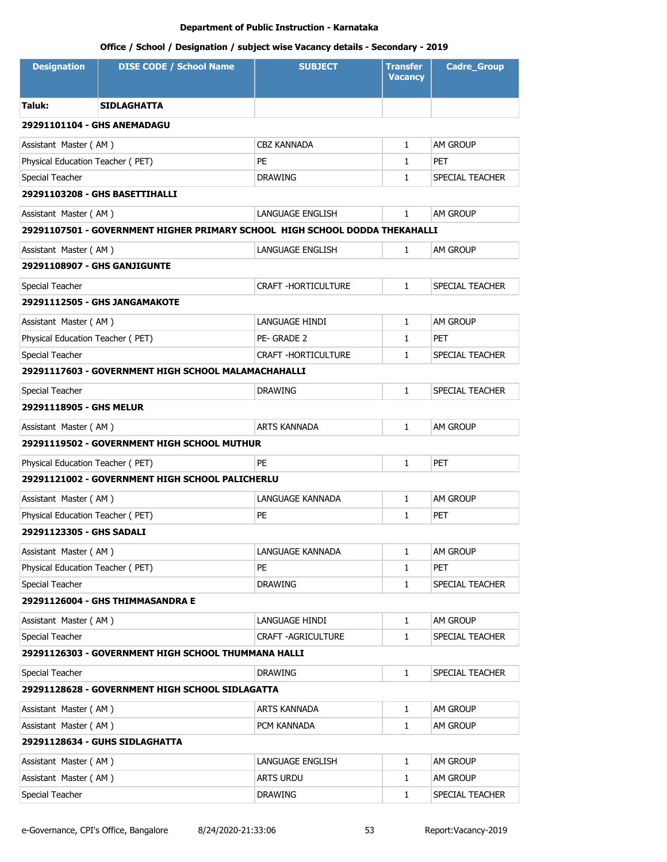| <b>Designation</b>               | <b>DISE CODE / School Name</b>                                              | <b>SUBJECT</b>             | <b>Transfer</b><br><b>Vacancy</b> | <b>Cadre Group</b> |
|----------------------------------|-----------------------------------------------------------------------------|----------------------------|-----------------------------------|--------------------|
| Taluk:                           | SIDLAGHATTA                                                                 |                            |                                   |                    |
| 29291101104 - GHS ANEMADAGU      |                                                                             |                            |                                   |                    |
| Assistant Master (AM)            |                                                                             | <b>CBZ KANNADA</b>         | $\mathbf{1}$                      | AM GROUP           |
| Physical Education Teacher (PET) |                                                                             | PE                         | $\mathbf{1}$                      | PET                |
| Special Teacher                  |                                                                             | <b>DRAWING</b>             | $\mathbf{1}$                      | SPECIAL TEACHER    |
|                                  | 29291103208 - GHS BASETTIHALLI                                              |                            |                                   |                    |
| Assistant Master (AM)            |                                                                             | LANGUAGE ENGLISH           | $\mathbf{1}$                      | AM GROUP           |
|                                  | 29291107501 - GOVERNMENT HIGHER PRIMARY SCHOOL HIGH SCHOOL DODDA THEKAHALLI |                            |                                   |                    |
| Assistant Master (AM)            |                                                                             | LANGUAGE ENGLISH           | $\mathbf{1}$                      | AM GROUP           |
| 29291108907 - GHS GANJIGUNTE     |                                                                             |                            |                                   |                    |
| Special Teacher                  |                                                                             | CRAFT - HORTICULTURE       | $\mathbf{1}$                      | SPECIAL TEACHER    |
|                                  | 29291112505 - GHS JANGAMAKOTE                                               |                            |                                   |                    |
| Assistant Master (AM)            |                                                                             | LANGUAGE HINDI             | $\mathbf{1}$                      | AM GROUP           |
| Physical Education Teacher (PET) |                                                                             | PE-GRADE 2                 | $\mathbf{1}$                      | PET                |
| Special Teacher                  |                                                                             | <b>CRAFT -HORTICULTURE</b> | $\mathbf{1}$                      | SPECIAL TEACHER    |
|                                  | 29291117603 - GOVERNMENT HIGH SCHOOL MALAMACHAHALLI                         |                            |                                   |                    |
| Special Teacher                  |                                                                             | <b>DRAWING</b>             | $\mathbf{1}$                      | SPECIAL TEACHER    |
| 29291118905 - GHS MELUR          |                                                                             |                            |                                   |                    |
| Assistant Master (AM)            |                                                                             | <b>ARTS KANNADA</b>        | $\mathbf{1}$                      | AM GROUP           |
|                                  | 29291119502 - GOVERNMENT HIGH SCHOOL MUTHUR                                 |                            |                                   |                    |
| Physical Education Teacher (PET) |                                                                             | PE                         | $\mathbf{1}$                      | <b>PET</b>         |
|                                  | 29291121002 - GOVERNMENT HIGH SCHOOL PALICHERLU                             |                            |                                   |                    |
| Assistant Master (AM)            |                                                                             | LANGUAGE KANNADA           | $\mathbf{1}$                      | AM GROUP           |
| Physical Education Teacher (PET) |                                                                             | PE                         | $\mathbf{1}$                      | PET                |
| 29291123305 - GHS SADALI         |                                                                             |                            |                                   |                    |
| Assistant Master (AM)            |                                                                             | LANGUAGE KANNADA           | 1                                 | AM GROUP           |
| Physical Education Teacher (PET) |                                                                             | PE                         | 1                                 | PET                |
| Special Teacher                  |                                                                             | <b>DRAWING</b>             | $\mathbf{1}$                      | SPECIAL TEACHER    |
|                                  | 29291126004 - GHS THIMMASANDRA E                                            |                            |                                   |                    |
| Assistant Master (AM)            |                                                                             | LANGUAGE HINDI             | $\mathbf{1}$                      | am Group           |
| Special Teacher                  |                                                                             | <b>CRAFT -AGRICULTURE</b>  | $\mathbf{1}$                      | SPECIAL TEACHER    |
|                                  | 29291126303 - GOVERNMENT HIGH SCHOOL THUMMANA HALLI                         |                            |                                   |                    |
| Special Teacher                  |                                                                             | <b>DRAWING</b>             | $\mathbf{1}$                      | SPECIAL TEACHER    |
|                                  | 29291128628 - GOVERNMENT HIGH SCHOOL SIDLAGATTA                             |                            |                                   |                    |
| Assistant Master (AM)            |                                                                             | ARTS KANNADA               | $\mathbf{1}$                      | am Group           |
| Assistant Master (AM)            |                                                                             | PCM KANNADA                | 1                                 | am Group           |
|                                  | 29291128634 - GUHS SIDLAGHATTA                                              |                            |                                   |                    |
| Assistant Master (AM)            |                                                                             | LANGUAGE ENGLISH           | $\mathbf{1}$                      | AM GROUP           |
| Assistant Master (AM)            |                                                                             | ARTS URDU                  | 1                                 | AM GROUP           |
| Special Teacher                  |                                                                             | <b>DRAWING</b>             | 1                                 | SPECIAL TEACHER    |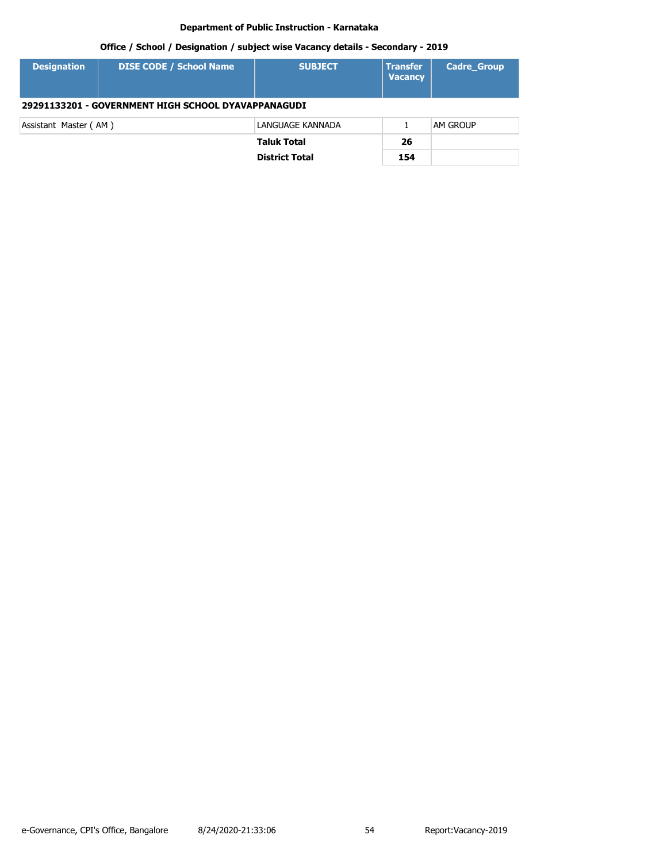| <b>Designation</b>                                  | <b>DISE CODE / School Name</b> | <b>SUBJECT</b>        | <b>Transfer</b><br><b>Vacancy</b> | <b>Cadre Group</b> |  |
|-----------------------------------------------------|--------------------------------|-----------------------|-----------------------------------|--------------------|--|
| 29291133201 - GOVERNMENT HIGH SCHOOL DYAVAPPANAGUDI |                                |                       |                                   |                    |  |
| Assistant Master (AM)                               |                                | LANGUAGE KANNADA      |                                   | <b>AM GROUP</b>    |  |
|                                                     |                                | <b>Taluk Total</b>    | 26                                |                    |  |
|                                                     |                                | <b>District Total</b> | 154                               |                    |  |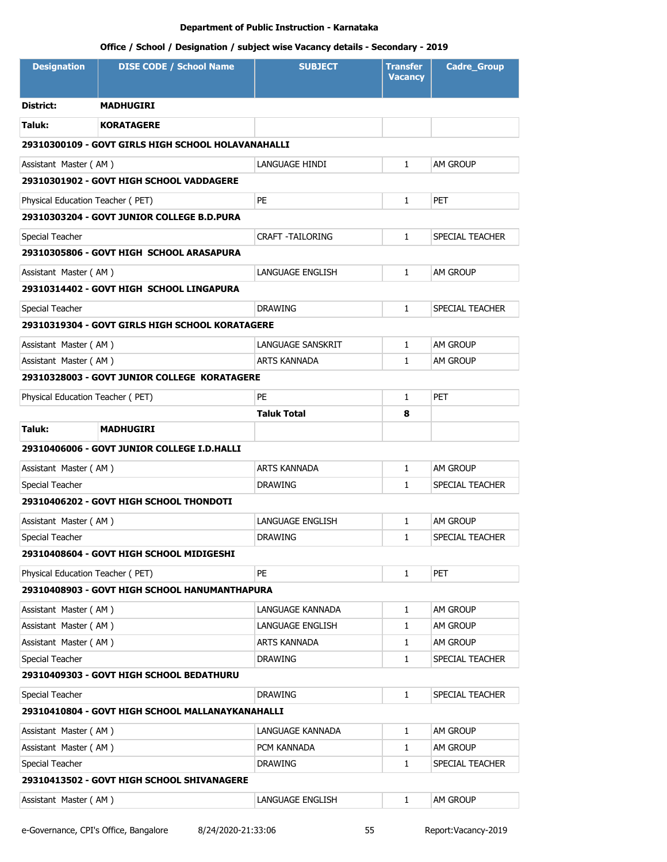| <b>Designation</b>               | <b>DISE CODE / School Name</b>                     | <b>SUBJECT</b>          | <b>Transfer</b><br><b>Vacancy</b> | <b>Cadre_Group</b> |  |  |
|----------------------------------|----------------------------------------------------|-------------------------|-----------------------------------|--------------------|--|--|
| District:                        | <b>MADHUGIRI</b>                                   |                         |                                   |                    |  |  |
| Taluk:                           | <b>KORATAGERE</b>                                  |                         |                                   |                    |  |  |
|                                  | 29310300109 - GOVT GIRLS HIGH SCHOOL HOLAVANAHALLI |                         |                                   |                    |  |  |
| Assistant Master (AM)            |                                                    | LANGUAGE HINDI          | $\mathbf{1}$                      | <b>AM GROUP</b>    |  |  |
|                                  | 29310301902 - GOVT HIGH SCHOOL VADDAGERE           |                         |                                   |                    |  |  |
| Physical Education Teacher (PET) |                                                    | PE                      | $\mathbf{1}$                      | <b>PET</b>         |  |  |
|                                  | 29310303204 - GOVT JUNIOR COLLEGE B.D.PURA         |                         |                                   |                    |  |  |
| Special Teacher                  |                                                    | <b>CRAFT -TAILORING</b> | $\mathbf{1}$                      | SPECIAL TEACHER    |  |  |
|                                  | 29310305806 - GOVT HIGH SCHOOL ARASAPURA           |                         |                                   |                    |  |  |
| Assistant Master (AM)            |                                                    | LANGUAGE ENGLISH        | $\mathbf{1}$                      | <b>AM GROUP</b>    |  |  |
|                                  | 29310314402 - GOVT HIGH SCHOOL LINGAPURA           |                         |                                   |                    |  |  |
| Special Teacher                  |                                                    | <b>DRAWING</b>          | $\mathbf{1}$                      | SPECIAL TEACHER    |  |  |
|                                  | 29310319304 - GOVT GIRLS HIGH SCHOOL KORATAGERE    |                         |                                   |                    |  |  |
| Assistant Master (AM)            |                                                    | LANGUAGE SANSKRIT       | $\mathbf{1}$                      | <b>AM GROUP</b>    |  |  |
| Assistant Master (AM)            |                                                    | <b>ARTS KANNADA</b>     | $\mathbf{1}$                      | <b>AM GROUP</b>    |  |  |
|                                  | 29310328003 - GOVT JUNIOR COLLEGE KORATAGERE       |                         |                                   |                    |  |  |
| Physical Education Teacher (PET) |                                                    | <b>PE</b>               | $\mathbf{1}$                      | <b>PET</b>         |  |  |
|                                  |                                                    | <b>Taluk Total</b>      | 8                                 |                    |  |  |
| Taluk:                           | <b>MADHUGIRI</b>                                   |                         |                                   |                    |  |  |
|                                  | 29310406006 - GOVT JUNIOR COLLEGE I.D.HALLI        |                         |                                   |                    |  |  |
| Assistant Master (AM)            |                                                    | <b>ARTS KANNADA</b>     | $\mathbf{1}$                      | <b>AM GROUP</b>    |  |  |
| Special Teacher                  |                                                    | <b>DRAWING</b>          | $\mathbf{1}$                      | SPECIAL TEACHER    |  |  |
|                                  | 29310406202 - GOVT HIGH SCHOOL THONDOTI            |                         |                                   |                    |  |  |
| Assistant Master (AM)            |                                                    | LANGUAGE ENGLISH        | 1                                 | AM GROUP           |  |  |
| Special Teacher                  |                                                    | <b>DRAWING</b>          | $\mathbf{1}$                      | SPECIAL TEACHER    |  |  |
|                                  | 29310408604 - GOVT HIGH SCHOOL MIDIGESHI           |                         |                                   |                    |  |  |
| Physical Education Teacher (PET) |                                                    | <b>PE</b>               | $\mathbf{1}$                      | <b>PET</b>         |  |  |
|                                  | 29310408903 - GOVT HIGH SCHOOL HANUMANTHAPURA      |                         |                                   |                    |  |  |
| Assistant Master (AM)            |                                                    | LANGUAGE KANNADA        | $\mathbf{1}$                      | AM GROUP           |  |  |
| Assistant Master (AM)            |                                                    | LANGUAGE ENGLISH        | 1                                 | AM GROUP           |  |  |
| Assistant Master (AM)            |                                                    | ARTS KANNADA            | $\mathbf{1}$                      | AM GROUP           |  |  |
| Special Teacher                  |                                                    | <b>DRAWING</b>          | $\mathbf{1}$                      | SPECIAL TEACHER    |  |  |
|                                  | 29310409303 - GOVT HIGH SCHOOL BEDATHURU           |                         |                                   |                    |  |  |
| Special Teacher                  |                                                    | <b>DRAWING</b>          | $\mathbf{1}$                      | SPECIAL TEACHER    |  |  |
|                                  | 29310410804 - GOVT HIGH SCHOOL MALLANAYKANAHALLI   |                         |                                   |                    |  |  |
| Assistant Master (AM)            |                                                    | LANGUAGE KANNADA        | 1                                 | AM GROUP           |  |  |
| Assistant Master (AM)            |                                                    | PCM KANNADA             | 1                                 | AM GROUP           |  |  |
| Special Teacher                  |                                                    | <b>DRAWING</b>          | $\mathbf{1}$                      | SPECIAL TEACHER    |  |  |
|                                  | 29310413502 - GOVT HIGH SCHOOL SHIVANAGERE         |                         |                                   |                    |  |  |
| Assistant Master (AM)            |                                                    | LANGUAGE ENGLISH        | 1                                 | AM GROUP           |  |  |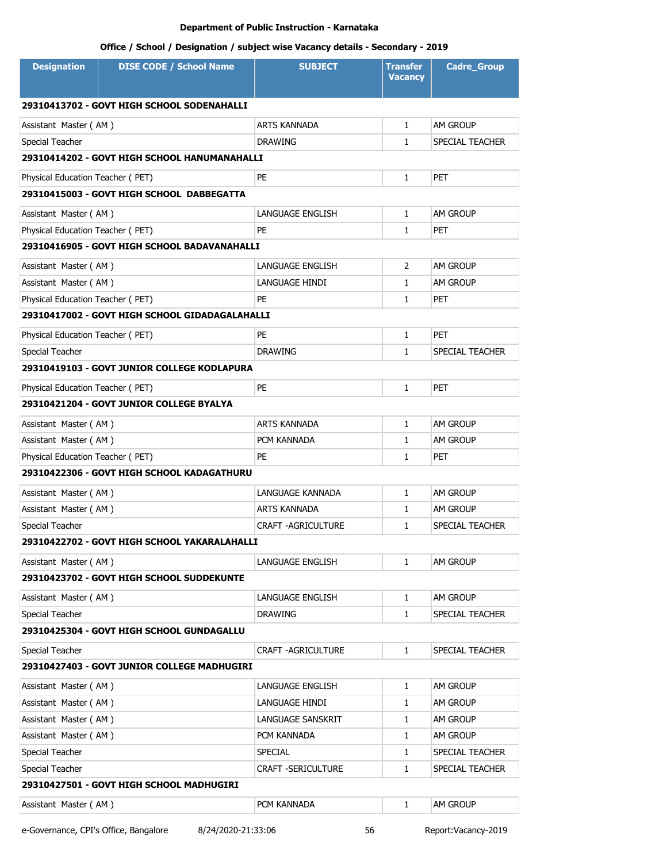| <b>Designation</b>                         | <b>DISE CODE / School Name</b>                 | <b>SUBJECT</b>            | <b>Transfer</b><br><b>Vacancy</b> | <b>Cadre_Group</b>     |  |
|--------------------------------------------|------------------------------------------------|---------------------------|-----------------------------------|------------------------|--|
| 29310413702 - GOVT HIGH SCHOOL SODENAHALLI |                                                |                           |                                   |                        |  |
| Assistant Master (AM)                      |                                                | ARTS KANNADA              | $\mathbf{1}$                      | <b>AM GROUP</b>        |  |
| Special Teacher                            |                                                | <b>DRAWING</b>            | $\mathbf{1}$                      | <b>SPECIAL TEACHER</b> |  |
|                                            | 29310414202 - GOVT HIGH SCHOOL HANUMANAHALLI   |                           |                                   |                        |  |
| Physical Education Teacher (PET)           |                                                | PE                        | 1                                 | <b>PET</b>             |  |
|                                            | 29310415003 - GOVT HIGH SCHOOL DABBEGATTA      |                           |                                   |                        |  |
| Assistant Master (AM)                      |                                                | LANGUAGE ENGLISH          | $\mathbf{1}$                      | <b>AM GROUP</b>        |  |
| Physical Education Teacher (PET)           |                                                | PE                        | $\mathbf{1}$                      | <b>PET</b>             |  |
|                                            | 29310416905 - GOVT HIGH SCHOOL BADAVANAHALLI   |                           |                                   |                        |  |
| Assistant Master (AM)                      |                                                | LANGUAGE ENGLISH          | 2                                 | AM GROUP               |  |
| Assistant Master (AM)                      |                                                | LANGUAGE HINDI            | 1                                 | <b>AM GROUP</b>        |  |
| Physical Education Teacher (PET)           |                                                | PE                        | 1                                 | <b>PET</b>             |  |
|                                            | 29310417002 - GOVT HIGH SCHOOL GIDADAGALAHALLI |                           |                                   |                        |  |
| Physical Education Teacher (PET)           |                                                | PE                        | 1                                 | PET                    |  |
| Special Teacher                            |                                                | <b>DRAWING</b>            | 1                                 | SPECIAL TEACHER        |  |
|                                            | 29310419103 - GOVT JUNIOR COLLEGE KODLAPURA    |                           |                                   |                        |  |
| Physical Education Teacher (PET)           |                                                | <b>PE</b>                 | 1                                 | <b>PET</b>             |  |
|                                            | 29310421204 - GOVT JUNIOR COLLEGE BYALYA       |                           |                                   |                        |  |
| Assistant Master (AM)                      |                                                | <b>ARTS KANNADA</b>       | 1                                 | <b>AM GROUP</b>        |  |
| Assistant Master (AM)                      |                                                | PCM KANNADA               | $\mathbf{1}$                      | <b>AM GROUP</b>        |  |
| Physical Education Teacher (PET)           |                                                | <b>PE</b>                 | $\mathbf{1}$                      | <b>PET</b>             |  |
|                                            | 29310422306 - GOVT HIGH SCHOOL KADAGATHURU     |                           |                                   |                        |  |
| Assistant Master (AM)                      |                                                | LANGUAGE KANNADA          | $\mathbf{1}$                      | <b>AM GROUP</b>        |  |
| Assistant Master (AM)                      |                                                | ARTS KANNADA              | 1                                 | <b>AM GROUP</b>        |  |
| Special Teacher                            |                                                | CRAFT - AGRICULTURE       | $\mathbf{1}$                      | SPECIAL TEACHER        |  |
|                                            | 29310422702 - GOVT HIGH SCHOOL YAKARALAHALLI   |                           |                                   |                        |  |
| Assistant Master (AM)                      |                                                | LANGUAGE ENGLISH          | $\mathbf{1}$                      | <b>AM GROUP</b>        |  |
|                                            | 29310423702 - GOVT HIGH SCHOOL SUDDEKUNTE      |                           |                                   |                        |  |
| Assistant Master (AM)                      |                                                | LANGUAGE ENGLISH          | 1                                 | AM GROUP               |  |
| Special Teacher                            |                                                | <b>DRAWING</b>            | $\mathbf{1}$                      | SPECIAL TEACHER        |  |
|                                            | 29310425304 - GOVT HIGH SCHOOL GUNDAGALLU      |                           |                                   |                        |  |
| Special Teacher                            |                                                | <b>CRAFT -AGRICULTURE</b> | 1                                 | SPECIAL TEACHER        |  |
|                                            | 29310427403 - GOVT JUNIOR COLLEGE MADHUGIRI    |                           |                                   |                        |  |
| Assistant Master (AM)                      |                                                | LANGUAGE ENGLISH          | 1                                 | AM GROUP               |  |
| Assistant Master (AM)                      |                                                | LANGUAGE HINDI            | 1                                 | AM GROUP               |  |
| Assistant Master (AM)                      |                                                | LANGUAGE SANSKRIT         | 1                                 | <b>AM GROUP</b>        |  |
| Assistant Master (AM)                      |                                                | PCM KANNADA               | 1                                 | AM GROUP               |  |
| Special Teacher                            |                                                | SPECIAL                   | 1                                 | SPECIAL TEACHER        |  |
| Special Teacher                            |                                                | CRAFT -SERICULTURE        | 1                                 | SPECIAL TEACHER        |  |
|                                            | 29310427501 - GOVT HIGH SCHOOL MADHUGIRI       |                           |                                   |                        |  |
| Assistant Master (AM)                      |                                                | PCM KANNADA               | 1                                 | AM GROUP               |  |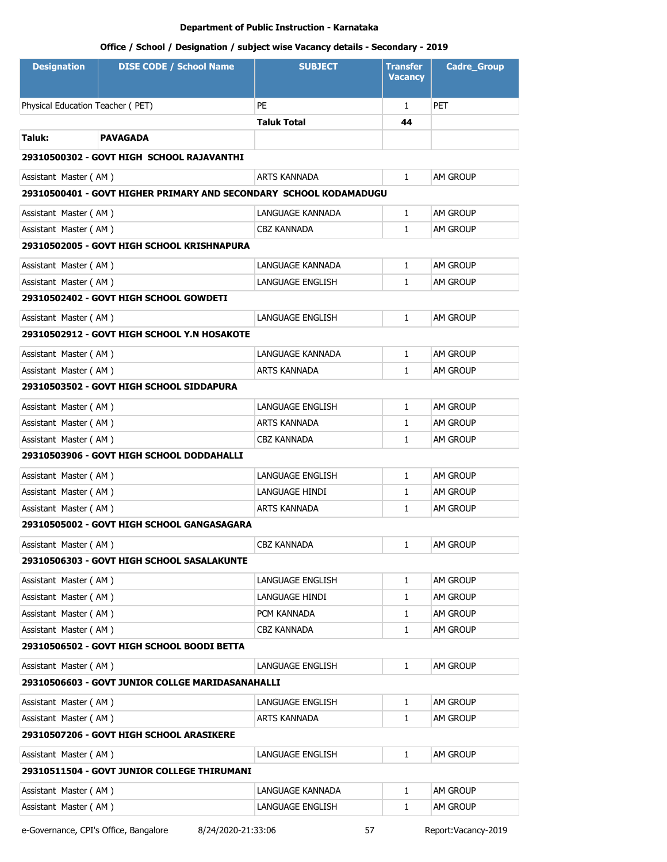# **Office / School / Designation / subject wise Vacancy details - Secondary - 2019**

| <b>Designation</b>               | <b>DISE CODE / School Name</b>                                    | <b>SUBJECT</b>      | <b>Transfer</b><br><b>Vacancy</b> | <b>Cadre_Group</b> |
|----------------------------------|-------------------------------------------------------------------|---------------------|-----------------------------------|--------------------|
| Physical Education Teacher (PET) |                                                                   | PE                  | $\mathbf{1}$                      | <b>PET</b>         |
|                                  |                                                                   | <b>Taluk Total</b>  | 44                                |                    |
| Taluk:                           | <b>PAVAGADA</b>                                                   |                     |                                   |                    |
|                                  | 29310500302 - GOVT HIGH SCHOOL RAJAVANTHI                         |                     |                                   |                    |
| Assistant Master (AM)            |                                                                   | ARTS KANNADA        | $\mathbf{1}$                      | am Group           |
|                                  | 29310500401 - GOVT HIGHER PRIMARY AND SECONDARY SCHOOL KODAMADUGU |                     |                                   |                    |
|                                  |                                                                   |                     |                                   |                    |
| Assistant Master (AM)            |                                                                   | LANGUAGE KANNADA    | $\mathbf{1}$                      | <b>AM GROUP</b>    |
| Assistant Master (AM)            |                                                                   | CBZ KANNADA         | 1                                 | <b>AM GROUP</b>    |
|                                  | 29310502005 - GOVT HIGH SCHOOL KRISHNAPURA                        |                     |                                   |                    |
| Assistant Master (AM)            |                                                                   | LANGUAGE KANNADA    | $\mathbf{1}$                      | <b>AM GROUP</b>    |
| Assistant Master (AM)            |                                                                   | LANGUAGE ENGLISH    | $\mathbf{1}$                      | am Group           |
|                                  | 29310502402 - GOVT HIGH SCHOOL GOWDETI                            |                     |                                   |                    |
| Assistant Master (AM)            |                                                                   | LANGUAGE ENGLISH    | $\mathbf{1}$                      | <b>AM GROUP</b>    |
|                                  | 29310502912 - GOVT HIGH SCHOOL Y.N HOSAKOTE                       |                     |                                   |                    |
| Assistant Master (AM)            |                                                                   | LANGUAGE KANNADA    | $\mathbf{1}$                      | <b>AM GROUP</b>    |
| Assistant Master (AM)            |                                                                   | ARTS KANNADA        | $\mathbf{1}$                      | <b>AM GROUP</b>    |
|                                  | 29310503502 - GOVT HIGH SCHOOL SIDDAPURA                          |                     |                                   |                    |
| Assistant Master (AM)            |                                                                   | LANGUAGE ENGLISH    | $\mathbf{1}$                      | <b>AM GROUP</b>    |
| Assistant Master (AM)            |                                                                   | ARTS KANNADA        | 1                                 | <b>AM GROUP</b>    |
| Assistant Master (AM)            |                                                                   | <b>CBZ KANNADA</b>  | $\mathbf{1}$                      | am Group           |
|                                  | 29310503906 - GOVT HIGH SCHOOL DODDAHALLI                         |                     |                                   |                    |
| Assistant Master (AM)            |                                                                   | LANGUAGE ENGLISH    | $\mathbf{1}$                      | <b>AM GROUP</b>    |
| Assistant Master (AM)            |                                                                   | LANGUAGE HINDI      | $\mathbf{1}$                      | <b>AM GROUP</b>    |
| Assistant Master (AM)            |                                                                   | <b>ARTS KANNADA</b> | 1                                 | <b>AM GROUP</b>    |
|                                  | 29310505002 - GOVT HIGH SCHOOL GANGASAGARA                        |                     |                                   |                    |
| Assistant Master (AM)            |                                                                   | CBZ KANNADA         | 1                                 | AM GROUP           |
|                                  | 29310506303 - GOVT HIGH SCHOOL SASALAKUNTE                        |                     |                                   |                    |
| Assistant Master (AM)            |                                                                   | LANGUAGE ENGLISH    | $\mathbf{1}$                      | AM GROUP           |
| Assistant Master (AM)            |                                                                   | LANGUAGE HINDI      | $\mathbf{1}$                      | AM GROUP           |
| Assistant Master (AM)            |                                                                   | PCM KANNADA         | 1                                 | AM GROUP           |
| Assistant Master (AM)            |                                                                   | <b>CBZ KANNADA</b>  | $\mathbf{1}$                      | AM GROUP           |
|                                  | 29310506502 - GOVT HIGH SCHOOL BOODI BETTA                        |                     |                                   |                    |
| Assistant Master (AM)            |                                                                   | LANGUAGE ENGLISH    | 1                                 | AM GROUP           |
|                                  | 29310506603 - GOVT JUNIOR COLLGE MARIDASANAHALLI                  |                     |                                   |                    |
| Assistant Master (AM)            |                                                                   | LANGUAGE ENGLISH    | 1                                 | AM GROUP           |
| Assistant Master (AM)            |                                                                   | ARTS KANNADA        | 1                                 | AM GROUP           |
|                                  | 29310507206 - GOVT HIGH SCHOOL ARASIKERE                          |                     |                                   |                    |
| Assistant Master (AM)            |                                                                   | LANGUAGE ENGLISH    | 1                                 | AM GROUP           |
|                                  | 29310511504 - GOVT JUNIOR COLLEGE THIRUMANI                       |                     |                                   |                    |
| Assistant Master (AM)            |                                                                   | LANGUAGE KANNADA    | 1                                 | AM GROUP           |
| Assistant Master (AM)            |                                                                   | LANGUAGE ENGLISH    | 1                                 | AM GROUP           |
|                                  |                                                                   |                     |                                   |                    |

e-Governance, CPI's Office, Bangalore 8/24/2020-21:33:06 57 Report:Vacancy-2019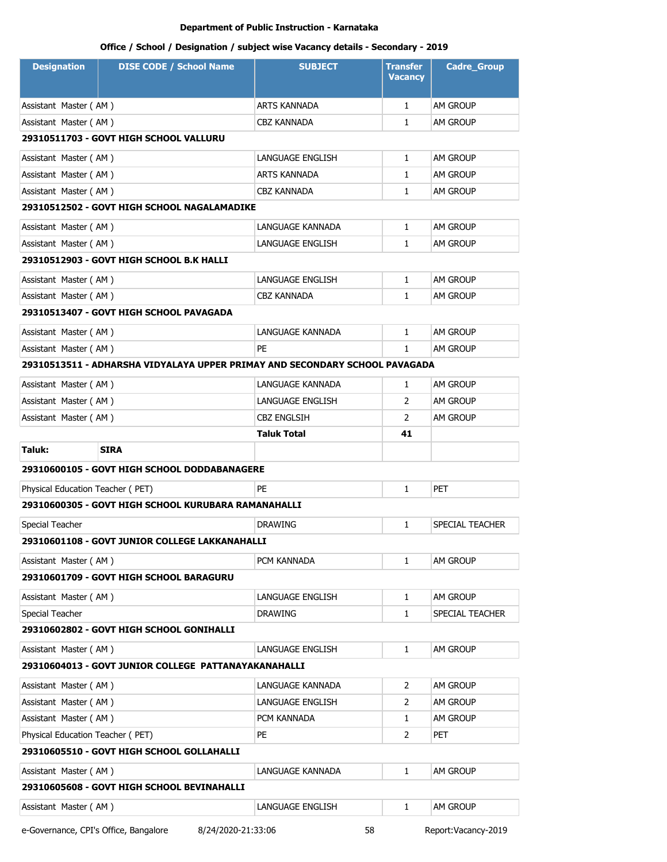| <b>Designation</b>                        | <b>DISE CODE / School Name</b>                                              | <b>SUBJECT</b>      | <b>Transfer</b><br><b>Vacancy</b> | <b>Cadre_Group</b>  |  |
|-------------------------------------------|-----------------------------------------------------------------------------|---------------------|-----------------------------------|---------------------|--|
| Assistant Master (AM)                     |                                                                             | ARTS KANNADA        | $\mathbf{1}$                      | AM GROUP            |  |
| Assistant Master (AM)                     |                                                                             | CBZ KANNADA         | 1                                 | AM GROUP            |  |
|                                           | 29310511703 - GOVT HIGH SCHOOL VALLURU                                      |                     |                                   |                     |  |
| Assistant Master (AM)                     |                                                                             | LANGUAGE ENGLISH    | $\mathbf{1}$                      | AM GROUP            |  |
| Assistant Master (AM)                     |                                                                             | <b>ARTS KANNADA</b> | 1                                 | am Group            |  |
| Assistant Master (AM)                     |                                                                             | <b>CBZ KANNADA</b>  | 1                                 | AM GROUP            |  |
|                                           | 29310512502 - GOVT HIGH SCHOOL NAGALAMADIKE                                 |                     |                                   |                     |  |
| Assistant Master (AM)                     |                                                                             | LANGUAGE KANNADA    | $\mathbf{1}$                      | AM GROUP            |  |
| Assistant Master (AM)                     |                                                                             | LANGUAGE ENGLISH    | $\mathbf{1}$                      | AM GROUP            |  |
|                                           | 29310512903 - GOVT HIGH SCHOOL B.K HALLI                                    |                     |                                   |                     |  |
| Assistant Master (AM)                     |                                                                             | LANGUAGE ENGLISH    | $\mathbf{1}$                      | AM GROUP            |  |
| Assistant Master (AM)                     |                                                                             | CBZ KANNADA         | $\mathbf{1}$                      | AM GROUP            |  |
|                                           | 29310513407 - GOVT HIGH SCHOOL PAVAGADA                                     |                     |                                   |                     |  |
| Assistant Master (AM)                     |                                                                             | LANGUAGE KANNADA    | $\mathbf{1}$                      | AM GROUP            |  |
| Assistant Master (AM)                     |                                                                             | PE                  | $\mathbf{1}$                      | AM GROUP            |  |
|                                           | 29310513511 - ADHARSHA VIDYALAYA UPPER PRIMAY AND SECONDARY SCHOOL PAVAGADA |                     |                                   |                     |  |
| Assistant Master (AM)                     |                                                                             | LANGUAGE KANNADA    | $\mathbf{1}$                      | AM GROUP            |  |
| Assistant Master (AM)                     |                                                                             | LANGUAGE ENGLISH    | 2                                 | am Group            |  |
| Assistant Master (AM)                     |                                                                             | CBZ ENGLSIH         | 2                                 | am Group            |  |
|                                           |                                                                             | Taluk Total         | 41                                |                     |  |
| Taluk:                                    | <b>SIRA</b>                                                                 |                     |                                   |                     |  |
|                                           | 29310600105 - GOVT HIGH SCHOOL DODDABANAGERE                                |                     |                                   |                     |  |
| Physical Education Teacher (PET)          |                                                                             | PE                  | $\mathbf{1}$                      | PET                 |  |
|                                           | 29310600305 - GOVT HIGH SCHOOL KURUBARA RAMANAHALLI                         |                     |                                   |                     |  |
| Special Teacher                           |                                                                             | <b>DRAWING</b>      | 1                                 | SPECIAL TEACHER     |  |
|                                           | 29310601108 - GOVT JUNIOR COLLEGE LAKKANAHALLI                              |                     |                                   |                     |  |
| Assistant Master (AM)                     |                                                                             | PCM KANNADA         | 1                                 | am Group            |  |
|                                           | 29310601709 - GOVT HIGH SCHOOL BARAGURU                                     |                     |                                   |                     |  |
| Assistant Master (AM)                     |                                                                             | LANGUAGE ENGLISH    | 1                                 | AM GROUP            |  |
| Special Teacher                           |                                                                             | <b>DRAWING</b>      | 1                                 | SPECIAL TEACHER     |  |
|                                           | 29310602802 - GOVT HIGH SCHOOL GONIHALLI                                    |                     |                                   |                     |  |
| Assistant Master (AM)                     |                                                                             | LANGUAGE ENGLISH    | $\mathbf{1}$                      | AM GROUP            |  |
|                                           | 29310604013 - GOVT JUNIOR COLLEGE PATTANAYAKANAHALLI                        |                     |                                   |                     |  |
| Assistant Master (AM)                     |                                                                             | LANGUAGE KANNADA    | 2                                 | AM GROUP            |  |
| Assistant Master (AM)                     |                                                                             | LANGUAGE ENGLISH    | 2                                 | AM GROUP            |  |
| Assistant Master (AM)                     |                                                                             | PCM KANNADA         | 1                                 | AM GROUP            |  |
| Physical Education Teacher (PET)          |                                                                             | PE                  | 2                                 | PET                 |  |
| 29310605510 - GOVT HIGH SCHOOL GOLLAHALLI |                                                                             |                     |                                   |                     |  |
| Assistant Master (AM)                     |                                                                             | LANGUAGE KANNADA    | $\mathbf{1}$                      | am Group            |  |
|                                           | 29310605608 - GOVT HIGH SCHOOL BEVINAHALLI                                  |                     |                                   |                     |  |
| Assistant Master (AM)                     |                                                                             | LANGUAGE ENGLISH    | 1                                 | am Group            |  |
| e-Governance, CPI's Office, Bangalore     | 8/24/2020-21:33:06                                                          | 58                  |                                   | Report:Vacancy-2019 |  |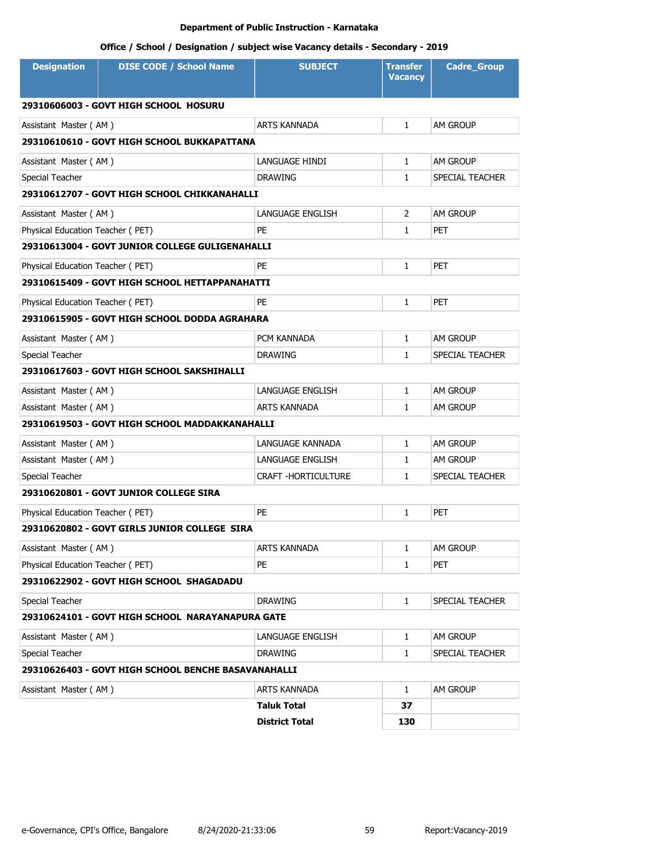| <b>Designation</b>               | <b>DISE CODE / School Name</b>                      | <b>SUBJECT</b>             | Transfer<br><b>Vacancy</b> | <b>Cadre_Group</b> |
|----------------------------------|-----------------------------------------------------|----------------------------|----------------------------|--------------------|
|                                  | 29310606003 - GOVT HIGH SCHOOL HOSURU               |                            |                            |                    |
| Assistant Master (AM)            |                                                     | <b>ARTS KANNADA</b>        | $\mathbf{1}$               | AM GROUP           |
|                                  | 29310610610 - GOVT HIGH SCHOOL BUKKAPATTANA         |                            |                            |                    |
| Assistant Master (AM)            |                                                     | LANGUAGE HINDI             | $\mathbf{1}$               | AM GROUP           |
| Special Teacher                  |                                                     | <b>DRAWING</b>             | 1                          | SPECIAL TEACHER    |
|                                  | 29310612707 - GOVT HIGH SCHOOL CHIKKANAHALLI        |                            |                            |                    |
| Assistant Master (AM)            |                                                     | LANGUAGE ENGLISH           | 2                          | <b>AM GROUP</b>    |
| Physical Education Teacher (PET) |                                                     | <b>PE</b>                  | 1                          | <b>PET</b>         |
|                                  | 29310613004 - GOVT JUNIOR COLLEGE GULIGENAHALLI     |                            |                            |                    |
| Physical Education Teacher (PET) |                                                     | PE                         | $\mathbf{1}$               | <b>PET</b>         |
|                                  | 29310615409 - GOVT HIGH SCHOOL HETTAPPANAHATTI      |                            |                            |                    |
| Physical Education Teacher (PET) |                                                     | <b>PE</b>                  | $\mathbf{1}$               | <b>PET</b>         |
|                                  | 29310615905 - GOVT HIGH SCHOOL DODDA AGRAHARA       |                            |                            |                    |
| Assistant Master (AM)            |                                                     | PCM KANNADA                | $\mathbf{1}$               | <b>AM GROUP</b>    |
| Special Teacher                  |                                                     | <b>DRAWING</b>             | $\mathbf{1}$               | SPECIAL TEACHER    |
|                                  | 29310617603 - GOVT HIGH SCHOOL SAKSHIHALLI          |                            |                            |                    |
| Assistant Master (AM)            |                                                     | LANGUAGE ENGLISH           | $\mathbf{1}$               | <b>AM GROUP</b>    |
| Assistant Master (AM)            |                                                     | <b>ARTS KANNADA</b>        | $\mathbf{1}$               | <b>AM GROUP</b>    |
|                                  | 29310619503 - GOVT HIGH SCHOOL MADDAKKANAHALLI      |                            |                            |                    |
| Assistant Master (AM)            |                                                     | LANGUAGE KANNADA           | $\mathbf{1}$               | AM GROUP           |
| Assistant Master (AM)            |                                                     | LANGUAGE ENGLISH           | 1                          | <b>AM GROUP</b>    |
| Special Teacher                  |                                                     | <b>CRAFT -HORTICULTURE</b> | 1                          | SPECIAL TEACHER    |
|                                  | 29310620801 - GOVT JUNIOR COLLEGE SIRA              |                            |                            |                    |
| Physical Education Teacher (PET) |                                                     | PE                         | 1                          | <b>PET</b>         |
|                                  | 29310620802 - GOVT GIRLS JUNIOR COLLEGE SIRA        |                            |                            |                    |
| Assistant Master (AM)            |                                                     | ARTS KANNADA               | 1                          | AM GROUP           |
| Physical Education Teacher (PET) |                                                     | PE                         | 1                          | <b>PET</b>         |
|                                  | 29310622902 - GOVT HIGH SCHOOL SHAGADADU            |                            |                            |                    |
| Special Teacher                  |                                                     | <b>DRAWING</b>             | $\mathbf{1}$               | SPECIAL TEACHER    |
|                                  | 29310624101 - GOVT HIGH SCHOOL NARAYANAPURA GATE    |                            |                            |                    |
| Assistant Master (AM)            |                                                     | LANGUAGE ENGLISH           | $\mathbf{1}$               | AM GROUP           |
| Special Teacher                  |                                                     | <b>DRAWING</b>             | $\mathbf{1}$               | SPECIAL TEACHER    |
|                                  | 29310626403 - GOVT HIGH SCHOOL BENCHE BASAVANAHALLI |                            |                            |                    |
| Assistant Master (AM)            |                                                     | ARTS KANNADA               | $\mathbf{1}$               | AM GROUP           |
|                                  |                                                     | <b>Taluk Total</b>         | 37                         |                    |
|                                  |                                                     | <b>District Total</b>      | 130                        |                    |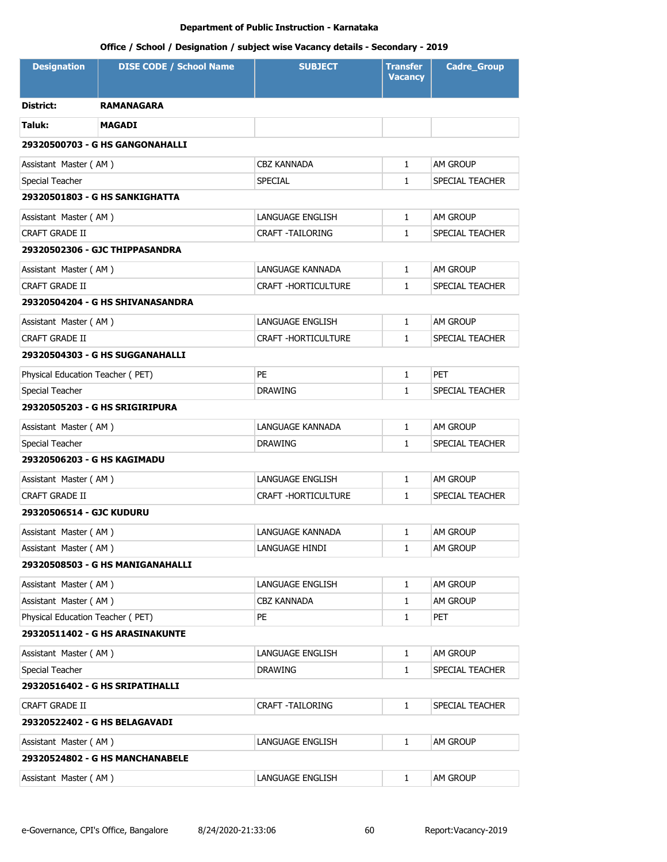| <b>Designation</b>               | <b>DISE CODE / School Name</b>         | <b>SUBJECT</b>          | <b>Transfer</b><br><b>Vacancy</b> | <b>Cadre_Group</b> |
|----------------------------------|----------------------------------------|-------------------------|-----------------------------------|--------------------|
| District:                        | <b>RAMANAGARA</b>                      |                         |                                   |                    |
| Taluk:                           | <b>MAGADI</b>                          |                         |                                   |                    |
|                                  | 29320500703 - G HS GANGONAHALLI        |                         |                                   |                    |
| Assistant Master (AM)            |                                        | <b>CBZ KANNADA</b>      | $\mathbf{1}$                      | AM GROUP           |
| Special Teacher                  |                                        | <b>SPECIAL</b>          | $\mathbf{1}$                      | SPECIAL TEACHER    |
|                                  | 29320501803 - G HS SANKIGHATTA         |                         |                                   |                    |
| Assistant Master (AM)            |                                        | LANGUAGE ENGLISH        | $\mathbf{1}$                      | AM GROUP           |
| <b>CRAFT GRADE II</b>            |                                        | <b>CRAFT -TAILORING</b> | $\mathbf{1}$                      | SPECIAL TEACHER    |
|                                  | 29320502306 - GJC THIPPASANDRA         |                         |                                   |                    |
| Assistant Master (AM)            |                                        | LANGUAGE KANNADA        | $\mathbf{1}$                      | AM GROUP           |
| <b>CRAFT GRADE II</b>            |                                        | CRAFT - HORTICULTURE    | 1                                 | SPECIAL TEACHER    |
|                                  | 29320504204 - G HS SHIVANASANDRA       |                         |                                   |                    |
| Assistant Master (AM)            |                                        | LANGUAGE ENGLISH        | $\mathbf{1}$                      | AM GROUP           |
| CRAFT GRADE II                   |                                        | CRAFT -HORTICULTURE     | $\mathbf{1}$                      | SPECIAL TEACHER    |
|                                  | 29320504303 - G HS SUGGANAHALLI        |                         |                                   |                    |
| Physical Education Teacher (PET) |                                        | PE                      | $\mathbf{1}$                      | PET                |
| Special Teacher                  |                                        | <b>DRAWING</b>          | $\mathbf{1}$                      | SPECIAL TEACHER    |
|                                  | 29320505203 - G HS SRIGIRIPURA         |                         |                                   |                    |
| Assistant Master (AM)            |                                        | LANGUAGE KANNADA        | $\mathbf{1}$                      | AM GROUP           |
| Special Teacher                  |                                        | <b>DRAWING</b>          | $\mathbf{1}$                      | SPECIAL TEACHER    |
| 29320506203 - G HS KAGIMADU      |                                        |                         |                                   |                    |
| Assistant Master (AM)            |                                        | LANGUAGE ENGLISH        | $\mathbf{1}$                      | AM GROUP           |
| CRAFT GRADE II                   |                                        | CRAFT - HORTICULTURE    | $\mathbf{1}$                      | SPECIAL TEACHER    |
| 29320506514 - GJC KUDURU         |                                        |                         |                                   |                    |
| Assistant Master (AM)            |                                        | LANGUAGE KANNADA        | $\mathbf{1}$                      | AM GROUP           |
| Assistant Master (AM)            |                                        | LANGUAGE HINDI          | 1                                 | AM GROUP           |
|                                  | 29320508503 - G HS MANIGANAHALLI       |                         |                                   |                    |
| Assistant Master (AM)            |                                        | LANGUAGE ENGLISH        | $\mathbf{1}$                      | AM GROUP           |
| Assistant Master (AM)            |                                        | CBZ KANNADA             | 1                                 | am Group           |
| Physical Education Teacher (PET) |                                        | PE                      | 1                                 | PET                |
|                                  | 29320511402 - G HS ARASINAKUNTE        |                         |                                   |                    |
| Assistant Master (AM)            |                                        | LANGUAGE ENGLISH        | $\mathbf{1}$                      | AM GROUP           |
| Special Teacher                  |                                        | <b>DRAWING</b>          | 1                                 | SPECIAL TEACHER    |
|                                  | 29320516402 - G HS SRIPATIHALLI        |                         |                                   |                    |
| CRAFT GRADE II                   |                                        | <b>CRAFT -TAILORING</b> | $\mathbf{1}$                      | SPECIAL TEACHER    |
|                                  | 29320522402 - G HS BELAGAVADI          |                         |                                   |                    |
| Assistant Master (AM)            |                                        | LANGUAGE ENGLISH        | $\mathbf{1}$                      | AM GROUP           |
|                                  | <b>29320524802 - G HS MANCHANABELE</b> |                         |                                   |                    |
| Assistant Master (AM)            |                                        | LANGUAGE ENGLISH        | $\mathbf{1}$                      | AM GROUP           |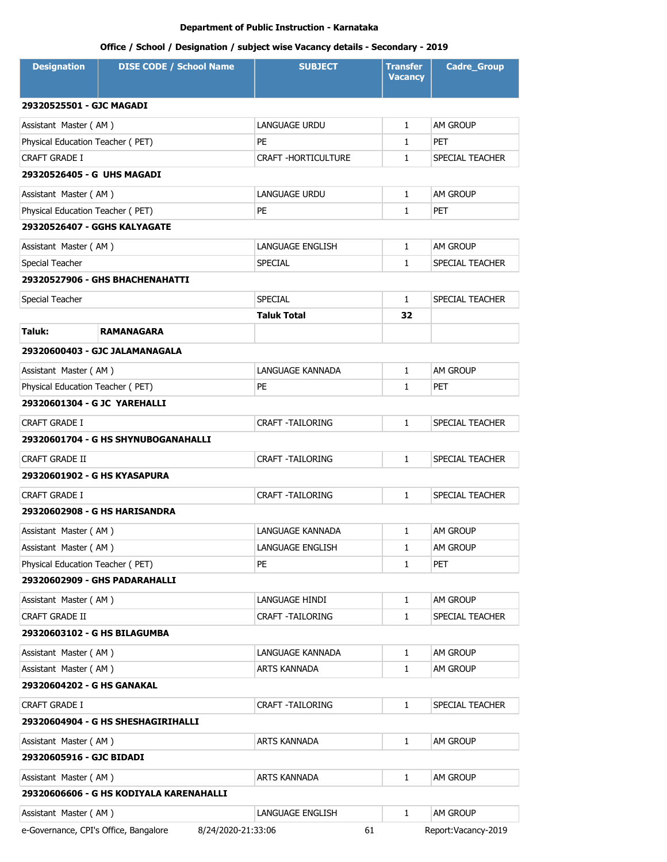| <b>Designation</b>                              | <b>DISE CODE / School Name</b>          | <b>SUBJECT</b>          | <b>Transfer</b><br><b>Vacancy</b> | <b>Cadre_Group</b>  |  |
|-------------------------------------------------|-----------------------------------------|-------------------------|-----------------------------------|---------------------|--|
|                                                 |                                         |                         |                                   |                     |  |
| 29320525501 - GJC MAGADI                        |                                         |                         |                                   |                     |  |
| Assistant Master (AM)                           |                                         | <b>LANGUAGE URDU</b>    | $\mathbf{1}$                      | <b>AM GROUP</b>     |  |
| Physical Education Teacher (PET)                |                                         | PE                      | $\mathbf{1}$                      | <b>PET</b>          |  |
| CRAFT GRADE I<br>29320526405 - G UHS MAGADI     |                                         | CRAFT -HORTICULTURE     | $\mathbf{1}$                      | SPECIAL TEACHER     |  |
|                                                 |                                         |                         |                                   |                     |  |
| Assistant Master (AM)                           |                                         | LANGUAGE URDU           | $\mathbf{1}$                      | AM GROUP            |  |
| Physical Education Teacher (PET)                |                                         | PE                      | $\mathbf{1}$                      | <b>PET</b>          |  |
| 29320526407 - GGHS KALYAGATE                    |                                         |                         |                                   |                     |  |
| Assistant Master (AM)                           |                                         | LANGUAGE ENGLISH        | $\mathbf{1}$                      | AM GROUP            |  |
| Special Teacher                                 |                                         | <b>SPECIAL</b>          | $\mathbf{1}$                      | SPECIAL TEACHER     |  |
|                                                 | 29320527906 - GHS BHACHENAHATTI         |                         |                                   |                     |  |
| Special Teacher                                 |                                         | <b>SPECIAL</b>          | $\mathbf{1}$                      | SPECIAL TEACHER     |  |
|                                                 |                                         | <b>Taluk Total</b>      | 32                                |                     |  |
| Taluk:                                          | <b>RAMANAGARA</b>                       |                         |                                   |                     |  |
|                                                 | 29320600403 - GJC JALAMANAGALA          |                         |                                   |                     |  |
| Assistant Master (AM)                           |                                         | LANGUAGE KANNADA        | $\mathbf{1}$                      | <b>AM GROUP</b>     |  |
| Physical Education Teacher (PET)                |                                         | PE                      | $\mathbf{1}$                      | <b>PET</b>          |  |
| 29320601304 - G JC YAREHALLI                    |                                         |                         |                                   |                     |  |
| <b>CRAFT GRADE I</b><br><b>CRAFT -TAILORING</b> |                                         |                         | $\mathbf{1}$                      | SPECIAL TEACHER     |  |
|                                                 | 29320601704 - G HS SHYNUBOGANAHALLI     |                         |                                   |                     |  |
| <b>CRAFT GRADE II</b>                           |                                         | <b>CRAFT -TAILORING</b> | $\mathbf{1}$                      | SPECIAL TEACHER     |  |
| 29320601902 - G HS KYASAPURA                    |                                         |                         |                                   |                     |  |
| CRAFT GRADE I                                   |                                         | <b>CRAFT -TAILORING</b> | $\mathbf{1}$                      | SPECIAL TEACHER     |  |
|                                                 | 29320602908 - G HS HARISANDRA           |                         |                                   |                     |  |
| Assistant Master (AM)                           |                                         | LANGUAGE KANNADA        | 1                                 | <b>AM GROUP</b>     |  |
| Assistant Master (AM)                           |                                         | LANGUAGE ENGLISH        | 1                                 | AM GROUP            |  |
| Physical Education Teacher (PET)                |                                         | PE                      | $\mathbf{1}$                      | PET                 |  |
| 29320602909 - GHS PADARAHALLI                   |                                         |                         |                                   |                     |  |
| Assistant Master (AM)                           |                                         | LANGUAGE HINDI          | 1                                 | AM GROUP            |  |
| <b>CRAFT GRADE II</b>                           |                                         | <b>CRAFT -TAILORING</b> | $\mathbf{1}$                      | SPECIAL TEACHER     |  |
| 29320603102 - G HS BILAGUMBA                    |                                         |                         |                                   |                     |  |
| Assistant Master (AM)                           |                                         | LANGUAGE KANNADA        | 1                                 | AM GROUP            |  |
| Assistant Master (AM)                           |                                         | ARTS KANNADA            | $\mathbf{1}$                      | AM GROUP            |  |
| 29320604202 - G HS GANAKAL                      |                                         |                         |                                   |                     |  |
| CRAFT GRADE I                                   |                                         | CRAFT -TAILORING        | 1                                 | SPECIAL TEACHER     |  |
|                                                 | 29320604904 - G HS SHESHAGIRIHALLI      |                         |                                   |                     |  |
| Assistant Master (AM)                           |                                         | ARTS KANNADA            | 1                                 | AM GROUP            |  |
| 29320605916 - GJC BIDADI                        |                                         |                         |                                   |                     |  |
| Assistant Master (AM)                           |                                         | ARTS KANNADA            | 1                                 | AM GROUP            |  |
|                                                 | 29320606606 - G HS KODIYALA KARENAHALLI |                         |                                   |                     |  |
| Assistant Master (AM)                           |                                         | LANGUAGE ENGLISH        | $\mathbf{1}$                      | AM GROUP            |  |
| e-Governance, CPI's Office, Bangalore           | 8/24/2020-21:33:06                      | 61                      |                                   | Report:Vacancy-2019 |  |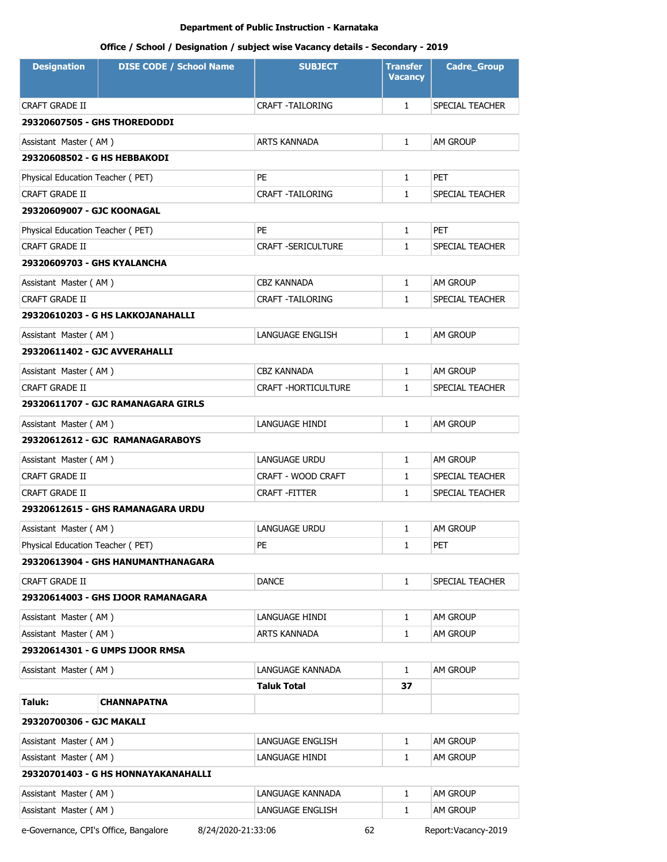# **Office / School / Designation / subject wise Vacancy details - Secondary - 2019**

| <b>Designation</b>                  | <b>DISE CODE / School Name</b>     | <b>SUBJECT</b>             | <b>Transfer</b><br><b>Vacancy</b> | <b>Cadre_Group</b> |  |
|-------------------------------------|------------------------------------|----------------------------|-----------------------------------|--------------------|--|
| <b>CRAFT GRADE II</b>               |                                    | <b>CRAFT -TAILORING</b>    | $\mathbf{1}$                      | SPECIAL TEACHER    |  |
| 29320607505 - GHS THOREDODDI        |                                    |                            |                                   |                    |  |
| Assistant Master (AM)               |                                    | <b>ARTS KANNADA</b>        | $\mathbf{1}$                      | AM GROUP           |  |
| 29320608502 - G HS HEBBAKODI        |                                    |                            |                                   |                    |  |
| Physical Education Teacher (PET)    |                                    | PE                         | $\mathbf{1}$                      | <b>PET</b>         |  |
| <b>CRAFT GRADE II</b>               |                                    | <b>CRAFT -TAILORING</b>    | $\mathbf{1}$                      | SPECIAL TEACHER    |  |
| 29320609007 - GJC KOONAGAL          |                                    |                            |                                   |                    |  |
| Physical Education Teacher (PET)    |                                    | PE                         | $\mathbf{1}$                      | <b>PET</b>         |  |
| <b>CRAFT GRADE II</b>               |                                    | <b>CRAFT -SERICULTURE</b>  | $\mathbf{1}$                      | SPECIAL TEACHER    |  |
| 29320609703 - GHS KYALANCHA         |                                    |                            |                                   |                    |  |
| Assistant Master (AM)               |                                    | <b>CBZ KANNADA</b>         | $\mathbf{1}$                      | AM GROUP           |  |
| <b>CRAFT GRADE II</b>               |                                    | <b>CRAFT -TAILORING</b>    | $\mathbf{1}$                      | SPECIAL TEACHER    |  |
|                                     | 29320610203 - G HS LAKKOJANAHALLI  |                            |                                   |                    |  |
| Assistant Master (AM)               |                                    | LANGUAGE ENGLISH           | $\mathbf{1}$                      | AM GROUP           |  |
| 29320611402 - GJC AVVERAHALLI       |                                    |                            |                                   |                    |  |
| Assistant Master (AM)               |                                    | <b>CBZ KANNADA</b>         | $\mathbf{1}$                      | AM GROUP           |  |
| <b>CRAFT GRADE II</b>               |                                    | <b>CRAFT -HORTICULTURE</b> | $\mathbf{1}$                      | SPECIAL TEACHER    |  |
|                                     | 29320611707 - GJC RAMANAGARA GIRLS |                            |                                   |                    |  |
| Assistant Master (AM)               |                                    | LANGUAGE HINDI             | $\mathbf{1}$                      | AM GROUP           |  |
|                                     | 29320612612 - GJC RAMANAGARABOYS   |                            |                                   |                    |  |
| Assistant Master (AM)               |                                    | LANGUAGE URDU              | $\mathbf{1}$                      | AM GROUP           |  |
| <b>CRAFT GRADE II</b>               |                                    | CRAFT - WOOD CRAFT         | $\mathbf{1}$                      | SPECIAL TEACHER    |  |
| <b>CRAFT GRADE II</b>               |                                    | CRAFT-FITTER               | $\mathbf{1}$                      | SPECIAL TEACHER    |  |
|                                     | 29320612615 - GHS RAMANAGARA URDU  |                            |                                   |                    |  |
| Assistant Master (AM)               |                                    | <b>LANGUAGE URDU</b>       | $\mathbf{1}$                      | AM GROUP           |  |
| Physical Education Teacher (PET)    |                                    | PE                         | $1 \quad \blacksquare$            | PET                |  |
|                                     | 29320613904 - GHS HANUMANTHANAGARA |                            |                                   |                    |  |
| <b>CRAFT GRADE II</b>               |                                    | DANCE                      | $\mathbf{1}$                      | SPECIAL TEACHER    |  |
|                                     | 29320614003 - GHS IJOOR RAMANAGARA |                            |                                   |                    |  |
| Assistant Master (AM)               |                                    | LANGUAGE HINDI             | 1                                 | AM GROUP           |  |
| Assistant Master (AM)               |                                    | ARTS KANNADA               | 1                                 | am Group           |  |
|                                     | 29320614301 - G UMPS IJOOR RMSA    |                            |                                   |                    |  |
| Assistant Master (AM)               |                                    | LANGUAGE KANNADA           | $\mathbf{1}$                      | AM GROUP           |  |
|                                     |                                    | <b>Taluk Total</b>         | 37                                |                    |  |
| Taluk:                              | <b>CHANNAPATNA</b>                 |                            |                                   |                    |  |
| 29320700306 - GJC MAKALI            |                                    |                            |                                   |                    |  |
| Assistant Master (AM)               |                                    | LANGUAGE ENGLISH           | 1                                 | AM GROUP           |  |
| Assistant Master (AM)               |                                    | LANGUAGE HINDI             | 1                                 | AM GROUP           |  |
| 29320701403 - G HS HONNAYAKANAHALLI |                                    |                            |                                   |                    |  |
| Assistant Master (AM)               |                                    | LANGUAGE KANNADA           | 1                                 | AM GROUP           |  |
| Assistant Master (AM)               |                                    | LANGUAGE ENGLISH           | 1                                 | AM GROUP           |  |

e-Governance, CPI's Office, Bangalore 8/24/2020-21:33:06 62 Report:Vacancy-2019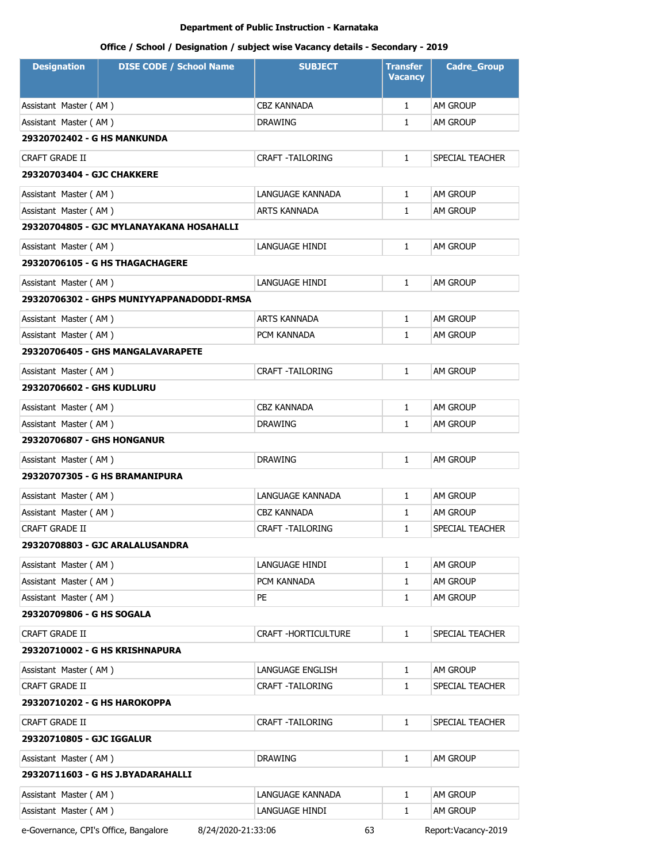# **Office / School / Designation / subject wise Vacancy details - Secondary - 2019**

| <b>Designation</b>                | <b>DISE CODE / School Name</b>            | <b>SUBJECT</b>          | <b>Transfer</b><br>Vacancy | <b>Cadre_Group</b> |  |
|-----------------------------------|-------------------------------------------|-------------------------|----------------------------|--------------------|--|
| Assistant Master (AM)             |                                           | CBZ KANNADA             | $\mathbf{1}$               | AM GROUP           |  |
| Assistant Master (AM)             |                                           | <b>DRAWING</b>          | $\mathbf{1}$               | <b>AM GROUP</b>    |  |
| 29320702402 - G HS MANKUNDA       |                                           |                         |                            |                    |  |
| CRAFT GRADE II                    |                                           | CRAFT -TAILORING        | $\mathbf{1}$               | SPECIAL TEACHER    |  |
| 29320703404 - GJC CHAKKERE        |                                           |                         |                            |                    |  |
| Assistant Master (AM)             |                                           | LANGUAGE KANNADA        | $\mathbf{1}$               | AM GROUP           |  |
| Assistant Master (AM)             |                                           | ARTS KANNADA            | $\mathbf{1}$               | <b>AM GROUP</b>    |  |
|                                   | 29320704805 - GJC MYLANAYAKANA HOSAHALLI  |                         |                            |                    |  |
| Assistant Master (AM)             |                                           | LANGUAGE HINDI          | $\mathbf{1}$               | <b>AM GROUP</b>    |  |
|                                   | 29320706105 - G HS THAGACHAGERE           |                         |                            |                    |  |
| Assistant Master (AM)             |                                           | LANGUAGE HINDI          | $\mathbf{1}$               | AM GROUP           |  |
|                                   | 29320706302 - GHPS MUNIYYAPPANADODDI-RMSA |                         |                            |                    |  |
| Assistant Master (AM)             |                                           | <b>ARTS KANNADA</b>     | $\mathbf{1}$               | AM GROUP           |  |
| Assistant Master (AM)             |                                           | PCM KANNADA             | $\mathbf{1}$               | AM GROUP           |  |
|                                   | 29320706405 - GHS MANGALAVARAPETE         |                         |                            |                    |  |
| Assistant Master (AM)             |                                           | <b>CRAFT -TAILORING</b> | $\mathbf{1}$               | AM GROUP           |  |
| 29320706602 - GHS KUDLURU         |                                           |                         |                            |                    |  |
| Assistant Master (AM)             |                                           | CBZ KANNADA             | $\mathbf{1}$               | AM GROUP           |  |
| Assistant Master (AM)             |                                           | <b>DRAWING</b>          | $\mathbf{1}$               | <b>AM GROUP</b>    |  |
| <b>29320706807 - GHS HONGANUR</b> |                                           |                         |                            |                    |  |
| Assistant Master (AM)             |                                           | <b>DRAWING</b>          | $\mathbf{1}$               | <b>AM GROUP</b>    |  |
|                                   | 29320707305 - G HS BRAMANIPURA            |                         |                            |                    |  |
| Assistant Master (AM)             |                                           | LANGUAGE KANNADA        | $\mathbf{1}$               | <b>AM GROUP</b>    |  |
| Assistant Master (AM)             |                                           | CBZ KANNADA             | $\mathbf{1}$               | AM GROUP           |  |
| <b>CRAFT GRADE II</b>             |                                           | CRAFT -TAILORING        | $\mathbf{1}$               | SPECIAL TEACHER    |  |
| 29320708803 - GJC ARALALUSANDRA   |                                           |                         |                            |                    |  |
| Assistant Master (AM)             |                                           | LANGUAGE HINDI          | $\mathbf{1}$               | am Group           |  |
| Assistant Master (AM)             |                                           | PCM KANNADA             | $\mathbf{1}$               | AM GROUP           |  |
| Assistant Master (AM)             |                                           | PE                      | $\mathbf{1}$               | AM GROUP           |  |
| 29320709806 - G HS SOGALA         |                                           |                         |                            |                    |  |
| CRAFT GRADE II                    |                                           | CRAFT -HORTICULTURE     | $\mathbf{1}$               | SPECIAL TEACHER    |  |
|                                   | 29320710002 - G HS KRISHNAPURA            |                         |                            |                    |  |
| Assistant Master (AM)             |                                           | LANGUAGE ENGLISH        | $\mathbf{1}$               | AM GROUP           |  |
| <b>CRAFT GRADE II</b>             |                                           | CRAFT -TAILORING        | $\mathbf{1}$               | SPECIAL TEACHER    |  |
| 29320710202 - G HS HAROKOPPA      |                                           |                         |                            |                    |  |
| CRAFT GRADE II                    |                                           | <b>CRAFT -TAILORING</b> | $\mathbf{1}$               | SPECIAL TEACHER    |  |
| 29320710805 - GJC IGGALUR         |                                           |                         |                            |                    |  |
| Assistant Master (AM)             |                                           | <b>DRAWING</b>          | $\mathbf{1}$               | AM GROUP           |  |
|                                   | 29320711603 - G HS J.BYADARAHALLI         |                         |                            |                    |  |
| Assistant Master (AM)             |                                           | LANGUAGE KANNADA        | $\mathbf{1}$               | am Group           |  |
| Assistant Master (AM)             |                                           | LANGUAGE HINDI          | 1                          | am Group           |  |

e-Governance, CPI's Office, Bangalore 8/24/2020-21:33:06 63 Report:Vacancy-2019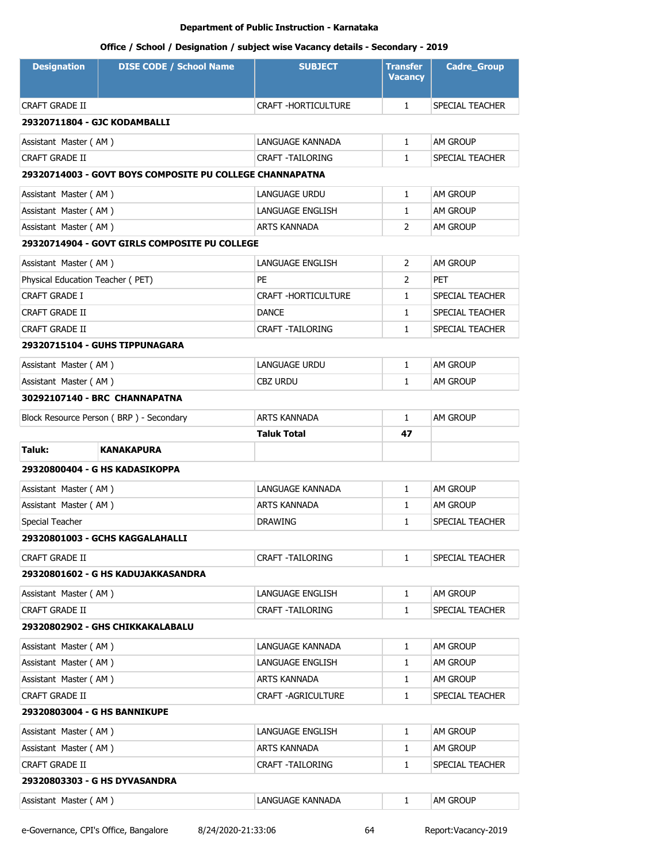| <b>Designation</b>               | <b>DISE CODE / School Name</b>                           | <b>SUBJECT</b>             | <b>Transfer</b><br><b>Vacancy</b> | <b>Cadre_Group</b> |  |
|----------------------------------|----------------------------------------------------------|----------------------------|-----------------------------------|--------------------|--|
| CRAFT GRADE II                   |                                                          | CRAFT - HORTICULTURE       | $\mathbf{1}$                      | SPECIAL TEACHER    |  |
| 29320711804 - GJC KODAMBALLI     |                                                          |                            |                                   |                    |  |
| Assistant Master (AM)            |                                                          | LANGUAGE KANNADA           | $\mathbf{1}$                      | AM GROUP           |  |
| <b>CRAFT GRADE II</b>            |                                                          | <b>CRAFT -TAILORING</b>    | $\mathbf{1}$                      | SPECIAL TEACHER    |  |
|                                  | 29320714003 - GOVT BOYS COMPOSITE PU COLLEGE CHANNAPATNA |                            |                                   |                    |  |
| Assistant Master (AM)            |                                                          | LANGUAGE URDU              | $\mathbf{1}$                      | AM GROUP           |  |
| Assistant Master (AM)            |                                                          | LANGUAGE ENGLISH           | $\mathbf{1}$                      | <b>AM GROUP</b>    |  |
| Assistant Master (AM)            |                                                          | ARTS KANNADA               | $\overline{2}$                    | AM GROUP           |  |
|                                  | 29320714904 - GOVT GIRLS COMPOSITE PU COLLEGE            |                            |                                   |                    |  |
| Assistant Master (AM)            |                                                          | LANGUAGE ENGLISH           | 2                                 | <b>AM GROUP</b>    |  |
| Physical Education Teacher (PET) |                                                          | PE                         | 2                                 | <b>PET</b>         |  |
| CRAFT GRADE I                    |                                                          | <b>CRAFT -HORTICULTURE</b> | $\mathbf{1}$                      | SPECIAL TEACHER    |  |
| CRAFT GRADE II                   |                                                          | <b>DANCE</b>               | $\mathbf{1}$                      | SPECIAL TEACHER    |  |
| CRAFT GRADE II                   |                                                          | <b>CRAFT -TAILORING</b>    | $\mathbf{1}$                      | SPECIAL TEACHER    |  |
|                                  | 29320715104 - GUHS TIPPUNAGARA                           |                            |                                   |                    |  |
| Assistant Master (AM)            |                                                          | LANGUAGE URDU              | $\mathbf{1}$                      | AM GROUP           |  |
| Assistant Master (AM)            |                                                          | <b>CBZ URDU</b>            | 1                                 | am Group           |  |
|                                  | 30292107140 - BRC CHANNAPATNA                            |                            |                                   |                    |  |
|                                  | Block Resource Person (BRP) - Secondary                  | <b>ARTS KANNADA</b>        | $\mathbf{1}$                      | AM GROUP           |  |
|                                  |                                                          | Taluk Total                | 47                                |                    |  |
| Taluk:                           | <b>KANAKAPURA</b>                                        |                            |                                   |                    |  |
|                                  | 29320800404 - G HS KADASIKOPPA                           |                            |                                   |                    |  |
| Assistant Master (AM)            |                                                          | LANGUAGE KANNADA           | $\mathbf{1}$                      | AM GROUP           |  |
| Assistant Master (AM)            |                                                          | <b>ARTS KANNADA</b>        | $\mathbf{1}$                      | <b>AM GROUP</b>    |  |
| Special Teacher                  |                                                          | <b>DRAWING</b>             | $\mathbf{1}$                      | SPECIAL TEACHER    |  |
| 29320801003 - GCHS KAGGALAHALLI  |                                                          |                            |                                   |                    |  |
| CRAFT GRADE II                   |                                                          | <b>CRAFT -TAILORING</b>    | $\mathbf{1}$                      | SPECIAL TEACHER    |  |
|                                  | 29320801602 - G HS KADUJAKKASANDRA                       |                            |                                   |                    |  |
| Assistant Master (AM)            |                                                          | LANGUAGE ENGLISH           | $\mathbf{1}$                      | am Group           |  |
| CRAFT GRADE II                   |                                                          | <b>CRAFT -TAILORING</b>    | 1                                 | SPECIAL TEACHER    |  |
|                                  | 29320802902 - GHS CHIKKAKALABALU                         |                            |                                   |                    |  |
| Assistant Master (AM)            |                                                          | LANGUAGE KANNADA           | 1                                 | AM GROUP           |  |
| Assistant Master (AM)            |                                                          | LANGUAGE ENGLISH           | 1                                 | AM GROUP           |  |
| Assistant Master (AM)            |                                                          | <b>ARTS KANNADA</b>        | $\mathbf{1}$                      | AM GROUP           |  |
| CRAFT GRADE II                   |                                                          | CRAFT -AGRICULTURE         | 1                                 | SPECIAL TEACHER    |  |
| 29320803004 - G HS BANNIKUPE     |                                                          |                            |                                   |                    |  |
| Assistant Master (AM)            |                                                          | LANGUAGE ENGLISH           | $\mathbf{1}$                      | AM GROUP           |  |
| Assistant Master (AM)            |                                                          | ARTS KANNADA               | 1                                 | am Group           |  |
| CRAFT GRADE II                   |                                                          | CRAFT - TAILORING          | 1                                 | SPECIAL TEACHER    |  |
| 29320803303 - G HS DYVASANDRA    |                                                          |                            |                                   |                    |  |
| Assistant Master (AM)            |                                                          | LANGUAGE KANNADA           | $\mathbf{1}$                      | am Group           |  |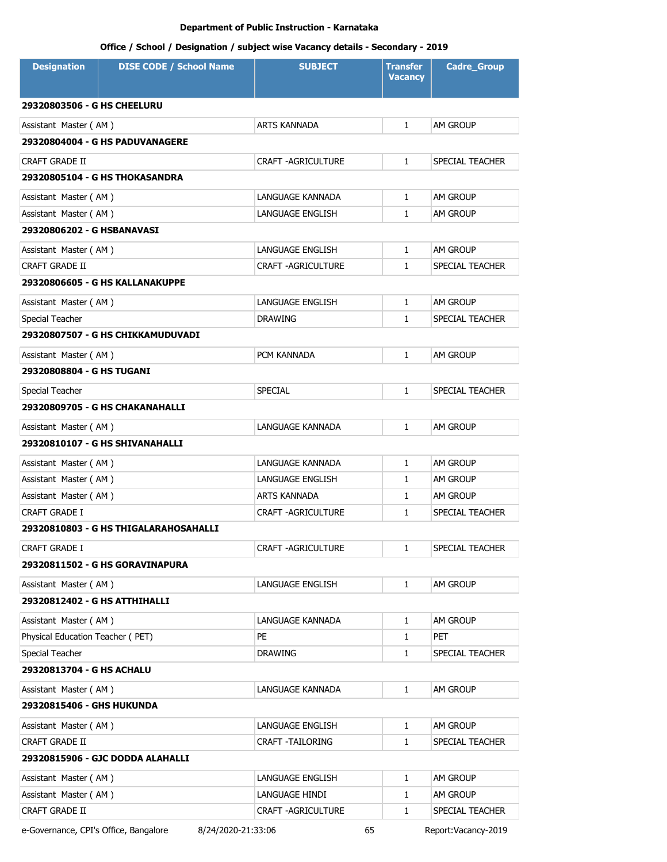# **Office / School / Designation / subject wise Vacancy details - Secondary - 2019**

| <b>Designation</b>                 | <b>DISE CODE / School Name</b>        | <b>SUBJECT</b>            | <b>Transfer</b><br><b>Vacancy</b> | <b>Cadre_Group</b> |  |
|------------------------------------|---------------------------------------|---------------------------|-----------------------------------|--------------------|--|
| <b>29320803506 - G HS CHEELURU</b> |                                       |                           |                                   |                    |  |
| Assistant Master (AM)              |                                       | <b>ARTS KANNADA</b>       | $\mathbf{1}$                      | <b>AM GROUP</b>    |  |
|                                    | 29320804004 - G HS PADUVANAGERE       |                           |                                   |                    |  |
| CRAFT GRADE II                     |                                       | <b>CRAFT -AGRICULTURE</b> | $\mathbf{1}$                      | SPECIAL TEACHER    |  |
|                                    | 29320805104 - G HS THOKASANDRA        |                           |                                   |                    |  |
| Assistant Master (AM)              |                                       | LANGUAGE KANNADA          | $\mathbf{1}$                      | <b>AM GROUP</b>    |  |
| Assistant Master (AM)              |                                       | LANGUAGE ENGLISH          | $\mathbf{1}$                      | <b>AM GROUP</b>    |  |
| 29320806202 - G HSBANAVASI         |                                       |                           |                                   |                    |  |
| Assistant Master (AM)              |                                       | LANGUAGE ENGLISH          | $\mathbf{1}$                      | AM GROUP           |  |
| <b>CRAFT GRADE II</b>              |                                       | CRAFT - AGRICULTURE       | $\mathbf{1}$                      | SPECIAL TEACHER    |  |
|                                    | 29320806605 - G HS KALLANAKUPPE       |                           |                                   |                    |  |
| Assistant Master (AM)              |                                       | <b>LANGUAGE ENGLISH</b>   | $\mathbf{1}$                      | AM GROUP           |  |
| Special Teacher                    |                                       | <b>DRAWING</b>            | 1                                 | SPECIAL TEACHER    |  |
|                                    | 29320807507 - G HS CHIKKAMUDUVADI     |                           |                                   |                    |  |
| Assistant Master (AM)              |                                       | PCM KANNADA               | $\mathbf{1}$                      | <b>AM GROUP</b>    |  |
| 29320808804 - G HS TUGANI          |                                       |                           |                                   |                    |  |
| Special Teacher                    |                                       | <b>SPECIAL</b>            | $\mathbf{1}$                      | SPECIAL TEACHER    |  |
|                                    | 29320809705 - G HS CHAKANAHALLI       |                           |                                   |                    |  |
| Assistant Master (AM)              |                                       | LANGUAGE KANNADA          | $\mathbf{1}$                      | <b>AM GROUP</b>    |  |
|                                    | 29320810107 - G HS SHIVANAHALLI       |                           |                                   |                    |  |
| Assistant Master (AM)              |                                       | LANGUAGE KANNADA          | $\mathbf{1}$                      | AM GROUP           |  |
| Assistant Master (AM)              |                                       | LANGUAGE ENGLISH          | $\mathbf{1}$                      | AM GROUP           |  |
| Assistant Master (AM)              |                                       | <b>ARTS KANNADA</b>       | 1                                 | AM GROUP           |  |
| CRAFT GRADE I                      |                                       | CRAFT - AGRICULTURE       | $\mathbf{1}$                      | SPECIAL TEACHER    |  |
|                                    | 29320810803 - G HS THIGALARAHOSAHALLI |                           |                                   |                    |  |
| CRAFT GRADE I                      |                                       | <b>CRAFT -AGRICULTURE</b> | 1                                 | SPECIAL TEACHER    |  |
| 29320811502 - G HS GORAVINAPURA    |                                       |                           |                                   |                    |  |
| Assistant Master (AM)              |                                       | LANGUAGE ENGLISH          | $\mathbf{1}$                      | AM GROUP           |  |
| 29320812402 - G HS ATTHIHALLI      |                                       |                           |                                   |                    |  |
| Assistant Master (AM)              |                                       | LANGUAGE KANNADA          | 1                                 | AM GROUP           |  |
| Physical Education Teacher (PET)   |                                       | PE                        | $\mathbf{1}$                      | <b>PET</b>         |  |
| Special Teacher                    |                                       | <b>DRAWING</b>            | $\mathbf{1}$                      | SPECIAL TEACHER    |  |
| 29320813704 - G HS ACHALU          |                                       |                           |                                   |                    |  |
| Assistant Master (AM)              |                                       | LANGUAGE KANNADA          | $\mathbf{1}$                      | <b>AM GROUP</b>    |  |
| 29320815406 - GHS HUKUNDA          |                                       |                           |                                   |                    |  |
| Assistant Master (AM)              |                                       | LANGUAGE ENGLISH          | 1                                 | AM GROUP           |  |
| CRAFT GRADE II                     |                                       | CRAFT - TAILORING         | 1                                 | SPECIAL TEACHER    |  |
|                                    | 29320815906 - GJC DODDA ALAHALLI      |                           |                                   |                    |  |
| Assistant Master (AM)              |                                       | LANGUAGE ENGLISH          | $\mathbf{1}$                      | AM GROUP           |  |
| Assistant Master (AM)              |                                       | LANGUAGE HINDI            | 1                                 | AM GROUP           |  |
| CRAFT GRADE II                     |                                       | CRAFT - AGRICULTURE       | 1                                 | SPECIAL TEACHER    |  |

e-Governance, CPI's Office, Bangalore 8/24/2020-21:33:06 65 Report:Vacancy-2019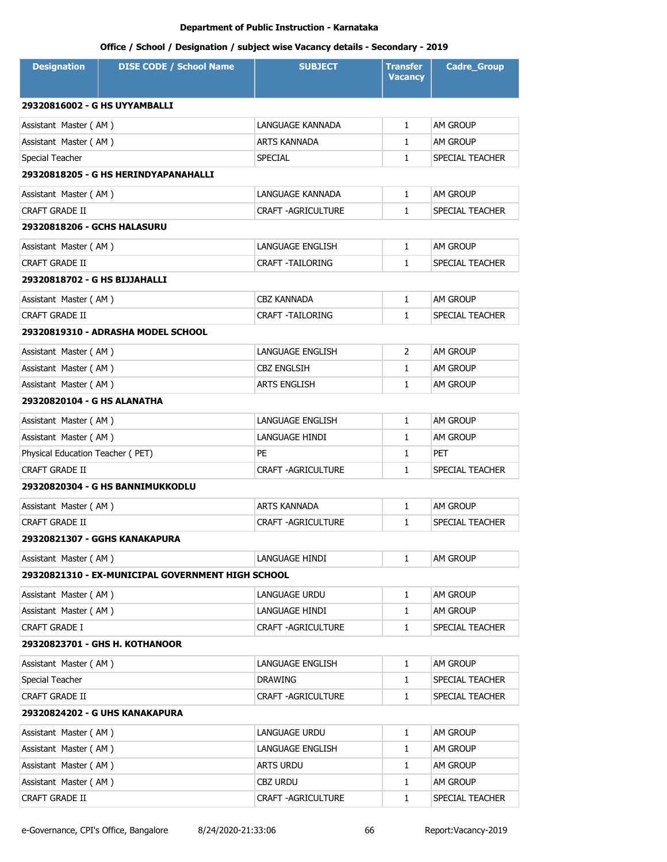| <b>Designation</b>                 | <b>DISE CODE / School Name</b>                    | <b>SUBJECT</b>            | <b>Transfer</b><br><b>Vacancy</b> | <b>Cadre_Group</b> |
|------------------------------------|---------------------------------------------------|---------------------------|-----------------------------------|--------------------|
| 29320816002 - G HS UYYAMBALLI      |                                                   |                           |                                   |                    |
| Assistant Master (AM)              |                                                   | LANGUAGE KANNADA          | $\mathbf{1}$                      | AM GROUP           |
| Assistant Master (AM)              |                                                   | ARTS KANNADA              | $\mathbf{1}$                      | am Group           |
| Special Teacher                    |                                                   | <b>SPECIAL</b>            | $\mathbf{1}$                      | SPECIAL TEACHER    |
|                                    | 29320818205 - G HS HERINDYAPANAHALLI              |                           |                                   |                    |
| Assistant Master (AM)              |                                                   | LANGUAGE KANNADA          | $\mathbf{1}$                      | am Group           |
| <b>CRAFT GRADE II</b>              |                                                   | <b>CRAFT -AGRICULTURE</b> | $\mathbf{1}$                      | SPECIAL TEACHER    |
| <b>29320818206 - GCHS HALASURU</b> |                                                   |                           |                                   |                    |
| Assistant Master (AM)              |                                                   | LANGUAGE ENGLISH          | $\mathbf{1}$                      | am Group           |
| CRAFT GRADE II                     |                                                   | <b>CRAFT -TAILORING</b>   | $\mathbf{1}$                      | SPECIAL TEACHER    |
| 29320818702 - G HS BIJJAHALLI      |                                                   |                           |                                   |                    |
| Assistant Master (AM)              |                                                   | CBZ KANNADA               | $\mathbf{1}$                      | am Group           |
| <b>CRAFT GRADE II</b>              |                                                   | <b>CRAFT -TAILORING</b>   | $\mathbf{1}$                      | SPECIAL TEACHER    |
|                                    | 29320819310 - ADRASHA MODEL SCHOOL                |                           |                                   |                    |
| Assistant Master (AM)              |                                                   | LANGUAGE ENGLISH          | 2                                 | am Group           |
| Assistant Master (AM)              |                                                   | <b>CBZ ENGLSIH</b>        | $\mathbf{1}$                      | <b>AM GROUP</b>    |
| Assistant Master (AM)              |                                                   | <b>ARTS ENGLISH</b>       | $\mathbf{1}$                      | am Group           |
| 29320820104 - G HS ALANATHA        |                                                   |                           |                                   |                    |
| Assistant Master (AM)              |                                                   | LANGUAGE ENGLISH          | $\mathbf{1}$                      | AM GROUP           |
| Assistant Master (AM)              |                                                   | LANGUAGE HINDI            | $\mathbf{1}$                      | am Group           |
| Physical Education Teacher (PET)   |                                                   | PE                        | $\mathbf{1}$                      | PET                |
| <b>CRAFT GRADE II</b>              |                                                   | <b>CRAFT -AGRICULTURE</b> | $\mathbf{1}$                      | SPECIAL TEACHER    |
|                                    | <b>29320820304 - G HS BANNIMUKKODLU</b>           |                           |                                   |                    |
| Assistant Master (AM)              |                                                   | <b>ARTS KANNADA</b>       | $\mathbf{1}$                      | AM GROUP           |
| <b>CRAFT GRADE II</b>              |                                                   | <b>CRAFT -AGRICULTURE</b> | $\mathbf{1}$                      | SPECIAL TEACHER    |
|                                    | 29320821307 - GGHS KANAKAPURA                     |                           |                                   |                    |
| Assistant Master (AM)              |                                                   | LANGUAGE HINDI            | 1                                 | am Group           |
|                                    | 29320821310 - EX-MUNICIPAL GOVERNMENT HIGH SCHOOL |                           |                                   |                    |
| Assistant Master (AM)              |                                                   | LANGUAGE URDU             | $\mathbf{1}$                      | am Group           |
| Assistant Master (AM)              |                                                   | LANGUAGE HINDI            | 1                                 | AM GROUP           |
| CRAFT GRADE I                      |                                                   | <b>CRAFT -AGRICULTURE</b> | $\mathbf{1}$                      | SPECIAL TEACHER    |
|                                    | 29320823701 - GHS H. KOTHANOOR                    |                           |                                   |                    |
| Assistant Master (AM)              |                                                   | LANGUAGE ENGLISH          | 1                                 | AM GROUP           |
| Special Teacher                    |                                                   | <b>DRAWING</b>            | $\mathbf{1}$                      | SPECIAL TEACHER    |
| CRAFT GRADE II                     |                                                   | <b>CRAFT -AGRICULTURE</b> | $\mathbf{1}$                      | SPECIAL TEACHER    |
|                                    | 29320824202 - G UHS KANAKAPURA                    |                           |                                   |                    |
| Assistant Master (AM)              |                                                   | LANGUAGE URDU             | $\mathbf{1}$                      | AM GROUP           |
| Assistant Master (AM)              |                                                   | LANGUAGE ENGLISH          | 1                                 | AM GROUP           |
| Assistant Master (AM)              |                                                   | <b>ARTS URDU</b>          | $\mathbf{1}$                      | AM GROUP           |
| Assistant Master (AM)              |                                                   | CBZ URDU                  | $\mathbf{1}$                      | AM GROUP           |
| CRAFT GRADE II                     |                                                   | <b>CRAFT -AGRICULTURE</b> | $\mathbf{1}$                      | SPECIAL TEACHER    |